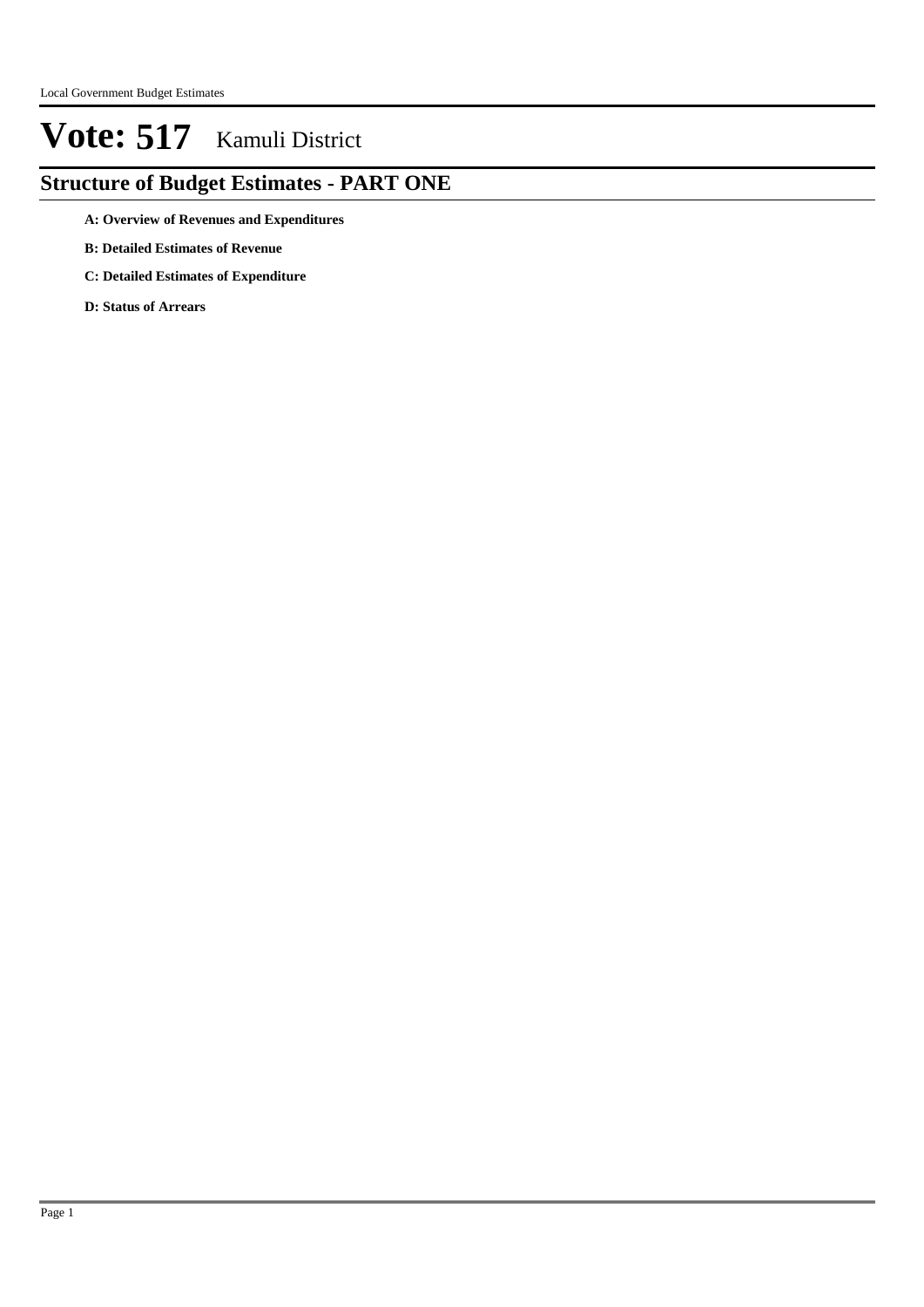### **Structure of Budget Estimates - PART ONE**

- **A: Overview of Revenues and Expenditures**
- **B: Detailed Estimates of Revenue**
- **C: Detailed Estimates of Expenditure**
- **D: Status of Arrears**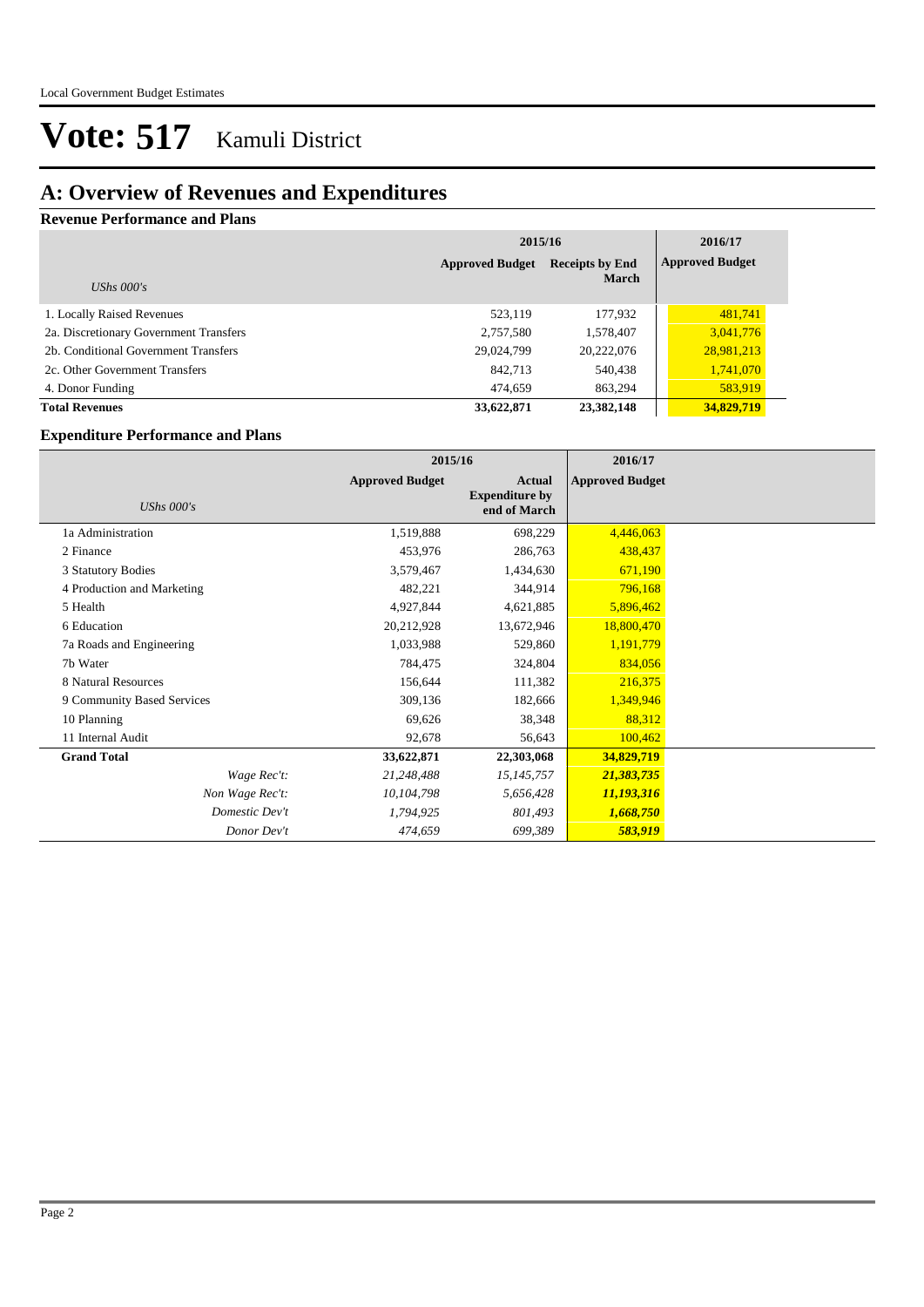### **A: Overview of Revenues and Expenditures**

#### **Revenue Performance and Plans**

|                                        | 2015/16                | 2016/17                |                        |
|----------------------------------------|------------------------|------------------------|------------------------|
|                                        | <b>Approved Budget</b> | <b>Receipts by End</b> | <b>Approved Budget</b> |
| UShs $000's$                           |                        | <b>March</b>           |                        |
| 1. Locally Raised Revenues             | 523.119                | 177,932                | 481,741                |
| 2a. Discretionary Government Transfers | 2,757,580              | 1,578,407              | 3,041,776              |
| 2b. Conditional Government Transfers   | 29,024,799             | 20,222,076             | 28,981,213             |
| 2c. Other Government Transfers         | 842,713                | 540,438                | 1,741,070              |
| 4. Donor Funding                       | 474,659                | 863,294                | 583,919                |
| <b>Total Revenues</b>                  | 33,622,871             | 23,382,148             | 34,829,719             |

#### **Expenditure Performance and Plans**

|                            |                        | 2015/16                                         |                        |  |
|----------------------------|------------------------|-------------------------------------------------|------------------------|--|
| UShs $000's$               | <b>Approved Budget</b> | Actual<br><b>Expenditure by</b><br>end of March | <b>Approved Budget</b> |  |
| 1a Administration          | 1,519,888              | 698,229                                         | 4,446,063              |  |
| 2 Finance                  | 453,976                | 286,763                                         | 438,437                |  |
| 3 Statutory Bodies         | 3,579,467              | 1,434,630                                       | 671,190                |  |
| 4 Production and Marketing | 482,221                | 344,914                                         | 796,168                |  |
| 5 Health                   | 4,927,844              | 4,621,885                                       | 5,896,462              |  |
| 6 Education                | 20,212,928             | 13,672,946                                      | 18,800,470             |  |
| 7a Roads and Engineering   | 1,033,988              | 529,860                                         | 1,191,779              |  |
| 7b Water                   | 784,475                | 324,804                                         | 834,056                |  |
| 8 Natural Resources        | 156,644                | 111,382                                         | 216,375                |  |
| 9 Community Based Services | 309,136                | 182,666                                         | 1,349,946              |  |
| 10 Planning                | 69,626                 | 38,348                                          | 88,312                 |  |
| 11 Internal Audit          | 92,678                 | 56,643                                          | 100,462                |  |
| <b>Grand Total</b>         | 33,622,871             | 22,303,068                                      | 34,829,719             |  |
| Wage Rec't:                | 21,248,488             | 15,145,757                                      | 21,383,735             |  |
| Non Wage Rec't:            | 10,104,798             | 5,656,428                                       | 11,193,316             |  |
| Domestic Dev't             | 1,794,925              | 801,493                                         | 1,668,750              |  |
| Donor Dev't                | 474,659                | 699,389                                         | 583,919                |  |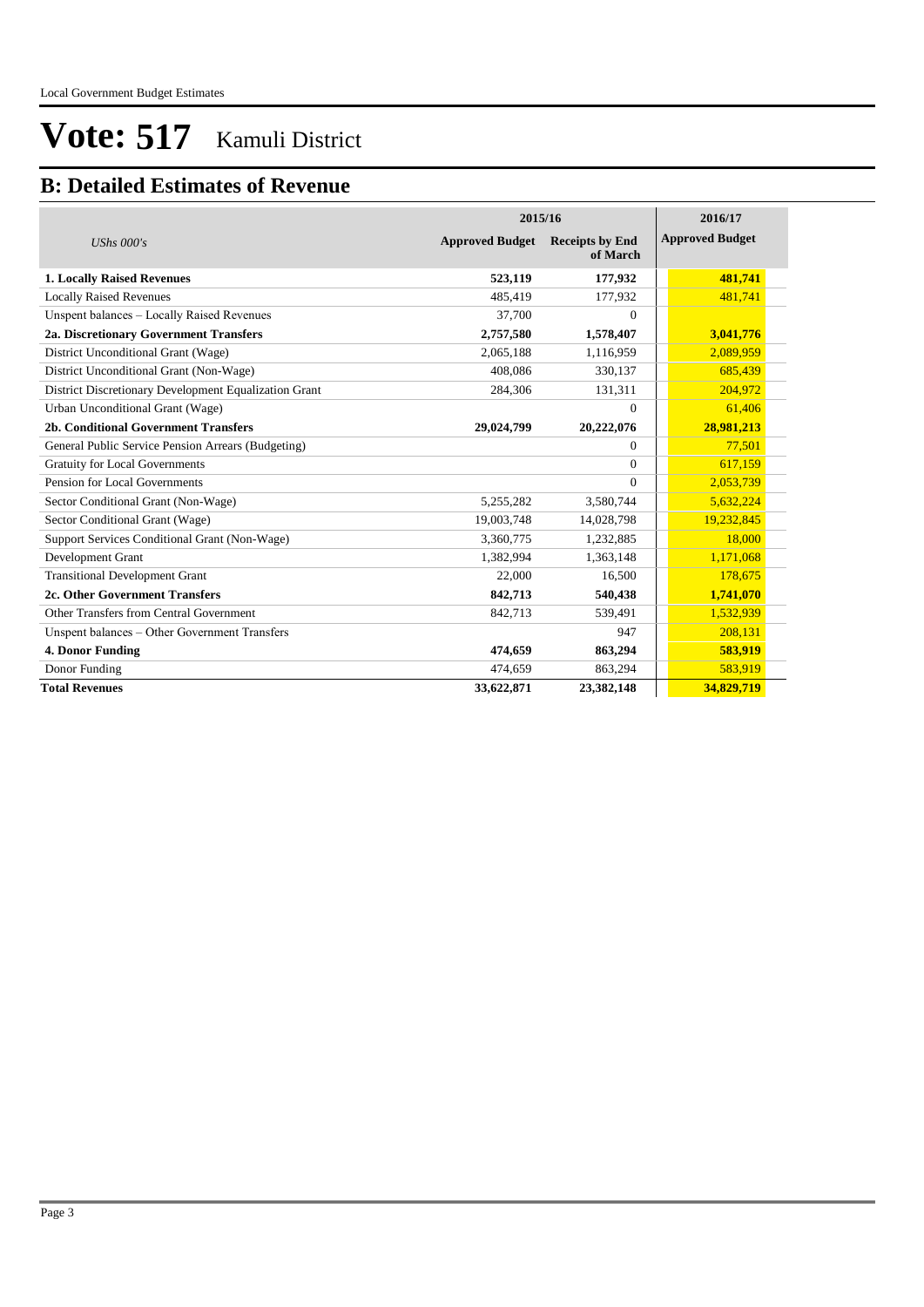### **B: Detailed Estimates of Revenue**

|                                                       | 2015/16                | 2016/17                            |                        |  |
|-------------------------------------------------------|------------------------|------------------------------------|------------------------|--|
| UShs $000's$                                          | <b>Approved Budget</b> | <b>Receipts by End</b><br>of March | <b>Approved Budget</b> |  |
| <b>1. Locally Raised Revenues</b>                     | 523,119                | 177,932                            | 481,741                |  |
| <b>Locally Raised Revenues</b>                        | 485,419                | 177,932                            | 481,741                |  |
| Unspent balances - Locally Raised Revenues            | 37,700                 | $\Omega$                           |                        |  |
| 2a. Discretionary Government Transfers                | 2,757,580              | 1,578,407                          | 3,041,776              |  |
| District Unconditional Grant (Wage)                   | 2,065,188              | 1,116,959                          | 2,089,959              |  |
| District Unconditional Grant (Non-Wage)               | 408.086                | 330,137                            | 685,439                |  |
| District Discretionary Development Equalization Grant | 284,306                | 131,311                            | 204,972                |  |
| Urban Unconditional Grant (Wage)                      |                        | $\Omega$                           | 61,406                 |  |
| 2b. Conditional Government Transfers                  | 29,024,799             | 20,222,076                         | 28,981,213             |  |
| General Public Service Pension Arrears (Budgeting)    |                        | $\Omega$                           | 77,501                 |  |
| <b>Gratuity for Local Governments</b>                 |                        | $\Omega$                           | 617,159                |  |
| Pension for Local Governments                         |                        | $\Omega$                           | 2,053,739              |  |
| Sector Conditional Grant (Non-Wage)                   | 5,255,282              | 3,580,744                          | 5,632,224              |  |
| Sector Conditional Grant (Wage)                       | 19,003,748             | 14,028,798                         | 19,232,845             |  |
| Support Services Conditional Grant (Non-Wage)         | 3,360,775              | 1,232,885                          | 18,000                 |  |
| Development Grant                                     | 1.382.994              | 1,363,148                          | 1,171,068              |  |
| <b>Transitional Development Grant</b>                 | 22,000                 | 16,500                             | 178,675                |  |
| 2c. Other Government Transfers                        | 842,713                | 540,438                            | 1,741,070              |  |
| Other Transfers from Central Government               | 842,713                | 539,491                            | 1,532,939              |  |
| Unspent balances - Other Government Transfers         |                        | 947                                | 208,131                |  |
| 4. Donor Funding                                      | 474,659                | 863,294                            | 583,919                |  |
| Donor Funding                                         | 474,659                | 863,294                            | 583,919                |  |
| <b>Total Revenues</b>                                 | 33,622,871             | 23,382,148                         | 34,829,719             |  |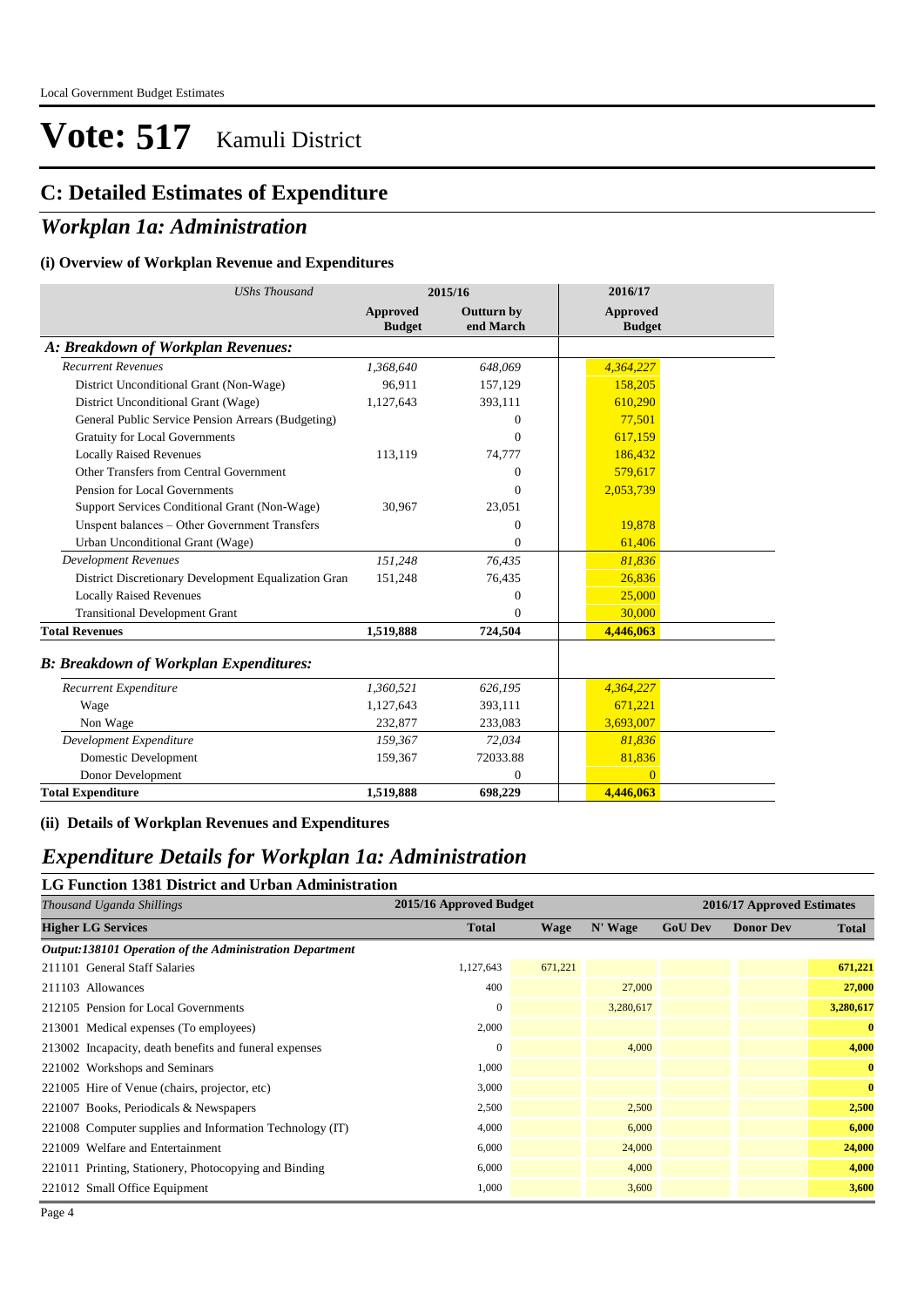### **C: Detailed Estimates of Expenditure**

#### *Workplan 1a: Administration*

#### **(i) Overview of Workplan Revenue and Expenditures**

| <b>UShs Thousand</b>                                 |                                  | 2015/16                        | 2016/17                          |  |
|------------------------------------------------------|----------------------------------|--------------------------------|----------------------------------|--|
|                                                      | <b>Approved</b><br><b>Budget</b> | <b>Outturn by</b><br>end March | <b>Approved</b><br><b>Budget</b> |  |
| A: Breakdown of Workplan Revenues:                   |                                  |                                |                                  |  |
| <b>Recurrent Revenues</b>                            | 1,368,640                        | 648,069                        | 4,364,227                        |  |
| District Unconditional Grant (Non-Wage)              | 96.911                           | 157,129                        | 158,205                          |  |
| District Unconditional Grant (Wage)                  | 1,127,643                        | 393,111                        | 610,290                          |  |
| General Public Service Pension Arrears (Budgeting)   |                                  | $\Omega$                       | 77,501                           |  |
| <b>Gratuity for Local Governments</b>                |                                  | $\Omega$                       | 617,159                          |  |
| <b>Locally Raised Revenues</b>                       | 113,119                          | 74,777                         | 186,432                          |  |
| Other Transfers from Central Government              |                                  | $\Omega$                       | 579,617                          |  |
| Pension for Local Governments                        |                                  | $\Omega$                       | 2,053,739                        |  |
| Support Services Conditional Grant (Non-Wage)        | 30,967                           | 23,051                         |                                  |  |
| Unspent balances - Other Government Transfers        |                                  | $\mathbf{0}$                   | 19,878                           |  |
| Urban Unconditional Grant (Wage)                     |                                  | $\mathbf{0}$                   | 61,406                           |  |
| <b>Development Revenues</b>                          | 151,248                          | 76.435                         | 81,836                           |  |
| District Discretionary Development Equalization Gran | 151,248                          | 76,435                         | 26,836                           |  |
| <b>Locally Raised Revenues</b>                       |                                  | $\overline{0}$                 | 25,000                           |  |
| <b>Transitional Development Grant</b>                |                                  | $\Omega$                       | 30,000                           |  |
| <b>Total Revenues</b>                                | 1,519,888                        | 724,504                        | 4,446,063                        |  |
| <b>B: Breakdown of Workplan Expenditures:</b>        |                                  |                                |                                  |  |
| Recurrent Expenditure                                | 1,360,521                        | 626,195                        | 4,364,227                        |  |
| Wage                                                 | 1,127,643                        | 393,111                        | 671,221                          |  |
| Non Wage                                             | 232,877                          | 233,083                        | 3,693,007                        |  |
| Development Expenditure                              | 159,367                          | 72,034                         | 81,836                           |  |
| Domestic Development                                 | 159,367                          | 72033.88                       | 81,836                           |  |
| Donor Development                                    |                                  | $\mathbf{0}$                   | $\Omega$                         |  |
| <b>Total Expenditure</b>                             | 1,519,888                        | 698,229                        | 4,446,063                        |  |

#### **(ii) Details of Workplan Revenues and Expenditures**

### *Expenditure Details for Workplan 1a: Administration*

#### **LG Function 1381 District and Urban Administration**

| Thousand Uganda Shillings                                |              | 2015/16 Approved Budget |           |                | 2016/17 Approved Estimates |              |
|----------------------------------------------------------|--------------|-------------------------|-----------|----------------|----------------------------|--------------|
| <b>Higher LG Services</b>                                | <b>Total</b> | Wage                    | N' Wage   | <b>GoU Dev</b> | <b>Donor Dev</b>           | <b>Total</b> |
| Output:138101 Operation of the Administration Department |              |                         |           |                |                            |              |
| 211101 General Staff Salaries                            | 1,127,643    | 671,221                 |           |                |                            | 671,221      |
| 211103 Allowances                                        | 400          |                         | 27,000    |                |                            | 27,000       |
| 212105 Pension for Local Governments                     | 0            |                         | 3,280,617 |                |                            | 3,280,617    |
| 213001 Medical expenses (To employees)                   | 2,000        |                         |           |                |                            | $\mathbf{0}$ |
| 213002 Incapacity, death benefits and funeral expenses   | $\mathbf{0}$ |                         | 4,000     |                |                            | 4,000        |
| 221002 Workshops and Seminars                            | 1,000        |                         |           |                |                            | $\mathbf{0}$ |
| 221005 Hire of Venue (chairs, projector, etc)            | 3,000        |                         |           |                |                            | $\mathbf{0}$ |
| 221007 Books, Periodicals & Newspapers                   | 2,500        |                         | 2,500     |                |                            | 2,500        |
| 221008 Computer supplies and Information Technology (IT) | 4,000        |                         | 6,000     |                |                            | 6,000        |
| 221009 Welfare and Entertainment                         | 6,000        |                         | 24,000    |                |                            | 24,000       |
| 221011 Printing, Stationery, Photocopying and Binding    | 6,000        |                         | 4,000     |                |                            | 4,000        |
| 221012 Small Office Equipment                            | 1,000        |                         | 3,600     |                |                            | 3,600        |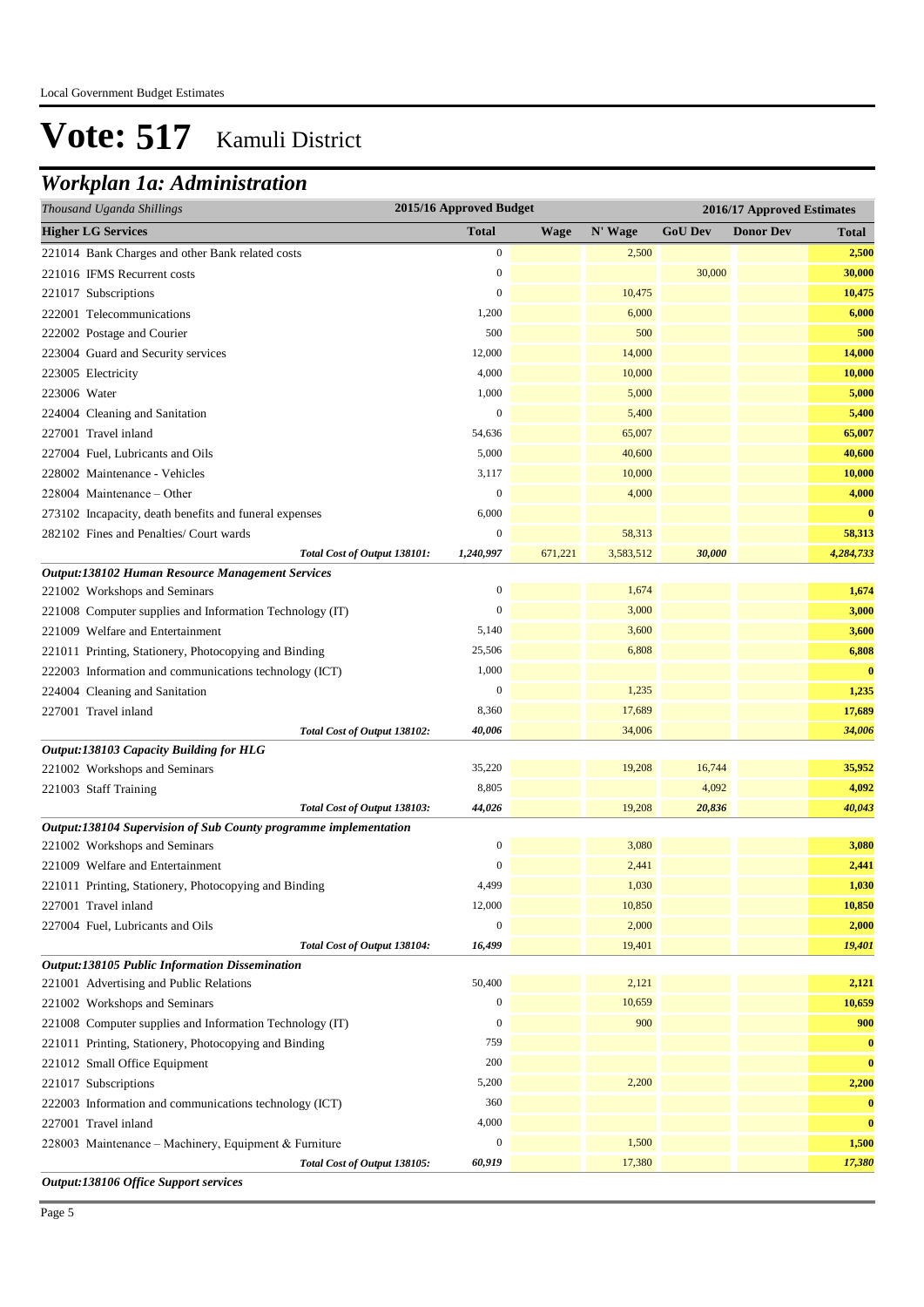## *Workplan 1a: Administration*

| Thousand Uganda Shillings                                        | 2015/16 Approved Budget |             |           |                |                  | 2016/17 Approved Estimates |  |
|------------------------------------------------------------------|-------------------------|-------------|-----------|----------------|------------------|----------------------------|--|
| <b>Higher LG Services</b>                                        | <b>Total</b>            | <b>Wage</b> | N' Wage   | <b>GoU Dev</b> | <b>Donor Dev</b> | <b>Total</b>               |  |
| 221014 Bank Charges and other Bank related costs                 | $\boldsymbol{0}$        |             | 2,500     |                |                  | 2,500                      |  |
| 221016 IFMS Recurrent costs                                      | $\boldsymbol{0}$        |             |           | 30,000         |                  | 30,000                     |  |
| 221017 Subscriptions                                             | $\boldsymbol{0}$        |             | 10,475    |                |                  | 10,475                     |  |
| 222001 Telecommunications                                        | 1,200                   |             | 6,000     |                |                  | 6,000                      |  |
| 222002 Postage and Courier                                       | 500                     |             | 500       |                |                  | 500                        |  |
| 223004 Guard and Security services                               | 12,000                  |             | 14,000    |                |                  | 14,000                     |  |
| 223005 Electricity                                               | 4,000                   |             | 10,000    |                |                  | 10,000                     |  |
| 223006 Water                                                     | 1,000                   |             | 5,000     |                |                  | 5,000                      |  |
| 224004 Cleaning and Sanitation                                   | $\boldsymbol{0}$        |             | 5,400     |                |                  | 5,400                      |  |
| 227001 Travel inland                                             | 54,636                  |             | 65,007    |                |                  | 65,007                     |  |
| 227004 Fuel, Lubricants and Oils                                 | 5,000                   |             | 40,600    |                |                  | 40,600                     |  |
| 228002 Maintenance - Vehicles                                    | 3,117                   |             | 10,000    |                |                  | 10,000                     |  |
| 228004 Maintenance – Other                                       | $\boldsymbol{0}$        |             | 4,000     |                |                  | 4,000                      |  |
| 273102 Incapacity, death benefits and funeral expenses           | 6,000                   |             |           |                |                  | $\bf{0}$                   |  |
| 282102 Fines and Penalties/ Court wards                          | $\boldsymbol{0}$        |             | 58,313    |                |                  | 58,313                     |  |
| Total Cost of Output 138101:                                     | 1,240,997               | 671,221     | 3,583,512 | 30,000         |                  | 4,284,733                  |  |
| Output:138102 Human Resource Management Services                 |                         |             |           |                |                  |                            |  |
| 221002 Workshops and Seminars                                    | $\boldsymbol{0}$        |             | 1,674     |                |                  | 1,674                      |  |
| 221008 Computer supplies and Information Technology (IT)         | $\mathbf{0}$            |             | 3,000     |                |                  | 3,000                      |  |
| 221009 Welfare and Entertainment                                 | 5,140                   |             | 3,600     |                |                  | 3,600                      |  |
| 221011 Printing, Stationery, Photocopying and Binding            | 25,506                  |             | 6,808     |                |                  | 6,808                      |  |
| 222003 Information and communications technology (ICT)           | 1,000                   |             |           |                |                  | $\bf{0}$                   |  |
| 224004 Cleaning and Sanitation                                   | $\boldsymbol{0}$        |             | 1,235     |                |                  | 1,235                      |  |
| 227001 Travel inland                                             | 8,360                   |             | 17,689    |                |                  | 17,689                     |  |
| Total Cost of Output 138102:                                     | 40,006                  |             | 34,006    |                |                  | 34,006                     |  |
| Output:138103 Capacity Building for HLG                          |                         |             |           |                |                  |                            |  |
| 221002 Workshops and Seminars                                    | 35,220                  |             | 19,208    | 16,744         |                  | 35,952                     |  |
| 221003 Staff Training                                            | 8,805                   |             |           | 4,092          |                  | 4,092                      |  |
| Total Cost of Output 138103:                                     | 44,026                  |             | 19,208    | 20,836         |                  | 40,043                     |  |
| Output:138104 Supervision of Sub County programme implementation |                         |             |           |                |                  |                            |  |
| 221002 Workshops and Seminars                                    | $\overline{0}$          |             | 3,080     |                |                  | 3,080                      |  |
| 221009 Welfare and Entertainment                                 | $\mathbf{0}$            |             | 2,441     |                |                  | 2,441                      |  |
| 221011 Printing, Stationery, Photocopying and Binding            | 4,499                   |             | 1,030     |                |                  | 1,030                      |  |
| 227001 Travel inland                                             | 12,000                  |             | 10,850    |                |                  | 10,850                     |  |
| 227004 Fuel, Lubricants and Oils                                 | $\boldsymbol{0}$        |             | 2,000     |                |                  | 2,000                      |  |
| Total Cost of Output 138104:                                     | 16,499                  |             | 19,401    |                |                  | 19,401                     |  |
| Output:138105 Public Information Dissemination                   |                         |             |           |                |                  |                            |  |
| 221001 Advertising and Public Relations                          | 50,400                  |             | 2,121     |                |                  | 2,121                      |  |
| 221002 Workshops and Seminars                                    | $\Omega$                |             | 10,659    |                |                  | 10,659                     |  |
| 221008 Computer supplies and Information Technology (IT)         | $\boldsymbol{0}$        |             | 900       |                |                  | 900                        |  |
| 221011 Printing, Stationery, Photocopying and Binding            | 759                     |             |           |                |                  | $\bf{0}$                   |  |
| 221012 Small Office Equipment                                    | 200                     |             |           |                |                  | $\bf{0}$                   |  |
| 221017 Subscriptions                                             | 5,200                   |             | 2,200     |                |                  | 2,200                      |  |
| 222003 Information and communications technology (ICT)           | 360                     |             |           |                |                  | $\bf{0}$                   |  |
| 227001 Travel inland                                             | 4,000                   |             |           |                |                  | $\bf{0}$                   |  |
| 228003 Maintenance - Machinery, Equipment & Furniture            | $\boldsymbol{0}$        |             | 1,500     |                |                  | 1,500                      |  |
| Total Cost of Output 138105:                                     | 60,919                  |             | 17,380    |                |                  | 17,380                     |  |
| Output:138106 Office Support services                            |                         |             |           |                |                  |                            |  |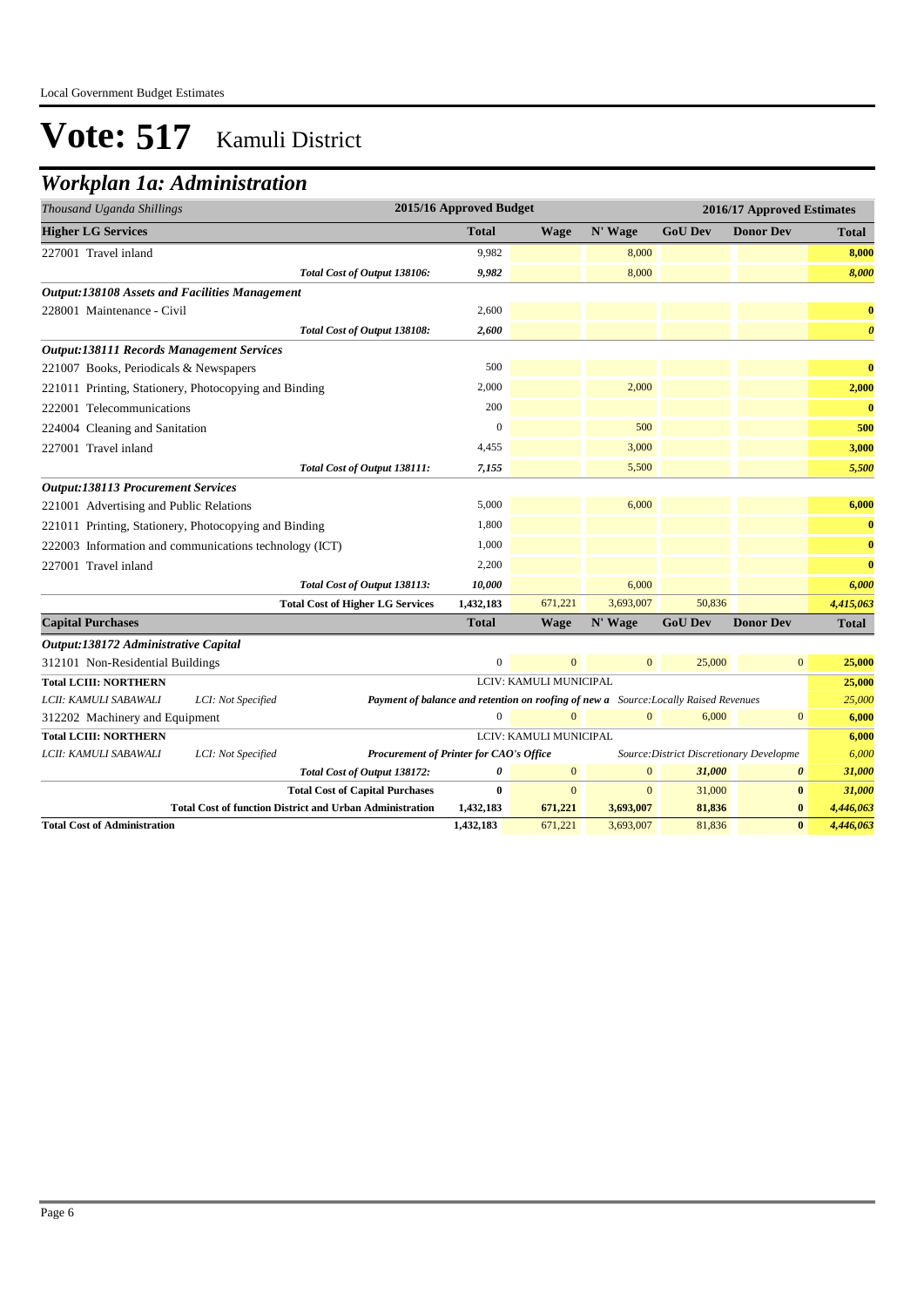### *Workplan 1a: Administration*

| Thousand Uganda Shillings                             |                                                                 |                                                                                      | 2015/16 Approved Budget |                        |                |                | 2016/17 Approved Estimates               |                       |
|-------------------------------------------------------|-----------------------------------------------------------------|--------------------------------------------------------------------------------------|-------------------------|------------------------|----------------|----------------|------------------------------------------|-----------------------|
| <b>Higher LG Services</b>                             |                                                                 |                                                                                      | <b>Total</b>            | <b>Wage</b>            | N' Wage        | <b>GoU Dev</b> | <b>Donor Dev</b>                         | <b>Total</b>          |
| 227001 Travel inland                                  |                                                                 |                                                                                      | 9,982                   |                        | 8,000          |                |                                          | 8,000                 |
|                                                       |                                                                 | Total Cost of Output 138106:                                                         | 9,982                   |                        | 8,000          |                |                                          | 8,000                 |
| <b>Output:138108 Assets and Facilities Management</b> |                                                                 |                                                                                      |                         |                        |                |                |                                          |                       |
| 228001 Maintenance - Civil                            |                                                                 |                                                                                      | 2,600                   |                        |                |                |                                          | $\bf{0}$              |
|                                                       |                                                                 | Total Cost of Output 138108:                                                         | 2,600                   |                        |                |                |                                          | $\boldsymbol{\theta}$ |
| <b>Output:138111 Records Management Services</b>      |                                                                 |                                                                                      |                         |                        |                |                |                                          |                       |
| 221007 Books, Periodicals & Newspapers                |                                                                 |                                                                                      | 500                     |                        |                |                |                                          | $\bf{0}$              |
|                                                       | 221011 Printing, Stationery, Photocopying and Binding           |                                                                                      | 2,000                   |                        | 2,000          |                |                                          | 2,000                 |
| 222001 Telecommunications                             |                                                                 |                                                                                      | 200                     |                        |                |                |                                          | $\bf{0}$              |
| 224004 Cleaning and Sanitation                        |                                                                 |                                                                                      | $\Omega$                |                        | 500            |                |                                          | 500                   |
| 227001 Travel inland                                  |                                                                 |                                                                                      | 4,455                   |                        | 3,000          |                |                                          | 3,000                 |
|                                                       |                                                                 | Total Cost of Output 138111:                                                         | 7,155                   |                        | 5,500          |                |                                          | 5,500                 |
| <b>Output:138113 Procurement Services</b>             |                                                                 |                                                                                      |                         |                        |                |                |                                          |                       |
| 221001 Advertising and Public Relations               |                                                                 |                                                                                      | 5,000                   |                        | 6,000          |                |                                          | 6,000                 |
|                                                       | 221011 Printing, Stationery, Photocopying and Binding           |                                                                                      | 1.800                   |                        |                |                |                                          | $\bf{0}$              |
|                                                       | 222003 Information and communications technology (ICT)          |                                                                                      | 1,000                   |                        |                |                |                                          | $\bf{0}$              |
| 227001 Travel inland                                  |                                                                 |                                                                                      | 2,200                   |                        |                |                |                                          | $\bf{0}$              |
|                                                       |                                                                 | Total Cost of Output 138113:                                                         | 10,000                  |                        | 6,000          |                |                                          | 6,000                 |
|                                                       |                                                                 | <b>Total Cost of Higher LG Services</b>                                              | 1,432,183               | 671,221                | 3,693,007      | 50,836         |                                          | 4,415,063             |
| <b>Capital Purchases</b>                              |                                                                 |                                                                                      | <b>Total</b>            | <b>Wage</b>            | N' Wage        | <b>GoU Dev</b> | <b>Donor Dev</b>                         | <b>Total</b>          |
| Output:138172 Administrative Capital                  |                                                                 |                                                                                      |                         |                        |                |                |                                          |                       |
| 312101 Non-Residential Buildings                      |                                                                 |                                                                                      | $\overline{0}$          | $\mathbf{0}$           | $\overline{0}$ | 25,000         | $\mathbf{0}$                             | 25,000                |
| <b>Total LCIII: NORTHERN</b>                          |                                                                 |                                                                                      |                         | LCIV: KAMULI MUNICIPAL |                |                |                                          | 25,000                |
| LCII: KAMULI SABAWALI                                 | LCI: Not Specified                                              | Payment of balance and retention on roofing of new a Source: Locally Raised Revenues |                         |                        |                |                |                                          | 25,000                |
| 312202 Machinery and Equipment                        |                                                                 |                                                                                      | $\overline{0}$          | $\Omega$               | $\overline{0}$ | 6,000          | $\mathbf{0}$                             | 6,000                 |
| <b>Total LCIII: NORTHERN</b>                          |                                                                 |                                                                                      |                         | LCIV: KAMULI MUNICIPAL |                |                |                                          | 6,000                 |
| LCII: KAMULI SABAWALI                                 | LCI: Not Specified                                              | Procurement of Printer for CAO's Office                                              |                         |                        |                |                | Source: District Discretionary Developme | 6,000                 |
|                                                       |                                                                 | Total Cost of Output 138172:                                                         | $\boldsymbol{\theta}$   | $\overline{0}$         | $\overline{0}$ | 31,000         | $\boldsymbol{\theta}$                    | 31,000                |
|                                                       |                                                                 | <b>Total Cost of Capital Purchases</b>                                               | $\bf{0}$                | $\Omega$               | $\overline{0}$ | 31,000         | $\bf{0}$                                 | 31,000                |
|                                                       | <b>Total Cost of function District and Urban Administration</b> |                                                                                      | 1,432,183               | 671,221                | 3,693,007      | 81,836         | $\bf{0}$                                 | 4,446,063             |
| <b>Total Cost of Administration</b>                   |                                                                 |                                                                                      | 1,432,183               | 671,221                | 3,693,007      | 81,836         | $\bf{0}$                                 | 4,446,063             |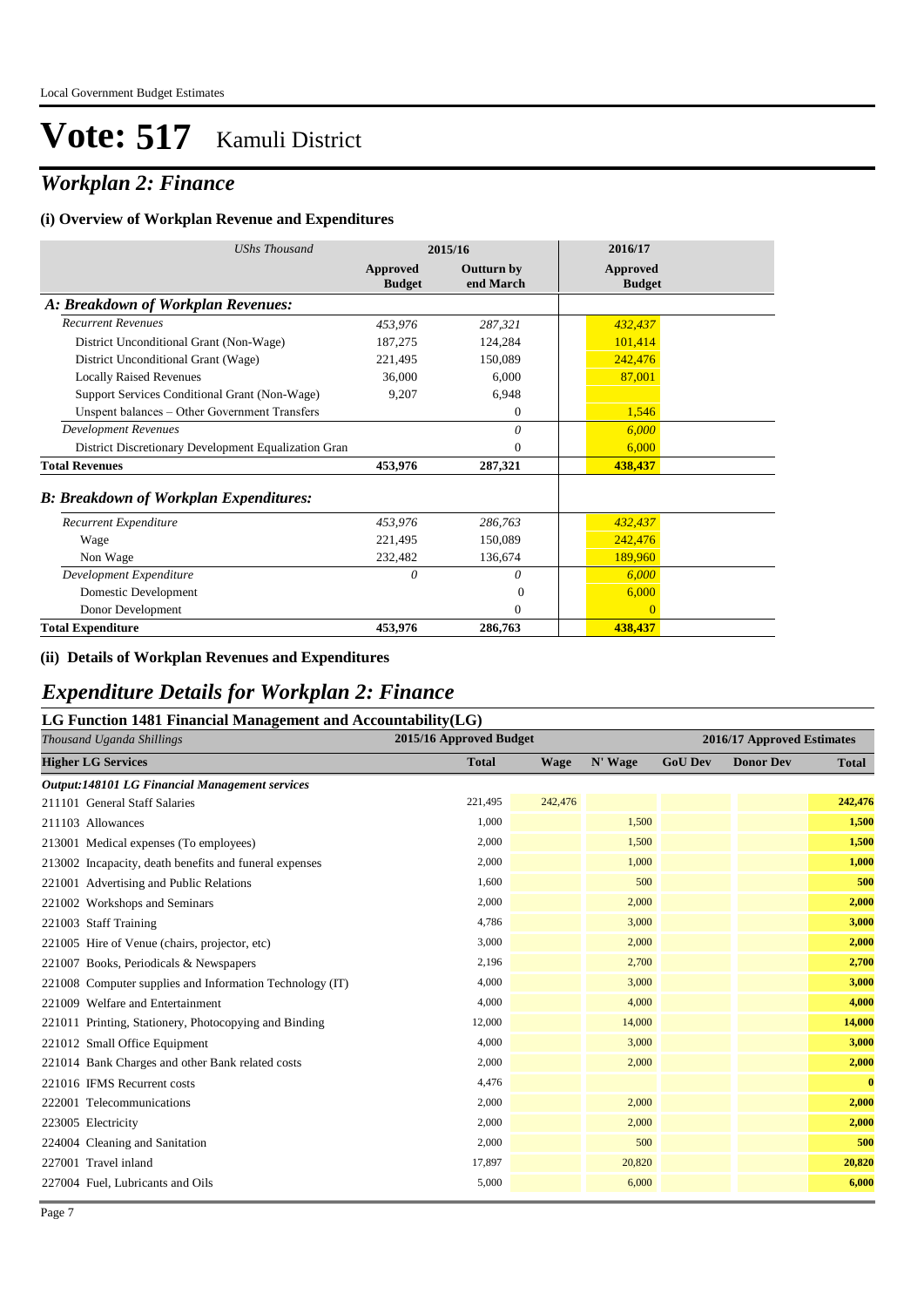## *Workplan 2: Finance*

#### **(i) Overview of Workplan Revenue and Expenditures**

| <b>UShs Thousand</b>                                 | 2015/16                          |                                | 2016/17                          |
|------------------------------------------------------|----------------------------------|--------------------------------|----------------------------------|
|                                                      | <b>Approved</b><br><b>Budget</b> | <b>Outturn by</b><br>end March | <b>Approved</b><br><b>Budget</b> |
| A: Breakdown of Workplan Revenues:                   |                                  |                                |                                  |
| <b>Recurrent Revenues</b>                            | 453,976                          | 287,321                        | 432,437                          |
| District Unconditional Grant (Non-Wage)              | 187,275                          | 124,284                        | 101,414                          |
| District Unconditional Grant (Wage)                  | 221,495                          | 150,089                        | 242,476                          |
| <b>Locally Raised Revenues</b>                       | 36,000                           | 6,000                          | 87,001                           |
| Support Services Conditional Grant (Non-Wage)        | 9,207                            | 6,948                          |                                  |
| Unspent balances - Other Government Transfers        |                                  | $\theta$                       | 1,546                            |
| <b>Development Revenues</b>                          |                                  | $\theta$                       | 6,000                            |
| District Discretionary Development Equalization Gran |                                  | $\Omega$                       | 6,000                            |
| <b>Total Revenues</b>                                | 453,976                          | 287,321                        | 438,437                          |
| <b>B: Breakdown of Workplan Expenditures:</b>        |                                  |                                |                                  |
| Recurrent Expenditure                                | 453,976                          | 286,763                        | 432,437                          |
| Wage                                                 | 221,495                          | 150,089                        | 242,476                          |
| Non Wage                                             | 232,482                          | 136,674                        | 189,960                          |
| Development Expenditure                              | $\theta$                         | $\theta$                       | 6,000                            |
| Domestic Development                                 |                                  | $\Omega$                       | 6,000                            |
| Donor Development                                    |                                  | $\Omega$                       | $\Omega$                         |
| <b>Total Expenditure</b>                             | 453,976                          | 286,763                        | 438,437                          |

#### **(ii) Details of Workplan Revenues and Expenditures**

### *Expenditure Details for Workplan 2: Finance*

#### **LG Function 1481 Financial Management and Accountability(LG)**

| Thousand Uganda Shillings                                | 2015/16 Approved Budget |         |         |                | 2016/17 Approved Estimates |              |
|----------------------------------------------------------|-------------------------|---------|---------|----------------|----------------------------|--------------|
| <b>Higher LG Services</b>                                | <b>Total</b>            | Wage    | N' Wage | <b>GoU Dev</b> | <b>Donor Dev</b>           | <b>Total</b> |
| Output:148101 LG Financial Management services           |                         |         |         |                |                            |              |
| 211101 General Staff Salaries                            | 221,495                 | 242,476 |         |                |                            | 242,476      |
| 211103 Allowances                                        | 1,000                   |         | 1,500   |                |                            | 1,500        |
| 213001 Medical expenses (To employees)                   | 2,000                   |         | 1,500   |                |                            | 1,500        |
| 213002 Incapacity, death benefits and funeral expenses   | 2,000                   |         | 1,000   |                |                            | 1,000        |
| 221001 Advertising and Public Relations                  | 1,600                   |         | 500     |                |                            | 500          |
| 221002 Workshops and Seminars                            | 2,000                   |         | 2,000   |                |                            | 2,000        |
| 221003 Staff Training                                    | 4,786                   |         | 3,000   |                |                            | 3,000        |
| 221005 Hire of Venue (chairs, projector, etc)            | 3,000                   |         | 2,000   |                |                            | 2,000        |
| 221007 Books, Periodicals & Newspapers                   | 2,196                   |         | 2,700   |                |                            | 2,700        |
| 221008 Computer supplies and Information Technology (IT) | 4,000                   |         | 3,000   |                |                            | 3,000        |
| 221009 Welfare and Entertainment                         | 4,000                   |         | 4,000   |                |                            | 4,000        |
| 221011 Printing, Stationery, Photocopying and Binding    | 12,000                  |         | 14,000  |                |                            | 14,000       |
| 221012 Small Office Equipment                            | 4,000                   |         | 3,000   |                |                            | 3,000        |
| 221014 Bank Charges and other Bank related costs         | 2,000                   |         | 2,000   |                |                            | 2,000        |
| 221016 IFMS Recurrent costs                              | 4,476                   |         |         |                |                            | $\bf{0}$     |
| 222001 Telecommunications                                | 2,000                   |         | 2,000   |                |                            | 2,000        |
| 223005 Electricity                                       | 2,000                   |         | 2,000   |                |                            | 2,000        |
| 224004 Cleaning and Sanitation                           | 2,000                   |         | 500     |                |                            | 500          |
| 227001 Travel inland                                     | 17,897                  |         | 20,820  |                |                            | 20,820       |
| 227004 Fuel, Lubricants and Oils                         | 5,000                   |         | 6,000   |                |                            | 6,000        |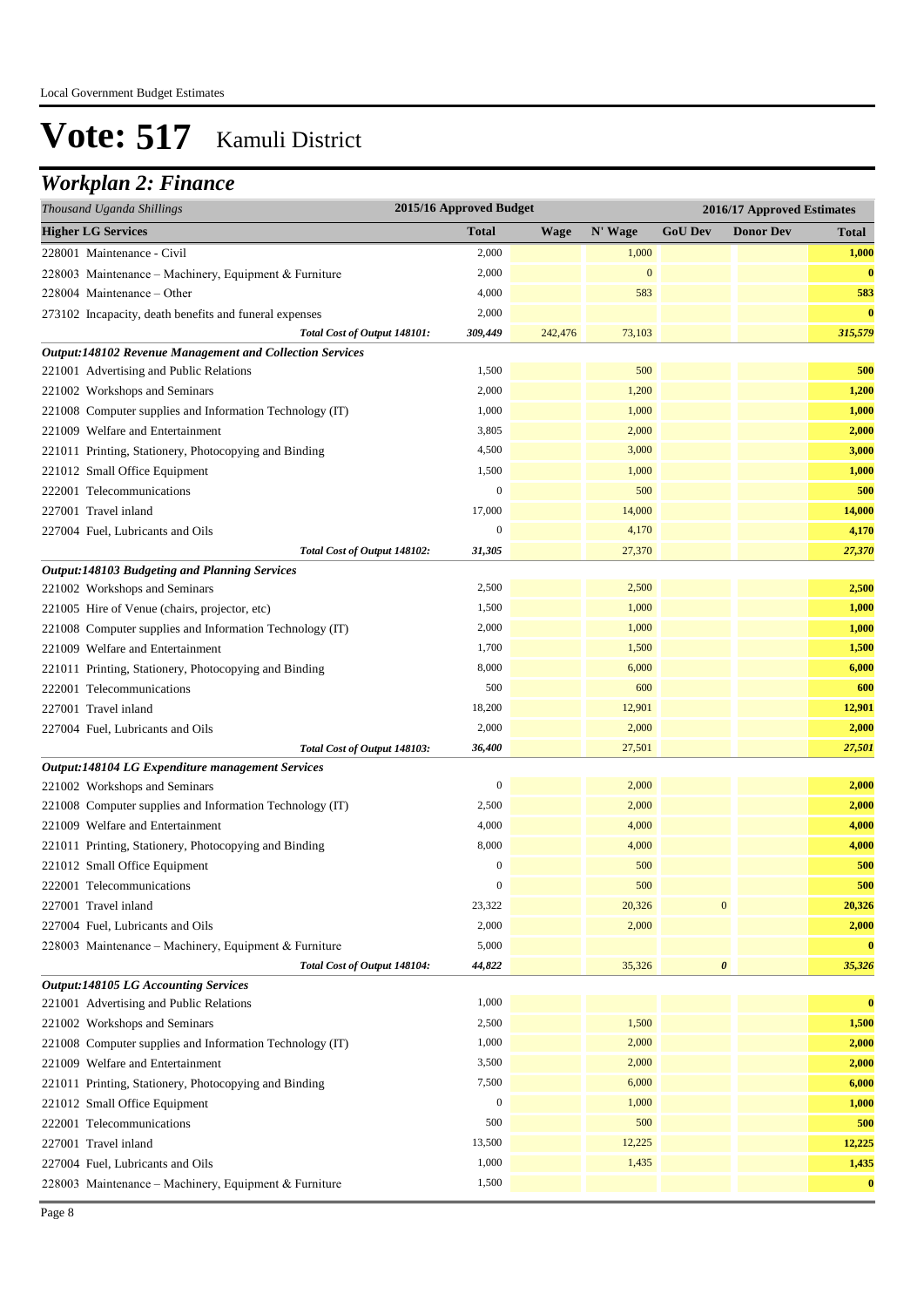## *Workplan 2: Finance*

| Thousand Uganda Shillings                                | 2015/16 Approved Budget |             |                  |                  | 2016/17 Approved Estimates |              |  |
|----------------------------------------------------------|-------------------------|-------------|------------------|------------------|----------------------------|--------------|--|
| <b>Higher LG Services</b>                                | <b>Total</b>            | <b>Wage</b> | N' Wage          | <b>GoU Dev</b>   | <b>Donor Dev</b>           | <b>Total</b> |  |
| 228001 Maintenance - Civil                               | 2,000                   |             | 1,000            |                  |                            | 1,000        |  |
| 228003 Maintenance - Machinery, Equipment & Furniture    | 2,000                   |             | $\boldsymbol{0}$ |                  |                            | $\bf{0}$     |  |
| 228004 Maintenance – Other                               | 4,000                   |             | 583              |                  |                            | 583          |  |
| 273102 Incapacity, death benefits and funeral expenses   | 2,000                   |             |                  |                  |                            | $\bf{0}$     |  |
| Total Cost of Output 148101:                             | 309,449                 | 242,476     | 73,103           |                  |                            | 315,579      |  |
| Output:148102 Revenue Management and Collection Services |                         |             |                  |                  |                            |              |  |
| 221001 Advertising and Public Relations                  | 1,500                   |             | 500              |                  |                            | 500          |  |
| 221002 Workshops and Seminars                            | 2,000                   |             | 1,200            |                  |                            | 1,200        |  |
| 221008 Computer supplies and Information Technology (IT) | 1,000                   |             | 1,000            |                  |                            | 1,000        |  |
| 221009 Welfare and Entertainment                         | 3,805                   |             | 2,000            |                  |                            | 2,000        |  |
| 221011 Printing, Stationery, Photocopying and Binding    | 4,500                   |             | 3,000            |                  |                            | 3,000        |  |
| 221012 Small Office Equipment                            | 1,500                   |             | 1,000            |                  |                            | 1,000        |  |
| 222001 Telecommunications                                | $\mathbf{0}$            |             | 500              |                  |                            | 500          |  |
| 227001 Travel inland                                     | 17,000                  |             | 14,000           |                  |                            | 14,000       |  |
| 227004 Fuel, Lubricants and Oils                         | $\boldsymbol{0}$        |             | 4,170            |                  |                            | 4,170        |  |
| Total Cost of Output 148102:                             | 31,305                  |             | 27,370           |                  |                            | 27,370       |  |
| <b>Output:148103 Budgeting and Planning Services</b>     |                         |             |                  |                  |                            |              |  |
| 221002 Workshops and Seminars                            | 2,500                   |             | 2,500            |                  |                            | 2,500        |  |
| 221005 Hire of Venue (chairs, projector, etc)            | 1,500                   |             | 1,000            |                  |                            | 1,000        |  |
| 221008 Computer supplies and Information Technology (IT) | 2,000                   |             | 1,000            |                  |                            | 1,000        |  |
| 221009 Welfare and Entertainment                         | 1,700                   |             | 1,500            |                  |                            | 1,500        |  |
| 221011 Printing, Stationery, Photocopying and Binding    | 8,000                   |             | 6,000            |                  |                            | 6,000        |  |
| 222001 Telecommunications                                | 500                     |             | 600              |                  |                            | 600          |  |
| 227001 Travel inland                                     | 18,200                  |             | 12,901           |                  |                            | 12,901       |  |
| 227004 Fuel, Lubricants and Oils                         | 2,000                   |             | 2,000            |                  |                            | 2,000        |  |
| Total Cost of Output 148103:                             | 36,400                  |             | 27,501           |                  |                            | 27,501       |  |
| Output:148104 LG Expenditure management Services         |                         |             |                  |                  |                            |              |  |
| 221002 Workshops and Seminars                            | $\boldsymbol{0}$        |             | 2,000            |                  |                            | 2,000        |  |
| 221008 Computer supplies and Information Technology (IT) | 2,500                   |             | 2,000            |                  |                            | 2,000        |  |
| 221009 Welfare and Entertainment                         | 4,000                   |             | 4,000            |                  |                            | 4,000        |  |
| 221011 Printing, Stationery, Photocopying and Binding    | 8,000                   |             | 4,000            |                  |                            | 4,000        |  |
| 221012 Small Office Equipment                            | $\mathbf{0}$            |             | 500              |                  |                            | 500          |  |
| 222001 Telecommunications                                | $\boldsymbol{0}$        |             | 500              |                  |                            | 500          |  |
| 227001 Travel inland                                     | 23,322                  |             | 20,326           | $\boldsymbol{0}$ |                            | 20,326       |  |
| 227004 Fuel, Lubricants and Oils                         | 2,000                   |             | 2,000            |                  |                            | 2,000        |  |
| 228003 Maintenance - Machinery, Equipment & Furniture    | 5,000                   |             |                  |                  |                            | $\bf{0}$     |  |
| Total Cost of Output 148104:                             | 44,822                  |             | 35,326           | $\pmb{\theta}$   |                            | 35,326       |  |
| <b>Output:148105 LG Accounting Services</b>              |                         |             |                  |                  |                            |              |  |
| 221001 Advertising and Public Relations                  | 1,000                   |             |                  |                  |                            | $\bf{0}$     |  |
| 221002 Workshops and Seminars                            | 2,500                   |             | 1,500            |                  |                            | 1,500        |  |
| 221008 Computer supplies and Information Technology (IT) | 1,000                   |             | 2,000            |                  |                            | 2,000        |  |
| 221009 Welfare and Entertainment                         | 3,500                   |             | 2,000            |                  |                            | 2,000        |  |
| 221011 Printing, Stationery, Photocopying and Binding    | 7,500                   |             | 6,000            |                  |                            | 6,000        |  |
| 221012 Small Office Equipment                            | $\boldsymbol{0}$        |             | 1,000            |                  |                            | 1,000        |  |
| 222001 Telecommunications                                | 500                     |             | 500              |                  |                            | 500          |  |
| 227001 Travel inland                                     | 13,500                  |             | 12,225           |                  |                            | 12,225       |  |
| 227004 Fuel, Lubricants and Oils                         | 1,000                   |             | 1,435            |                  |                            | 1,435        |  |
| 228003 Maintenance - Machinery, Equipment & Furniture    | 1,500                   |             |                  |                  |                            | $\bf{0}$     |  |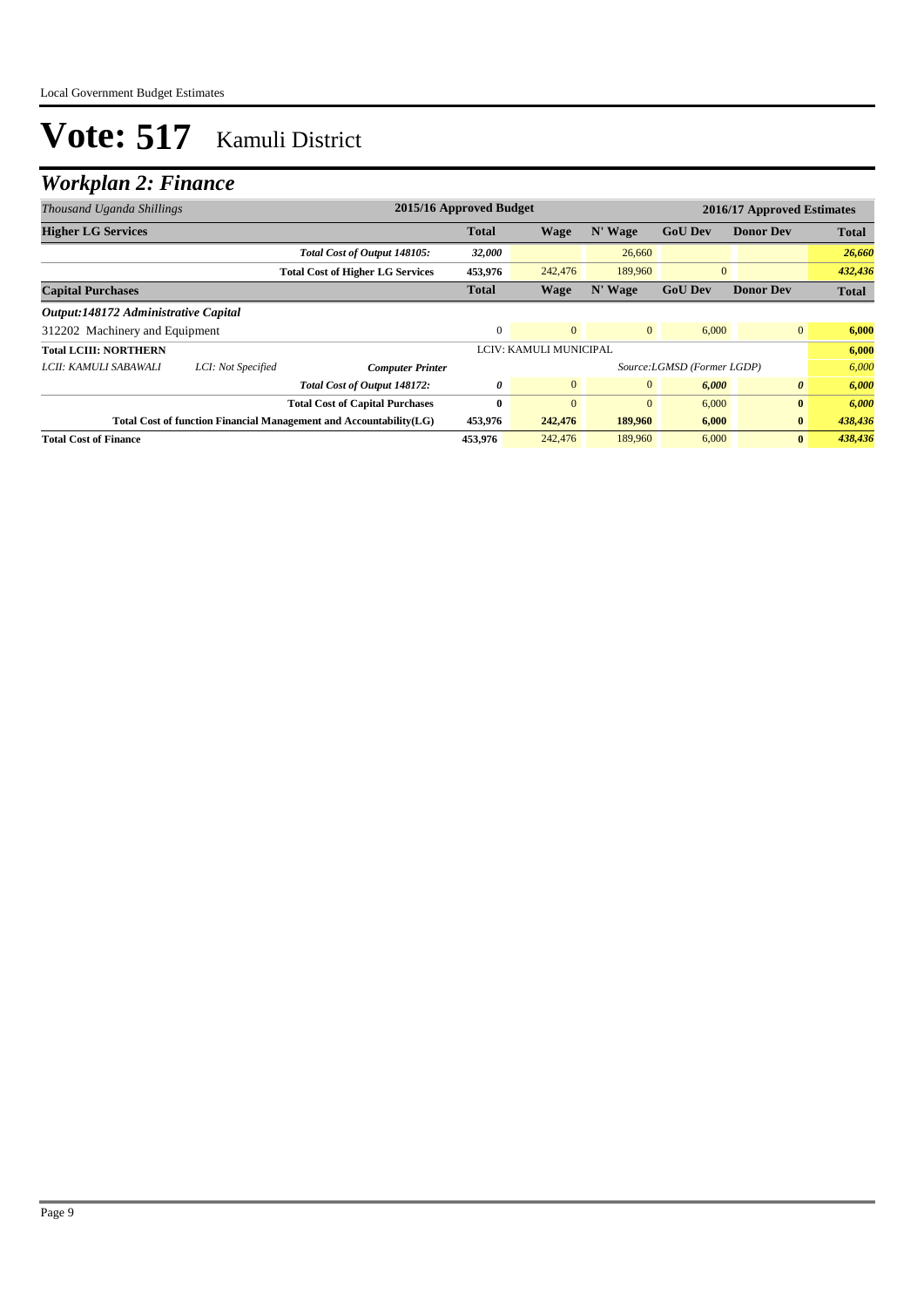## *Workplan 2: Finance*

| Thousand Uganda Shillings            |                                                                                                              | 2015/16 Approved Budget                 |              |                        |                |                            | 2016/17 Approved Estimates |              |
|--------------------------------------|--------------------------------------------------------------------------------------------------------------|-----------------------------------------|--------------|------------------------|----------------|----------------------------|----------------------------|--------------|
| <b>Higher LG Services</b>            |                                                                                                              |                                         | <b>Total</b> | Wage                   | N' Wage        | <b>GoU Dev</b>             | <b>Donor Dev</b>           | <b>Total</b> |
|                                      |                                                                                                              | Total Cost of Output 148105:            | 32,000       |                        | 26,660         |                            |                            | 26,660       |
|                                      |                                                                                                              | <b>Total Cost of Higher LG Services</b> | 453,976      | 242,476                | 189,960        | $\mathbf{0}$               |                            | 432,436      |
| <b>Capital Purchases</b>             |                                                                                                              |                                         | <b>Total</b> | Wage                   | N' Wage        | <b>GoU</b> Dev             | <b>Donor Dev</b>           | <b>Total</b> |
| Output:148172 Administrative Capital |                                                                                                              |                                         |              |                        |                |                            |                            |              |
| 312202 Machinery and Equipment       |                                                                                                              |                                         | $\Omega$     | $\mathbf{0}$           | $\overline{0}$ | 6,000                      | $\overline{0}$             | 6,000        |
| Total LCIII: NORTHERN                |                                                                                                              |                                         |              | LCIV: KAMULI MUNICIPAL |                |                            |                            | 6,000        |
| LCII: KAMULI SABAWALI                | LCI: Not Specified                                                                                           | <b>Computer Printer</b>                 |              |                        |                | Source:LGMSD (Former LGDP) |                            | 6,000        |
|                                      |                                                                                                              | Total Cost of Output 148172:            | 0            | $\mathbf{0}$           | $\mathbf{0}$   | 6,000                      | $\boldsymbol{\theta}$      | 6,000        |
|                                      |                                                                                                              | <b>Total Cost of Capital Purchases</b>  | $\mathbf{0}$ | $\Omega$               | $\mathbf{0}$   | 6,000                      | $\bf{0}$                   | 6,000        |
|                                      | 453,976<br>Total Cost of function Financial Management and Accountability(LG)<br>242,476<br>189,960<br>6,000 |                                         |              | $\bf{0}$               | 438,436        |                            |                            |              |
| <b>Total Cost of Finance</b>         |                                                                                                              |                                         | 453,976      | 242,476                | 189,960        | 6,000                      | $\bf{0}$                   | 438,436      |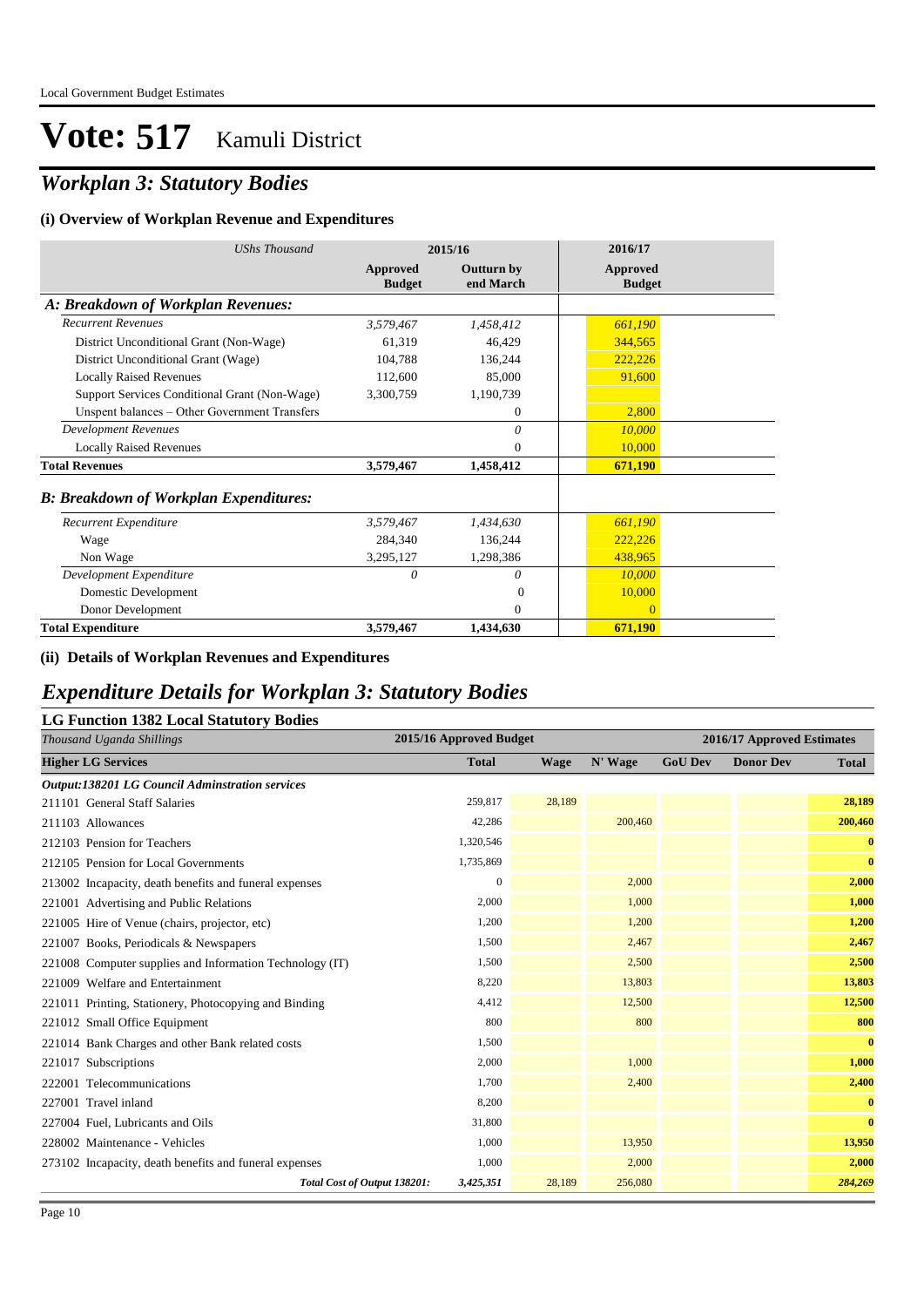## *Workplan 3: Statutory Bodies*

#### **(i) Overview of Workplan Revenue and Expenditures**

| <b>UShs Thousand</b>                          |                           | 2015/16                        | 2016/17                   |
|-----------------------------------------------|---------------------------|--------------------------------|---------------------------|
|                                               | Approved<br><b>Budget</b> | <b>Outturn by</b><br>end March | Approved<br><b>Budget</b> |
| A: Breakdown of Workplan Revenues:            |                           |                                |                           |
| <b>Recurrent Revenues</b>                     | 3,579,467                 | 1,458,412                      | 661,190                   |
| District Unconditional Grant (Non-Wage)       | 61,319                    | 46.429                         | 344,565                   |
| District Unconditional Grant (Wage)           | 104,788                   | 136,244                        | 222,226                   |
| <b>Locally Raised Revenues</b>                | 112,600                   | 85,000                         | 91,600                    |
| Support Services Conditional Grant (Non-Wage) | 3,300,759                 | 1,190,739                      |                           |
| Unspent balances - Other Government Transfers |                           | $\mathbf{0}$                   | 2,800                     |
| <b>Development Revenues</b>                   |                           | 0                              | 10,000                    |
| <b>Locally Raised Revenues</b>                |                           | $\Omega$                       | 10,000                    |
| <b>Total Revenues</b>                         | 3,579,467                 | 1,458,412                      | 671,190                   |
| <b>B: Breakdown of Workplan Expenditures:</b> |                           |                                |                           |
| Recurrent Expenditure                         | 3.579.467                 | 1,434,630                      | 661,190                   |
| Wage                                          | 284,340                   | 136,244                        | 222,226                   |
| Non Wage                                      | 3,295,127                 | 1,298,386                      | 438,965                   |
| Development Expenditure                       | $\theta$                  | $\theta$                       | 10,000                    |
| Domestic Development                          |                           | $\Omega$                       | 10,000                    |
| Donor Development                             |                           | $\Omega$                       | $\Omega$                  |
| <b>Total Expenditure</b>                      | 3,579,467                 | 1,434,630                      | 671,190                   |

#### **(ii) Details of Workplan Revenues and Expenditures**

### *Expenditure Details for Workplan 3: Statutory Bodies*

#### **LG Function 1382 Local Statutory Bodies**

| Thousand Uganda Shillings                                | 2015/16 Approved Budget |             |         |                | 2016/17 Approved Estimates |              |
|----------------------------------------------------------|-------------------------|-------------|---------|----------------|----------------------------|--------------|
| <b>Higher LG Services</b>                                | <b>Total</b>            | <b>Wage</b> | N' Wage | <b>GoU Dev</b> | <b>Donor Dev</b>           | <b>Total</b> |
| <b>Output:138201 LG Council Adminstration services</b>   |                         |             |         |                |                            |              |
| 211101 General Staff Salaries                            | 259,817                 | 28,189      |         |                |                            | 28,189       |
| 211103 Allowances                                        | 42,286                  |             | 200,460 |                |                            | 200,460      |
| 212103 Pension for Teachers                              | 1,320,546               |             |         |                |                            | $\mathbf{0}$ |
| 212105 Pension for Local Governments                     | 1,735,869               |             |         |                |                            | $\mathbf{0}$ |
| 213002 Incapacity, death benefits and funeral expenses   | $\mathbf{0}$            |             | 2,000   |                |                            | 2,000        |
| 221001 Advertising and Public Relations                  | 2,000                   |             | 1,000   |                |                            | 1,000        |
| 221005 Hire of Venue (chairs, projector, etc)            | 1,200                   |             | 1,200   |                |                            | 1,200        |
| 221007 Books, Periodicals & Newspapers                   | 1,500                   |             | 2,467   |                |                            | 2,467        |
| 221008 Computer supplies and Information Technology (IT) | 1,500                   |             | 2,500   |                |                            | 2,500        |
| 221009 Welfare and Entertainment                         | 8,220                   |             | 13,803  |                |                            | 13,803       |
| 221011 Printing, Stationery, Photocopying and Binding    | 4,412                   |             | 12,500  |                |                            | 12,500       |
| 221012 Small Office Equipment                            | 800                     |             | 800     |                |                            | 800          |
| 221014 Bank Charges and other Bank related costs         | 1,500                   |             |         |                |                            | $\bf{0}$     |
| 221017 Subscriptions                                     | 2,000                   |             | 1,000   |                |                            | 1,000        |
| 222001 Telecommunications                                | 1,700                   |             | 2,400   |                |                            | 2,400        |
| 227001 Travel inland                                     | 8,200                   |             |         |                |                            | $\bf{0}$     |
| 227004 Fuel, Lubricants and Oils                         | 31,800                  |             |         |                |                            | $\mathbf{0}$ |
| 228002 Maintenance - Vehicles                            | 1,000                   |             | 13,950  |                |                            | 13,950       |
| 273102 Incapacity, death benefits and funeral expenses   | 1,000                   |             | 2,000   |                |                            | 2,000        |
| Total Cost of Output 138201:                             | 3,425,351               | 28,189      | 256,080 |                |                            | 284,269      |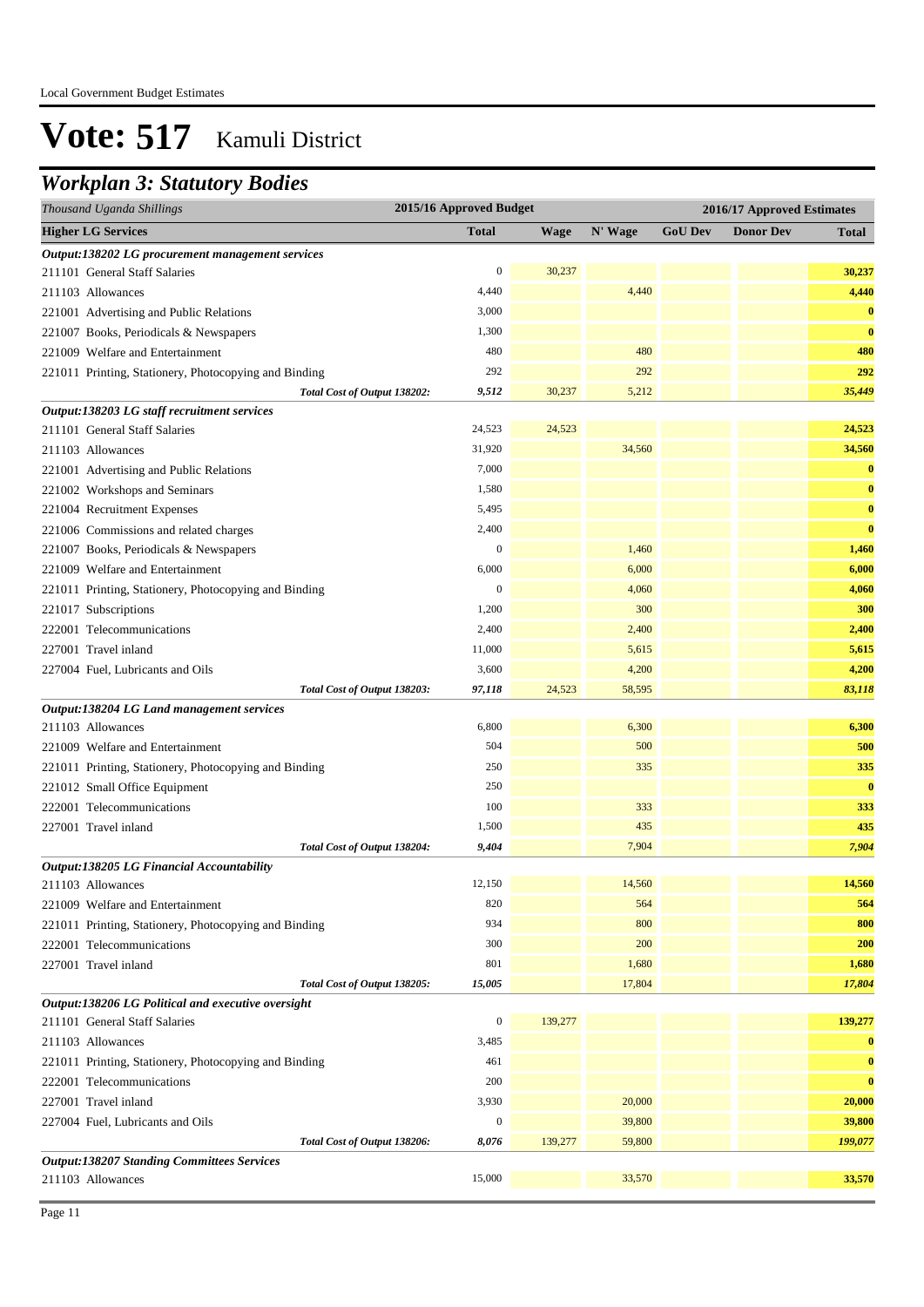### *Workplan 3: Statutory Bodies*

| Thousand Uganda Shillings                             | 2015/16 Approved Budget |             |         |                | 2016/17 Approved Estimates |              |
|-------------------------------------------------------|-------------------------|-------------|---------|----------------|----------------------------|--------------|
| <b>Higher LG Services</b>                             | <b>Total</b>            | <b>Wage</b> | N' Wage | <b>GoU Dev</b> | <b>Donor Dev</b>           | <b>Total</b> |
| Output:138202 LG procurement management services      |                         |             |         |                |                            |              |
| 211101 General Staff Salaries                         | 0                       | 30,237      |         |                |                            | 30,237       |
| 211103 Allowances                                     | 4,440                   |             | 4,440   |                |                            | 4,440        |
| 221001 Advertising and Public Relations               | 3,000                   |             |         |                |                            | $\bf{0}$     |
| 221007 Books, Periodicals & Newspapers                | 1,300                   |             |         |                |                            | $\bf{0}$     |
| 221009 Welfare and Entertainment                      | 480                     |             | 480     |                |                            | 480          |
| 221011 Printing, Stationery, Photocopying and Binding | 292                     |             | 292     |                |                            | 292          |
| Total Cost of Output 138202:                          | 9,512                   | 30,237      | 5,212   |                |                            | 35,449       |
| Output:138203 LG staff recruitment services           |                         |             |         |                |                            |              |
| 211101 General Staff Salaries                         | 24,523                  | 24,523      |         |                |                            | 24,523       |
| 211103 Allowances                                     | 31,920                  |             | 34,560  |                |                            | 34,560       |
| 221001 Advertising and Public Relations               | 7,000                   |             |         |                |                            | $\bf{0}$     |
| 221002 Workshops and Seminars                         | 1,580                   |             |         |                |                            | $\bf{0}$     |
| 221004 Recruitment Expenses                           | 5,495                   |             |         |                |                            | $\bf{0}$     |
| 221006 Commissions and related charges                | 2,400                   |             |         |                |                            | $\bf{0}$     |
| 221007 Books, Periodicals & Newspapers                | $\boldsymbol{0}$        |             | 1,460   |                |                            | 1,460        |
| 221009 Welfare and Entertainment                      | 6,000                   |             | 6,000   |                |                            | 6,000        |
| 221011 Printing, Stationery, Photocopying and Binding | $\boldsymbol{0}$        |             | 4,060   |                |                            | 4,060        |
| 221017 Subscriptions                                  | 1,200                   |             | 300     |                |                            | 300          |
| 222001 Telecommunications                             | 2,400                   |             | 2,400   |                |                            | 2,400        |
| 227001 Travel inland                                  | 11,000                  |             | 5,615   |                |                            | 5,615        |
| 227004 Fuel, Lubricants and Oils                      | 3,600                   |             | 4,200   |                |                            | 4,200        |
| Total Cost of Output 138203:                          | 97,118                  | 24,523      | 58,595  |                |                            | 83,118       |
| Output:138204 LG Land management services             |                         |             |         |                |                            |              |
| 211103 Allowances                                     | 6,800                   |             | 6,300   |                |                            | 6,300        |
| 221009 Welfare and Entertainment                      | 504                     |             | 500     |                |                            | 500          |
| 221011 Printing, Stationery, Photocopying and Binding | 250                     |             | 335     |                |                            | 335          |
| 221012 Small Office Equipment                         | 250                     |             |         |                |                            | $\bf{0}$     |
| 222001 Telecommunications                             | 100                     |             | 333     |                |                            | 333          |
| 227001 Travel inland                                  | 1,500                   |             | 435     |                |                            | 435          |
| Total Cost of Output 138204:                          | 9,404                   |             | 7,904   |                |                            | 7,904        |
| Output:138205 LG Financial Accountability             |                         |             |         |                |                            |              |
| 211103 Allowances                                     | 12,150                  |             | 14,560  |                |                            | 14,560       |
| 221009 Welfare and Entertainment                      | 820                     |             | 564     |                |                            | 564          |
| 221011 Printing, Stationery, Photocopying and Binding | 934                     |             | 800     |                |                            | 800          |
| 222001 Telecommunications                             | 300                     |             | 200     |                |                            | 200          |
| 227001 Travel inland                                  | 801                     |             | 1,680   |                |                            | 1,680        |
| Total Cost of Output 138205:                          | 15,005                  |             | 17,804  |                |                            | 17,804       |
| Output:138206 LG Political and executive oversight    |                         |             |         |                |                            |              |
| 211101 General Staff Salaries                         | $\boldsymbol{0}$        | 139,277     |         |                |                            | 139,277      |
| 211103 Allowances                                     | 3,485                   |             |         |                |                            | $\bf{0}$     |
| 221011 Printing, Stationery, Photocopying and Binding | 461                     |             |         |                |                            | $\bf{0}$     |
| 222001 Telecommunications                             | 200                     |             |         |                |                            | $\bf{0}$     |
| 227001 Travel inland                                  | 3,930                   |             | 20,000  |                |                            | 20,000       |
| 227004 Fuel, Lubricants and Oils                      | $\boldsymbol{0}$        |             | 39,800  |                |                            | 39,800       |
| Total Cost of Output 138206:                          | 8,076                   | 139,277     | 59,800  |                |                            | 199,077      |
| <b>Output:138207 Standing Committees Services</b>     |                         |             |         |                |                            |              |
| 211103 Allowances                                     | 15,000                  |             | 33,570  |                |                            | 33,570       |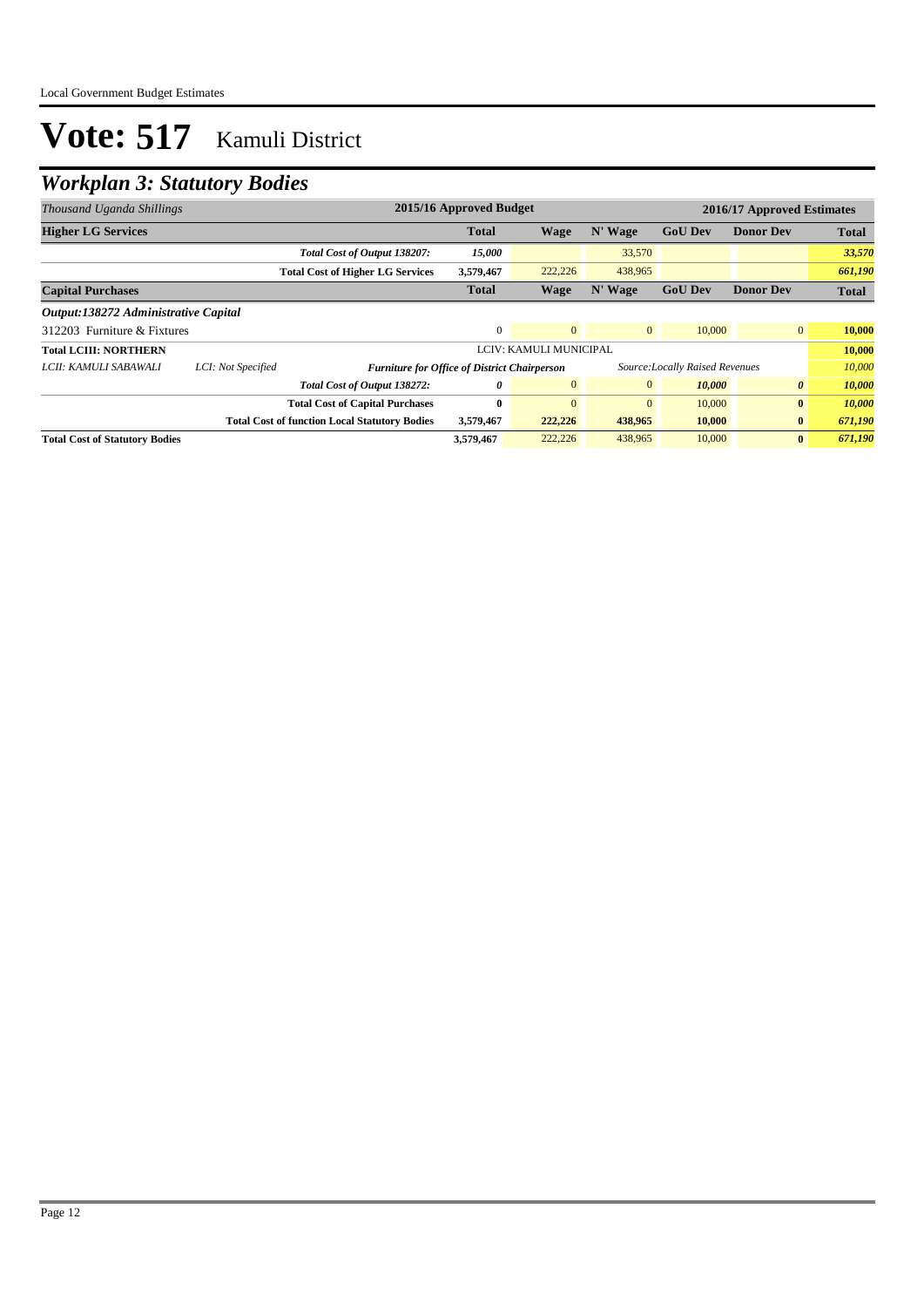## *Workplan 3: Statutory Bodies*

| 2015/16 Approved Budget<br>2016/17 Approved Estimates<br>Thousand Uganda Shillings |                    |                                                      |              |                        |                |                                 |                       |              |
|------------------------------------------------------------------------------------|--------------------|------------------------------------------------------|--------------|------------------------|----------------|---------------------------------|-----------------------|--------------|
| <b>Higher LG Services</b>                                                          |                    |                                                      | <b>Total</b> | Wage                   | N' Wage        | <b>GoU Dev</b>                  | <b>Donor Dev</b>      | <b>Total</b> |
|                                                                                    |                    | Total Cost of Output 138207:                         | 15,000       |                        | 33,570         |                                 |                       | 33,570       |
|                                                                                    |                    | <b>Total Cost of Higher LG Services</b>              | 3,579,467    | 222,226                | 438,965        |                                 |                       | 661,190      |
| <b>Capital Purchases</b>                                                           |                    |                                                      | <b>Total</b> | Wage                   | N' Wage        | <b>GoU Dev</b>                  | <b>Donor Dev</b>      | <b>Total</b> |
| Output:138272 Administrative Capital                                               |                    |                                                      |              |                        |                |                                 |                       |              |
| 312203 Furniture & Fixtures                                                        |                    |                                                      | $\Omega$     | $\mathbf{0}$           | $\overline{0}$ | 10,000                          | $\overline{0}$        | 10,000       |
| <b>Total LCIII: NORTHERN</b>                                                       |                    |                                                      |              | LCIV: KAMULI MUNICIPAL |                |                                 |                       | 10,000       |
| LCII: KAMULI SABAWALI                                                              | LCI: Not Specified | <b>Furniture for Office of District Chairperson</b>  |              |                        |                | Source: Locally Raised Revenues |                       | 10,000       |
|                                                                                    |                    | Total Cost of Output 138272:                         | 0            | $\mathbf{0}$           | $\mathbf{0}$   | 10,000                          | $\boldsymbol{\theta}$ | 10,000       |
|                                                                                    |                    | <b>Total Cost of Capital Purchases</b>               | 0            | $\theta$               | $\mathbf{0}$   | 10,000                          | $\bf{0}$              | 10,000       |
|                                                                                    |                    | <b>Total Cost of function Local Statutory Bodies</b> | 3,579,467    | 222,226                | 438,965        | 10,000                          | $\bf{0}$              | 671,190      |
| <b>Total Cost of Statutory Bodies</b>                                              |                    |                                                      | 3,579,467    | 222,226                | 438,965        | 10,000                          | $\bf{0}$              | 671,190      |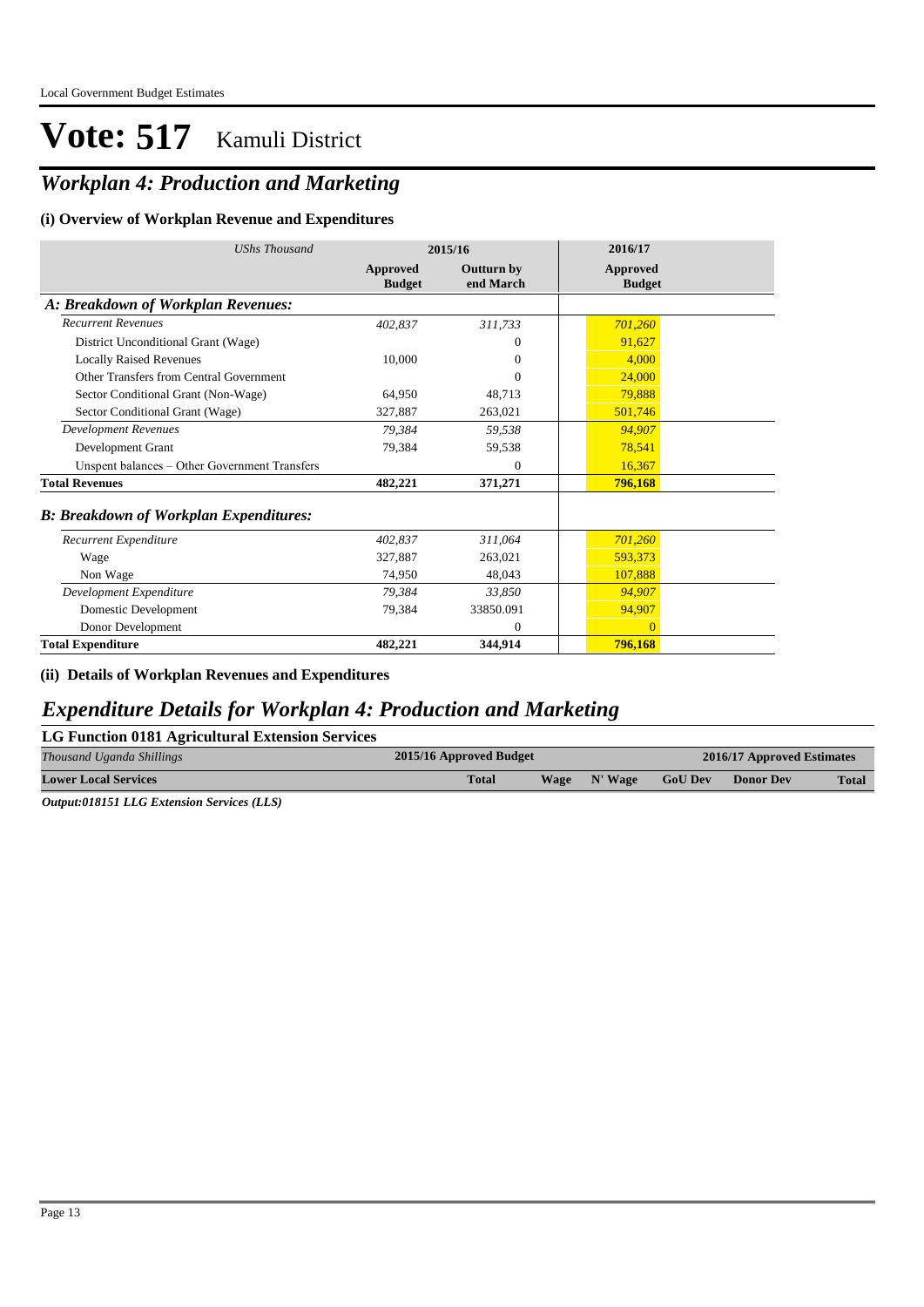## *Workplan 4: Production and Marketing*

#### **(i) Overview of Workplan Revenue and Expenditures**

| <b>UShs Thousand</b>                          | 2015/16                   |                         | 2016/17                          |
|-----------------------------------------------|---------------------------|-------------------------|----------------------------------|
|                                               | Approved<br><b>Budget</b> | Outturn by<br>end March | <b>Approved</b><br><b>Budget</b> |
| A: Breakdown of Workplan Revenues:            |                           |                         |                                  |
| <b>Recurrent Revenues</b>                     | 402,837                   | 311,733                 | 701,260                          |
| District Unconditional Grant (Wage)           |                           | $\Omega$                | 91,627                           |
| <b>Locally Raised Revenues</b>                | 10,000                    | $\Omega$                | 4,000                            |
| Other Transfers from Central Government       |                           | $\Omega$                | 24,000                           |
| Sector Conditional Grant (Non-Wage)           | 64,950                    | 48,713                  | 79,888                           |
| Sector Conditional Grant (Wage)               | 327,887                   | 263,021                 | 501,746                          |
| <b>Development Revenues</b>                   | 79.384                    | 59,538                  | 94,907                           |
| Development Grant                             | 79,384                    | 59,538                  | 78,541                           |
| Unspent balances - Other Government Transfers |                           | $\mathbf{0}$            | 16,367                           |
| <b>Total Revenues</b>                         | 482,221                   | 371,271                 | 796,168                          |
| <b>B: Breakdown of Workplan Expenditures:</b> |                           |                         |                                  |
| Recurrent Expenditure                         | 402,837                   | 311.064                 | 701,260                          |
| Wage                                          | 327,887                   | 263,021                 | 593,373                          |
| Non Wage                                      | 74,950                    | 48,043                  | 107,888                          |
| Development Expenditure                       | 79,384                    | 33,850                  | 94,907                           |
| Domestic Development                          | 79,384                    | 33850.091               | 94,907                           |
| Donor Development                             |                           | $\mathbf{0}$            | $\Omega$                         |
| <b>Total Expenditure</b>                      | 482,221                   | 344,914                 | 796,168                          |

**(ii) Details of Workplan Revenues and Expenditures**

### *Expenditure Details for Workplan 4: Production and Marketing*

| LG Function 0181 Agricultural Extension Services                                                                                                                   |                         |      |         |                |                            |              |  |  |  |
|--------------------------------------------------------------------------------------------------------------------------------------------------------------------|-------------------------|------|---------|----------------|----------------------------|--------------|--|--|--|
| Thousand Uganda Shillings                                                                                                                                          | 2015/16 Approved Budget |      |         |                | 2016/17 Approved Estimates |              |  |  |  |
| <b>Lower Local Services</b>                                                                                                                                        | <b>Total</b>            | Wage | N' Wage | <b>GoU Dev</b> | <b>Donor Dev</b>           | <b>Total</b> |  |  |  |
| $\alpha$ . $\alpha$ , $\alpha$ , $\alpha$ , $\alpha$ , $\alpha$ , $\alpha$ , $\alpha$ , $\alpha$ , $\alpha$ , $\alpha$ , $\alpha$ , $\alpha$ , $\alpha$ , $\alpha$ |                         |      |         |                |                            |              |  |  |  |

*Output:018151 LLG Extension Services (LLS)*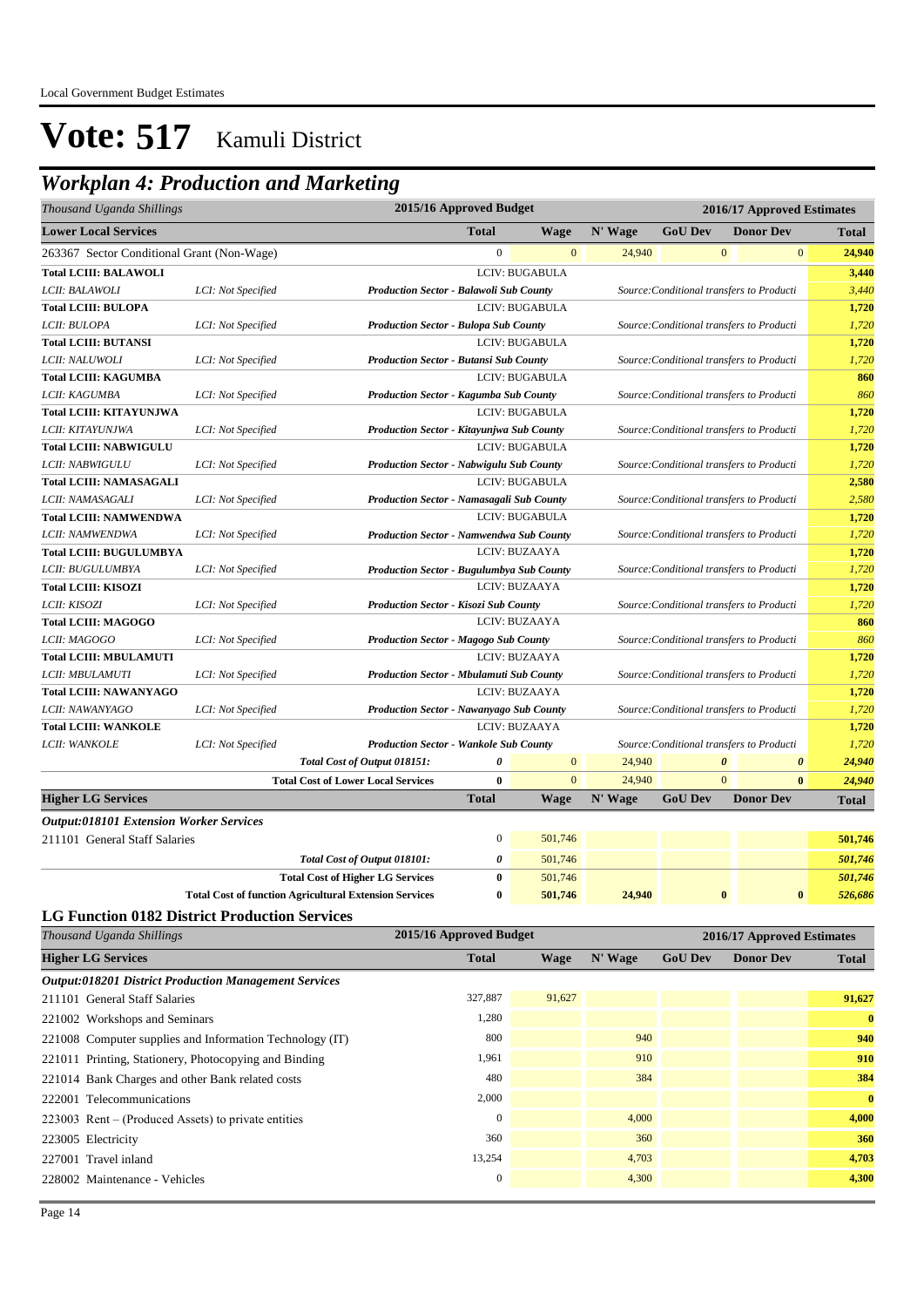### *Workplan 4: Production and Marketing*

| Thousand Uganda Shillings                                    |                                                                                                                    |                                                                                                            | 2015/16 Approved Budget |                       |         |                       | 2016/17 Approved Estimates                |                    |
|--------------------------------------------------------------|--------------------------------------------------------------------------------------------------------------------|------------------------------------------------------------------------------------------------------------|-------------------------|-----------------------|---------|-----------------------|-------------------------------------------|--------------------|
| <b>Lower Local Services</b>                                  |                                                                                                                    |                                                                                                            | <b>Total</b>            | <b>Wage</b>           | N' Wage | <b>GoU Dev</b>        | <b>Donor Dev</b>                          | <b>Total</b>       |
| 263367 Sector Conditional Grant (Non-Wage)                   |                                                                                                                    |                                                                                                            | $\boldsymbol{0}$        | $\mathbf{0}$          | 24,940  | $\mathbf{0}$          | $\bf{0}$                                  | 24,940             |
| <b>Total LCIII: BALAWOLI</b>                                 |                                                                                                                    |                                                                                                            |                         | <b>LCIV: BUGABULA</b> |         |                       |                                           | 3,440              |
| LCII: BALAWOLI                                               | LCI: Not Specified                                                                                                 | <b>Production Sector - Balawoli Sub County</b>                                                             |                         |                       |         |                       | Source: Conditional transfers to Producti | 3,440              |
| <b>Total LCIII: BULOPA</b>                                   |                                                                                                                    |                                                                                                            |                         | LCIV: BUGABULA        |         |                       |                                           | 1,720              |
| LCII: BULOPA                                                 | LCI: Not Specified                                                                                                 | <b>Production Sector - Bulopa Sub County</b>                                                               |                         |                       |         |                       | Source: Conditional transfers to Producti | 1,720              |
| <b>Total LCIII: BUTANSI</b>                                  |                                                                                                                    |                                                                                                            |                         | LCIV: BUGABULA        |         |                       |                                           | 1,720              |
| LCII: NALUWOLI                                               | LCI: Not Specified                                                                                                 | <b>Production Sector - Butansi Sub County</b>                                                              |                         |                       |         |                       | Source: Conditional transfers to Producti | 1,720              |
| <b>Total LCIII: KAGUMBA</b>                                  |                                                                                                                    |                                                                                                            |                         | LCIV: BUGABULA        |         |                       |                                           | 860                |
| LCII: KAGUMBA                                                | LCI: Not Specified                                                                                                 | <b>Production Sector - Kagumba Sub County</b>                                                              |                         |                       |         |                       | Source: Conditional transfers to Producti | 860                |
| <b>Total LCIII: KITAYUNJWA</b>                               |                                                                                                                    |                                                                                                            |                         | <b>LCIV: BUGABULA</b> |         |                       |                                           | 1,720              |
| LCII: KITAYUNJWA                                             | LCI: Not Specified                                                                                                 | Production Sector - Kitayunjwa Sub County                                                                  |                         |                       |         |                       | Source: Conditional transfers to Producti | 1,720              |
| <b>Total LCIII: NABWIGULU</b>                                |                                                                                                                    |                                                                                                            |                         | <b>LCIV: BUGABULA</b> |         |                       |                                           | 1,720              |
| LCII: NABWIGULU                                              | LCI: Not Specified                                                                                                 | <b>Production Sector - Nabwigulu Sub County</b>                                                            |                         |                       |         |                       | Source: Conditional transfers to Producti | 1,720              |
| <b>Total LCIII: NAMASAGALI</b>                               |                                                                                                                    |                                                                                                            |                         | <b>LCIV: BUGABULA</b> |         |                       |                                           | 2,580              |
| LCII: NAMASAGALI                                             | LCI: Not Specified                                                                                                 | Production Sector - Namasagali Sub County                                                                  |                         |                       |         |                       | Source: Conditional transfers to Producti | 2,580              |
| <b>Total LCIII: NAMWENDWA</b>                                |                                                                                                                    |                                                                                                            |                         | LCIV: BUGABULA        |         |                       |                                           | 1,720              |
| LCII: NAMWENDWA                                              | <b>Production Sector - Namwendwa Sub County</b><br>LCI: Not Specified<br>Source: Conditional transfers to Producti |                                                                                                            |                         |                       |         |                       |                                           | 1,720              |
| <b>Total LCIII: BUGULUMBYA</b><br>LCIV: BUZAAYA              |                                                                                                                    |                                                                                                            |                         |                       |         |                       | 1,720                                     |                    |
| LCII: BUGULUMBYA                                             | LCI: Not Specified                                                                                                 | <b>Production Sector - Bugulumbya Sub County</b>                                                           |                         |                       |         |                       | Source: Conditional transfers to Producti | 1,720              |
| <b>Total LCIII: KISOZI</b>                                   |                                                                                                                    |                                                                                                            |                         | LCIV: BUZAAYA         |         |                       |                                           | 1,720              |
| LCII: KISOZI                                                 | LCI: Not Specified                                                                                                 | <b>Production Sector - Kisozi Sub County</b><br>Source: Conditional transfers to Producti                  |                         |                       |         |                       |                                           | 1,720              |
| <b>Total LCIII: MAGOGO</b>                                   |                                                                                                                    | LCIV: BUZAAYA                                                                                              |                         |                       |         |                       | 860                                       |                    |
| <i>LCII: MAGOGO</i>                                          | LCI: Not Specified                                                                                                 | <b>Production Sector - Magogo Sub County</b><br>Source: Conditional transfers to Producti<br>LCIV: BUZAAYA |                         |                       |         | 860                   |                                           |                    |
| <b>Total LCIII: MBULAMUTI</b>                                |                                                                                                                    |                                                                                                            |                         |                       |         |                       |                                           | 1,720              |
| LCII: MBULAMUTI<br><b>Total LCIII: NAWANYAGO</b>             | LCI: Not Specified                                                                                                 | <b>Production Sector - Mbulamuti Sub County</b>                                                            |                         | LCIV: BUZAAYA         |         |                       | Source: Conditional transfers to Producti | 1,720<br>1,720     |
| LCII: NAWANYAGO                                              | LCI: Not Specified                                                                                                 | Production Sector - Nawanyago Sub County                                                                   |                         |                       |         |                       | Source: Conditional transfers to Producti | 1,720              |
| <b>Total LCIII: WANKOLE</b>                                  |                                                                                                                    |                                                                                                            |                         | LCIV: BUZAAYA         |         |                       |                                           | 1,720              |
| LCII: WANKOLE                                                | LCI: Not Specified                                                                                                 | <b>Production Sector - Wankole Sub County</b>                                                              |                         |                       |         |                       | Source: Conditional transfers to Producti | 1,720              |
|                                                              |                                                                                                                    | Total Cost of Output 018151:                                                                               | 0                       | $\boldsymbol{0}$      | 24,940  | $\boldsymbol{\theta}$ | $\boldsymbol{\theta}$                     | 24,940             |
|                                                              |                                                                                                                    | <b>Total Cost of Lower Local Services</b>                                                                  | $\bf{0}$                | $\mathbf{0}$          | 24,940  | $\overline{0}$        | $\bf{0}$                                  | 24,940             |
| <b>Higher LG Services</b>                                    |                                                                                                                    |                                                                                                            | <b>Total</b>            | Wage                  | N' Wage | <b>GoU Dev</b>        | <b>Donor Dev</b>                          | Total              |
| <b>Output:018101 Extension Worker Services</b>               |                                                                                                                    |                                                                                                            |                         |                       |         |                       |                                           |                    |
| 211101 General Staff Salaries                                |                                                                                                                    |                                                                                                            | $\bf{0}$                | 501,746               |         |                       |                                           | 501,746            |
|                                                              |                                                                                                                    |                                                                                                            | 0                       | 501,746               |         |                       |                                           | 501,746            |
|                                                              |                                                                                                                    | Total Cost of Output 018101:                                                                               | $\bf{0}$                | 501,746               |         |                       |                                           |                    |
|                                                              |                                                                                                                    | <b>Total Cost of Higher LG Services</b><br><b>Total Cost of function Agricultural Extension Services</b>   | $\bf{0}$                | 501,746               | 24,940  | $\bf{0}$              | $\bf{0}$                                  | 501,746<br>526,686 |
| <b>LG Function 0182 District Production Services</b>         |                                                                                                                    |                                                                                                            |                         |                       |         |                       |                                           |                    |
| Thousand Uganda Shillings                                    |                                                                                                                    |                                                                                                            | 2015/16 Approved Budget |                       |         |                       | 2016/17 Approved Estimates                |                    |
|                                                              |                                                                                                                    |                                                                                                            |                         |                       |         |                       |                                           |                    |
| <b>Higher LG Services</b>                                    |                                                                                                                    |                                                                                                            | <b>Total</b>            | <b>Wage</b>           | N' Wage | <b>GoU Dev</b>        | <b>Donor Dev</b>                          | Total              |
| <b>Output:018201 District Production Management Services</b> |                                                                                                                    |                                                                                                            |                         |                       |         |                       |                                           |                    |
| 211101 General Staff Salaries                                |                                                                                                                    |                                                                                                            | 327,887                 | 91,627                |         |                       |                                           | 91,627             |
| 221002 Workshops and Seminars                                |                                                                                                                    |                                                                                                            | 1,280                   |                       |         |                       |                                           | $\bf{0}$           |
| 221008 Computer supplies and Information Technology (IT)     |                                                                                                                    |                                                                                                            | 800                     |                       | 940     |                       |                                           | 940                |
| 221011 Printing, Stationery, Photocopying and Binding        |                                                                                                                    |                                                                                                            | 1,961                   |                       | 910     |                       |                                           | 910                |
| 221014 Bank Charges and other Bank related costs             |                                                                                                                    |                                                                                                            | 480                     |                       | 384     |                       |                                           | 384                |

222001 Telecommunications 2,000 **0** 223003 Rent – (Produced Assets) to private entities 0 4,000 **4,000** 223005 Electricity 360 360 **360** 227001 Travel inland 13,254 4,703 **4,703** 228002 Maintenance - Vehicles 0 4,300 **4,300**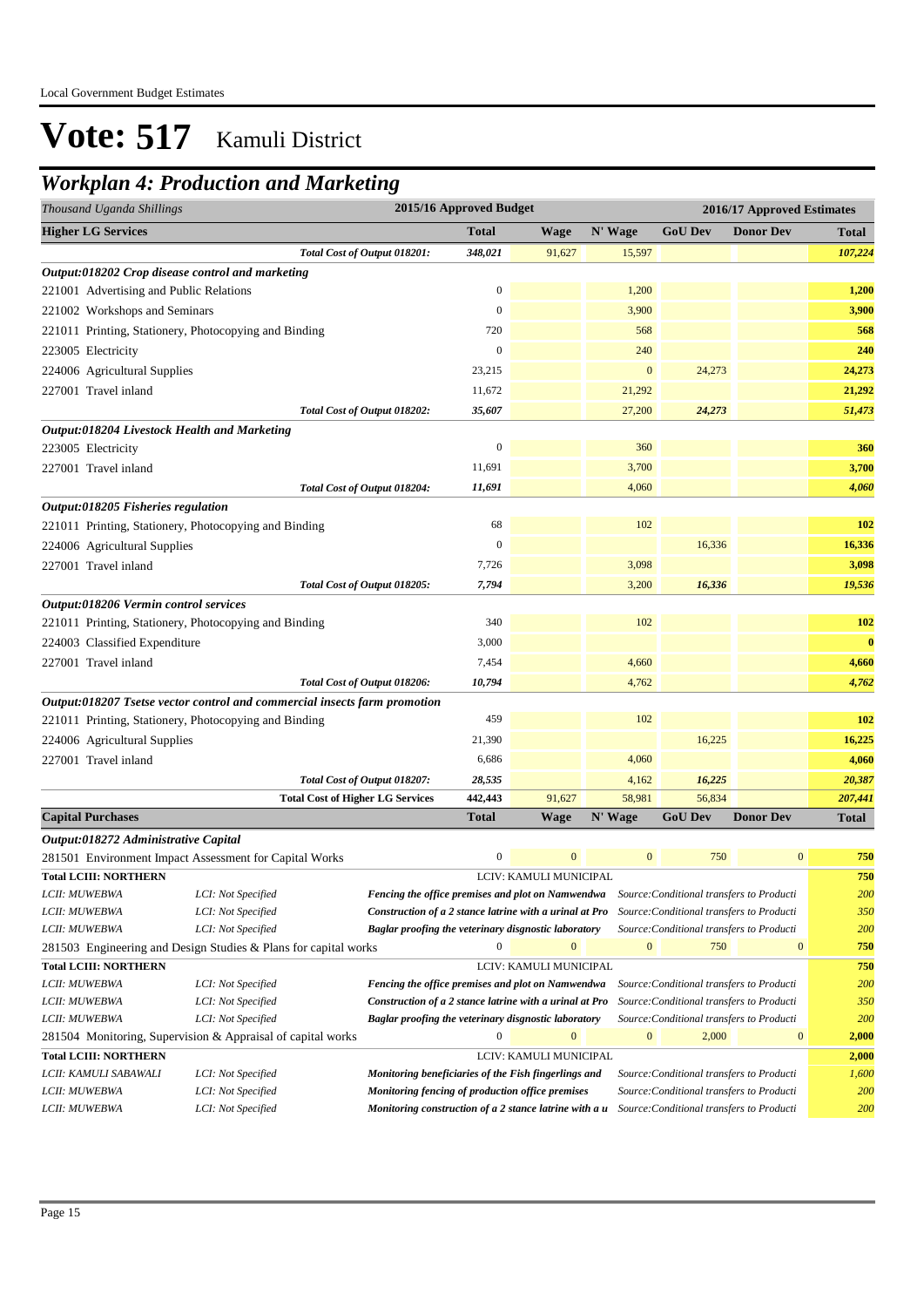### *Workplan 4: Production and Marketing*

| Thousand Uganda Shillings                        |                                                                           |                                                         | 2015/16 Approved Budget |                        |                  |                                           | 2016/17 Approved Estimates |              |
|--------------------------------------------------|---------------------------------------------------------------------------|---------------------------------------------------------|-------------------------|------------------------|------------------|-------------------------------------------|----------------------------|--------------|
| <b>Higher LG Services</b>                        |                                                                           |                                                         | <b>Total</b>            | <b>Wage</b>            | N' Wage          | <b>GoU Dev</b>                            | <b>Donor Dev</b>           | <b>Total</b> |
|                                                  |                                                                           | Total Cost of Output 018201:                            | 348,021                 | 91,627                 | 15,597           |                                           |                            | 107,224      |
| Output:018202 Crop disease control and marketing |                                                                           |                                                         |                         |                        |                  |                                           |                            |              |
| 221001 Advertising and Public Relations          |                                                                           |                                                         | $\mathbf{0}$            |                        | 1,200            |                                           |                            | 1,200        |
| 221002 Workshops and Seminars                    |                                                                           |                                                         | $\mathbf{0}$            |                        | 3,900            |                                           |                            | 3,900        |
|                                                  | 221011 Printing, Stationery, Photocopying and Binding                     |                                                         | 720                     |                        | 568              |                                           |                            | 568          |
| 223005 Electricity                               |                                                                           |                                                         | $\mathbf{0}$            |                        | 240              |                                           |                            | 240          |
| 224006 Agricultural Supplies                     |                                                                           |                                                         | 23,215                  |                        | $\mathbf{0}$     | 24,273                                    |                            | 24,273       |
| 227001 Travel inland                             |                                                                           |                                                         | 11,672                  |                        | 21,292           |                                           |                            | 21,292       |
|                                                  |                                                                           | Total Cost of Output 018202:                            | 35,607                  |                        | 27,200           | 24,273                                    |                            | 51,473       |
| Output:018204 Livestock Health and Marketing     |                                                                           |                                                         |                         |                        |                  |                                           |                            |              |
| 223005 Electricity                               |                                                                           |                                                         | $\boldsymbol{0}$        |                        | 360              |                                           |                            | 360          |
| 227001 Travel inland                             |                                                                           |                                                         | 11,691                  |                        | 3,700            |                                           |                            | 3,700        |
|                                                  |                                                                           |                                                         |                         |                        | 4,060            |                                           |                            | 4,060        |
|                                                  |                                                                           | Total Cost of Output 018204:                            | 11,691                  |                        |                  |                                           |                            |              |
| Output:018205 Fisheries regulation               |                                                                           |                                                         |                         |                        | 102              |                                           |                            |              |
|                                                  | 221011 Printing, Stationery, Photocopying and Binding                     |                                                         | 68                      |                        |                  |                                           |                            | 102          |
| 224006 Agricultural Supplies                     |                                                                           |                                                         | $\mathbf{0}$            |                        |                  | 16,336                                    |                            | 16,336       |
| 227001 Travel inland                             |                                                                           |                                                         | 7,726                   |                        | 3,098            |                                           |                            | 3,098        |
|                                                  |                                                                           | Total Cost of Output 018205:                            | 7,794                   |                        | 3,200            | 16,336                                    |                            | 19,536       |
| Output:018206 Vermin control services            |                                                                           |                                                         |                         |                        |                  |                                           |                            |              |
|                                                  | 221011 Printing, Stationery, Photocopying and Binding                     |                                                         | 340                     |                        | 102              |                                           |                            | <b>102</b>   |
| 224003 Classified Expenditure                    |                                                                           |                                                         | 3,000                   |                        |                  |                                           |                            | $\bf{0}$     |
| 227001 Travel inland                             |                                                                           |                                                         | 7,454                   |                        | 4,660            |                                           |                            | 4,660        |
|                                                  |                                                                           | Total Cost of Output 018206:                            | 10,794                  |                        | 4,762            |                                           |                            | 4,762        |
|                                                  | Output:018207 Tsetse vector control and commercial insects farm promotion |                                                         |                         |                        |                  |                                           |                            |              |
|                                                  | 221011 Printing, Stationery, Photocopying and Binding                     |                                                         | 459                     |                        | 102              |                                           |                            | 102          |
| 224006 Agricultural Supplies                     |                                                                           |                                                         | 21,390                  |                        |                  | 16,225                                    |                            | 16,225       |
| 227001 Travel inland                             |                                                                           |                                                         | 6,686                   |                        | 4,060            |                                           |                            | 4,060        |
|                                                  |                                                                           | Total Cost of Output 018207:                            | 28,535                  |                        | 4,162            | 16,225                                    |                            | 20,387       |
|                                                  | <b>Total Cost of Higher LG Services</b>                                   |                                                         | 442,443                 | 91,627                 | 58,981           | 56,834                                    |                            | 207,441      |
| <b>Capital Purchases</b>                         |                                                                           |                                                         | Total                   | Wage                   | N' Wage          | <b>GoU</b> Dev                            | <b>Donor Dev</b>           | <b>Total</b> |
| Output:018272 Administrative Capital             |                                                                           |                                                         |                         |                        |                  |                                           |                            |              |
|                                                  | 281501 Environment Impact Assessment for Capital Works                    |                                                         | $\boldsymbol{0}$        | $\mathbf{0}$           | $\boldsymbol{0}$ | 750                                       | $\boldsymbol{0}$           | 750          |
| <b>Total LCIII: NORTHERN</b>                     |                                                                           |                                                         |                         | LCIV: KAMULI MUNICIPAL |                  |                                           |                            | 750          |
| <i>LCII: MUWEBWA</i>                             | LCI: Not Specified                                                        | Fencing the office premises and plot on Namwendwa       |                         |                        |                  | Source: Conditional transfers to Producti |                            | <b>200</b>   |
| LCII: MUWEBWA                                    | LCI: Not Specified                                                        | Construction of a 2 stance latrine with a urinal at Pro |                         |                        |                  | Source: Conditional transfers to Producti |                            | 350          |
| LCII: MUWEBWA                                    | LCI: Not Specified                                                        | Baglar proofing the veterinary disgnostic laboratory    |                         |                        |                  | Source: Conditional transfers to Producti |                            | 200          |
|                                                  | 281503 Engineering and Design Studies & Plans for capital works           |                                                         | $\mathbf{0}$            | $\mathbf{0}$           | $\boldsymbol{0}$ | 750                                       | $\boldsymbol{0}$           | 750          |
| <b>Total LCIII: NORTHERN</b>                     |                                                                           |                                                         |                         | LCIV: KAMULI MUNICIPAL |                  |                                           |                            | 750          |
| LCII: MUWEBWA                                    | LCI: Not Specified                                                        | Fencing the office premises and plot on Namwendwa       |                         |                        |                  | Source: Conditional transfers to Producti |                            | 200          |
| LCII: MUWEBWA                                    | LCI: Not Specified                                                        | Construction of a 2 stance latrine with a urinal at Pro |                         |                        |                  | Source: Conditional transfers to Producti |                            | 350          |
| LCII: MUWEBWA                                    | LCI: Not Specified                                                        | Baglar proofing the veterinary disgnostic laboratory    |                         |                        |                  | Source: Conditional transfers to Producti |                            | 200          |
|                                                  | 281504 Monitoring, Supervision & Appraisal of capital works               |                                                         | $\Omega$                | $\bf{0}$               | $\boldsymbol{0}$ | 2,000                                     | $\boldsymbol{0}$           | 2,000        |
| <b>Total LCIII: NORTHERN</b>                     |                                                                           |                                                         |                         | LCIV: KAMULI MUNICIPAL |                  |                                           |                            | 2,000        |
| LCII: KAMULI SABAWALI                            | LCI: Not Specified                                                        | Monitoring beneficiaries of the Fish fingerlings and    |                         |                        |                  | Source: Conditional transfers to Producti |                            | 1,600        |
| LCII: MUWEBWA                                    | LCI: Not Specified                                                        | Monitoring fencing of production office premises        |                         |                        |                  | Source: Conditional transfers to Producti |                            | 200<br>200   |
| LCII: MUWEBWA                                    | LCI: Not Specified                                                        | Monitoring construction of a 2 stance latrine with a u  |                         |                        |                  | Source: Conditional transfers to Producti |                            |              |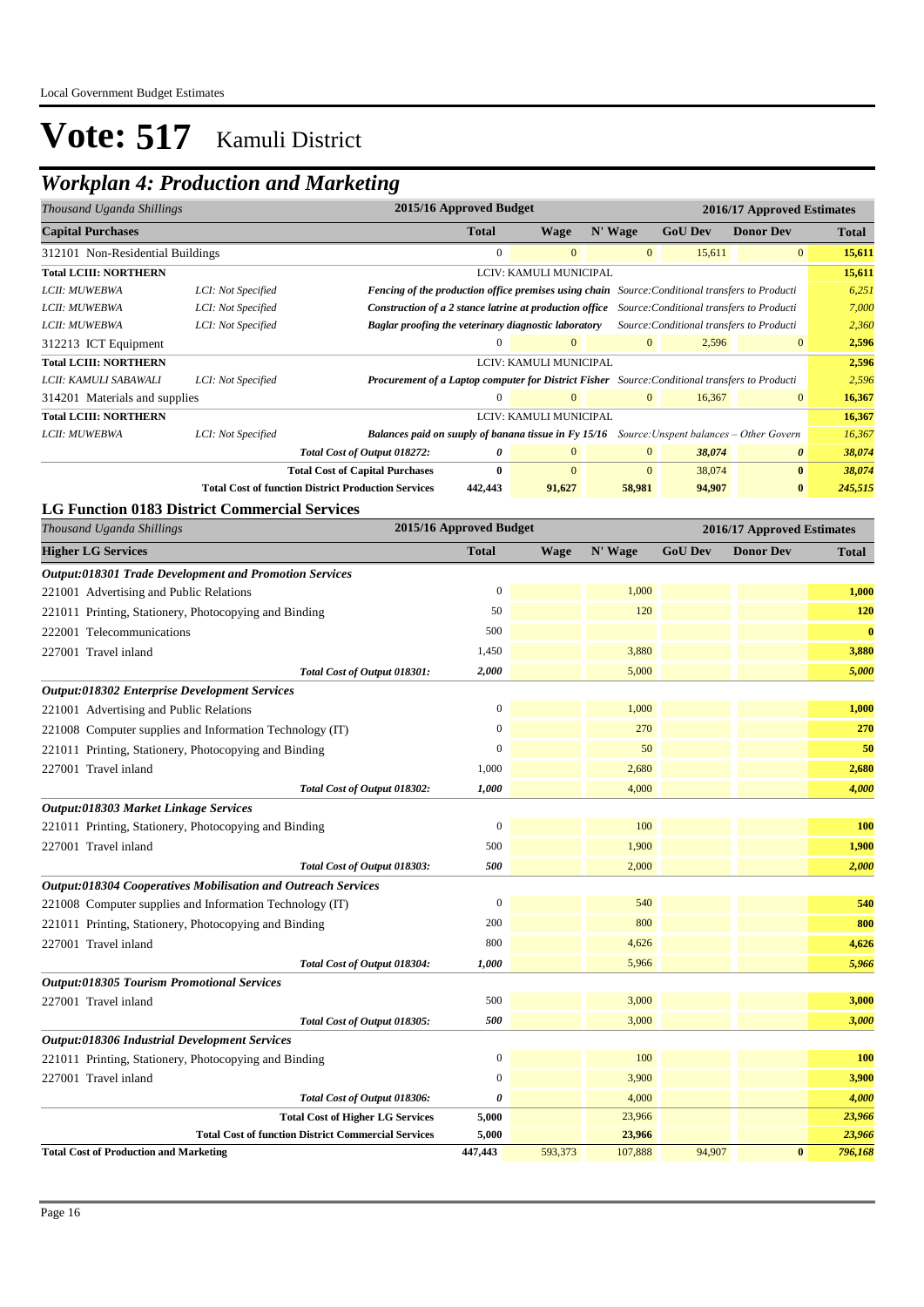## *Workplan 4: Production and Marketing*

| 2015/16 Approved Budget<br>2016/17 Approved Estimates<br>Thousand Uganda Shillings |                    |                                                                                                          |                                                                                                                                                         |                        |                |                |                  |              |
|------------------------------------------------------------------------------------|--------------------|----------------------------------------------------------------------------------------------------------|---------------------------------------------------------------------------------------------------------------------------------------------------------|------------------------|----------------|----------------|------------------|--------------|
| <b>Capital Purchases</b>                                                           |                    |                                                                                                          | <b>Total</b>                                                                                                                                            | Wage                   | N' Wage        | <b>GoU</b> Dev | <b>Donor Dev</b> | <b>Total</b> |
| 312101 Non-Residential Buildings                                                   |                    |                                                                                                          | $\mathbf{0}$                                                                                                                                            | $\overline{0}$         | $\mathbf{0}$   | 15,611         | $\overline{0}$   | 15,611       |
| <b>Total LCIII: NORTHERN</b>                                                       |                    |                                                                                                          |                                                                                                                                                         | LCIV: KAMULI MUNICIPAL |                |                |                  | 15,611       |
| LCII: MUWEBWA                                                                      | LCI: Not Specified | <b>Fencing of the production office premises using chain</b> Source: Conditional transfers to Producti   |                                                                                                                                                         |                        |                |                |                  | 6,251        |
| LCII: MUWEBWA                                                                      | LCI: Not Specified | <b>Construction of a 2 stance latrine at production office</b> Source: Conditional transfers to Producti |                                                                                                                                                         |                        |                |                |                  | 7,000        |
| LCII: MUWEBWA                                                                      | LCI: Not Specified |                                                                                                          | Baglar proofing the veterinary diagnostic laboratory<br>Source: Conditional transfers to Producti<br>$\Omega$<br>$\Omega$<br>$\Omega$<br>$\overline{0}$ |                        |                |                | 2,360            |              |
| 312213 ICT Equipment                                                               |                    |                                                                                                          |                                                                                                                                                         |                        |                | 2,596          |                  | 2,596        |
| <b>Total LCIII: NORTHERN</b>                                                       |                    |                                                                                                          |                                                                                                                                                         | LCIV: KAMULI MUNICIPAL |                |                |                  | 2,596        |
| LCII: KAMULI SABAWALI                                                              | LCI: Not Specified | <b>Procurement of a Laptop computer for District Fisher</b> Source: Conditional transfers to Producti    |                                                                                                                                                         |                        |                |                |                  | 2,596        |
| 314201 Materials and supplies                                                      |                    |                                                                                                          | $\Omega$                                                                                                                                                | $\Omega$               | $\mathbf{0}$   | 16,367         | $\overline{0}$   | 16,367       |
| <b>Total LCIII: NORTHERN</b>                                                       |                    |                                                                                                          |                                                                                                                                                         | LCIV: KAMULI MUNICIPAL |                |                |                  | 16,367       |
| LCII: MUWEBWA                                                                      | LCI: Not Specified | <b>Balances paid on suuply of banana tissue in Fy 15/16</b> Source: Unspent balances – Other Govern      |                                                                                                                                                         |                        |                |                |                  | 16,367       |
|                                                                                    |                    | Total Cost of Output 018272:                                                                             | 0                                                                                                                                                       | $\mathbf{0}$           | $\overline{0}$ | 38,074         | 0                | 38,074       |
|                                                                                    |                    | <b>Total Cost of Capital Purchases</b>                                                                   | $\bf{0}$                                                                                                                                                | $\mathbf{0}$           | $\mathbf{0}$   | 38,074         | $\bf{0}$         | 38,074       |
|                                                                                    |                    | <b>Total Cost of function District Production Services</b>                                               | 442,443                                                                                                                                                 | 91,627                 | 58,981         | 94.907         | $\bf{0}$         | 245,515      |

#### **LG Function 0183 District Commercial Services**

| Thousand Uganda Shillings                                     | 2015/16 Approved Budget |         |         | 2016/17 Approved Estimates |                  |              |  |
|---------------------------------------------------------------|-------------------------|---------|---------|----------------------------|------------------|--------------|--|
| <b>Higher LG Services</b>                                     | <b>Total</b>            | Wage    | N' Wage | <b>GoU Dev</b>             | <b>Donor Dev</b> | <b>Total</b> |  |
| <b>Output:018301 Trade Development and Promotion Services</b> |                         |         |         |                            |                  |              |  |
| 221001 Advertising and Public Relations                       | $\overline{0}$          |         | 1,000   |                            |                  | 1,000        |  |
| 221011 Printing, Stationery, Photocopying and Binding         | 50                      |         | 120     |                            |                  | 120          |  |
| 222001 Telecommunications                                     | 500                     |         |         |                            |                  | $\bf{0}$     |  |
| 227001 Travel inland                                          | 1,450                   |         | 3,880   |                            |                  | 3,880        |  |
| Total Cost of Output 018301:                                  | 2,000                   |         | 5,000   |                            |                  | 5,000        |  |
| <b>Output:018302 Enterprise Development Services</b>          |                         |         |         |                            |                  |              |  |
| 221001 Advertising and Public Relations                       | $\mathbf{0}$            |         | 1,000   |                            |                  | 1,000        |  |
| 221008 Computer supplies and Information Technology (IT)      | 0                       |         | 270     |                            |                  | 270          |  |
| 221011 Printing, Stationery, Photocopying and Binding         | $\overline{0}$          |         | 50      |                            |                  | 50           |  |
| 227001 Travel inland                                          | 1,000                   |         | 2,680   |                            |                  | 2,680        |  |
| Total Cost of Output 018302:                                  | 1,000                   |         | 4,000   |                            |                  | 4,000        |  |
| Output:018303 Market Linkage Services                         |                         |         |         |                            |                  |              |  |
| 221011 Printing, Stationery, Photocopying and Binding         | $\boldsymbol{0}$        |         | 100     |                            |                  | 100          |  |
| 227001 Travel inland                                          | 500                     |         | 1,900   |                            |                  | 1,900        |  |
| Total Cost of Output 018303:                                  | 500                     |         | 2,000   |                            |                  | 2,000        |  |
| Output:018304 Cooperatives Mobilisation and Outreach Services |                         |         |         |                            |                  |              |  |
| 221008 Computer supplies and Information Technology (IT)      | $\mathbf{0}$            |         | 540     |                            |                  | 540          |  |
| 221011 Printing, Stationery, Photocopying and Binding         | 200                     |         | 800     |                            |                  | 800          |  |
| 227001 Travel inland                                          | 800                     |         | 4,626   |                            |                  | 4,626        |  |
| Total Cost of Output 018304:                                  | 1,000                   |         | 5,966   |                            |                  | 5,966        |  |
| <b>Output:018305 Tourism Promotional Services</b>             |                         |         |         |                            |                  |              |  |
| 227001 Travel inland                                          | 500                     |         | 3,000   |                            |                  | 3,000        |  |
| Total Cost of Output 018305:                                  | 500                     |         | 3,000   |                            |                  | 3,000        |  |
| <b>Output:018306 Industrial Development Services</b>          |                         |         |         |                            |                  |              |  |
| 221011 Printing, Stationery, Photocopying and Binding         | $\boldsymbol{0}$        |         | 100     |                            |                  | 100          |  |
| 227001 Travel inland                                          | $\overline{0}$          |         | 3,900   |                            |                  | 3,900        |  |
| Total Cost of Output 018306:                                  | 0                       |         | 4,000   |                            |                  | 4,000        |  |
| <b>Total Cost of Higher LG Services</b>                       | 5,000                   |         | 23,966  |                            |                  | 23,966       |  |
| <b>Total Cost of function District Commercial Services</b>    | 5,000                   |         | 23,966  |                            |                  | 23,966       |  |
| <b>Total Cost of Production and Marketing</b>                 | 447,443                 | 593,373 | 107,888 | 94,907                     | $\bf{0}$         | 796,168      |  |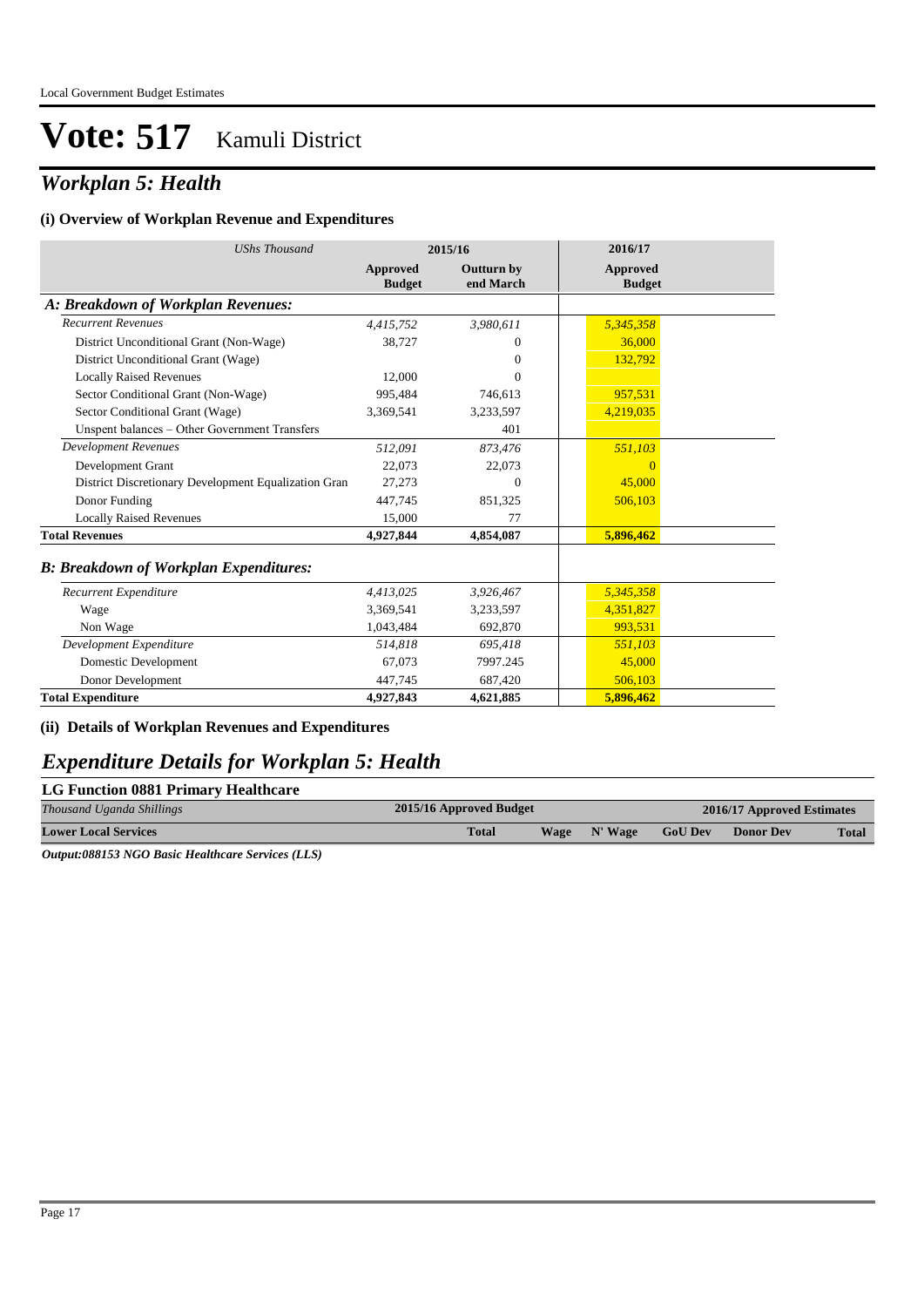## *Workplan 5: Health*

#### **(i) Overview of Workplan Revenue and Expenditures**

| <b>UShs Thousand</b>                                 | 2015/16                   |                                | 2016/17                   |
|------------------------------------------------------|---------------------------|--------------------------------|---------------------------|
|                                                      | Approved<br><b>Budget</b> | <b>Outturn by</b><br>end March | Approved<br><b>Budget</b> |
| A: Breakdown of Workplan Revenues:                   |                           |                                |                           |
| <b>Recurrent Revenues</b>                            | 4,415,752                 | 3,980,611                      | 5,345,358                 |
| District Unconditional Grant (Non-Wage)              | 38,727                    | $\Omega$                       | 36,000                    |
| District Unconditional Grant (Wage)                  |                           | $\Omega$                       | 132,792                   |
| <b>Locally Raised Revenues</b>                       | 12.000                    | $\theta$                       |                           |
| Sector Conditional Grant (Non-Wage)                  | 995,484                   | 746,613                        | 957,531                   |
| Sector Conditional Grant (Wage)                      | 3,369,541                 | 3,233,597                      | 4,219,035                 |
| Unspent balances - Other Government Transfers        |                           | 401                            |                           |
| <b>Development Revenues</b>                          | 512,091                   | 873,476                        | 551,103                   |
| Development Grant                                    | 22,073                    | 22,073                         |                           |
| District Discretionary Development Equalization Gran | 27,273                    | $\Omega$                       | 45,000                    |
| Donor Funding                                        | 447,745                   | 851,325                        | 506,103                   |
| <b>Locally Raised Revenues</b>                       | 15,000                    | 77                             |                           |
| <b>Total Revenues</b>                                | 4,927,844                 | 4,854,087                      | 5,896,462                 |
| <b>B: Breakdown of Workplan Expenditures:</b>        |                           |                                |                           |
| Recurrent Expenditure                                | 4,413,025                 | 3,926,467                      | 5,345,358                 |
| Wage                                                 | 3,369,541                 | 3,233,597                      | 4,351,827                 |
| Non Wage                                             | 1,043,484                 | 692,870                        | 993.531                   |
| Development Expenditure                              | 514.818                   | 695,418                        | 551,103                   |
| Domestic Development                                 | 67,073                    | 7997.245                       | 45,000                    |
| Donor Development                                    | 447,745                   | 687,420                        | 506,103                   |
| <b>Total Expenditure</b>                             | 4,927,843                 | 4,621,885                      | 5,896,462                 |

**(ii) Details of Workplan Revenues and Expenditures**

### *Expenditure Details for Workplan 5: Health*

| <b>LG Function 0881 Primary Healthcare</b> |
|--------------------------------------------|
|                                            |

| Thousand Uganda Shillings   | 2015/16 Approved Budget |  |              | 2016/17 Approved Estimates |                  |              |
|-----------------------------|-------------------------|--|--------------|----------------------------|------------------|--------------|
| <b>Lower Local Services</b> | <b>Total</b>            |  | Wage N' Wage | <b>GoU Dev</b>             | <b>Donor Dev</b> | <b>Total</b> |
|                             |                         |  |              |                            |                  |              |

*Output:088153 NGO Basic Healthcare Services (LLS)*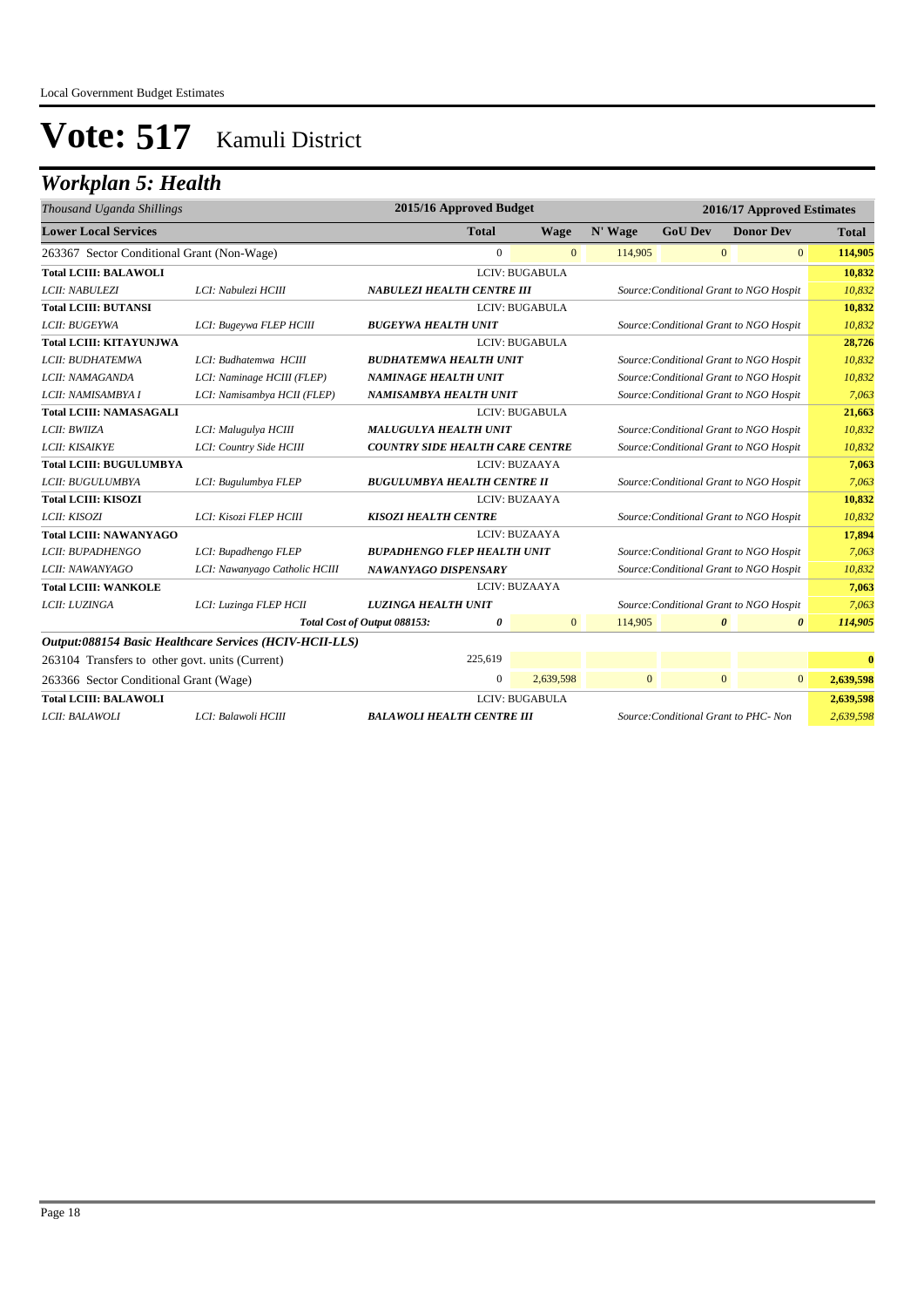## *Workplan 5: Health*

| 2015/16 Approved Budget<br>2016/17 Approved Estimates<br>Thousand Uganda Shillings |                                                         |                                        |                |                       |              |                                         |                       |                       |              |
|------------------------------------------------------------------------------------|---------------------------------------------------------|----------------------------------------|----------------|-----------------------|--------------|-----------------------------------------|-----------------------|-----------------------|--------------|
| <b>Lower Local Services</b>                                                        |                                                         |                                        | <b>Total</b>   | <b>Wage</b>           | N' Wage      | <b>GoU Dev</b>                          | <b>Donor Dev</b>      |                       | <b>Total</b> |
| 263367 Sector Conditional Grant (Non-Wage)                                         |                                                         |                                        | $\overline{0}$ | $\overline{0}$        | 114,905      |                                         | $\mathbf{0}$          | $\overline{0}$        | 114,905      |
| <b>Total LCIII: BALAWOLI</b>                                                       |                                                         |                                        |                | <b>LCIV: BUGABULA</b> |              |                                         |                       |                       | 10,832       |
| LCII: NABULEZI                                                                     | LCI: Nabulezi HCIII                                     | <b>NABULEZI HEALTH CENTRE III</b>      |                |                       |              | Source: Conditional Grant to NGO Hospit |                       |                       | 10,832       |
| <b>Total LCIII: BUTANSI</b>                                                        |                                                         |                                        |                | LCIV: BUGABULA        |              |                                         |                       |                       | 10,832       |
| LCII: BUGEYWA                                                                      | LCI: Bugeywa FLEP HCIII                                 | <b>BUGEYWA HEALTH UNIT</b>             |                |                       |              | Source: Conditional Grant to NGO Hospit |                       |                       | 10,832       |
| <b>Total LCIII: KITAYUNJWA</b>                                                     |                                                         |                                        |                | LCIV: BUGABULA        |              |                                         |                       |                       | 28,726       |
| LCII: BUDHATEMWA                                                                   | LCI: Budhatemwa HCIII                                   | <b>BUDHATEMWA HEALTH UNIT</b>          |                |                       |              | Source: Conditional Grant to NGO Hospit |                       |                       | 10,832       |
| LCII: NAMAGANDA                                                                    | LCI: Naminage HCIII (FLEP)                              | <b>NAMINAGE HEALTH UNIT</b>            |                |                       |              | Source: Conditional Grant to NGO Hospit |                       |                       | 10,832       |
| LCII: NAMISAMBYA I                                                                 | LCI: Namisambya HCII (FLEP)                             | NAMISAMBYA HEALTH UNIT                 |                |                       |              | Source: Conditional Grant to NGO Hospit |                       |                       | 7,063        |
| <b>Total LCIII: NAMASAGALI</b>                                                     |                                                         |                                        |                | LCIV: BUGABULA        |              |                                         |                       |                       | 21,663       |
| LCII: BWIIZA                                                                       | LCI: Malugulya HCIII                                    | <b>MALUGULYA HEALTH UNIT</b>           |                |                       |              | Source: Conditional Grant to NGO Hospit |                       |                       | 10,832       |
| LCII: KISAIKYE                                                                     | LCI: Country Side HCIII                                 | <b>COUNTRY SIDE HEALTH CARE CENTRE</b> |                |                       |              | Source: Conditional Grant to NGO Hospit |                       |                       | 10,832       |
| <b>Total LCIII: BUGULUMBYA</b>                                                     |                                                         |                                        |                | LCIV: BUZAAYA         |              |                                         |                       |                       | 7,063        |
| LCII: BUGULUMBYA                                                                   | LCI: Bugulumbya FLEP                                    | <b>BUGULUMBYA HEALTH CENTRE II</b>     |                |                       |              | Source: Conditional Grant to NGO Hospit |                       |                       | 7,063        |
| <b>Total LCIII: KISOZI</b>                                                         |                                                         |                                        |                | LCIV: BUZAAYA         |              |                                         |                       |                       | 10,832       |
| LCII: KISOZI                                                                       | LCI: Kisozi FLEP HCIII                                  | <b>KISOZI HEALTH CENTRE</b>            |                |                       |              | Source: Conditional Grant to NGO Hospit |                       |                       | 10,832       |
| <b>Total LCIII: NAWANYAGO</b>                                                      |                                                         |                                        |                | LCIV: BUZAAYA         |              |                                         |                       |                       | 17,894       |
| <b>LCII: BUPADHENGO</b>                                                            | LCI: Bupadhengo FLEP                                    | <b>BUPADHENGO FLEP HEALTH UNIT</b>     |                |                       |              | Source: Conditional Grant to NGO Hospit |                       |                       | 7.063        |
| LCII: NAWANYAGO                                                                    | LCI: Nawanyago Catholic HCIII                           | NAWANYAGO DISPENSARY                   |                |                       |              | Source: Conditional Grant to NGO Hospit |                       |                       | 10,832       |
| <b>Total LCIII: WANKOLE</b>                                                        |                                                         |                                        |                | LCIV: BUZAAYA         |              |                                         |                       |                       | 7,063        |
| LCII: LUZINGA                                                                      | LCI: Luzinga FLEP HCII                                  | <b>LUZINGA HEALTH UNIT</b>             |                |                       |              | Source: Conditional Grant to NGO Hospit |                       |                       | 7,063        |
|                                                                                    |                                                         | Total Cost of Output 088153:           | 0              | $\overline{0}$        | 114,905      |                                         | $\boldsymbol{\theta}$ | $\boldsymbol{\theta}$ | 114,905      |
|                                                                                    | Output:088154 Basic Healthcare Services (HCIV-HCII-LLS) |                                        |                |                       |              |                                         |                       |                       |              |
| 263104 Transfers to other govt. units (Current)                                    |                                                         |                                        | 225.619        |                       |              |                                         |                       |                       | $\mathbf{0}$ |
| 263366 Sector Conditional Grant (Wage)                                             |                                                         |                                        | $\mathbf{0}$   | 2,639,598             | $\mathbf{0}$ |                                         | $\mathbf{0}$          | $\overline{0}$        | 2,639,598    |
| <b>Total LCIII: BALAWOLI</b>                                                       |                                                         |                                        |                | <b>LCIV: BUGABULA</b> |              |                                         |                       |                       | 2,639,598    |
| LCII: BALAWOLI                                                                     | LCI: Balawoli HCIII                                     | <b>BALAWOLI HEALTH CENTRE III</b>      |                |                       |              | Source: Conditional Grant to PHC- Non   |                       |                       | 2,639,598    |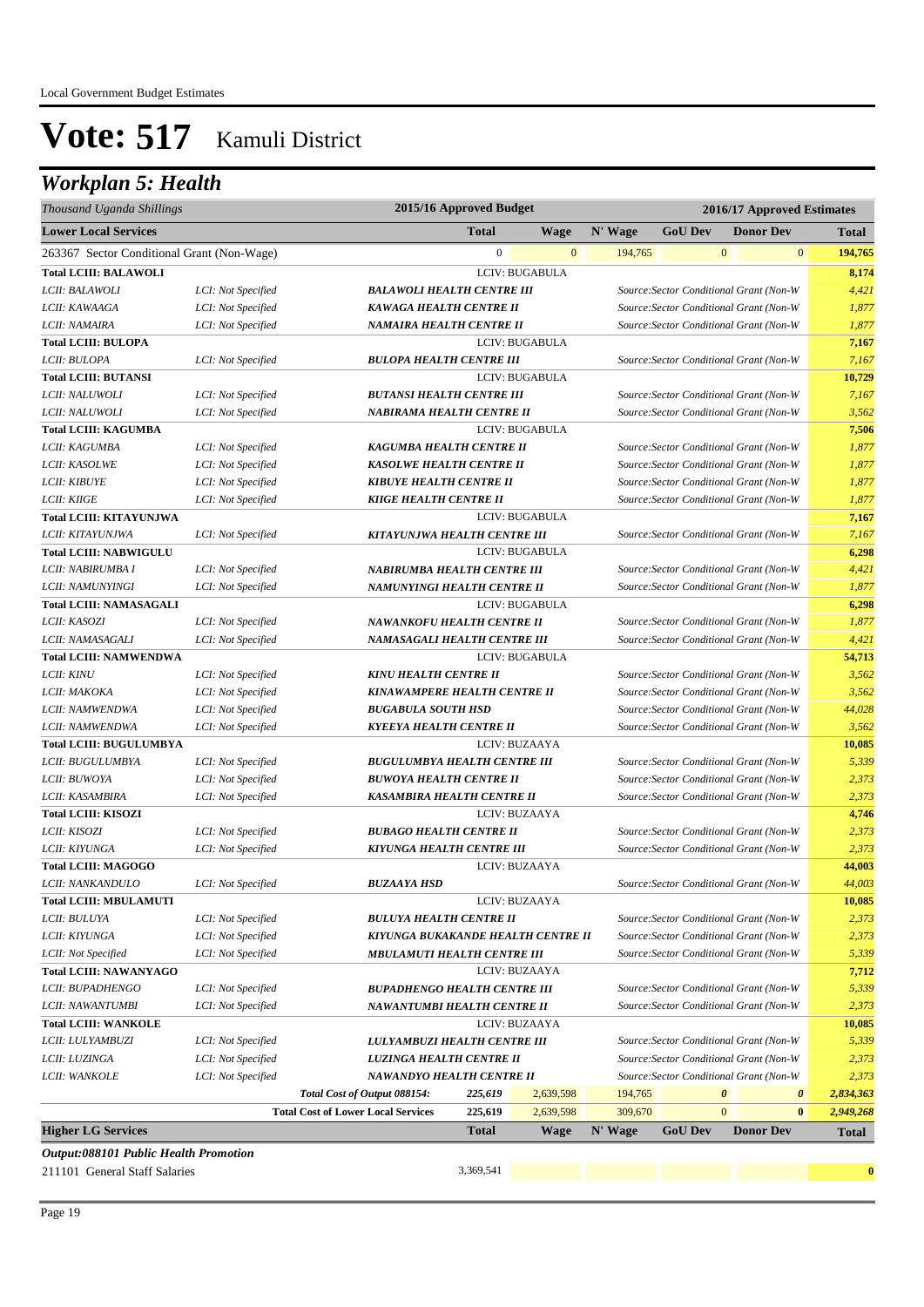## *Workplan 5: Health*

| Thousand Uganda Shillings                  |                    |                                           | 2015/16 Approved Budget |                |         | 2016/17 Approved Estimates                                                         |              |                  |                                    |  |  |
|--------------------------------------------|--------------------|-------------------------------------------|-------------------------|----------------|---------|------------------------------------------------------------------------------------|--------------|------------------|------------------------------------|--|--|
| <b>Lower Local Services</b>                |                    |                                           | <b>Total</b>            | <b>Wage</b>    | N' Wage | <b>GoU Dev</b>                                                                     |              | <b>Donor Dev</b> | <b>Total</b>                       |  |  |
| 263367 Sector Conditional Grant (Non-Wage) |                    |                                           | $\mathbf{0}$            | $\mathbf{0}$   | 194,765 |                                                                                    | $\mathbf{0}$ |                  | 194,765<br>$\mathbf{0}$            |  |  |
| <b>Total LCIII: BALAWOLI</b>               |                    |                                           |                         | LCIV: BUGABULA |         |                                                                                    |              |                  | 8,174                              |  |  |
| LCII: BALAWOLI                             | LCI: Not Specified | <b>BALAWOLI HEALTH CENTRE III</b>         |                         |                |         | Source: Sector Conditional Grant (Non-W                                            |              |                  | 4,421                              |  |  |
| LCII: KAWAAGA                              | LCI: Not Specified | KAWAGA HEALTH CENTRE II                   |                         |                |         | Source: Sector Conditional Grant (Non-W                                            |              |                  | 1,877                              |  |  |
| LCII: NAMAIRA                              | LCI: Not Specified | NAMAIRA HEALTH CENTRE II                  |                         |                |         | Source: Sector Conditional Grant (Non-W                                            |              |                  | 1,877                              |  |  |
| <b>Total LCIII: BULOPA</b>                 |                    |                                           |                         | LCIV: BUGABULA |         |                                                                                    |              |                  | 7,167                              |  |  |
| LCII: BULOPA                               | LCI: Not Specified | <b>BULOPA HEALTH CENTRE III</b>           |                         |                |         | Source: Sector Conditional Grant (Non-W                                            |              |                  | 7,167                              |  |  |
| <b>Total LCIII: BUTANSI</b>                |                    |                                           |                         | LCIV: BUGABULA |         |                                                                                    |              |                  | 10,729                             |  |  |
| LCII: NALUWOLI                             | LCI: Not Specified | <b>BUTANSI HEALTH CENTRE III</b>          |                         |                |         | Source: Sector Conditional Grant (Non-W                                            |              |                  | 7,167                              |  |  |
| LCII: NALUWOLI                             | LCI: Not Specified | NABIRAMA HEALTH CENTRE II                 |                         |                |         | Source: Sector Conditional Grant (Non-W                                            |              |                  | 3,562                              |  |  |
| <b>Total LCIII: KAGUMBA</b>                |                    |                                           |                         | LCIV: BUGABULA |         |                                                                                    |              |                  | 7,506                              |  |  |
| LCII: KAGUMBA                              | LCI: Not Specified | KAGUMBA HEALTH CENTRE II                  |                         |                |         | Source: Sector Conditional Grant (Non-W                                            |              |                  | 1,877                              |  |  |
| LCII: KASOLWE                              | LCI: Not Specified | <b>KASOLWE HEALTH CENTRE II</b>           |                         |                |         | Source: Sector Conditional Grant (Non-W                                            |              |                  | 1,877                              |  |  |
| LCII: KIBUYE                               | LCI: Not Specified | <b>KIBUYE HEALTH CENTRE II</b>            |                         |                |         | Source: Sector Conditional Grant (Non-W                                            |              |                  | 1,877                              |  |  |
| LCII: KIIGE                                | LCI: Not Specified | <b>KIIGE HEALTH CENTRE II</b>             |                         |                |         | Source: Sector Conditional Grant (Non-W                                            |              |                  | 1,877                              |  |  |
| <b>Total LCIII: KITAYUNJWA</b>             |                    |                                           |                         | LCIV: BUGABULA |         |                                                                                    |              |                  | 7,167                              |  |  |
| LCII: KITAYUNJWA                           | LCI: Not Specified | KITAYUNJWA HEALTH CENTRE III              |                         |                |         | Source: Sector Conditional Grant (Non-W                                            |              |                  | 7,167                              |  |  |
| <b>Total LCIII: NABWIGULU</b>              |                    |                                           |                         | LCIV: BUGABULA |         |                                                                                    |              |                  | 6,298                              |  |  |
| LCII: NABIRUMBA I                          | LCI: Not Specified | NABIRUMBA HEALTH CENTRE III               |                         |                |         | Source: Sector Conditional Grant (Non-W                                            |              |                  | 4,421                              |  |  |
| LCII: NAMUNYINGI                           | LCI: Not Specified | NAMUNYINGI HEALTH CENTRE II               |                         |                |         | Source: Sector Conditional Grant (Non-W                                            |              |                  | 1,877                              |  |  |
| <b>Total LCIII: NAMASAGALI</b>             |                    |                                           |                         | LCIV: BUGABULA |         |                                                                                    |              |                  | 6,298                              |  |  |
| LCII: KASOZI                               | LCI: Not Specified | NAWANKOFU HEALTH CENTRE II                |                         |                |         | Source: Sector Conditional Grant (Non-W                                            |              |                  | 1,877                              |  |  |
| LCII: NAMASAGALI                           | LCI: Not Specified | NAMASAGALI HEALTH CENTRE III              |                         |                |         | Source: Sector Conditional Grant (Non-W                                            |              |                  | 4,421                              |  |  |
| <b>Total LCIII: NAMWENDWA</b>              |                    |                                           |                         | LCIV: BUGABULA |         |                                                                                    |              |                  | 54,713                             |  |  |
| <i>LCII: KINU</i>                          | LCI: Not Specified | <b>KINU HEALTH CENTRE II</b>              |                         |                |         | Source: Sector Conditional Grant (Non-W                                            |              |                  | 3,562                              |  |  |
| LCII: MAKOKA                               | LCI: Not Specified | KINAWAMPERE HEALTH CENTRE II              |                         |                |         | Source: Sector Conditional Grant (Non-W                                            |              |                  | 3,562                              |  |  |
| LCII: NAMWENDWA                            | LCI: Not Specified | <b>BUGABULA SOUTH HSD</b>                 |                         |                |         | Source: Sector Conditional Grant (Non-W                                            |              |                  | 44,028                             |  |  |
| LCII: NAMWENDWA                            | LCI: Not Specified | <b>KYEEYA HEALTH CENTRE II</b>            |                         |                |         | Source: Sector Conditional Grant (Non-W                                            |              |                  | 3,562                              |  |  |
| <b>Total LCIII: BUGULUMBYA</b>             |                    |                                           |                         | LCIV: BUZAAYA  |         |                                                                                    |              |                  | 10,085                             |  |  |
| LCII: BUGULUMBYA                           | LCI: Not Specified | <b>BUGULUMBYA HEALTH CENTRE III</b>       |                         |                |         | Source: Sector Conditional Grant (Non-W                                            |              |                  | 5,339                              |  |  |
| LCII: BUWOYA                               | LCI: Not Specified | <b>BUWOYA HEALTH CENTRE II</b>            |                         |                |         | Source: Sector Conditional Grant (Non-W                                            |              |                  | 2,373                              |  |  |
| LCII: KASAMBIRA                            | LCI: Not Specified | KASAMBIRA HEALTH CENTRE II                |                         |                |         | Source: Sector Conditional Grant (Non-W                                            |              |                  | 2,373                              |  |  |
| <b>Total LCIII: KISOZI</b>                 |                    |                                           |                         | LCIV: BUZAAYA  |         |                                                                                    |              |                  | 4,746                              |  |  |
| LCII: KISOZI                               | LCI: Not Specified | <b>BUBAGO HEALTH CENTRE II</b>            |                         |                |         | Source: Sector Conditional Grant (Non-W                                            |              |                  | 2,373                              |  |  |
| LCII: KIYUNGA                              | LCI: Not Specified | KIYUNGA HEALTH CENTRE III                 |                         |                |         | Source: Sector Conditional Grant (Non-W                                            |              |                  | 2,373                              |  |  |
| <b>Total LCIII: MAGOGO</b>                 |                    |                                           |                         | LCIV: BUZAAYA  |         |                                                                                    |              |                  | 44,003                             |  |  |
| LCII: NANKANDULO                           | LCI: Not Specified | <b>BUZAAYA HSD</b>                        |                         |                |         | Source: Sector Conditional Grant (Non-W                                            |              |                  | 44,003                             |  |  |
| <b>Total LCIII: MBULAMUTI</b>              |                    |                                           |                         | LCIV: BUZAAYA  |         |                                                                                    |              |                  | 10,085                             |  |  |
| LCII: BULUYA                               | LCI: Not Specified | <b>BULUYA HEALTH CENTRE II</b>            |                         |                |         | Source: Sector Conditional Grant (Non-W                                            |              |                  | 2,373                              |  |  |
| LCII: KIYUNGA                              | LCI: Not Specified | KIYUNGA BUKAKANDE HEALTH CENTRE II        |                         |                |         | Source: Sector Conditional Grant (Non-W                                            |              |                  | 2,373                              |  |  |
| LCII: Not Specified                        | LCI: Not Specified | <b>MBULAMUTI HEALTH CENTRE III</b>        |                         |                |         | Source: Sector Conditional Grant (Non-W                                            |              |                  | 5,339                              |  |  |
| <b>Total LCIII: NAWANYAGO</b>              |                    |                                           |                         | LCIV: BUZAAYA  |         |                                                                                    |              |                  | 7,712                              |  |  |
| LCII: BUPADHENGO                           | LCI: Not Specified | <b>BUPADHENGO HEALTH CENTRE III</b>       |                         |                |         | Source: Sector Conditional Grant (Non-W                                            |              |                  | 5,339                              |  |  |
| LCII: NAWANTUMBI                           | LCI: Not Specified | NAWANTUMBI HEALTH CENTRE II               |                         |                |         | Source: Sector Conditional Grant (Non-W                                            |              |                  | 2,373                              |  |  |
| <b>Total LCIII: WANKOLE</b>                |                    |                                           |                         | LCIV: BUZAAYA  |         |                                                                                    |              |                  | 10,085                             |  |  |
| LCII: LULYAMBUZI                           | LCI: Not Specified | LULYAMBUZI HEALTH CENTRE III              |                         |                |         | Source: Sector Conditional Grant (Non-W                                            |              |                  | 5,339                              |  |  |
| LCII: LUZINGA                              | LCI: Not Specified | LUZINGA HEALTH CENTRE II                  |                         |                |         | Source: Sector Conditional Grant (Non-W<br>Source: Sector Conditional Grant (Non-W |              |                  | 2,373                              |  |  |
| LCII: WANKOLE                              | LCI: Not Specified | NAWANDYO HEALTH CENTRE II                 |                         |                |         |                                                                                    |              |                  | 2,373                              |  |  |
|                                            |                    | Total Cost of Output 088154:              | 225,619                 | 2,639,598      | 194,765 |                                                                                    | 0            |                  | $\boldsymbol{\theta}$<br>2,834,363 |  |  |
|                                            |                    | <b>Total Cost of Lower Local Services</b> | 225,619                 | 2,639,598      | 309,670 |                                                                                    | $\mathbf{0}$ |                  | $\bf{0}$<br>2,949,268              |  |  |
| <b>Higher LG Services</b>                  |                    |                                           | <b>Total</b>            | Wage           | N' Wage | <b>GoU Dev</b>                                                                     |              | <b>Donor Dev</b> | <b>Total</b>                       |  |  |
| Output:088101 Public Health Promotion      |                    |                                           |                         |                |         |                                                                                    |              |                  |                                    |  |  |
| 211101 General Staff Salaries              |                    |                                           | 3,369,541               |                |         |                                                                                    |              |                  | $\bf{0}$                           |  |  |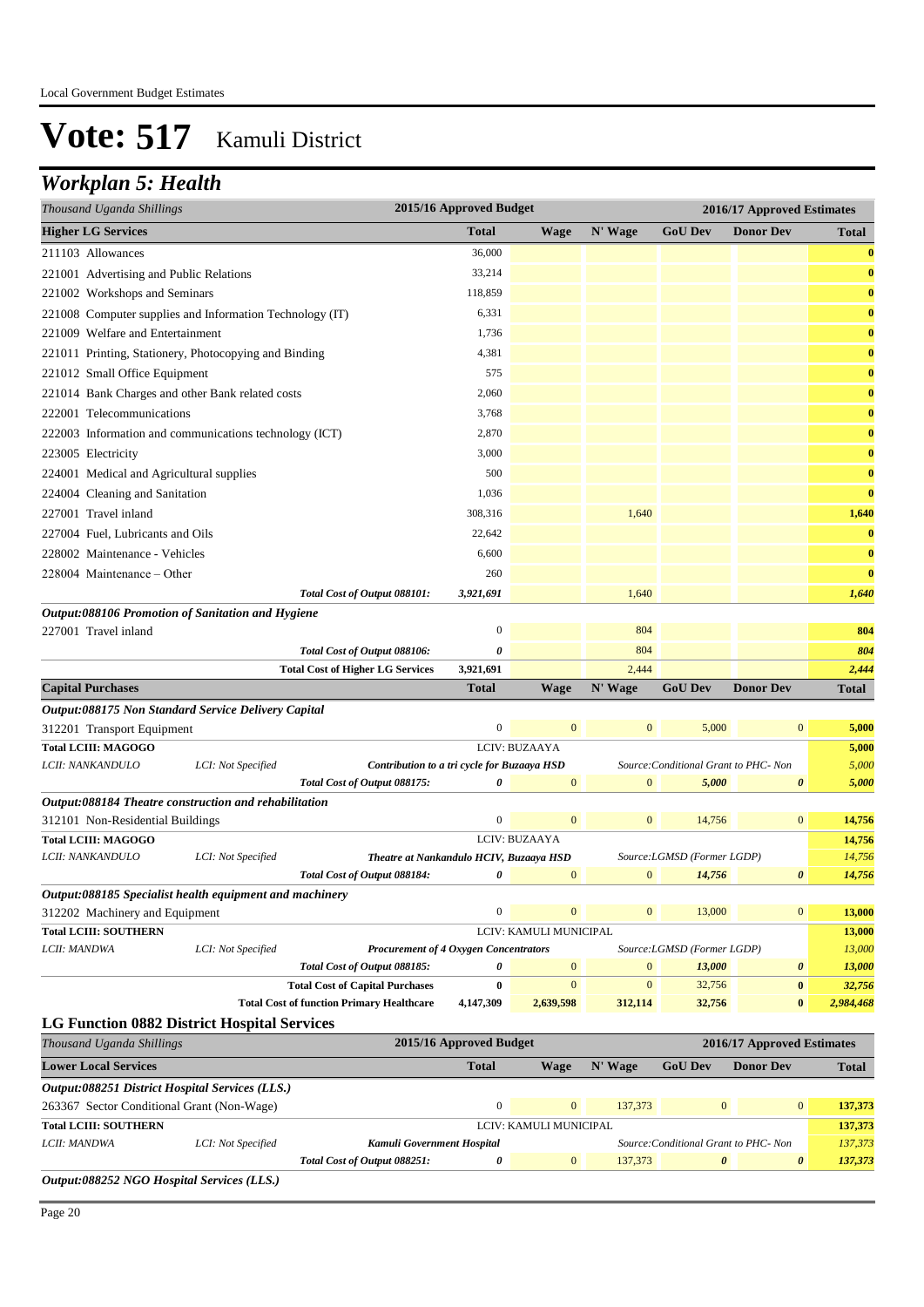## *Workplan 5: Health*

| 2015/16 Approved Budget<br>2016/17 Approved Estimates<br>Thousand Uganda Shillings |                    |                                                  |                         |                        |                |                                       |                            |                  |
|------------------------------------------------------------------------------------|--------------------|--------------------------------------------------|-------------------------|------------------------|----------------|---------------------------------------|----------------------------|------------------|
| <b>Higher LG Services</b>                                                          |                    |                                                  | <b>Total</b>            | <b>Wage</b>            | N' Wage        | <b>GoU Dev</b>                        | <b>Donor Dev</b>           | Total            |
| 211103 Allowances                                                                  |                    |                                                  | 36,000                  |                        |                |                                       |                            | $\bf{0}$         |
| 221001 Advertising and Public Relations                                            |                    |                                                  | 33,214                  |                        |                |                                       |                            | $\bf{0}$         |
| 221002 Workshops and Seminars                                                      |                    |                                                  | 118,859                 |                        |                |                                       |                            | $\bf{0}$         |
| 221008 Computer supplies and Information Technology (IT)                           |                    |                                                  | 6,331                   |                        |                |                                       |                            | $\bf{0}$         |
| 221009 Welfare and Entertainment                                                   |                    |                                                  | 1,736                   |                        |                |                                       |                            | $\bf{0}$         |
| 221011 Printing, Stationery, Photocopying and Binding                              |                    |                                                  | 4,381                   |                        |                |                                       |                            | $\bf{0}$         |
| 221012 Small Office Equipment                                                      |                    |                                                  | 575                     |                        |                |                                       |                            | $\bf{0}$         |
| 221014 Bank Charges and other Bank related costs                                   |                    |                                                  | 2,060                   |                        |                |                                       |                            | $\bf{0}$         |
| 222001 Telecommunications                                                          |                    |                                                  | 3,768                   |                        |                |                                       |                            | $\bf{0}$         |
| 222003 Information and communications technology (ICT)                             |                    |                                                  | 2,870                   |                        |                |                                       |                            | $\bf{0}$         |
| 223005 Electricity                                                                 |                    |                                                  | 3,000                   |                        |                |                                       |                            | $\bf{0}$         |
| 224001 Medical and Agricultural supplies                                           |                    |                                                  | 500                     |                        |                |                                       |                            | $\bf{0}$         |
| 224004 Cleaning and Sanitation                                                     |                    |                                                  | 1,036                   |                        |                |                                       |                            | $\bf{0}$         |
| 227001 Travel inland                                                               |                    |                                                  | 308,316                 |                        | 1,640          |                                       |                            | 1,640            |
| 227004 Fuel, Lubricants and Oils                                                   |                    |                                                  | 22,642                  |                        |                |                                       |                            | $\bf{0}$         |
| 228002 Maintenance - Vehicles                                                      |                    |                                                  | 6,600                   |                        |                |                                       |                            | $\bf{0}$         |
| 228004 Maintenance – Other                                                         |                    |                                                  | 260                     |                        |                |                                       |                            | $\bf{0}$         |
|                                                                                    |                    | Total Cost of Output 088101:                     | 3,921,691               |                        | 1,640          |                                       |                            | 1,640            |
| Output:088106 Promotion of Sanitation and Hygiene                                  |                    |                                                  |                         |                        |                |                                       |                            |                  |
| 227001 Travel inland                                                               |                    |                                                  | 0                       |                        | 804            |                                       |                            | 804              |
|                                                                                    |                    | Total Cost of Output 088106:                     | 0                       |                        | 804            |                                       |                            | 804              |
|                                                                                    |                    | <b>Total Cost of Higher LG Services</b>          | 3,921,691               |                        | 2,444          |                                       |                            | 2,444            |
| <b>Capital Purchases</b>                                                           |                    |                                                  | <b>Total</b>            | <b>Wage</b>            | N' Wage        | <b>GoU Dev</b>                        | <b>Donor Dev</b>           | Total            |
| Output:088175 Non Standard Service Delivery Capital                                |                    |                                                  |                         |                        |                |                                       |                            |                  |
| 312201 Transport Equipment                                                         |                    |                                                  | $\boldsymbol{0}$        | $\mathbf{0}$           | $\mathbf{0}$   | 5,000                                 | $\boldsymbol{0}$           | 5,000            |
| <b>Total LCIII: MAGOGO</b>                                                         |                    |                                                  | LCIV: BUZAAYA           |                        |                |                                       |                            |                  |
| LCII: NANKANDULO                                                                   |                    |                                                  |                         |                        |                |                                       |                            | 5,000            |
|                                                                                    | LCI: Not Specified | Contribution to a tri cycle for Buzaaya HSD      |                         |                        |                | Source: Conditional Grant to PHC- Non |                            | 5,000            |
|                                                                                    |                    | Total Cost of Output 088175:                     | 0                       | $\mathbf{0}$           | $\overline{0}$ | 5,000                                 | 0                          | 5,000            |
| Output:088184 Theatre construction and rehabilitation                              |                    |                                                  |                         |                        |                |                                       |                            |                  |
| 312101 Non-Residential Buildings                                                   |                    |                                                  | 0                       | $\mathbf{0}$           | $\mathbf{0}$   | 14,756                                | $\boldsymbol{0}$           | 14,756           |
| <b>Total LCIII: MAGOGO</b>                                                         |                    |                                                  |                         | LCIV: BUZAAYA          |                |                                       |                            | 14,756           |
| LCII: NANKANDULO                                                                   | LCI: Not Specified | Theatre at Nankandulo HCIV, Buzaaya HSD          |                         |                        |                | Source:LGMSD (Former LGDP)            |                            | 14,756           |
|                                                                                    |                    | Total Cost of Output 088184:                     | 0                       | $\mathbf{0}$           | $\mathbf{0}$   | 14,756                                | 0                          | 14,756           |
| Output:088185 Specialist health equipment and machinery                            |                    |                                                  | $\boldsymbol{0}$        | $\mathbf{0}$           | $\mathbf{0}$   | 13,000                                | $\boldsymbol{0}$           |                  |
| 312202 Machinery and Equipment                                                     |                    |                                                  |                         | LCIV: KAMULI MUNICIPAL |                |                                       |                            | 13,000           |
| <b>Total LCIII: SOUTHERN</b><br>LCII: MANDWA                                       | LCI: Not Specified | <b>Procurement of 4 Oxygen Concentrators</b>     |                         |                        |                | Source: LGMSD (Former LGDP)           |                            | 13,000<br>13,000 |
|                                                                                    |                    | Total Cost of Output 088185:                     | 0                       | $\mathbf{0}$           | $\mathbf{0}$   | 13,000                                | 0                          | 13,000           |
|                                                                                    |                    | <b>Total Cost of Capital Purchases</b>           | $\bf{0}$                | $\mathbf{0}$           | $\mathbf{0}$   | 32,756                                | $\bf{0}$                   | 32,756           |
|                                                                                    |                    | <b>Total Cost of function Primary Healthcare</b> | 4,147,309               | 2,639,598              | 312,114        | 32,756                                | $\bf{0}$                   | 2,984,468        |
| <b>LG Function 0882 District Hospital Services</b>                                 |                    |                                                  |                         |                        |                |                                       |                            |                  |
| Thousand Uganda Shillings                                                          |                    |                                                  | 2015/16 Approved Budget |                        |                |                                       | 2016/17 Approved Estimates |                  |
| <b>Lower Local Services</b>                                                        |                    |                                                  | <b>Total</b>            | <b>Wage</b>            | N' Wage        | <b>GoU Dev</b>                        | <b>Donor Dev</b>           | <b>Total</b>     |
| Output:088251 District Hospital Services (LLS.)                                    |                    |                                                  |                         |                        |                |                                       |                            |                  |
| 263367 Sector Conditional Grant (Non-Wage)                                         |                    |                                                  | $\boldsymbol{0}$        | $\mathbf{0}$           | 137,373        | $\mathbf{0}$                          | $\mathbf{0}$               | 137,373          |
| <b>Total LCIII: SOUTHERN</b>                                                       |                    |                                                  |                         | LCIV: KAMULI MUNICIPAL |                |                                       |                            | 137,373          |

*Total Cost of Output 088251: 0* 0 137,373 *0 0 137,373*

*Output:088252 NGO Hospital Services (LLS.)*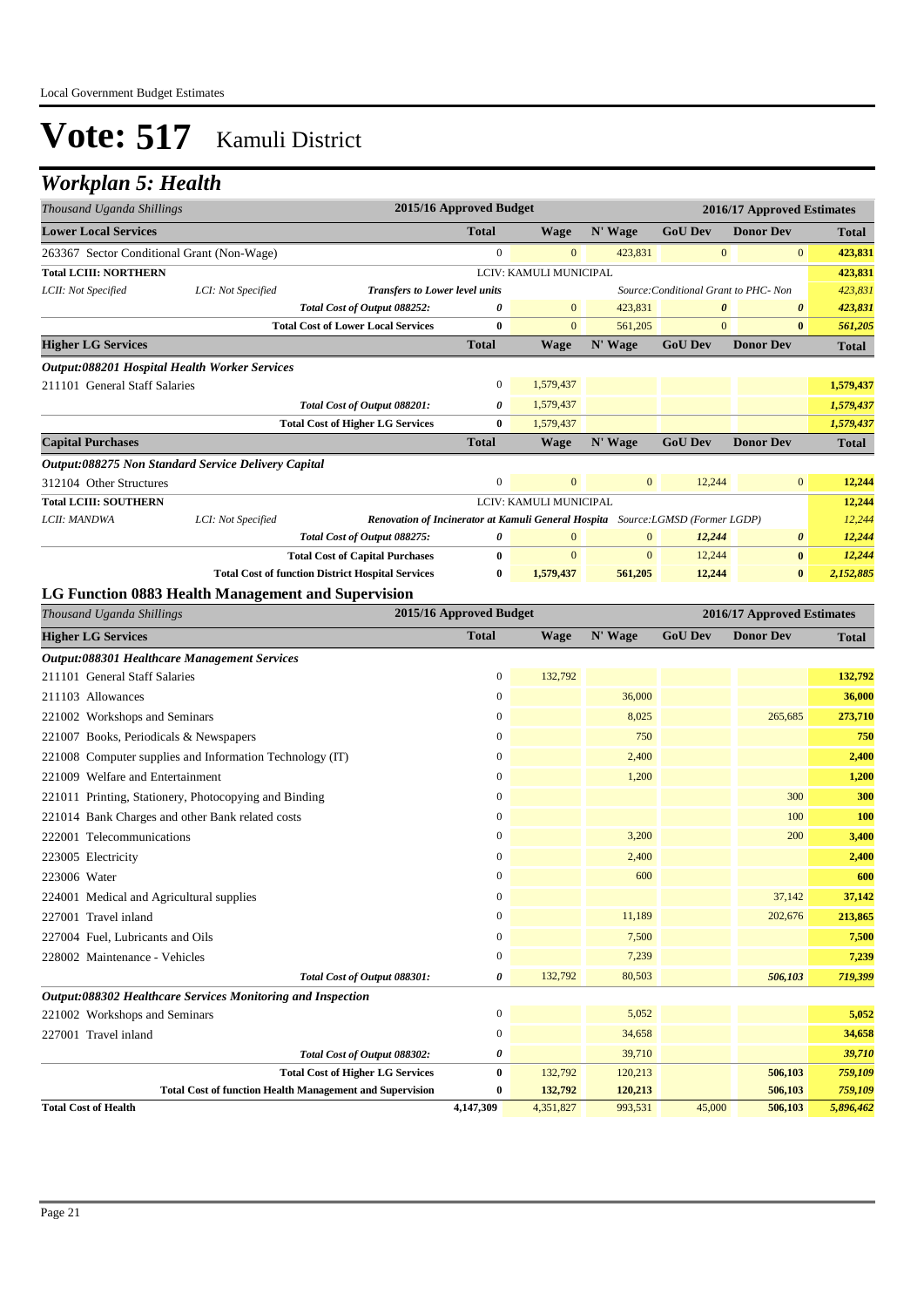### *Workplan 5: Health*

| Thousand Uganda Shillings                                |                    |                                                                                 | 2015/16 Approved Budget |                        |                  |                                       | 2016/17 Approved Estimates |              |
|----------------------------------------------------------|--------------------|---------------------------------------------------------------------------------|-------------------------|------------------------|------------------|---------------------------------------|----------------------------|--------------|
| <b>Lower Local Services</b>                              |                    |                                                                                 | <b>Total</b>            | Wage                   | N' Wage          | <b>GoU Dev</b>                        | <b>Donor Dev</b>           | <b>Total</b> |
| 263367 Sector Conditional Grant (Non-Wage)               |                    |                                                                                 | $\boldsymbol{0}$        | $\mathbf{0}$           | 423,831          | $\boldsymbol{0}$                      | $\boldsymbol{0}$           | 423,831      |
| <b>Total LCIII: NORTHERN</b>                             |                    |                                                                                 |                         | LCIV: KAMULI MUNICIPAL |                  |                                       |                            | 423,831      |
| LCII: Not Specified                                      | LCI: Not Specified | <b>Transfers to Lower level units</b>                                           |                         |                        |                  | Source: Conditional Grant to PHC- Non |                            | 423,831      |
|                                                          |                    | Total Cost of Output 088252:                                                    | 0                       | $\mathbf{0}$           | 423,831          | 0                                     | $\boldsymbol{\theta}$      | 423,831      |
|                                                          |                    | <b>Total Cost of Lower Local Services</b>                                       | $\bf{0}$                | $\mathbf{0}$           | 561,205          | $\overline{0}$                        | $\bf{0}$                   | 561,205      |
| <b>Higher LG Services</b>                                |                    |                                                                                 | <b>Total</b>            | <b>Wage</b>            | N' Wage          | <b>GoU Dev</b>                        | <b>Donor Dev</b>           | <b>Total</b> |
| Output:088201 Hospital Health Worker Services            |                    |                                                                                 |                         |                        |                  |                                       |                            |              |
| 211101 General Staff Salaries                            |                    |                                                                                 | $\boldsymbol{0}$        | 1,579,437              |                  |                                       |                            | 1,579,437    |
|                                                          |                    | Total Cost of Output 088201:                                                    | 0                       | 1,579,437              |                  |                                       |                            | 1,579,437    |
|                                                          |                    | <b>Total Cost of Higher LG Services</b>                                         | $\bf{0}$                | 1,579,437              |                  |                                       |                            | 1,579,437    |
| <b>Capital Purchases</b>                                 |                    |                                                                                 | <b>Total</b>            | <b>Wage</b>            | N' Wage          | <b>GoU Dev</b>                        | <b>Donor Dev</b>           | <b>Total</b> |
| Output:088275 Non Standard Service Delivery Capital      |                    |                                                                                 |                         |                        |                  |                                       |                            |              |
| 312104 Other Structures                                  |                    |                                                                                 | 0                       | $\mathbf{0}$           | $\mathbf{0}$     | 12,244                                | $\mathbf{0}$               | 12,244       |
| <b>Total LCIII: SOUTHERN</b>                             |                    |                                                                                 |                         | LCIV: KAMULI MUNICIPAL |                  |                                       |                            | 12,244       |
| LCII: MANDWA                                             | LCI: Not Specified | Renovation of Incinerator at Kamuli General Hospita Source: LGMSD (Former LGDP) |                         |                        |                  |                                       |                            | 12,244       |
|                                                          |                    | Total Cost of Output 088275:                                                    | 0                       | $\mathbf{0}$           | $\boldsymbol{0}$ | 12,244                                | $\pmb{\theta}$             | 12,244       |
|                                                          |                    | <b>Total Cost of Capital Purchases</b>                                          | $\bf{0}$                | $\mathbf{0}$           | $\mathbf{0}$     | 12,244                                | $\bf{0}$                   | 12,244       |
| LG Function 0883 Health Management and Supervision       |                    | <b>Total Cost of function District Hospital Services</b>                        | $\bf{0}$                | 1,579,437              | 561,205          | 12,244                                | $\bf{0}$                   | 2,152,885    |
| Thousand Uganda Shillings                                |                    |                                                                                 | 2015/16 Approved Budget |                        |                  |                                       | 2016/17 Approved Estimates |              |
| <b>Higher LG Services</b>                                |                    |                                                                                 | <b>Total</b>            | <b>Wage</b>            | N' Wage          | <b>GoU Dev</b>                        | <b>Donor Dev</b>           | <b>Total</b> |
| <b>Output:088301 Healthcare Management Services</b>      |                    |                                                                                 |                         |                        |                  |                                       |                            |              |
| 211101 General Staff Salaries                            |                    |                                                                                 | $\boldsymbol{0}$        | 132,792                |                  |                                       |                            | 132,792      |
| 211103 Allowances                                        |                    |                                                                                 | $\boldsymbol{0}$        |                        | 36,000           |                                       |                            | 36,000       |
| 221002 Workshops and Seminars                            |                    |                                                                                 | $\boldsymbol{0}$        |                        | 8,025            |                                       | 265,685                    | 273,710      |
| 221007 Books, Periodicals & Newspapers                   |                    |                                                                                 | 0                       |                        | 750              |                                       |                            | 750          |
| 221008 Computer supplies and Information Technology (IT) |                    |                                                                                 | $\boldsymbol{0}$        |                        | 2,400            |                                       |                            | 2,400        |
| 221009 Welfare and Entertainment                         |                    |                                                                                 | $\boldsymbol{0}$        |                        | 1,200            |                                       |                            | 1,200        |
| 221011 Printing, Stationery, Photocopying and Binding    |                    |                                                                                 | $\overline{0}$          |                        |                  |                                       | 300                        | 300          |
| 221014 Bank Charges and other Bank related costs         |                    |                                                                                 | 0                       |                        |                  |                                       | 100                        | 100          |
| 222001 Telecommunications                                |                    |                                                                                 | $\overline{0}$          |                        | 3,200            |                                       | 200                        | 3,400        |
| 223005 Electricity                                       |                    |                                                                                 | 0                       |                        | 2,400            |                                       |                            | 2,400        |
| 223006 Water                                             |                    |                                                                                 | $\overline{0}$          |                        | 600              |                                       |                            | 600          |
| 224001 Medical and Agricultural supplies                 |                    |                                                                                 | 0                       |                        |                  |                                       | 37,142                     | 37,142       |
| 227001 Travel inland                                     |                    |                                                                                 | $\overline{0}$          |                        | 11,189           |                                       | 202,676                    | 213,865      |
| 227004 Fuel, Lubricants and Oils                         |                    |                                                                                 | $\overline{0}$          |                        | 7,500            |                                       |                            | 7,500        |

| 228002 Maintenance - Vehicles                                   |           |           | 7.239   |        |         | 7.239     |
|-----------------------------------------------------------------|-----------|-----------|---------|--------|---------|-----------|
| Total Cost of Output 088301:                                    | 0         | 132,792   | 80,503  |        | 506,103 | 719,399   |
| Output:088302 Healthcare Services Monitoring and Inspection     |           |           |         |        |         |           |
| 221002 Workshops and Seminars                                   |           |           | 5,052   |        |         | 5,052     |
| 227001 Travel inland                                            |           |           | 34,658  |        |         | 34,658    |
| Total Cost of Output 088302:                                    | 0         |           | 39,710  |        |         | 39,710    |
| <b>Total Cost of Higher LG Services</b>                         | 0         | 132,792   | 120,213 |        | 506,103 | 759,109   |
| <b>Total Cost of function Health Management and Supervision</b> | 0         | 132.792   | 120,213 |        | 506,103 | 759,109   |
| <b>Total Cost of Health</b>                                     | 4.147.309 | 4,351,827 | 993,531 | 45,000 | 506,103 | 5,896,462 |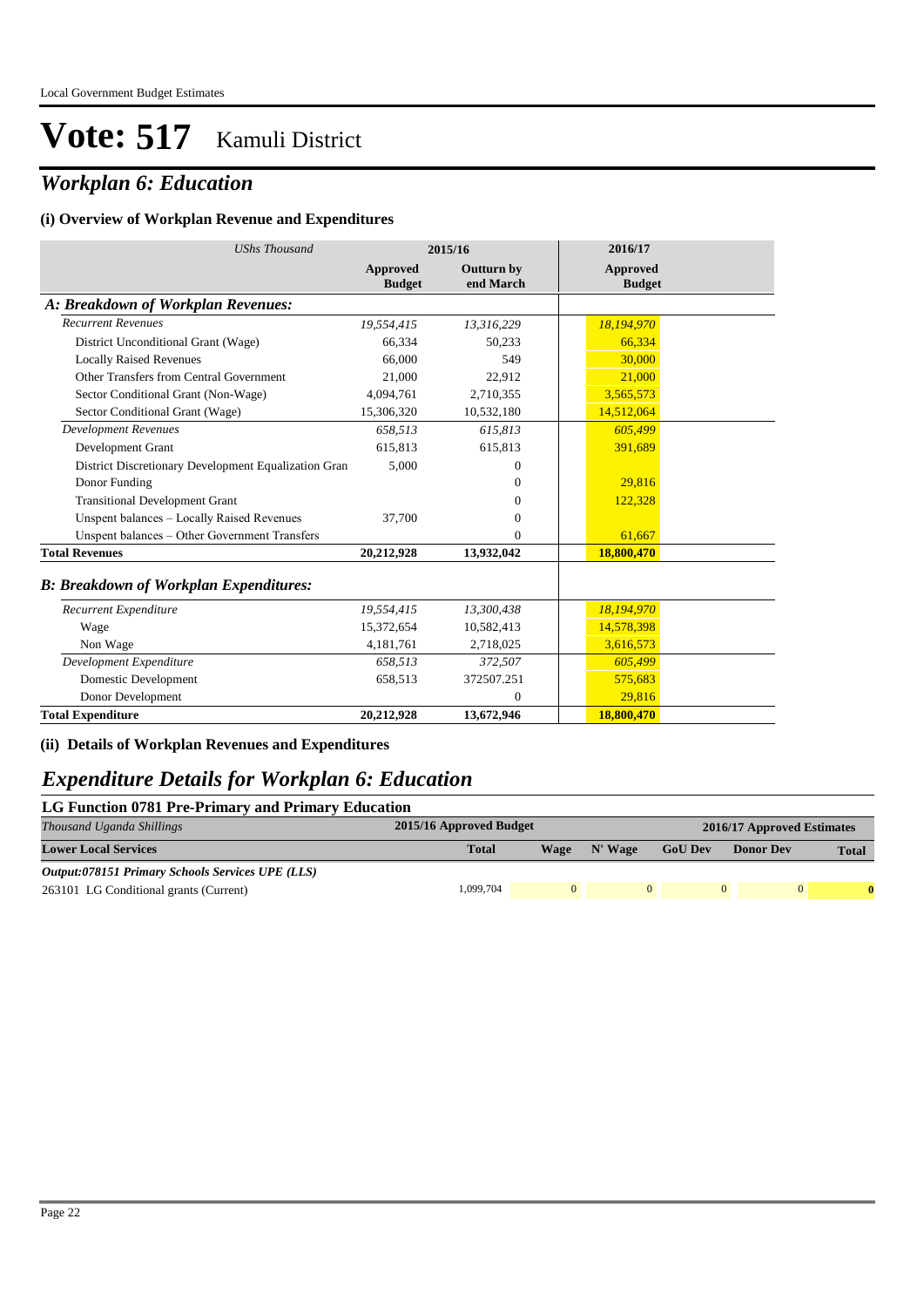## *Workplan 6: Education*

#### **(i) Overview of Workplan Revenue and Expenditures**

| <b>UShs Thousand</b>                                 |                                  | 2015/16                        | 2016/17                          |  |
|------------------------------------------------------|----------------------------------|--------------------------------|----------------------------------|--|
|                                                      | <b>Approved</b><br><b>Budget</b> | <b>Outturn by</b><br>end March | <b>Approved</b><br><b>Budget</b> |  |
| A: Breakdown of Workplan Revenues:                   |                                  |                                |                                  |  |
| <b>Recurrent Revenues</b>                            | 19,554,415                       | 13,316,229                     | 18,194,970                       |  |
| District Unconditional Grant (Wage)                  | 66,334                           | 50,233                         | 66,334                           |  |
| <b>Locally Raised Revenues</b>                       | 66,000                           | 549                            | 30,000                           |  |
| Other Transfers from Central Government              | 21,000                           | 22,912                         | 21,000                           |  |
| Sector Conditional Grant (Non-Wage)                  | 4,094,761                        | 2,710,355                      | 3,565,573                        |  |
| Sector Conditional Grant (Wage)                      | 15,306,320                       | 10,532,180                     | 14,512,064                       |  |
| <b>Development Revenues</b>                          | 658,513                          | 615,813                        | 605,499                          |  |
| Development Grant                                    | 615.813                          | 615,813                        | 391,689                          |  |
| District Discretionary Development Equalization Gran | 5,000                            | 0                              |                                  |  |
| Donor Funding                                        |                                  | 0                              | 29,816                           |  |
| <b>Transitional Development Grant</b>                |                                  | 0                              | 122,328                          |  |
| Unspent balances - Locally Raised Revenues           | 37,700                           | 0                              |                                  |  |
| Unspent balances - Other Government Transfers        |                                  | 0                              | 61,667                           |  |
| <b>Total Revenues</b>                                | 20,212,928                       | 13,932,042                     | 18,800,470                       |  |
| <b>B: Breakdown of Workplan Expenditures:</b>        |                                  |                                |                                  |  |
| Recurrent Expenditure                                | 19,554,415                       | 13,300,438                     | 18,194,970                       |  |
| Wage                                                 | 15,372,654                       | 10,582,413                     | 14,578,398                       |  |
| Non Wage                                             | 4,181,761                        | 2,718,025                      | 3,616,573                        |  |
| Development Expenditure                              | 658,513                          | 372,507                        | 605,499                          |  |
| Domestic Development                                 | 658,513                          | 372507.251                     | 575,683                          |  |
| Donor Development                                    |                                  | $\Omega$                       | 29,816                           |  |
| <b>Total Expenditure</b>                             | 20,212,928                       | 13,672,946                     | 18,800,470                       |  |

**(ii) Details of Workplan Revenues and Expenditures**

### *Expenditure Details for Workplan 6: Education*

#### **LG Function 0781 Pre-Primary and Primary Education**

| Thousand Uganda Shillings                        | 2015/16 Approved Budget |             |         | 2016/17 Approved Estimates |                  |              |  |  |
|--------------------------------------------------|-------------------------|-------------|---------|----------------------------|------------------|--------------|--|--|
| <b>Lower Local Services</b>                      | <b>Total</b>            | <b>Wage</b> | N' Wage | <b>GoU Dev</b>             | <b>Donor Dev</b> | <b>Total</b> |  |  |
| Output:078151 Primary Schools Services UPE (LLS) |                         |             |         |                            |                  |              |  |  |
| 263101 LG Conditional grants (Current)           | 1.099.704               | $\Omega$    |         |                            | $\Omega$         |              |  |  |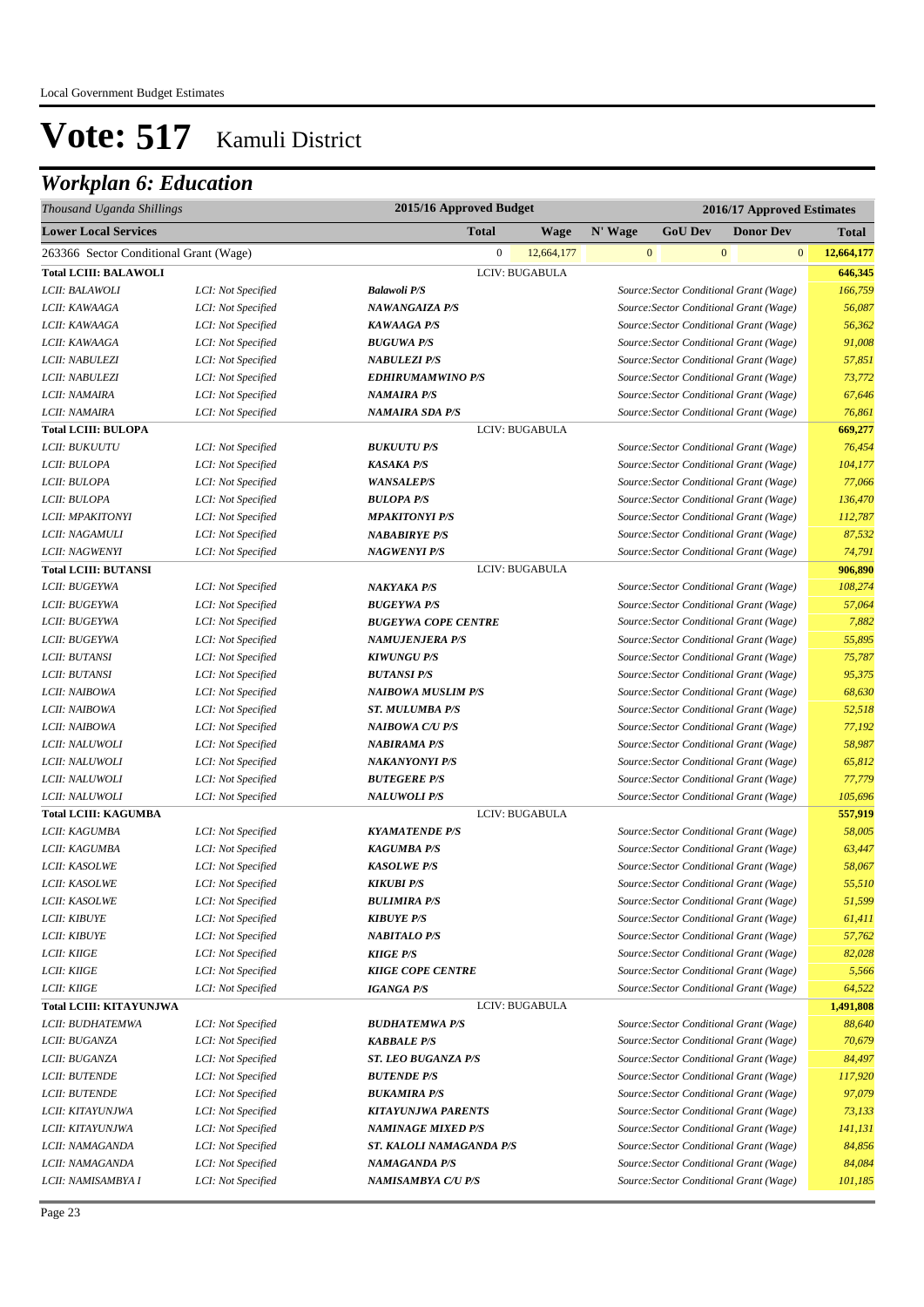| 2015/16 Approved Budget<br>Thousand Uganda Shillings<br>2016/17 Approved Estimates |                    |                            |                            |         |                                         |                |                  |              |              |
|------------------------------------------------------------------------------------|--------------------|----------------------------|----------------------------|---------|-----------------------------------------|----------------|------------------|--------------|--------------|
| <b>Lower Local Services</b>                                                        |                    | <b>Total</b>               | Wage                       | N' Wage | <b>GoU Dev</b>                          |                | <b>Donor Dev</b> |              | <b>Total</b> |
| 263366 Sector Conditional Grant (Wage)                                             |                    |                            | $\mathbf{0}$<br>12,664,177 |         | $\mathbf{0}$                            | $\overline{0}$ |                  | $\mathbf{0}$ | 12,664,177   |
| <b>Total LCIII: BALAWOLI</b>                                                       |                    |                            | LCIV: BUGABULA             |         |                                         |                |                  |              | 646,345      |
| LCII: BALAWOLI                                                                     | LCI: Not Specified | <b>Balawoli P/S</b>        |                            |         | Source: Sector Conditional Grant (Wage) |                |                  |              | 166,759      |
| LCII: KAWAAGA                                                                      | LCI: Not Specified | <b>NAWANGAIZA P/S</b>      |                            |         | Source: Sector Conditional Grant (Wage) |                |                  |              | 56,087       |
| LCII: KAWAAGA                                                                      | LCI: Not Specified | <b>KAWAAGA P/S</b>         |                            |         | Source: Sector Conditional Grant (Wage) |                |                  |              | 56,362       |
| LCII: KAWAAGA                                                                      | LCI: Not Specified | <b>BUGUWA P/S</b>          |                            |         | Source: Sector Conditional Grant (Wage) |                |                  |              | 91,008       |
| LCII: NABULEZI                                                                     | LCI: Not Specified | <b>NABULEZI P/S</b>        |                            |         | Source: Sector Conditional Grant (Wage) |                |                  |              | 57,851       |
| LCII: NABULEZI                                                                     | LCI: Not Specified | <b>EDHIRUMAMWINO P/S</b>   |                            |         | Source: Sector Conditional Grant (Wage) |                |                  |              | 73,772       |
| LCII: NAMAIRA                                                                      | LCI: Not Specified | <b>NAMAIRA P/S</b>         |                            |         | Source: Sector Conditional Grant (Wage) |                |                  |              | 67,646       |
| LCII: NAMAIRA                                                                      | LCI: Not Specified | <b>NAMAIRA SDA P/S</b>     |                            |         | Source: Sector Conditional Grant (Wage) |                |                  |              | 76,861       |
| <b>Total LCIII: BULOPA</b>                                                         |                    |                            | LCIV: BUGABULA             |         |                                         |                |                  |              | 669,277      |
| LCII: BUKUUTU                                                                      | LCI: Not Specified | <b>BUKUUTU P/S</b>         |                            |         | Source: Sector Conditional Grant (Wage) |                |                  |              | 76,454       |
| LCII: BULOPA                                                                       | LCI: Not Specified | <b>KASAKA P/S</b>          |                            |         | Source: Sector Conditional Grant (Wage) |                |                  |              | 104,177      |
| LCII: BULOPA                                                                       | LCI: Not Specified | <b>WANSALEP/S</b>          |                            |         | Source: Sector Conditional Grant (Wage) |                |                  |              | 77,066       |
| LCII: BULOPA                                                                       | LCI: Not Specified | <b>BULOPA P/S</b>          |                            |         | Source: Sector Conditional Grant (Wage) |                |                  |              | 136,470      |
| LCII: MPAKITONYI                                                                   | LCI: Not Specified | <b>MPAKITONYI P/S</b>      |                            |         | Source: Sector Conditional Grant (Wage) |                |                  |              | 112,787      |
| LCII: NAGAMULI                                                                     | LCI: Not Specified | <b>NABABIRYE P/S</b>       |                            |         | Source: Sector Conditional Grant (Wage) |                |                  |              | 87,532       |
| LCII: NAGWENYI                                                                     | LCI: Not Specified | <b>NAGWENYI P/S</b>        |                            |         | Source: Sector Conditional Grant (Wage) |                |                  |              | 74,791       |
| <b>Total LCIII: BUTANSI</b>                                                        |                    |                            | LCIV: BUGABULA             |         |                                         |                |                  |              | 906,890      |
| LCII: BUGEYWA                                                                      | LCI: Not Specified | <b>NAKYAKA P/S</b>         |                            |         | Source: Sector Conditional Grant (Wage) |                |                  |              | 108,274      |
| LCII: BUGEYWA                                                                      | LCI: Not Specified | <b>BUGEYWA P/S</b>         |                            |         | Source: Sector Conditional Grant (Wage) |                |                  |              | 57,064       |
| LCII: BUGEYWA                                                                      | LCI: Not Specified | <b>BUGEYWA COPE CENTRE</b> |                            |         | Source: Sector Conditional Grant (Wage) |                |                  |              | 7,882        |
| LCII: BUGEYWA                                                                      | LCI: Not Specified | <b>NAMUJENJERA P/S</b>     |                            |         | Source: Sector Conditional Grant (Wage) |                |                  |              | 55,895       |
| LCII: BUTANSI                                                                      | LCI: Not Specified | <b>KIWUNGU P/S</b>         |                            |         | Source: Sector Conditional Grant (Wage) |                |                  |              | 75,787       |
| LCII: BUTANSI                                                                      | LCI: Not Specified | <b>BUTANSI P/S</b>         |                            |         | Source: Sector Conditional Grant (Wage) |                |                  |              | 95,375       |
| LCII: NAIBOWA                                                                      | LCI: Not Specified | <b>NAIBOWA MUSLIM P/S</b>  |                            |         | Source: Sector Conditional Grant (Wage) |                |                  |              | 68,630       |
| LCII: NAIBOWA                                                                      | LCI: Not Specified | <b>ST. MULUMBA P/S</b>     |                            |         | Source: Sector Conditional Grant (Wage) |                |                  |              | 52,518       |
| LCII: NAIBOWA                                                                      | LCI: Not Specified | <b>NAIBOWA C/U P/S</b>     |                            |         | Source: Sector Conditional Grant (Wage) |                |                  |              | 77,192       |
| LCII: NALUWOLI                                                                     | LCI: Not Specified | <b>NABIRAMA P/S</b>        |                            |         | Source: Sector Conditional Grant (Wage) |                |                  |              | 58,987       |
| LCII: NALUWOLI                                                                     | LCI: Not Specified | <b>NAKANYONYI P/S</b>      |                            |         | Source: Sector Conditional Grant (Wage) |                |                  |              | 65,812       |
| LCII: NALUWOLI                                                                     | LCI: Not Specified | <b>BUTEGERE P/S</b>        |                            |         | Source: Sector Conditional Grant (Wage) |                |                  |              | 77,779       |
| LCII: NALUWOLI                                                                     | LCI: Not Specified | <b>NALUWOLI P/S</b>        |                            |         | Source: Sector Conditional Grant (Wage) |                |                  |              | 105,696      |
| <b>Total LCIII: KAGUMBA</b>                                                        |                    |                            | LCIV: BUGABULA             |         |                                         |                |                  |              | 557,919      |
| LCII: KAGUMBA                                                                      | LCI: Not Specified | <b>KYAMATENDE P/S</b>      |                            |         | Source: Sector Conditional Grant (Wage) |                |                  |              | 58,005       |
| LCII: KAGUMBA                                                                      | LCI: Not Specified | <b>KAGUMBA P/S</b>         |                            |         | Source: Sector Conditional Grant (Wage) |                |                  |              | 63,447       |
| LCII: KASOLWE                                                                      | LCI: Not Specified | <b>KASOLWE P/S</b>         |                            |         | Source: Sector Conditional Grant (Wage) |                |                  |              | 58,067       |
| LCII: KASOLWE                                                                      | LCI: Not Specified | <b>KIKUBI P/S</b>          |                            |         | Source: Sector Conditional Grant (Wage) |                |                  |              | 55,510       |
| <i>LCII: KASOLWE</i>                                                               | LCI: Not Specified | <b>BULIMIRA P/S</b>        |                            |         | Source: Sector Conditional Grant (Wage) |                |                  |              | 51,599       |
| <b>LCII: KIBUYE</b>                                                                | LCI: Not Specified | <b>KIBUYE P/S</b>          |                            |         | Source: Sector Conditional Grant (Wage) |                |                  |              | 61,411       |
| <b>LCII: KIBUYE</b>                                                                | LCI: Not Specified | <b>NABITALO P/S</b>        |                            |         | Source: Sector Conditional Grant (Wage) |                |                  |              | 57,762       |
| <b>LCII: KIIGE</b>                                                                 | LCI: Not Specified | <b>KIIGE P/S</b>           |                            |         | Source: Sector Conditional Grant (Wage) |                |                  |              | 82,028       |
| LCII: KIIGE                                                                        | LCI: Not Specified | <b>KIIGE COPE CENTRE</b>   |                            |         | Source: Sector Conditional Grant (Wage) |                |                  |              | 5,566        |
| <i>LCII: KIIGE</i>                                                                 | LCI: Not Specified | <b>IGANGA P/S</b>          |                            |         | Source: Sector Conditional Grant (Wage) |                |                  |              | 64,522       |
| Total LCIII: KITAYUNJWA                                                            |                    |                            | LCIV: BUGABULA             |         |                                         |                |                  |              | 1,491,808    |
| LCII: BUDHATEMWA                                                                   | LCI: Not Specified | <b>BUDHATEMWA P/S</b>      |                            |         | Source: Sector Conditional Grant (Wage) |                |                  |              | 88,640       |
| LCII: BUGANZA                                                                      | LCI: Not Specified | <b>KABBALE P/S</b>         |                            |         | Source: Sector Conditional Grant (Wage) |                |                  |              | 70,679       |
| LCII: BUGANZA                                                                      | LCI: Not Specified | <b>ST. LEO BUGANZA P/S</b> |                            |         | Source: Sector Conditional Grant (Wage) |                |                  |              | 84,497       |
| <b>LCII: BUTENDE</b>                                                               | LCI: Not Specified | <b>BUTENDE P/S</b>         |                            |         | Source: Sector Conditional Grant (Wage) |                |                  |              | 117,920      |
| <b>LCII: BUTENDE</b>                                                               | LCI: Not Specified | <b>BUKAMIRA P/S</b>        |                            |         | Source: Sector Conditional Grant (Wage) |                |                  |              | 97,079       |
| LCII: KITAYUNJWA                                                                   | LCI: Not Specified | <b>KITAYUNJWA PARENTS</b>  |                            |         | Source: Sector Conditional Grant (Wage) |                |                  |              | 73,133       |
| LCII: KITAYUNJWA                                                                   | LCI: Not Specified | <b>NAMINAGE MIXED P/S</b>  |                            |         | Source: Sector Conditional Grant (Wage) |                |                  |              | 141,131      |
| LCII: NAMAGANDA                                                                    | LCI: Not Specified | ST. KALOLI NAMAGANDA P/S   |                            |         | Source: Sector Conditional Grant (Wage) |                |                  |              | 84,856       |
| LCII: NAMAGANDA                                                                    | LCI: Not Specified | <b>NAMAGANDA P/S</b>       |                            |         | Source: Sector Conditional Grant (Wage) |                |                  |              | 84,084       |
| LCII: NAMISAMBYA I                                                                 | LCI: Not Specified | NAMISAMBYA C/U P/S         |                            |         | Source: Sector Conditional Grant (Wage) |                |                  |              | 101,185      |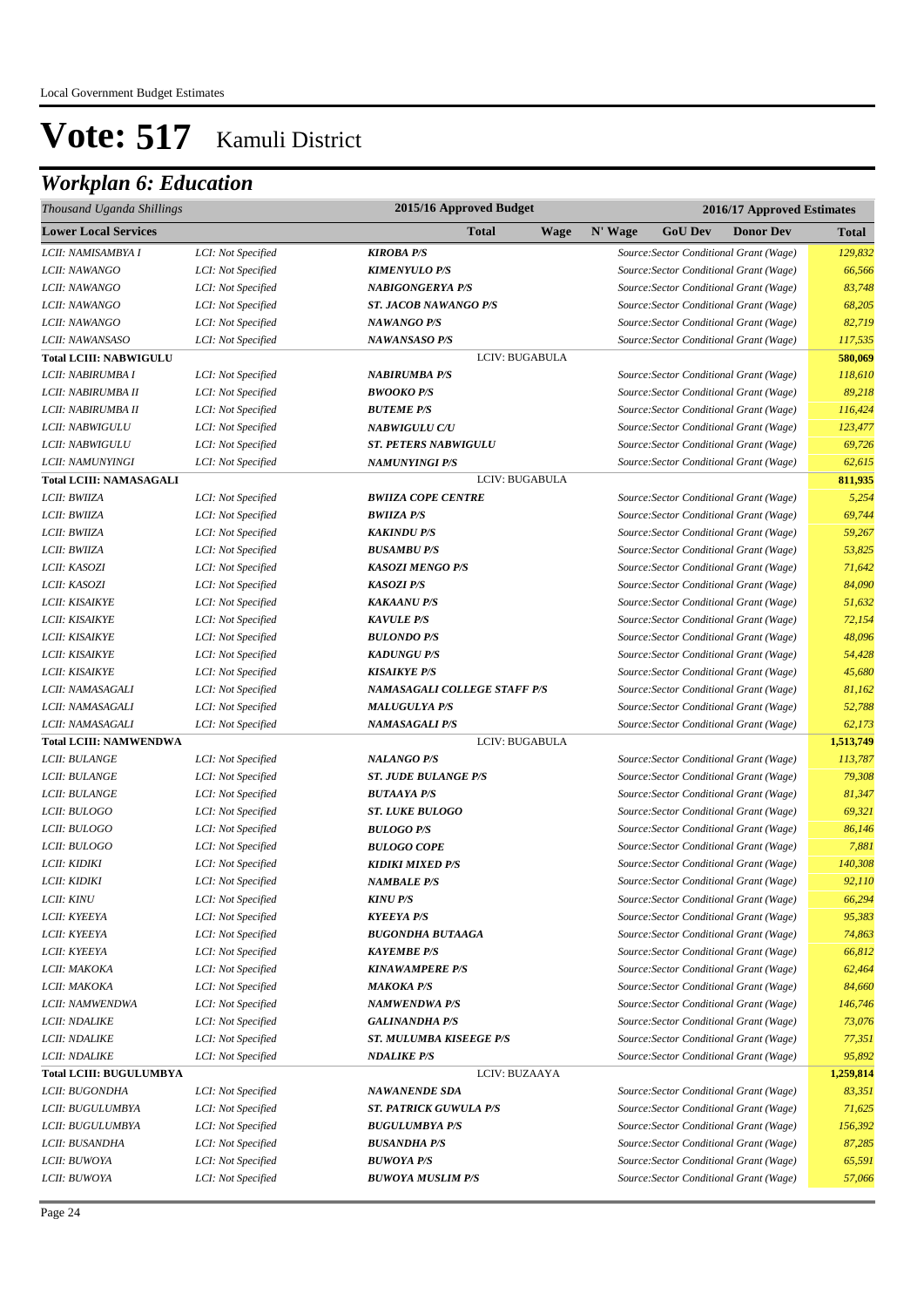| Thousand Uganda Shillings      |                    | 2015/16 Approved Budget        |             |         | 2016/17 Approved Estimates |                                         |              |  |
|--------------------------------|--------------------|--------------------------------|-------------|---------|----------------------------|-----------------------------------------|--------------|--|
| <b>Lower Local Services</b>    |                    | <b>Total</b>                   | <b>Wage</b> | N' Wage | <b>GoU Dev</b>             | <b>Donor Dev</b>                        | <b>Total</b> |  |
| LCII: NAMISAMBYA I             | LCI: Not Specified | <b>KIROBA P/S</b>              |             |         |                            | Source: Sector Conditional Grant (Wage) | 129,832      |  |
| LCII: NAWANGO                  | LCI: Not Specified | <b>KIMENYULO P/S</b>           |             |         |                            | Source: Sector Conditional Grant (Wage) | 66,566       |  |
| LCII: NAWANGO                  | LCI: Not Specified | <b>NABIGONGERYA P/S</b>        |             |         |                            | Source: Sector Conditional Grant (Wage) | 83,748       |  |
| LCII: NAWANGO                  | LCI: Not Specified | <b>ST. JACOB NAWANGO P/S</b>   |             |         |                            | Source: Sector Conditional Grant (Wage) | 68,205       |  |
| LCII: NAWANGO                  | LCI: Not Specified | <b>NAWANGO P/S</b>             |             |         |                            | Source: Sector Conditional Grant (Wage) | 82,719       |  |
| LCII: NAWANSASO                | LCI: Not Specified | <b>NAWANSASO P/S</b>           |             |         |                            | Source: Sector Conditional Grant (Wage) | 117,535      |  |
| <b>Total LCIII: NABWIGULU</b>  |                    | LCIV: BUGABULA                 |             |         |                            |                                         | 580,069      |  |
| LCII: NABIRUMBA I              | LCI: Not Specified | <b>NABIRUMBA P/S</b>           |             |         |                            | Source: Sector Conditional Grant (Wage) | 118,610      |  |
| LCII: NABIRUMBA II             | LCI: Not Specified | <b>BWOOKO P/S</b>              |             |         |                            | Source: Sector Conditional Grant (Wage) | 89,218       |  |
| LCII: NABIRUMBA II             | LCI: Not Specified | <b>BUTEME P/S</b>              |             |         |                            | Source: Sector Conditional Grant (Wage) | 116,424      |  |
| LCII: NABWIGULU                | LCI: Not Specified | <b>NABWIGULU C/U</b>           |             |         |                            | Source: Sector Conditional Grant (Wage) | 123,477      |  |
| LCII: NABWIGULU                | LCI: Not Specified | <b>ST. PETERS NABWIGULU</b>    |             |         |                            | Source: Sector Conditional Grant (Wage) | 69,726       |  |
| LCII: NAMUNYINGI               | LCI: Not Specified | <b>NAMUNYINGI P/S</b>          |             |         |                            | Source: Sector Conditional Grant (Wage) | 62,615       |  |
| <b>Total LCIII: NAMASAGALI</b> |                    | LCIV: BUGABULA                 |             |         |                            |                                         | 811,935      |  |
| LCII: BWIIZA                   | LCI: Not Specified | <b>BWIIZA COPE CENTRE</b>      |             |         |                            | Source: Sector Conditional Grant (Wage) | 5,254        |  |
| LCII: BWIIZA                   | LCI: Not Specified | <b>BWIIZA P/S</b>              |             |         |                            | Source: Sector Conditional Grant (Wage) | 69,744       |  |
| LCII: BWIIZA                   | LCI: Not Specified | <b>KAKINDU P/S</b>             |             |         |                            | Source: Sector Conditional Grant (Wage) | 59,267       |  |
| LCII: BWIIZA                   | LCI: Not Specified | <b>BUSAMBU P/S</b>             |             |         |                            | Source: Sector Conditional Grant (Wage) | 53,825       |  |
| LCII: KASOZI                   | LCI: Not Specified | <b>KASOZI MENGO P/S</b>        |             |         |                            | Source: Sector Conditional Grant (Wage) | 71,642       |  |
| LCII: KASOZI                   | LCI: Not Specified | <b>KASOZI P/S</b>              |             |         |                            | Source: Sector Conditional Grant (Wage) | 84,090       |  |
| LCII: KISAIKYE                 | LCI: Not Specified | <b>KAKAANU P/S</b>             |             |         |                            | Source: Sector Conditional Grant (Wage) | 51,632       |  |
| LCII: KISAIKYE                 | LCI: Not Specified | <b>KAVULE P/S</b>              |             |         |                            | Source: Sector Conditional Grant (Wage) | 72,154       |  |
| LCII: KISAIKYE                 | LCI: Not Specified | <b>BULONDO P/S</b>             |             |         |                            | Source: Sector Conditional Grant (Wage) | 48,096       |  |
| <b>LCII: KISAIKYE</b>          | LCI: Not Specified | <b>KADUNGU P/S</b>             |             |         |                            | Source: Sector Conditional Grant (Wage) | 54,428       |  |
| LCII: KISAIKYE                 | LCI: Not Specified | <b>KISAIKYE P/S</b>            |             |         |                            | Source: Sector Conditional Grant (Wage) | 45,680       |  |
| LCII: NAMASAGALI               | LCI: Not Specified | NAMASAGALI COLLEGE STAFF P/S   |             |         |                            | Source: Sector Conditional Grant (Wage) | 81,162       |  |
| LCII: NAMASAGALI               | LCI: Not Specified | <b>MALUGULYA P/S</b>           |             |         |                            | Source: Sector Conditional Grant (Wage) | 52,788       |  |
| LCII: NAMASAGALI               | LCI: Not Specified | <b>NAMASAGALI P/S</b>          |             |         |                            | Source: Sector Conditional Grant (Wage) | 62,173       |  |
| <b>Total LCIII: NAMWENDWA</b>  |                    | LCIV: BUGABULA                 |             |         |                            |                                         | 1,513,749    |  |
| LCII: BULANGE                  | LCI: Not Specified | <b>NALANGO P/S</b>             |             |         |                            | Source: Sector Conditional Grant (Wage) | 113,787      |  |
| LCII: BULANGE                  | LCI: Not Specified | <b>ST. JUDE BULANGE P/S</b>    |             |         |                            | Source: Sector Conditional Grant (Wage) | 79,308       |  |
| <b>LCII: BULANGE</b>           | LCI: Not Specified | <b>BUTAAYA P/S</b>             |             |         |                            | Source: Sector Conditional Grant (Wage) | 81,347       |  |
| LCII: BULOGO                   | LCI: Not Specified | <b>ST. LUKE BULOGO</b>         |             |         |                            | Source: Sector Conditional Grant (Wage) | 69,321       |  |
| LCII: BULOGO                   | LCI: Not Specified | <b>BULOGO P/S</b>              |             |         |                            | Source: Sector Conditional Grant (Wage) | 86,146       |  |
| LCII: BULOGO                   | LCI: Not Specified | <b>BULOGO COPE</b>             |             |         |                            | Source: Sector Conditional Grant (Wage) | 7,881        |  |
| LCII: KIDIKI                   | LCI: Not Specified | <b>KIDIKI MIXED P/S</b>        |             |         |                            | Source: Sector Conditional Grant (Wage) | 140,308      |  |
| LCII: KIDIKI                   | LCI: Not Specified | <b>NAMBALE P/S</b>             |             |         |                            | Source: Sector Conditional Grant (Wage) | 92,110       |  |
| LCII: KINU                     | LCI: Not Specified | $KINV$ $P/S$                   |             |         |                            | Source: Sector Conditional Grant (Wage) | 66,294       |  |
| LCII: KYEEYA                   | LCI: Not Specified | <b>KYEEYA P/S</b>              |             |         |                            | Source: Sector Conditional Grant (Wage) | 95,383       |  |
| LCII: KYEEYA                   | LCI: Not Specified | <b>BUGONDHA BUTAAGA</b>        |             |         |                            | Source: Sector Conditional Grant (Wage) | 74,863       |  |
| LCII: KYEEYA                   | LCI: Not Specified | <b>KAYEMBE P/S</b>             |             |         |                            | Source: Sector Conditional Grant (Wage) | 66,812       |  |
| LCII: MAKOKA                   | LCI: Not Specified | <b>KINAWAMPERE P/S</b>         |             |         |                            | Source: Sector Conditional Grant (Wage) | 62,464       |  |
| LCII: MAKOKA                   | LCI: Not Specified | <b>MAKOKA P/S</b>              |             |         |                            | Source: Sector Conditional Grant (Wage) | 84,660       |  |
| LCII: NAMWENDWA                | LCI: Not Specified | <b>NAMWENDWA P/S</b>           |             |         |                            | Source: Sector Conditional Grant (Wage) | 146,746      |  |
| <b>LCII: NDALIKE</b>           | LCI: Not Specified | <b>GALINANDHA P/S</b>          |             |         |                            | Source: Sector Conditional Grant (Wage) | 73,076       |  |
| <b>LCII: NDALIKE</b>           | LCI: Not Specified | <b>ST. MULUMBA KISEEGE P/S</b> |             |         |                            | Source: Sector Conditional Grant (Wage) | 77,351       |  |
| <b>LCII: NDALIKE</b>           | LCI: Not Specified | <b>NDALIKE P/S</b>             |             |         |                            | Source: Sector Conditional Grant (Wage) | 95,892       |  |
| <b>Total LCIII: BUGULUMBYA</b> |                    | LCIV: BUZAAYA                  |             |         |                            |                                         | 1,259,814    |  |
| LCII: BUGONDHA                 | LCI: Not Specified | <b>NAWANENDE SDA</b>           |             |         |                            | Source: Sector Conditional Grant (Wage) | 83,351       |  |
| LCII: BUGULUMBYA               | LCI: Not Specified | <b>ST. PATRICK GUWULA P/S</b>  |             |         |                            | Source: Sector Conditional Grant (Wage) | 71,625       |  |
| LCII: BUGULUMBYA               | LCI: Not Specified | <b>BUGULUMBYA P/S</b>          |             |         |                            | Source: Sector Conditional Grant (Wage) | 156,392      |  |
| LCII: BUSANDHA                 | LCI: Not Specified | <b>BUSANDHA P/S</b>            |             |         |                            | Source: Sector Conditional Grant (Wage) | 87,285       |  |
| LCII: BUWOYA                   | LCI: Not Specified | <b>BUWOYA P/S</b>              |             |         |                            | Source: Sector Conditional Grant (Wage) | 65,591       |  |
| LCII: BUWOYA                   | LCI: Not Specified | <b>BUWOYA MUSLIM P/S</b>       |             |         |                            | Source: Sector Conditional Grant (Wage) | 57,066       |  |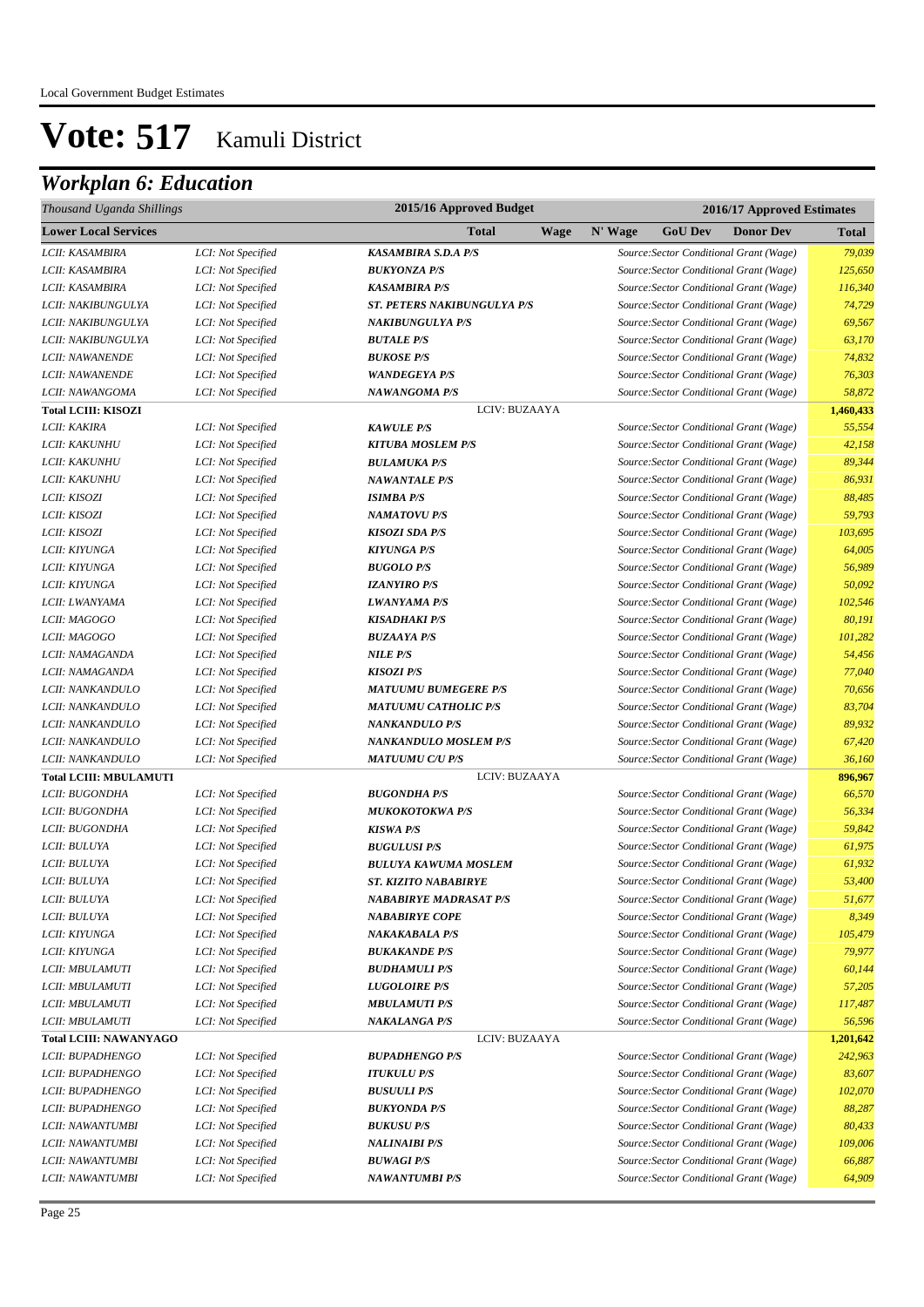| Thousand Uganda Shillings     |                    | 2015/16 Approved Budget            |         | 2016/17 Approved Estimates |                                         |              |  |  |
|-------------------------------|--------------------|------------------------------------|---------|----------------------------|-----------------------------------------|--------------|--|--|
| <b>Lower Local Services</b>   |                    | Total<br><b>Wage</b>               | N' Wage | <b>GoU Dev</b>             | <b>Donor Dev</b>                        | <b>Total</b> |  |  |
| LCII: KASAMBIRA               | LCI: Not Specified | <b>KASAMBIRA S.D.A P/S</b>         |         |                            | Source: Sector Conditional Grant (Wage) | 79,039       |  |  |
| LCII: KASAMBIRA               | LCI: Not Specified | <b>BUKYONZA P/S</b>                |         |                            | Source: Sector Conditional Grant (Wage) | 125,650      |  |  |
| LCII: KASAMBIRA               | LCI: Not Specified | <b>KASAMBIRA P/S</b>               |         |                            | Source: Sector Conditional Grant (Wage) | 116,340      |  |  |
| LCII: NAKIBUNGULYA            | LCI: Not Specified | <b>ST. PETERS NAKIBUNGULYA P/S</b> |         |                            | Source: Sector Conditional Grant (Wage) | 74,729       |  |  |
| LCII: NAKIBUNGULYA            | LCI: Not Specified | <b>NAKIBUNGULYA P/S</b>            |         |                            | Source: Sector Conditional Grant (Wage) | 69,567       |  |  |
| LCII: NAKIBUNGULYA            | LCI: Not Specified | <b>BUTALE P/S</b>                  |         |                            | Source: Sector Conditional Grant (Wage) | 63,170       |  |  |
| LCII: NAWANENDE               | LCI: Not Specified | <b>BUKOSE P/S</b>                  |         |                            | Source: Sector Conditional Grant (Wage) | 74,832       |  |  |
| LCII: NAWANENDE               | LCI: Not Specified | <b>WANDEGEYA P/S</b>               |         |                            | Source: Sector Conditional Grant (Wage) | 76,303       |  |  |
| LCII: NAWANGOMA               | LCI: Not Specified | <b>NAWANGOMA P/S</b>               |         |                            | Source: Sector Conditional Grant (Wage) | 58,872       |  |  |
| <b>Total LCIII: KISOZI</b>    |                    | LCIV: BUZAAYA                      |         |                            |                                         | 1,460,433    |  |  |
| LCII: KAKIRA                  | LCI: Not Specified | <b>KAWULE P/S</b>                  |         |                            | Source: Sector Conditional Grant (Wage) | 55,554       |  |  |
| <i>LCII: KAKUNHU</i>          | LCI: Not Specified | <b>KITUBA MOSLEM P/S</b>           |         |                            | Source: Sector Conditional Grant (Wage) | 42,158       |  |  |
| <i>LCII: KAKUNHU</i>          | LCI: Not Specified | <b>BULAMUKA P/S</b>                |         |                            | Source: Sector Conditional Grant (Wage) | 89,344       |  |  |
| <i>LCII: KAKUNHU</i>          | LCI: Not Specified | <b>NAWANTALE P/S</b>               |         |                            | Source: Sector Conditional Grant (Wage) | 86,931       |  |  |
| LCII: KISOZI                  | LCI: Not Specified | <b>ISIMBA P/S</b>                  |         |                            | Source: Sector Conditional Grant (Wage) | 88,485       |  |  |
| LCII: KISOZI                  | LCI: Not Specified | <b>NAMATOVU P/S</b>                |         |                            | Source: Sector Conditional Grant (Wage) | 59,793       |  |  |
| LCII: KISOZI                  | LCI: Not Specified | <b>KISOZI SDA P/S</b>              |         |                            | Source: Sector Conditional Grant (Wage) | 103,695      |  |  |
| LCII: KIYUNGA                 | LCI: Not Specified | <b>KIYUNGA P/S</b>                 |         |                            | Source: Sector Conditional Grant (Wage) | 64,005       |  |  |
| LCII: KIYUNGA                 | LCI: Not Specified | <b>BUGOLO P/S</b>                  |         |                            | Source: Sector Conditional Grant (Wage) | 56,989       |  |  |
| LCII: KIYUNGA                 | LCI: Not Specified | <b>IZANYIRO P/S</b>                |         |                            | Source: Sector Conditional Grant (Wage) | 50,092       |  |  |
| LCII: LWANYAMA                | LCI: Not Specified | <b>LWANYAMA P/S</b>                |         |                            | Source: Sector Conditional Grant (Wage) | 102,546      |  |  |
| LCII: MAGOGO                  | LCI: Not Specified | <b>KISADHAKI P/S</b>               |         |                            | Source: Sector Conditional Grant (Wage) | 80,191       |  |  |
| LCII: MAGOGO                  | LCI: Not Specified | <b>BUZAAYA P/S</b>                 |         |                            | Source: Sector Conditional Grant (Wage) | 101,282      |  |  |
| LCII: NAMAGANDA               | LCI: Not Specified | <b>NILE P/S</b>                    |         |                            | Source: Sector Conditional Grant (Wage) | 54,456       |  |  |
| LCII: NAMAGANDA               | LCI: Not Specified | <b>KISOZI P/S</b>                  |         |                            | Source: Sector Conditional Grant (Wage) | 77,040       |  |  |
| LCII: NANKANDULO              | LCI: Not Specified | <b>MATUUMU BUMEGERE P/S</b>        |         |                            | Source: Sector Conditional Grant (Wage) | 70,656       |  |  |
| LCII: NANKANDULO              | LCI: Not Specified | <b>MATUUMU CATHOLIC P/S</b>        |         |                            | Source: Sector Conditional Grant (Wage) | 83,704       |  |  |
| LCII: NANKANDULO              | LCI: Not Specified | <b>NANKANDULO P/S</b>              |         |                            | Source: Sector Conditional Grant (Wage) | 89,932       |  |  |
| LCII: NANKANDULO              | LCI: Not Specified | <b>NANKANDULO MOSLEM P/S</b>       |         |                            | Source: Sector Conditional Grant (Wage) | 67,420       |  |  |
| LCII: NANKANDULO              | LCI: Not Specified | <b>MATUUMU C/U P/S</b>             |         |                            | Source: Sector Conditional Grant (Wage) | 36,160       |  |  |
| <b>Total LCIII: MBULAMUTI</b> |                    | LCIV: BUZAAYA                      |         |                            |                                         | 896,967      |  |  |
| LCII: BUGONDHA                | LCI: Not Specified | <b>BUGONDHA P/S</b>                |         |                            | Source: Sector Conditional Grant (Wage) | 66,570       |  |  |
| LCII: BUGONDHA                | LCI: Not Specified | <b>MUKOKOTOKWA P/S</b>             |         |                            | Source: Sector Conditional Grant (Wage) | 56,334       |  |  |
| LCII: BUGONDHA                | LCI: Not Specified | <b>KISWA P/S</b>                   |         |                            | Source: Sector Conditional Grant (Wage) | 59,842       |  |  |
| LCII: BULUYA                  | LCI: Not Specified | <b>BUGULUSI P/S</b>                |         |                            | Source: Sector Conditional Grant (Wage) | 61,975       |  |  |
| LCII: BULUYA                  | LCI: Not Specified | <b>BULUYA KAWUMA MOSLEM</b>        |         |                            | Source: Sector Conditional Grant (Wage) | 61,932       |  |  |
| LCII: BULUYA                  | LCI: Not Specified | <b>ST. KIZITO NABABIRYE</b>        |         |                            | Source: Sector Conditional Grant (Wage) | 53,400       |  |  |
| LCII: BULUYA                  | LCI: Not Specified | NABABIRYE MADRASAT P/S             |         |                            | Source: Sector Conditional Grant (Wage) | 51,677       |  |  |
| LCII: BULUYA                  | LCI: Not Specified | <b>NABABIRYE COPE</b>              |         |                            | Source: Sector Conditional Grant (Wage) | 8,349        |  |  |
| LCII: KIYUNGA                 | LCI: Not Specified | <b>NAKAKABALA P/S</b>              |         |                            | Source: Sector Conditional Grant (Wage) | 105,479      |  |  |
| LCII: KIYUNGA                 | LCI: Not Specified | <b>BUKAKANDE P/S</b>               |         |                            | Source: Sector Conditional Grant (Wage) | 79,977       |  |  |
| LCII: MBULAMUTI               | LCI: Not Specified | <b>BUDHAMULI P/S</b>               |         |                            | Source: Sector Conditional Grant (Wage) | 60,144       |  |  |
| LCII: MBULAMUTI               | LCI: Not Specified | <b>LUGOLOIRE P/S</b>               |         |                            | Source: Sector Conditional Grant (Wage) | 57,205       |  |  |
| LCII: MBULAMUTI               | LCI: Not Specified | <b>MBULAMUTI P/S</b>               |         |                            | Source: Sector Conditional Grant (Wage) | 117,487      |  |  |
| LCII: MBULAMUTI               | LCI: Not Specified | <b>NAKALANGA P/S</b>               |         |                            | Source: Sector Conditional Grant (Wage) | 56,596       |  |  |
| <b>Total LCIII: NAWANYAGO</b> |                    | LCIV: BUZAAYA                      |         |                            |                                         | 1,201,642    |  |  |
| LCII: BUPADHENGO              | LCI: Not Specified | <b>BUPADHENGO P/S</b>              |         |                            | Source: Sector Conditional Grant (Wage) | 242,963      |  |  |
| LCII: BUPADHENGO              | LCI: Not Specified | <b>ITUKULU P/S</b>                 |         |                            | Source: Sector Conditional Grant (Wage) | 83,607       |  |  |
| LCII: BUPADHENGO              | LCI: Not Specified | <b>BUSUULI P/S</b>                 |         |                            | Source: Sector Conditional Grant (Wage) | 102,070      |  |  |
| LCII: BUPADHENGO              | LCI: Not Specified | <b>BUKYONDA P/S</b>                |         |                            | Source: Sector Conditional Grant (Wage) | 88,287       |  |  |
| LCII: NAWANTUMBI              | LCI: Not Specified | <b>BUKUSU P/S</b>                  |         |                            | Source: Sector Conditional Grant (Wage) | 80,433       |  |  |
| LCII: NAWANTUMBI              | LCI: Not Specified | <b>NALINAIBI P/S</b>               |         |                            | Source: Sector Conditional Grant (Wage) | 109,006      |  |  |
| LCII: NAWANTUMBI              | LCI: Not Specified | <b>BUWAGI P/S</b>                  |         |                            | Source: Sector Conditional Grant (Wage) | 66,887       |  |  |
| LCII: NAWANTUMBI              | LCI: Not Specified | <b>NAWANTUMBI P/S</b>              |         |                            | Source: Sector Conditional Grant (Wage) | 64,909       |  |  |
|                               |                    |                                    |         |                            |                                         |              |  |  |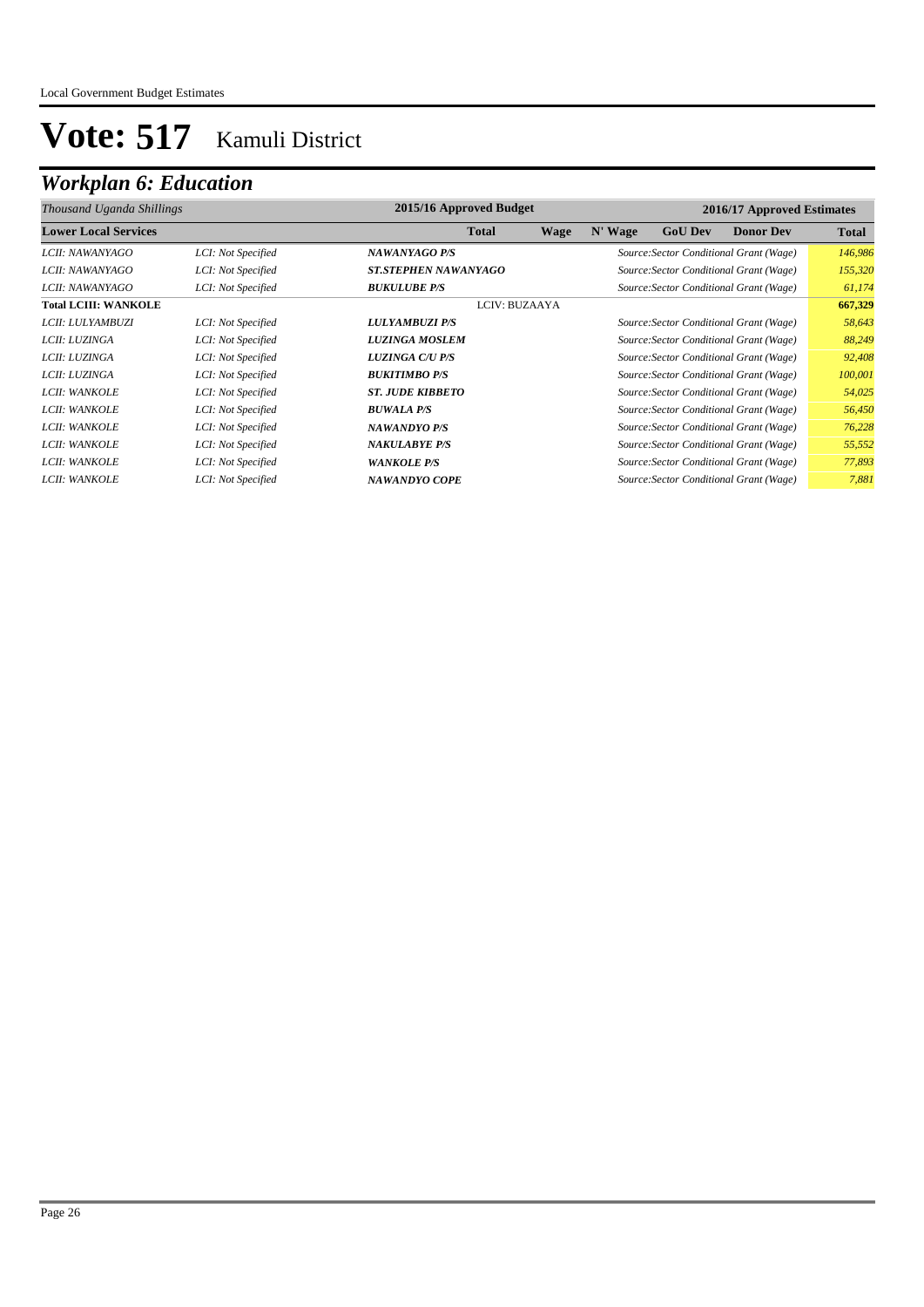| 2015/16 Approved Budget<br>2016/17 Approved Estimates<br>Thousand Uganda Shillings |                    |                             |             |         |                |                                         |              |
|------------------------------------------------------------------------------------|--------------------|-----------------------------|-------------|---------|----------------|-----------------------------------------|--------------|
| <b>Lower Local Services</b>                                                        |                    | <b>Total</b>                | <b>Wage</b> | N' Wage | <b>GoU Dev</b> | <b>Donor Dev</b>                        | <b>Total</b> |
| LCII: NAWANYAGO                                                                    | LCI: Not Specified | <b>NAWANYAGO P/S</b>        |             |         |                | Source: Sector Conditional Grant (Wage) | 146,986      |
| <i>LCII: NAWANYAGO</i>                                                             | LCI: Not Specified | <b>ST.STEPHEN NAWANYAGO</b> |             |         |                | Source: Sector Conditional Grant (Wage) | 155,320      |
| LCII: NAWANYAGO                                                                    | LCI: Not Specified | <b>BUKULUBE P/S</b>         |             |         |                | Source: Sector Conditional Grant (Wage) | 61,174       |
| <b>Total LCIII: WANKOLE</b>                                                        |                    | LCIV: BUZAAYA               |             |         |                |                                         | 667,329      |
| LCII: LULYAMBUZI                                                                   | LCI: Not Specified | <b>LULYAMBUZI P/S</b>       |             |         |                | Source: Sector Conditional Grant (Wage) | 58,643       |
| LCII: LUZINGA                                                                      | LCI: Not Specified | <b>LUZINGA MOSLEM</b>       |             |         |                | Source: Sector Conditional Grant (Wage) | 88,249       |
| LCII: LUZINGA                                                                      | LCI: Not Specified | <b>LUZINGA C/U P/S</b>      |             |         |                | Source: Sector Conditional Grant (Wage) | 92,408       |
| LCII: LUZINGA                                                                      | LCI: Not Specified | <b>BUKITIMBO P/S</b>        |             |         |                | Source: Sector Conditional Grant (Wage) | 100,001      |
| LCII: WANKOLE                                                                      | LCI: Not Specified | <b>ST. JUDE KIBBETO</b>     |             |         |                | Source: Sector Conditional Grant (Wage) | 54,025       |
| LCII: WANKOLE                                                                      | LCI: Not Specified | <b>BUWALA P/S</b>           |             |         |                | Source: Sector Conditional Grant (Wage) | 56,450       |
| LCII: WANKOLE                                                                      | LCI: Not Specified | NAWANDYO P/S                |             |         |                | Source: Sector Conditional Grant (Wage) | 76,228       |
| LCII: WANKOLE                                                                      | LCI: Not Specified | <b>NAKULABYE P/S</b>        |             |         |                | Source: Sector Conditional Grant (Wage) | 55,552       |
| LCII: WANKOLE                                                                      | LCI: Not Specified | <b>WANKOLE P/S</b>          |             |         |                | Source: Sector Conditional Grant (Wage) | 77,893       |
| LCII: WANKOLE                                                                      | LCI: Not Specified | NAWANDYO COPE               |             |         |                | Source: Sector Conditional Grant (Wage) | 7,881        |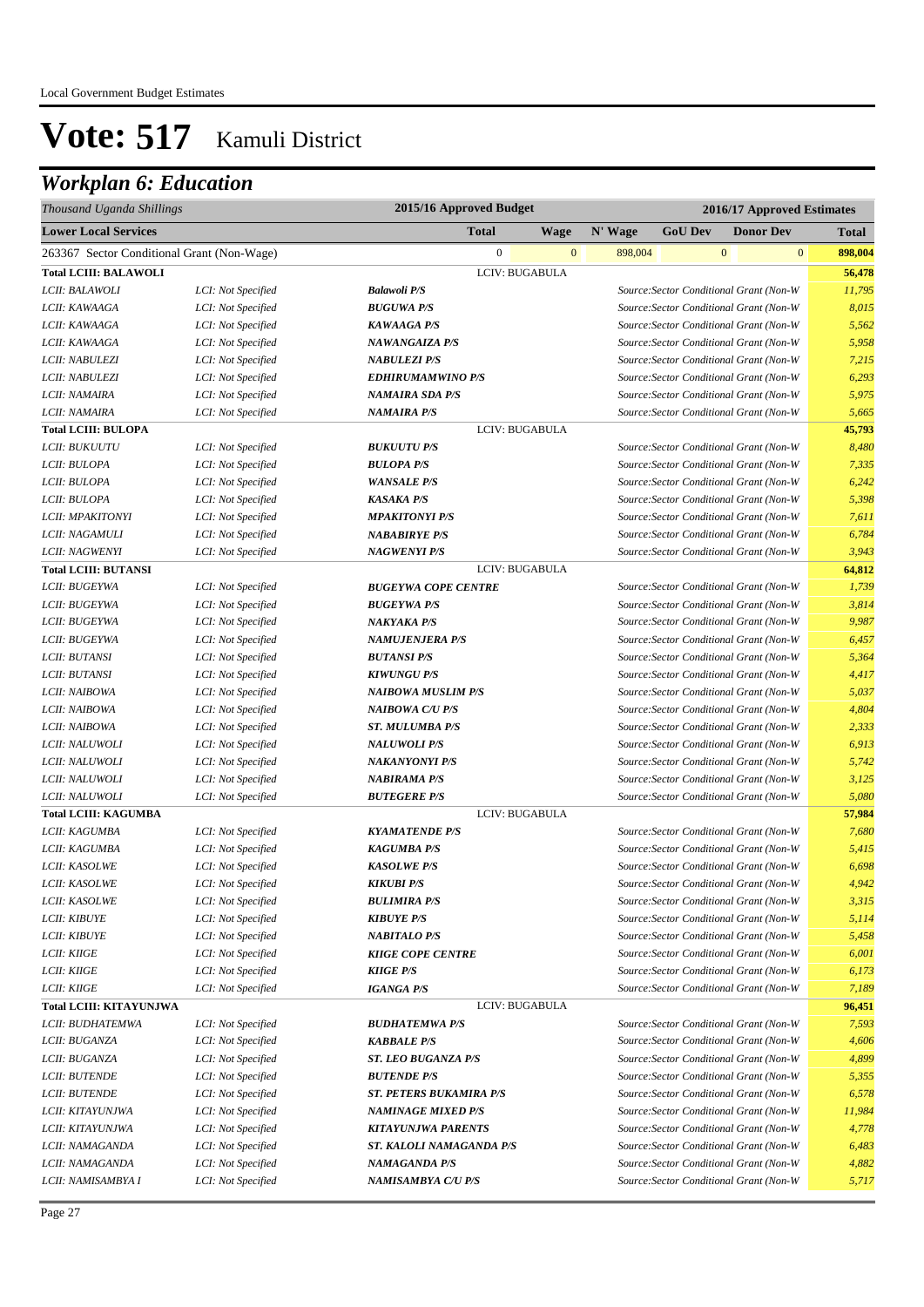| Thousand Uganda Shillings                  |                    | 2015/16 Approved Budget        |              |         |                                         |                  | 2016/17 Approved Estimates |
|--------------------------------------------|--------------------|--------------------------------|--------------|---------|-----------------------------------------|------------------|----------------------------|
| <b>Lower Local Services</b>                |                    | <b>Total</b>                   | Wage         | N' Wage | <b>GoU Dev</b>                          | <b>Donor Dev</b> | <b>Total</b>               |
| 263367 Sector Conditional Grant (Non-Wage) |                    | $\mathbf{0}$                   | $\mathbf{0}$ | 898,004 |                                         | $\mathbf{0}$     | $\overline{0}$<br>898,004  |
| <b>Total LCIII: BALAWOLI</b>               |                    | LCIV: BUGABULA                 |              |         |                                         |                  | 56,478                     |
| LCII: BALAWOLI                             | LCI: Not Specified | <b>Balawoli P/S</b>            |              |         | Source: Sector Conditional Grant (Non-W |                  | 11,795                     |
| LCII: KAWAAGA                              | LCI: Not Specified | <b>BUGUWA P/S</b>              |              |         | Source: Sector Conditional Grant (Non-W |                  | 8,015                      |
| LCII: KAWAAGA                              | LCI: Not Specified | <b>KAWAAGA P/S</b>             |              |         | Source: Sector Conditional Grant (Non-W |                  | 5,562                      |
| LCII: KAWAAGA                              | LCI: Not Specified | <b>NAWANGAIZA P/S</b>          |              |         | Source: Sector Conditional Grant (Non-W |                  | 5,958                      |
| LCII: NABULEZI                             | LCI: Not Specified | <b>NABULEZI P/S</b>            |              |         | Source: Sector Conditional Grant (Non-W |                  | 7,215                      |
| LCII: NABULEZI                             | LCI: Not Specified | <b>EDHIRUMAMWINO P/S</b>       |              |         | Source: Sector Conditional Grant (Non-W |                  | 6,293                      |
| LCII: NAMAIRA                              | LCI: Not Specified | <b>NAMAIRA SDA P/S</b>         |              |         | Source: Sector Conditional Grant (Non-W |                  | 5,975                      |
| LCII: NAMAIRA                              | LCI: Not Specified | <b>NAMAIRA P/S</b>             |              |         | Source: Sector Conditional Grant (Non-W |                  | 5,665                      |
| <b>Total LCIII: BULOPA</b>                 |                    | LCIV: BUGABULA                 |              |         |                                         |                  | 45,793                     |
| LCII: BUKUUTU                              | LCI: Not Specified | <b>BUKUUTU P/S</b>             |              |         | Source: Sector Conditional Grant (Non-W |                  | 8,480                      |
| LCII: BULOPA                               | LCI: Not Specified | <b>BULOPA P/S</b>              |              |         | Source: Sector Conditional Grant (Non-W |                  | 7,335                      |
| LCII: BULOPA                               | LCI: Not Specified | <b>WANSALE P/S</b>             |              |         | Source: Sector Conditional Grant (Non-W |                  | 6,242                      |
| LCII: BULOPA                               | LCI: Not Specified | <b>KASAKA P/S</b>              |              |         | Source: Sector Conditional Grant (Non-W |                  | 5,398                      |
| LCII: MPAKITONYI                           | LCI: Not Specified | <b>MPAKITONYI P/S</b>          |              |         | Source: Sector Conditional Grant (Non-W |                  | 7,611                      |
| LCII: NAGAMULI                             | LCI: Not Specified | <b>NABABIRYE P/S</b>           |              |         | Source: Sector Conditional Grant (Non-W |                  | 6,784                      |
| LCII: NAGWENYI                             | LCI: Not Specified | <b>NAGWENYI P/S</b>            |              |         | Source: Sector Conditional Grant (Non-W |                  | 3,943                      |
| <b>Total LCIII: BUTANSI</b>                |                    | LCIV: BUGABULA                 |              |         |                                         |                  | 64,812                     |
| LCII: BUGEYWA                              | LCI: Not Specified | <b>BUGEYWA COPE CENTRE</b>     |              |         | Source: Sector Conditional Grant (Non-W |                  | 1,739                      |
| LCII: BUGEYWA                              | LCI: Not Specified | <b>BUGEYWA P/S</b>             |              |         | Source: Sector Conditional Grant (Non-W |                  | 3,814                      |
| LCII: BUGEYWA                              | LCI: Not Specified | <b>NAKYAKA P/S</b>             |              |         | Source: Sector Conditional Grant (Non-W |                  | 9,987                      |
| LCII: BUGEYWA                              | LCI: Not Specified | <b>NAMUJENJERA P/S</b>         |              |         | Source: Sector Conditional Grant (Non-W |                  | 6,457                      |
| LCII: BUTANSI                              | LCI: Not Specified | <b>BUTANSI P/S</b>             |              |         | Source: Sector Conditional Grant (Non-W |                  | 5,364                      |
| LCII: BUTANSI                              | LCI: Not Specified | <b>KIWUNGU P/S</b>             |              |         | Source: Sector Conditional Grant (Non-W |                  | 4,417                      |
| LCII: NAIBOWA                              | LCI: Not Specified | <b>NAIBOWA MUSLIM P/S</b>      |              |         | Source: Sector Conditional Grant (Non-W |                  | 5,037                      |
| LCII: NAIBOWA                              | LCI: Not Specified | <b>NAIBOWA C/U P/S</b>         |              |         | Source: Sector Conditional Grant (Non-W |                  | 4,804                      |
| LCII: NAIBOWA                              | LCI: Not Specified | <b>ST. MULUMBA P/S</b>         |              |         | Source: Sector Conditional Grant (Non-W |                  | 2,333                      |
| LCII: NALUWOLI                             | LCI: Not Specified | <b>NALUWOLI P/S</b>            |              |         | Source: Sector Conditional Grant (Non-W |                  | 6,913                      |
| LCII: NALUWOLI                             | LCI: Not Specified | <b>NAKANYONYI P/S</b>          |              |         | Source: Sector Conditional Grant (Non-W |                  | 5,742                      |
| LCII: NALUWOLI                             | LCI: Not Specified | <b>NABIRAMA P/S</b>            |              |         | Source: Sector Conditional Grant (Non-W |                  | 3,125                      |
| LCII: NALUWOLI                             | LCI: Not Specified | <b>BUTEGERE P/S</b>            |              |         | Source: Sector Conditional Grant (Non-W |                  | 5,080                      |
| <b>Total LCIII: KAGUMBA</b>                |                    | LCIV: BUGABULA                 |              |         |                                         |                  | 57,984                     |
| LCII: KAGUMBA                              | LCI: Not Specified | <b>KYAMATENDE P/S</b>          |              |         | Source: Sector Conditional Grant (Non-W |                  | 7,680                      |
| LCII: KAGUMBA                              | LCI: Not Specified | <b>KAGUMBA P/S</b>             |              |         | Source: Sector Conditional Grant (Non-W |                  | 5,415                      |
| LCII: KASOLWE                              | LCI: Not Specified | <b>KASOLWE P/S</b>             |              |         | Source: Sector Conditional Grant (Non-W |                  | 6,698                      |
| LCII: KASOLWE                              | LCI: Not Specified | <b>KIKUBI P/S</b>              |              |         | Source: Sector Conditional Grant (Non-W |                  | 4,942                      |
| <i>LCII: KASOLWE</i>                       | LCI: Not Specified | <b>BULIMIRA P/S</b>            |              |         | Source: Sector Conditional Grant (Non-W |                  | 3,315                      |
| <b>LCII: KIBUYE</b>                        | LCI: Not Specified | <b>KIBUYE P/S</b>              |              |         | Source: Sector Conditional Grant (Non-W |                  | 5,114                      |
| <b>LCII: KIBUYE</b>                        | LCI: Not Specified | <b>NABITALO P/S</b>            |              |         | Source: Sector Conditional Grant (Non-W |                  | 5,458                      |
| LCII: KIIGE                                | LCI: Not Specified | <b>KIIGE COPE CENTRE</b>       |              |         | Source: Sector Conditional Grant (Non-W |                  | 6,001                      |
| LCII: KIIGE                                | LCI: Not Specified | <b>KIIGE P/S</b>               |              |         | Source: Sector Conditional Grant (Non-W |                  | 6,173                      |
| LCII: KIIGE                                | LCI: Not Specified | <b>IGANGA P/S</b>              |              |         | Source: Sector Conditional Grant (Non-W |                  | 7,189                      |
| Total LCIII: KITAYUNJWA                    |                    | LCIV: BUGABULA                 |              |         |                                         |                  | 96,451                     |
| LCII: BUDHATEMWA                           | LCI: Not Specified | <b>BUDHATEMWA P/S</b>          |              |         | Source: Sector Conditional Grant (Non-W |                  | 7,593                      |
| LCII: BUGANZA                              | LCI: Not Specified | <b>KABBALE P/S</b>             |              |         | Source: Sector Conditional Grant (Non-W |                  | 4,606                      |
| LCII: BUGANZA                              | LCI: Not Specified | <b>ST. LEO BUGANZA P/S</b>     |              |         | Source: Sector Conditional Grant (Non-W |                  | 4,899                      |
| <b>LCII: BUTENDE</b>                       | LCI: Not Specified | <b>BUTENDE P/S</b>             |              |         | Source: Sector Conditional Grant (Non-W |                  | 5,355                      |
| <b>LCII: BUTENDE</b>                       | LCI: Not Specified | <b>ST. PETERS BUKAMIRA P/S</b> |              |         | Source: Sector Conditional Grant (Non-W |                  | 6,578                      |
| LCII: KITAYUNJWA                           | LCI: Not Specified | <b>NAMINAGE MIXED P/S</b>      |              |         | Source: Sector Conditional Grant (Non-W |                  | 11,984                     |
| LCII: KITAYUNJWA                           | LCI: Not Specified | <b>KITAYUNJWA PARENTS</b>      |              |         | Source: Sector Conditional Grant (Non-W |                  | 4,778                      |
| LCII: NAMAGANDA                            | LCI: Not Specified | ST. KALOLI NAMAGANDA P/S       |              |         | Source: Sector Conditional Grant (Non-W |                  | 6,483                      |
| LCII: NAMAGANDA                            | LCI: Not Specified | <b>NAMAGANDA P/S</b>           |              |         | Source: Sector Conditional Grant (Non-W |                  | 4,882                      |
| LCII: NAMISAMBYA I                         | LCI: Not Specified | NAMISAMBYA C/U P/S             |              |         | Source: Sector Conditional Grant (Non-W |                  | 5,717                      |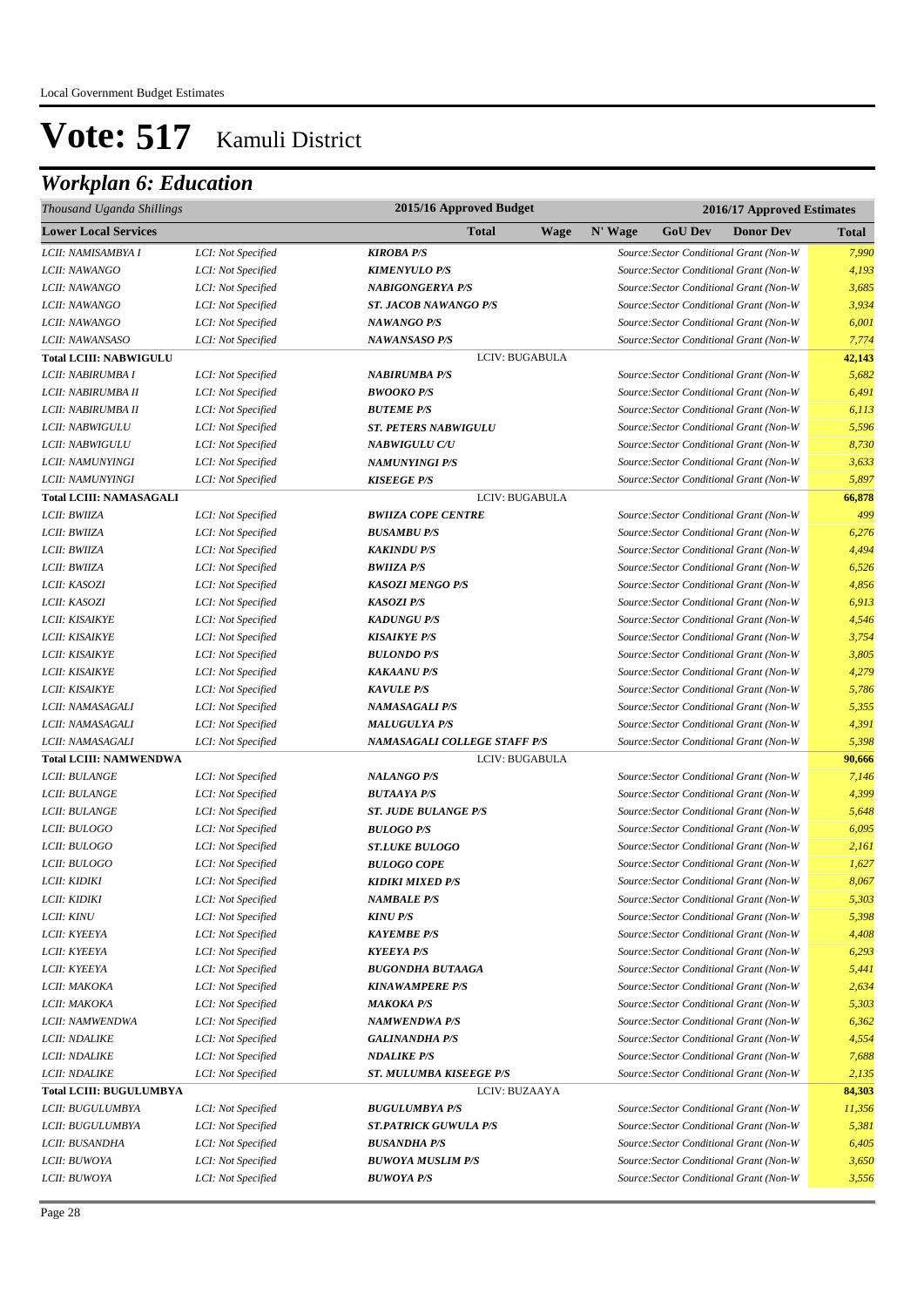| Thousand Uganda Shillings      | 2015/16 Approved Budget<br>2016/17 Approved Estimates |                                |             |         |                |                                         |              |
|--------------------------------|-------------------------------------------------------|--------------------------------|-------------|---------|----------------|-----------------------------------------|--------------|
| <b>Lower Local Services</b>    |                                                       | <b>Total</b>                   | <b>Wage</b> | N' Wage | <b>GoU Dev</b> | <b>Donor Dev</b>                        | <b>Total</b> |
| LCII: NAMISAMBYA I             | LCI: Not Specified                                    | <b>KIROBA P/S</b>              |             |         |                | Source: Sector Conditional Grant (Non-W | 7,990        |
| LCII: NAWANGO                  | LCI: Not Specified                                    | <b>KIMENYULO P/S</b>           |             |         |                | Source: Sector Conditional Grant (Non-W | 4,193        |
| LCII: NAWANGO                  | LCI: Not Specified                                    | <b>NABIGONGERYA P/S</b>        |             |         |                | Source: Sector Conditional Grant (Non-W | 3,685        |
| LCII: NAWANGO                  | LCI: Not Specified                                    | <b>ST. JACOB NAWANGO P/S</b>   |             |         |                | Source: Sector Conditional Grant (Non-W | 3,934        |
| LCII: NAWANGO                  | LCI: Not Specified                                    | <b>NAWANGO P/S</b>             |             |         |                | Source: Sector Conditional Grant (Non-W | 6,001        |
| LCII: NAWANSASO                | LCI: Not Specified                                    | <b>NAWANSASO P/S</b>           |             |         |                | Source: Sector Conditional Grant (Non-W | 7,774        |
| <b>Total LCIII: NABWIGULU</b>  |                                                       | LCIV: BUGABULA                 |             |         |                |                                         | 42,143       |
| LCII: NABIRUMBA I              | LCI: Not Specified                                    | <b>NABIRUMBA P/S</b>           |             |         |                | Source: Sector Conditional Grant (Non-W | 5,682        |
| LCII: NABIRUMBA II             | LCI: Not Specified                                    | <b>BWOOKO P/S</b>              |             |         |                | Source: Sector Conditional Grant (Non-W | 6,491        |
| LCII: NABIRUMBA II             | LCI: Not Specified                                    | <b>BUTEME P/S</b>              |             |         |                | Source: Sector Conditional Grant (Non-W | 6,113        |
| LCII: NABWIGULU                | LCI: Not Specified                                    | <b>ST. PETERS NABWIGULU</b>    |             |         |                | Source: Sector Conditional Grant (Non-W | 5,596        |
| LCII: NABWIGULU                | LCI: Not Specified                                    | <b>NABWIGULU C/U</b>           |             |         |                | Source: Sector Conditional Grant (Non-W | 8,730        |
| LCII: NAMUNYINGI               | LCI: Not Specified                                    | <b>NAMUNYINGI P/S</b>          |             |         |                | Source: Sector Conditional Grant (Non-W | 3,633        |
| LCII: NAMUNYINGI               | LCI: Not Specified                                    | <b>KISEEGE P/S</b>             |             |         |                | Source: Sector Conditional Grant (Non-W | 5,897        |
| <b>Total LCIII: NAMASAGALI</b> |                                                       | LCIV: BUGABULA                 |             |         |                |                                         | 66,878       |
| LCII: BWIIZA                   | LCI: Not Specified                                    | <b>BWIIZA COPE CENTRE</b>      |             |         |                | Source: Sector Conditional Grant (Non-W | 499          |
| LCII: BWIIZA                   | LCI: Not Specified                                    | <b>BUSAMBU P/S</b>             |             |         |                | Source: Sector Conditional Grant (Non-W | 6,276        |
| LCII: BWIIZA                   | LCI: Not Specified                                    | <b>KAKINDU P/S</b>             |             |         |                | Source: Sector Conditional Grant (Non-W | 4,494        |
| LCII: BWIIZA                   | LCI: Not Specified                                    | <b>BWIIZA P/S</b>              |             |         |                | Source: Sector Conditional Grant (Non-W | 6,526        |
| LCII: KASOZI                   | LCI: Not Specified                                    | <b>KASOZI MENGO P/S</b>        |             |         |                | Source: Sector Conditional Grant (Non-W | 4,856        |
| LCII: KASOZI                   | LCI: Not Specified                                    | <b>KASOZI P/S</b>              |             |         |                | Source: Sector Conditional Grant (Non-W | 6,913        |
| <b>LCII: KISAIKYE</b>          | LCI: Not Specified                                    | <b>KADUNGU P/S</b>             |             |         |                | Source: Sector Conditional Grant (Non-W | 4,546        |
| LCII: KISAIKYE                 | LCI: Not Specified                                    | <b>KISAIKYE P/S</b>            |             |         |                | Source: Sector Conditional Grant (Non-W | 3,754        |
| LCII: KISAIKYE                 | LCI: Not Specified                                    | <b>BULONDO P/S</b>             |             |         |                | Source: Sector Conditional Grant (Non-W | 3,805        |
| LCII: KISAIKYE                 | LCI: Not Specified                                    | <b>KAKAANU P/S</b>             |             |         |                | Source: Sector Conditional Grant (Non-W | 4,279        |
| LCII: KISAIKYE                 | LCI: Not Specified                                    | <b>KAVULE P/S</b>              |             |         |                | Source: Sector Conditional Grant (Non-W | 5,786        |
| LCII: NAMASAGALI               | LCI: Not Specified                                    | <b>NAMASAGALI P/S</b>          |             |         |                | Source: Sector Conditional Grant (Non-W | 5,355        |
| LCII: NAMASAGALI               | LCI: Not Specified                                    | <b>MALUGULYA P/S</b>           |             |         |                | Source: Sector Conditional Grant (Non-W | 4,391        |
| LCII: NAMASAGALI               | LCI: Not Specified                                    | NAMASAGALI COLLEGE STAFF P/S   |             |         |                | Source: Sector Conditional Grant (Non-W | 5,398        |
| <b>Total LCIII: NAMWENDWA</b>  |                                                       | LCIV: BUGABULA                 |             |         |                |                                         | 90,666       |
| LCII: BULANGE                  | LCI: Not Specified                                    | <b>NALANGO P/S</b>             |             |         |                | Source: Sector Conditional Grant (Non-W | 7,146        |
| <b>LCII: BULANGE</b>           | LCI: Not Specified                                    | <b>BUTAAYA P/S</b>             |             |         |                | Source: Sector Conditional Grant (Non-W | 4,399        |
| <b>LCII: BULANGE</b>           | LCI: Not Specified                                    | <b>ST. JUDE BULANGE P/S</b>    |             |         |                | Source: Sector Conditional Grant (Non-W | 5,648        |
| LCII: BULOGO                   | LCI: Not Specified                                    | <b>BULOGO P/S</b>              |             |         |                | Source: Sector Conditional Grant (Non-W | 6,095        |
| LCII: BULOGO                   | LCI: Not Specified                                    | <b>ST.LUKE BULOGO</b>          |             |         |                | Source: Sector Conditional Grant (Non-W | 2,161        |
| LCII: BULOGO                   | LCI: Not Specified                                    | <b>BULOGO COPE</b>             |             |         |                | Source: Sector Conditional Grant (Non-W | 1,627        |
| <i>LCII: KIDIKI</i>            | LCI: Not Specified                                    | <b>KIDIKI MIXED P/S</b>        |             |         |                | Source: Sector Conditional Grant (Non-W | 8,067        |
| LCII: KIDIKI                   | LCI: Not Specified                                    | <b>NAMBALE P/S</b>             |             |         |                | Source: Sector Conditional Grant (Non-W | 5,303        |
| <i>LCII: KINU</i>              | LCI: Not Specified                                    | <b>KINU P/S</b>                |             |         |                | Source: Sector Conditional Grant (Non-W | 5,398        |
| LCII: KYEEYA                   | LCI: Not Specified                                    | <b>KAYEMBE P/S</b>             |             |         |                | Source: Sector Conditional Grant (Non-W | 4,408        |
| LCII: KYEEYA                   | LCI: Not Specified                                    | <b>KYEEYA P/S</b>              |             |         |                | Source: Sector Conditional Grant (Non-W | 6,293        |
| LCII: KYEEYA                   | LCI: Not Specified                                    | <b>BUGONDHA BUTAAGA</b>        |             |         |                | Source: Sector Conditional Grant (Non-W | 5,441        |
| LCII: MAKOKA                   | LCI: Not Specified                                    | <b>KINAWAMPERE P/S</b>         |             |         |                | Source: Sector Conditional Grant (Non-W | 2,634        |
| LCII: MAKOKA                   | LCI: Not Specified                                    | <b>MAKOKA P/S</b>              |             |         |                | Source: Sector Conditional Grant (Non-W | 5,303        |
| LCII: NAMWENDWA                | LCI: Not Specified                                    | <b>NAMWENDWA P/S</b>           |             |         |                | Source: Sector Conditional Grant (Non-W | 6,362        |
| <b>LCII: NDALIKE</b>           | LCI: Not Specified                                    | <b>GALINANDHA P/S</b>          |             |         |                | Source: Sector Conditional Grant (Non-W | 4,554        |
| LCII: NDALIKE                  | LCI: Not Specified                                    | <b>NDALIKE P/S</b>             |             |         |                | Source: Sector Conditional Grant (Non-W | 7,688        |
| <b>LCII: NDALIKE</b>           | LCI: Not Specified                                    | <b>ST. MULUMBA KISEEGE P/S</b> |             |         |                | Source: Sector Conditional Grant (Non-W | 2,135        |
| <b>Total LCIII: BUGULUMBYA</b> |                                                       | LCIV: BUZAAYA                  |             |         |                |                                         | 84,303       |
| LCII: BUGULUMBYA               | LCI: Not Specified                                    | <b>BUGULUMBYA P/S</b>          |             |         |                | Source: Sector Conditional Grant (Non-W | 11,356       |
| LCII: BUGULUMBYA               | LCI: Not Specified                                    | <b>ST.PATRICK GUWULA P/S</b>   |             |         |                | Source: Sector Conditional Grant (Non-W | 5,381        |
| LCII: BUSANDHA                 | LCI: Not Specified                                    | <b>BUSANDHA P/S</b>            |             |         |                | Source: Sector Conditional Grant (Non-W | 6,405        |
| LCII: BUWOYA                   | LCI: Not Specified                                    | <b>BUWOYA MUSLIM P/S</b>       |             |         |                | Source: Sector Conditional Grant (Non-W | 3,650        |
| LCII: BUWOYA                   | LCI: Not Specified                                    | <b>BUWOYA P/S</b>              |             |         |                | Source: Sector Conditional Grant (Non-W | 3,556        |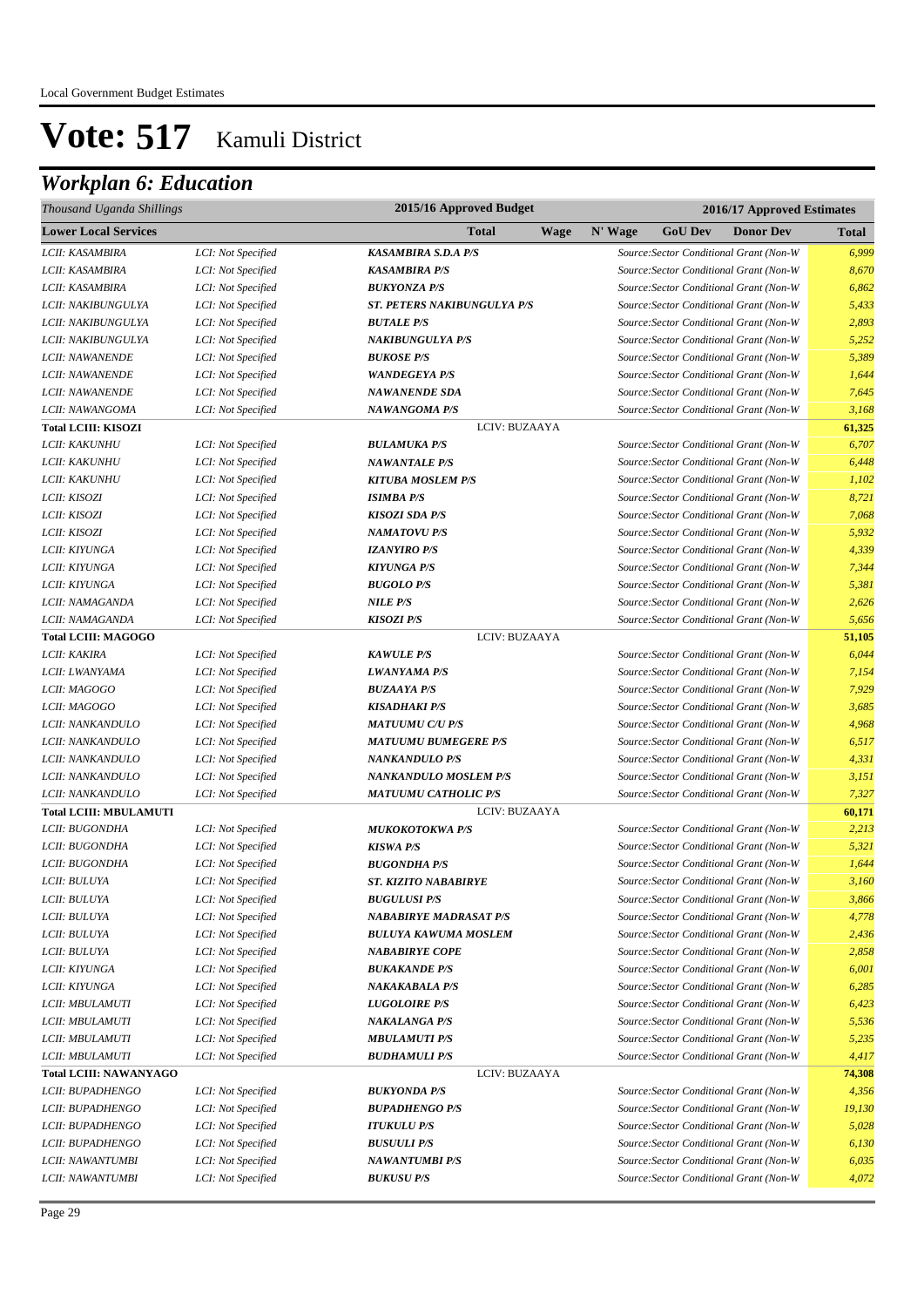| Thousand Uganda Shillings     |                    | 2015/16 Approved Budget       |             | 2016/17 Approved Estimates |                |                                         |              |  |  |
|-------------------------------|--------------------|-------------------------------|-------------|----------------------------|----------------|-----------------------------------------|--------------|--|--|
| <b>Lower Local Services</b>   |                    | Total                         | <b>Wage</b> | N' Wage                    | <b>GoU Dev</b> | <b>Donor Dev</b>                        | <b>Total</b> |  |  |
| LCII: KASAMBIRA               | LCI: Not Specified | <b>KASAMBIRA S.D.A P/S</b>    |             |                            |                | Source: Sector Conditional Grant (Non-W | 6,999        |  |  |
| LCII: KASAMBIRA               | LCI: Not Specified | <b>KASAMBIRA P/S</b>          |             |                            |                | Source: Sector Conditional Grant (Non-W | 8,670        |  |  |
| LCII: KASAMBIRA               | LCI: Not Specified | <b>BUKYONZA P/S</b>           |             |                            |                | Source: Sector Conditional Grant (Non-W | 6,862        |  |  |
| LCII: NAKIBUNGULYA            | LCI: Not Specified | ST. PETERS NAKIBUNGULYA P/S   |             |                            |                | Source: Sector Conditional Grant (Non-W | 5,433        |  |  |
| LCII: NAKIBUNGULYA            | LCI: Not Specified | <b>BUTALE P/S</b>             |             |                            |                | Source: Sector Conditional Grant (Non-W | 2,893        |  |  |
| LCII: NAKIBUNGULYA            | LCI: Not Specified | <b>NAKIBUNGULYA P/S</b>       |             |                            |                | Source: Sector Conditional Grant (Non-W | 5,252        |  |  |
| LCII: NAWANENDE               | LCI: Not Specified | <b>BUKOSE P/S</b>             |             |                            |                | Source: Sector Conditional Grant (Non-W | 5,389        |  |  |
| LCII: NAWANENDE               | LCI: Not Specified | <b>WANDEGEYA P/S</b>          |             |                            |                | Source: Sector Conditional Grant (Non-W | 1,644        |  |  |
| LCII: NAWANENDE               | LCI: Not Specified | <b>NAWANENDE SDA</b>          |             |                            |                | Source: Sector Conditional Grant (Non-W | 7,645        |  |  |
| LCII: NAWANGOMA               | LCI: Not Specified | <b>NAWANGOMA P/S</b>          |             |                            |                | Source: Sector Conditional Grant (Non-W | 3,168        |  |  |
| <b>Total LCIII: KISOZI</b>    |                    | LCIV: BUZAAYA                 |             |                            |                |                                         | 61,325       |  |  |
| LCII: KAKUNHU                 | LCI: Not Specified | <b>BULAMUKA P/S</b>           |             |                            |                | Source: Sector Conditional Grant (Non-W | 6,707        |  |  |
| LCII: KAKUNHU                 | LCI: Not Specified | <b>NAWANTALE P/S</b>          |             |                            |                | Source: Sector Conditional Grant (Non-W | 6,448        |  |  |
| LCII: KAKUNHU                 | LCI: Not Specified | <b>KITUBA MOSLEM P/S</b>      |             |                            |                | Source: Sector Conditional Grant (Non-W | 1,102        |  |  |
| LCII: KISOZI                  | LCI: Not Specified | <b>ISIMBA P/S</b>             |             |                            |                | Source: Sector Conditional Grant (Non-W | 8,721        |  |  |
| LCII: KISOZI                  | LCI: Not Specified | <b>KISOZI SDA P/S</b>         |             |                            |                | Source: Sector Conditional Grant (Non-W | 7,068        |  |  |
| LCII: KISOZI                  | LCI: Not Specified | <b>NAMATOVU P/S</b>           |             |                            |                | Source: Sector Conditional Grant (Non-W | 5,932        |  |  |
| LCII: KIYUNGA                 | LCI: Not Specified | <b>IZANYIRO P/S</b>           |             |                            |                | Source: Sector Conditional Grant (Non-W | 4,339        |  |  |
| LCII: KIYUNGA                 | LCI: Not Specified | <b>KIYUNGA P/S</b>            |             |                            |                | Source: Sector Conditional Grant (Non-W | 7,344        |  |  |
| LCII: KIYUNGA                 | LCI: Not Specified | <b>BUGOLO P/S</b>             |             |                            |                | Source: Sector Conditional Grant (Non-W | 5,381        |  |  |
| LCII: NAMAGANDA               | LCI: Not Specified | <b>NILE P/S</b>               |             |                            |                | Source: Sector Conditional Grant (Non-W | 2,626        |  |  |
| LCII: NAMAGANDA               | LCI: Not Specified | <b>KISOZI P/S</b>             |             |                            |                | Source: Sector Conditional Grant (Non-W | 5,656        |  |  |
| <b>Total LCIII: MAGOGO</b>    |                    | LCIV: BUZAAYA                 |             |                            |                |                                         | 51,105       |  |  |
| LCII: KAKIRA                  | LCI: Not Specified | <b>KAWULE P/S</b>             |             |                            |                | Source: Sector Conditional Grant (Non-W | 6,044        |  |  |
| LCII: LWANYAMA                | LCI: Not Specified | <b>LWANYAMA P/S</b>           |             |                            |                | Source: Sector Conditional Grant (Non-W | 7,154        |  |  |
| LCII: MAGOGO                  | LCI: Not Specified | <b>BUZAAYA P/S</b>            |             |                            |                | Source: Sector Conditional Grant (Non-W | 7,929        |  |  |
| LCII: MAGOGO                  | LCI: Not Specified | <b>KISADHAKI P/S</b>          |             |                            |                | Source: Sector Conditional Grant (Non-W | 3,685        |  |  |
| LCII: NANKANDULO              | LCI: Not Specified | <b>MATUUMU C/U P/S</b>        |             |                            |                | Source: Sector Conditional Grant (Non-W | 4,968        |  |  |
| LCII: NANKANDULO              | LCI: Not Specified | <b>MATUUMU BUMEGERE P/S</b>   |             |                            |                | Source: Sector Conditional Grant (Non-W | 6,517        |  |  |
| LCII: NANKANDULO              | LCI: Not Specified | <b>NANKANDULO P/S</b>         |             |                            |                | Source: Sector Conditional Grant (Non-W | 4,331        |  |  |
| LCII: NANKANDULO              | LCI: Not Specified | <b>NANKANDULO MOSLEM P/S</b>  |             |                            |                | Source: Sector Conditional Grant (Non-W | 3,151        |  |  |
| LCII: NANKANDULO              | LCI: Not Specified | <b>MATUUMU CATHOLIC P/S</b>   |             |                            |                | Source: Sector Conditional Grant (Non-W | 7,327        |  |  |
| <b>Total LCIII: MBULAMUTI</b> |                    | LCIV: BUZAAYA                 |             |                            |                |                                         | 60,171       |  |  |
| LCII: BUGONDHA                | LCI: Not Specified | <b>MUKOKOTOKWA P/S</b>        |             |                            |                | Source: Sector Conditional Grant (Non-W | 2,213        |  |  |
| LCII: BUGONDHA                | LCI: Not Specified | <b>KISWA P/S</b>              |             |                            |                | Source: Sector Conditional Grant (Non-W | 5,321        |  |  |
| LCII: BUGONDHA                | LCI: Not Specified | <b>BUGONDHA P/S</b>           |             |                            |                | Source: Sector Conditional Grant (Non-W | 1,644        |  |  |
| LCII: BULUYA                  | LCI: Not Specified | <b>ST. KIZITO NABABIRYE</b>   |             |                            |                | Source: Sector Conditional Grant (Non-W | 3,160        |  |  |
| LCII: BULUYA                  | LCI: Not Specified | <b>BUGULUSI P/S</b>           |             |                            |                | Source: Sector Conditional Grant (Non-W | 3,866        |  |  |
| LCII: BULUYA                  | LCI: Not Specified | <b>NABABIRYE MADRASAT P/S</b> |             |                            |                | Source: Sector Conditional Grant (Non-W | 4,778        |  |  |
| LCII: BULUYA                  | LCI: Not Specified | <b>BULUYA KAWUMA MOSLEM</b>   |             |                            |                | Source: Sector Conditional Grant (Non-W | 2,436        |  |  |
| LCII: BULUYA                  | LCI: Not Specified | <b>NABABIRYE COPE</b>         |             |                            |                | Source: Sector Conditional Grant (Non-W | 2,858        |  |  |
| LCII: KIYUNGA                 | LCI: Not Specified | <b>BUKAKANDE P/S</b>          |             |                            |                | Source: Sector Conditional Grant (Non-W | 6,001        |  |  |
| LCII: KIYUNGA                 | LCI: Not Specified | <b>NAKAKABALA P/S</b>         |             |                            |                | Source: Sector Conditional Grant (Non-W | 6,285        |  |  |
| LCII: MBULAMUTI               | LCI: Not Specified | <b>LUGOLOIRE P/S</b>          |             |                            |                | Source: Sector Conditional Grant (Non-W | 6,423        |  |  |
| LCII: MBULAMUTI               | LCI: Not Specified | <b>NAKALANGA P/S</b>          |             |                            |                | Source: Sector Conditional Grant (Non-W | 5,536        |  |  |
| LCII: MBULAMUTI               | LCI: Not Specified | <b>MBULAMUTI P/S</b>          |             |                            |                | Source: Sector Conditional Grant (Non-W | 5,235        |  |  |
| LCII: MBULAMUTI               | LCI: Not Specified | <b>BUDHAMULI P/S</b>          |             |                            |                | Source: Sector Conditional Grant (Non-W | 4,417        |  |  |
| <b>Total LCIII: NAWANYAGO</b> |                    | LCIV: BUZAAYA                 |             |                            |                |                                         | 74,308       |  |  |
| LCII: BUPADHENGO              | LCI: Not Specified | <b>BUKYONDA P/S</b>           |             |                            |                | Source: Sector Conditional Grant (Non-W | 4,356        |  |  |
| LCII: BUPADHENGO              | LCI: Not Specified | <b>BUPADHENGO P/S</b>         |             |                            |                | Source: Sector Conditional Grant (Non-W | 19,130       |  |  |
| LCII: BUPADHENGO              | LCI: Not Specified | <b>ITUKULU P/S</b>            |             |                            |                | Source: Sector Conditional Grant (Non-W | 5,028        |  |  |
| LCII: BUPADHENGO              | LCI: Not Specified | <b>BUSUULI P/S</b>            |             |                            |                | Source: Sector Conditional Grant (Non-W | 6,130        |  |  |
| LCII: NAWANTUMBI              | LCI: Not Specified | <b>NAWANTUMBI P/S</b>         |             |                            |                | Source: Sector Conditional Grant (Non-W | 6,035        |  |  |
| LCII: NAWANTUMBI              | LCI: Not Specified | <b>BUKUSU P/S</b>             |             |                            |                | Source: Sector Conditional Grant (Non-W | 4,072        |  |  |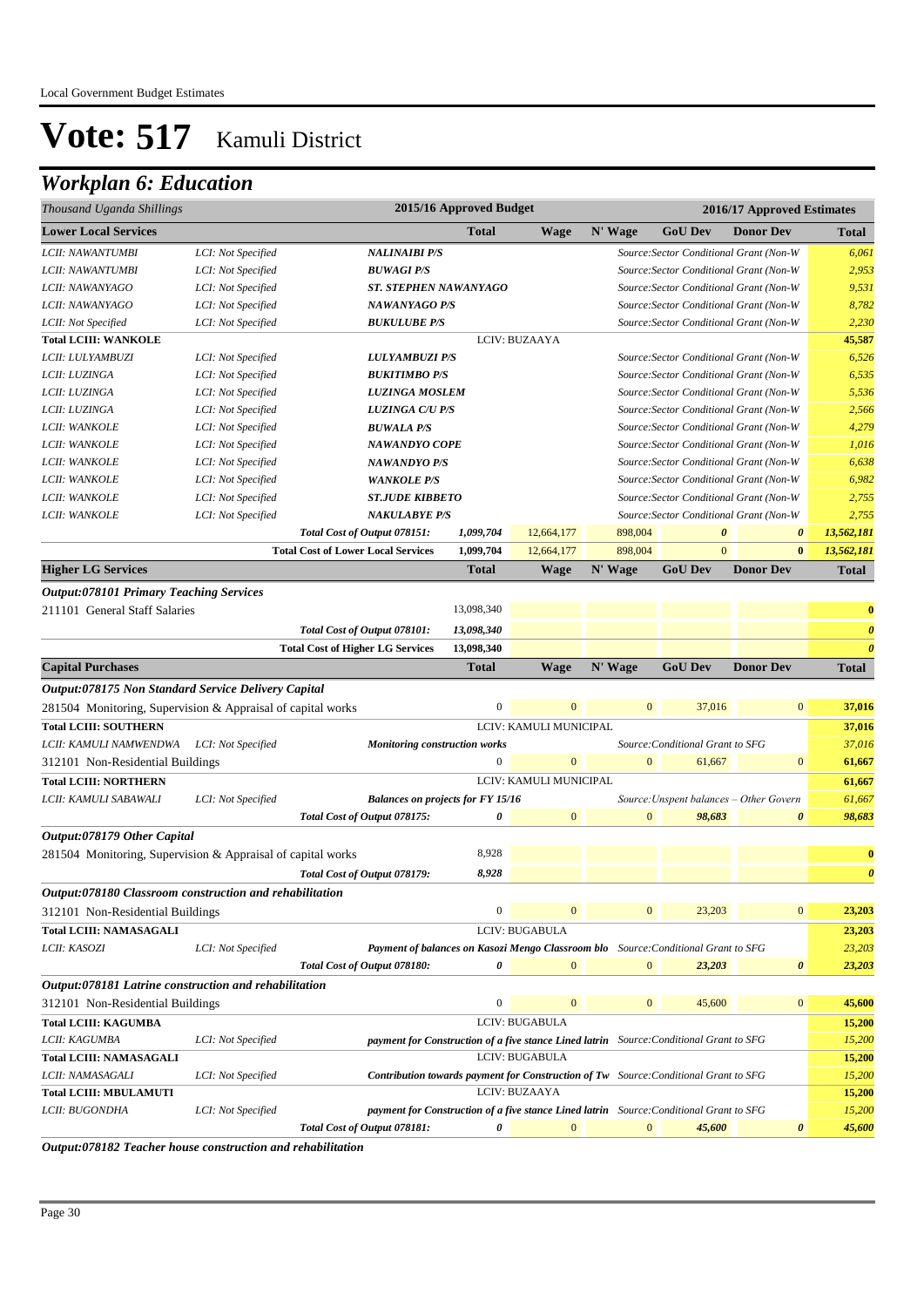## *Workplan 6: Education*

| Thousand Uganda Shillings                                   |                    |                                                                                             | 2015/16 Approved Budget |                        |                |                                         | 2016/17 Approved Estimates              |                       |
|-------------------------------------------------------------|--------------------|---------------------------------------------------------------------------------------------|-------------------------|------------------------|----------------|-----------------------------------------|-----------------------------------------|-----------------------|
| <b>Lower Local Services</b>                                 |                    |                                                                                             | <b>Total</b>            | <b>Wage</b>            | N' Wage        | <b>GoU Dev</b>                          | <b>Donor Dev</b>                        | <b>Total</b>          |
| LCII: NAWANTUMBI                                            | LCI: Not Specified | <b>NALINAIBI P/S</b>                                                                        |                         |                        |                | Source: Sector Conditional Grant (Non-W |                                         | 6,061                 |
| LCII: NAWANTUMBI                                            | LCI: Not Specified | <b>BUWAGI P/S</b>                                                                           |                         |                        |                | Source: Sector Conditional Grant (Non-W |                                         | 2,953                 |
| LCII: NAWANYAGO                                             | LCI: Not Specified | <b>ST. STEPHEN NAWANYAGO</b>                                                                |                         |                        |                | Source: Sector Conditional Grant (Non-W |                                         | 9,531                 |
| LCII: NAWANYAGO                                             | LCI: Not Specified | <b>NAWANYAGO P/S</b>                                                                        |                         |                        |                | Source: Sector Conditional Grant (Non-W |                                         | 8,782                 |
| LCII: Not Specified                                         | LCI: Not Specified | <b>BUKULUBE P/S</b>                                                                         |                         |                        |                | Source: Sector Conditional Grant (Non-W |                                         | 2,230                 |
| <b>Total LCIII: WANKOLE</b>                                 |                    |                                                                                             |                         | LCIV: BUZAAYA          |                |                                         |                                         | 45,587                |
| LCII: LULYAMBUZI                                            | LCI: Not Specified | <b>LULYAMBUZI P/S</b>                                                                       |                         |                        |                | Source: Sector Conditional Grant (Non-W |                                         | 6,526                 |
| LCII: LUZINGA                                               | LCI: Not Specified | <b>BUKITIMBO P/S</b>                                                                        |                         |                        |                | Source: Sector Conditional Grant (Non-W |                                         | 6,535                 |
| LCII: LUZINGA                                               | LCI: Not Specified | <b>LUZINGA MOSLEM</b>                                                                       |                         |                        |                | Source: Sector Conditional Grant (Non-W |                                         | 5,536                 |
| LCII: LUZINGA                                               | LCI: Not Specified | <b>LUZINGA C/U P/S</b>                                                                      |                         |                        |                | Source: Sector Conditional Grant (Non-W |                                         | 2,566                 |
| LCII: WANKOLE                                               | LCI: Not Specified | <b>BUWALA P/S</b>                                                                           |                         |                        |                | Source: Sector Conditional Grant (Non-W |                                         | 4,279                 |
| LCII: WANKOLE                                               | LCI: Not Specified | <b>NAWANDYO COPE</b>                                                                        |                         |                        |                | Source: Sector Conditional Grant (Non-W |                                         | 1,016                 |
| LCII: WANKOLE                                               | LCI: Not Specified | <b>NAWANDYO P/S</b>                                                                         |                         |                        |                | Source: Sector Conditional Grant (Non-W |                                         | 6,638                 |
| LCII: WANKOLE                                               | LCI: Not Specified | <b>WANKOLE P/S</b>                                                                          |                         |                        |                | Source: Sector Conditional Grant (Non-W |                                         | 6,982                 |
| LCII: WANKOLE                                               | LCI: Not Specified | <b>ST.JUDE KIBBETO</b>                                                                      |                         |                        |                | Source: Sector Conditional Grant (Non-W |                                         | 2,755                 |
| LCII: WANKOLE                                               | LCI: Not Specified | <b>NAKULABYE P/S</b>                                                                        |                         |                        |                | Source: Sector Conditional Grant (Non-W |                                         | 2,755                 |
|                                                             |                    | Total Cost of Output 078151:                                                                | 1,099,704               | 12,664,177             | 898,004        | $\boldsymbol{\theta}$                   | $\boldsymbol{\theta}$                   | 13,562,181            |
|                                                             |                    | <b>Total Cost of Lower Local Services</b>                                                   | 1,099,704               | 12,664,177             | 898,004        | $\mathbf{0}$                            | $\bf{0}$                                | 13,562,181            |
| <b>Higher LG Services</b>                                   |                    |                                                                                             | <b>Total</b>            | <b>Wage</b>            | N' Wage        | <b>GoU Dev</b>                          | <b>Donor Dev</b>                        | <b>Total</b>          |
| <b>Output:078101 Primary Teaching Services</b>              |                    |                                                                                             |                         |                        |                |                                         |                                         |                       |
| 211101 General Staff Salaries                               |                    |                                                                                             | 13,098,340              |                        |                |                                         |                                         | $\bf{0}$              |
|                                                             |                    | Total Cost of Output 078101:                                                                | 13,098,340              |                        |                |                                         |                                         | $\boldsymbol{\theta}$ |
|                                                             |                    | <b>Total Cost of Higher LG Services</b>                                                     | 13,098,340              |                        |                |                                         |                                         | $\theta$              |
| <b>Capital Purchases</b>                                    |                    |                                                                                             | <b>Total</b>            | <b>Wage</b>            | N' Wage        | <b>GoU Dev</b>                          | <b>Donor Dev</b>                        | <b>Total</b>          |
| Output:078175 Non Standard Service Delivery Capital         |                    |                                                                                             |                         |                        |                |                                         |                                         |                       |
| 281504 Monitoring, Supervision & Appraisal of capital works |                    |                                                                                             | $\boldsymbol{0}$        | $\mathbf{0}$           | $\mathbf{0}$   | 37,016                                  | $\mathbf{0}$                            | 37,016                |
| <b>Total LCIII: SOUTHERN</b>                                |                    |                                                                                             |                         | LCIV: KAMULI MUNICIPAL |                |                                         |                                         | 37,016                |
| LCII: KAMULI NAMWENDWA LCI: Not Specified                   |                    | <b>Monitoring construction works</b>                                                        |                         |                        |                | Source: Conditional Grant to SFG        |                                         | 37,016                |
| 312101 Non-Residential Buildings                            |                    |                                                                                             | $\mathbf{0}$            | $\mathbf{0}$           | $\mathbf{0}$   | 61,667                                  | $\mathbf{0}$                            | 61,667                |
| <b>Total LCIII: NORTHERN</b>                                |                    |                                                                                             |                         | LCIV: KAMULI MUNICIPAL |                |                                         |                                         | 61,667                |
| LCII: KAMULI SABAWALI                                       | LCI: Not Specified | <b>Balances on projects for FY 15/16</b>                                                    |                         |                        |                |                                         | Source: Unspent balances - Other Govern | 61,667                |
|                                                             |                    | Total Cost of Output 078175:                                                                | 0                       | $\mathbf{0}$           | $\mathbf{0}$   | 98,683                                  | $\boldsymbol{\theta}$                   | 98,683                |
| Output:078179 Other Capital                                 |                    |                                                                                             |                         |                        |                |                                         |                                         |                       |
| 281504 Monitoring, Supervision & Appraisal of capital works |                    |                                                                                             | 8,928                   |                        |                |                                         |                                         | $\bf{0}$              |
|                                                             |                    | Total Cost of Output 078179:                                                                | 8,928                   |                        |                |                                         |                                         | $\boldsymbol{\theta}$ |
| Output:078180 Classroom construction and rehabilitation     |                    |                                                                                             |                         |                        |                |                                         |                                         |                       |
| 312101 Non-Residential Buildings                            |                    |                                                                                             | $\boldsymbol{0}$        | $\mathbf{0}$           | $\mathbf{0}$   | 23,203                                  | $\mathbf{0}$                            | 23,203                |
| <b>Total LCIII: NAMASAGALI</b>                              |                    |                                                                                             |                         | LCIV: BUGABULA         |                |                                         |                                         | 23,203                |
| LCII: KASOZI                                                | LCI: Not Specified | Payment of balances on Kasozi Mengo Classroom blo Source: Conditional Grant to SFG          |                         |                        |                |                                         |                                         | 23,203                |
|                                                             |                    | Total Cost of Output 078180:                                                                | 0                       | $\mathbf{0}$           | $\mathbf{0}$   | 23,203                                  | $\boldsymbol{\theta}$                   | 23,203                |
|                                                             |                    |                                                                                             |                         |                        |                |                                         |                                         |                       |
| Output:078181 Latrine construction and rehabilitation       |                    |                                                                                             | $\boldsymbol{0}$        | $\mathbf{0}$           | $\mathbf{0}$   | 45,600                                  | $\mathbf{0}$                            | 45,600                |
| 312101 Non-Residential Buildings                            |                    |                                                                                             |                         |                        |                |                                         |                                         |                       |
| <b>Total LCIII: KAGUMBA</b>                                 |                    |                                                                                             |                         | LCIV: BUGABULA         |                |                                         |                                         | 15,200                |
| LCII: KAGUMBA                                               | LCI: Not Specified | payment for Construction of a five stance Lined latrin Source: Conditional Grant to SFG     |                         | <b>LCIV: BUGABULA</b>  |                |                                         |                                         | 15,200                |
| Total LCIII: NAMASAGALI                                     |                    |                                                                                             |                         |                        |                |                                         |                                         | 15,200                |
| LCII: NAMASAGALI                                            | LCI: Not Specified | <b>Contribution towards payment for Construction of Tw</b> Source: Conditional Grant to SFG |                         | LCIV: BUZAAYA          |                |                                         |                                         | 15,200                |
| <b>Total LCIII: MBULAMUTI</b><br>LCII: BUGONDHA             | LCI: Not Specified | payment for Construction of a five stance Lined latrin Source: Conditional Grant to SFG     |                         |                        |                |                                         |                                         | 15,200<br>15,200      |
|                                                             |                    | Total Cost of Output 078181:                                                                | 0                       | $\mathbf{0}$           | $\overline{0}$ | 45,600                                  | $\boldsymbol{\theta}$                   | 45,600                |
|                                                             |                    |                                                                                             |                         |                        |                |                                         |                                         |                       |

*Output:078182 Teacher house construction and rehabilitation*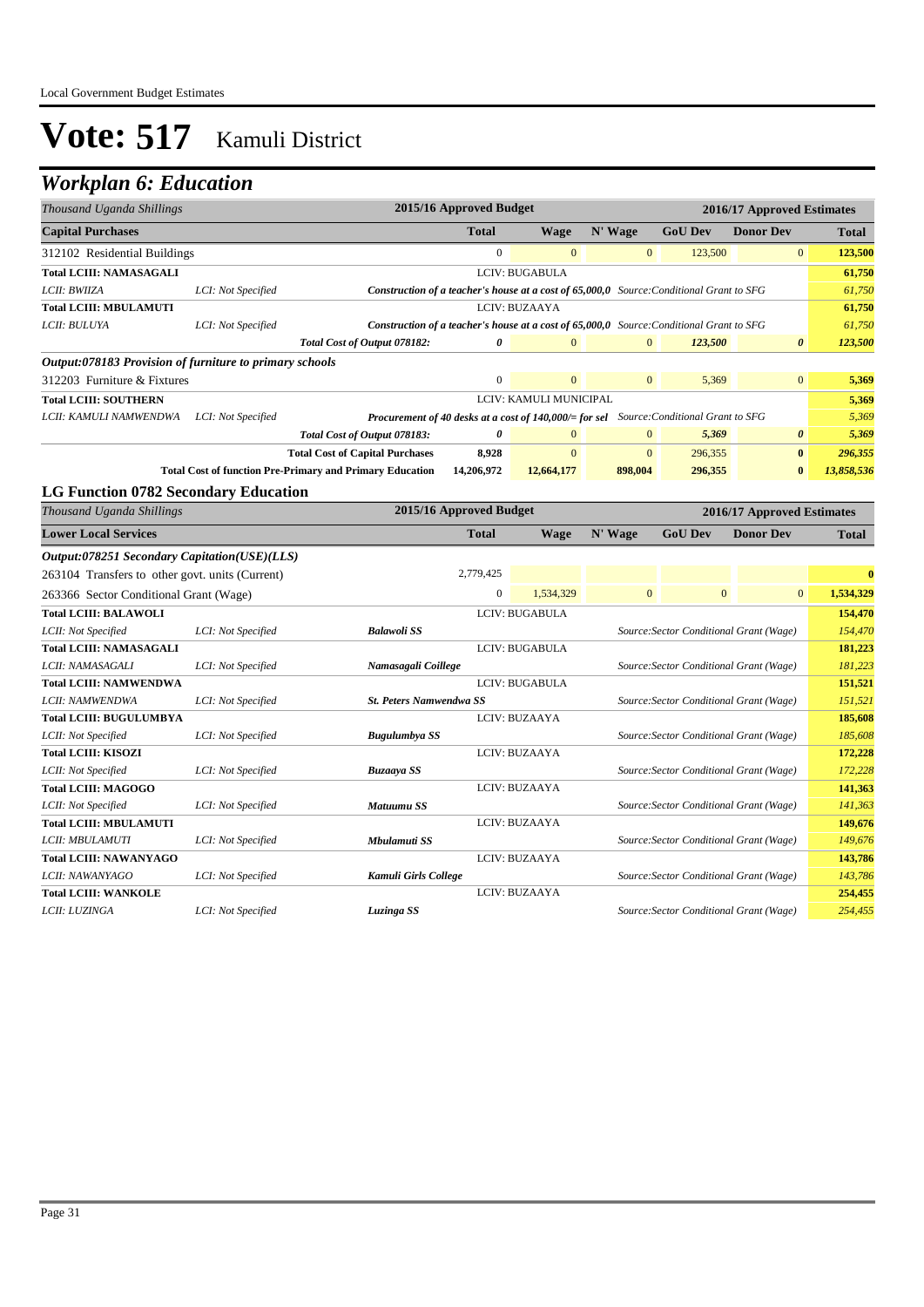| Thousand Uganda Shillings                               |                    |                                                                                                 | 2015/16 Approved Budget |                        |                |                                         | 2016/17 Approved Estimates |              |
|---------------------------------------------------------|--------------------|-------------------------------------------------------------------------------------------------|-------------------------|------------------------|----------------|-----------------------------------------|----------------------------|--------------|
| <b>Capital Purchases</b>                                |                    |                                                                                                 | <b>Total</b>            | <b>Wage</b>            | N' Wage        | <b>GoU Dev</b>                          | <b>Donor Dev</b>           | <b>Total</b> |
| 312102 Residential Buildings                            |                    |                                                                                                 | $\boldsymbol{0}$        | $\mathbf{0}$           | $\mathbf{0}$   | 123,500                                 | $\mathbf{0}$               | 123,500      |
| <b>Total LCIII: NAMASAGALI</b>                          |                    |                                                                                                 |                         | LCIV: BUGABULA         |                |                                         |                            | 61,750       |
| LCII: BWIIZA                                            | LCI: Not Specified | <b>Construction of a teacher's house at a cost of 65,000,0</b> Source: Conditional Grant to SFG |                         |                        |                |                                         |                            | 61,750       |
| <b>Total LCIII: MBULAMUTI</b>                           |                    |                                                                                                 |                         | LCIV: BUZAAYA          |                |                                         |                            | 61,750       |
| LCII: BULUYA                                            | LCI: Not Specified | <b>Construction of a teacher's house at a cost of 65,000,0</b> Source: Conditional Grant to SFG |                         |                        |                |                                         |                            | 61,750       |
|                                                         |                    | Total Cost of Output 078182:                                                                    | 0                       | $\overline{0}$         | $\mathbf{0}$   | 123,500                                 | $\boldsymbol{\theta}$      | 123,500      |
| Output:078183 Provision of furniture to primary schools |                    |                                                                                                 |                         |                        |                |                                         |                            |              |
| 312203 Furniture & Fixtures                             |                    |                                                                                                 | $\boldsymbol{0}$        | $\mathbf{0}$           | $\mathbf{0}$   | 5,369                                   | $\overline{0}$             | 5,369        |
| <b>Total LCIII: SOUTHERN</b>                            |                    |                                                                                                 |                         | LCIV: KAMULI MUNICIPAL |                |                                         |                            | 5,369        |
| LCII: KAMULI NAMWENDWA                                  | LCI: Not Specified | Procurement of 40 desks at a cost of 140,000/= for sel Source: Conditional Grant to SFG         |                         |                        |                |                                         |                            | 5,369        |
|                                                         |                    | Total Cost of Output 078183:                                                                    | $\boldsymbol{\theta}$   | $\overline{0}$         | $\mathbf{0}$   | 5,369                                   | 0                          | 5,369        |
|                                                         |                    | <b>Total Cost of Capital Purchases</b>                                                          | 8,928                   | $\mathbf{0}$           | $\overline{0}$ | 296,355                                 | $\bf{0}$                   | 296,355      |
|                                                         |                    | <b>Total Cost of function Pre-Primary and Primary Education</b>                                 | 14,206,972              | 12,664,177             | 898,004        | 296,355                                 | $\bf{0}$                   | 13,858,536   |
| <b>LG Function 0782 Secondary Education</b>             |                    |                                                                                                 |                         |                        |                |                                         |                            |              |
| Thousand Uganda Shillings                               |                    |                                                                                                 | 2015/16 Approved Budget |                        |                |                                         | 2016/17 Approved Estimates |              |
| <b>Lower Local Services</b>                             |                    |                                                                                                 | <b>Total</b>            | <b>Wage</b>            | N' Wage        | <b>GoU Dev</b>                          | <b>Donor Dev</b>           | <b>Total</b> |
| Output:078251 Secondary Capitation(USE)(LLS)            |                    |                                                                                                 |                         |                        |                |                                         |                            |              |
| 263104 Transfers to other govt. units (Current)         |                    |                                                                                                 | 2,779,425               |                        |                |                                         |                            | $\bf{0}$     |
| 263366 Sector Conditional Grant (Wage)                  |                    |                                                                                                 | $\overline{0}$          | 1,534,329              | $\overline{0}$ | $\mathbf{0}$                            | $\overline{0}$             | 1,534,329    |
| <b>Total LCIII: BALAWOLI</b>                            |                    |                                                                                                 |                         | LCIV: BUGABULA         |                |                                         |                            | 154,470      |
| LCII: Not Specified                                     | LCI: Not Specified | <b>Balawoli SS</b>                                                                              |                         |                        |                | Source: Sector Conditional Grant (Wage) |                            | 154,470      |
| <b>Total LCIII: NAMASAGALI</b>                          |                    |                                                                                                 |                         | LCIV: BUGABULA         |                |                                         |                            | 181,223      |
| LCII: NAMASAGALI                                        | LCI: Not Specified | Namasagali Coillege                                                                             |                         |                        |                | Source: Sector Conditional Grant (Wage) |                            | 181,223      |
| <b>Total LCIII: NAMWENDWA</b>                           |                    |                                                                                                 |                         | <b>LCIV: BUGABULA</b>  |                |                                         |                            | 151,521      |
| LCII: NAMWENDWA                                         | LCI: Not Specified | <b>St. Peters Namwendwa SS</b>                                                                  |                         |                        |                | Source: Sector Conditional Grant (Wage) |                            | 151,521      |
| <b>Total LCIII: BUGULUMBYA</b>                          |                    |                                                                                                 |                         | LCIV: BUZAAYA          |                |                                         |                            | 185,608      |
| LCII: Not Specified                                     | LCI: Not Specified | <b>Bugulumbya SS</b>                                                                            |                         |                        |                | Source: Sector Conditional Grant (Wage) |                            | 185,608      |
| <b>Total LCIII: KISOZI</b>                              |                    |                                                                                                 |                         | LCIV: BUZAAYA          |                |                                         |                            | 172,228      |
| LCII: Not Specified                                     | LCI: Not Specified | <b>Buzaaya SS</b>                                                                               |                         |                        |                | Source: Sector Conditional Grant (Wage) |                            | 172,228      |
| <b>Total LCIII: MAGOGO</b>                              |                    |                                                                                                 |                         | LCIV: BUZAAYA          |                |                                         |                            | 141,363      |
| LCII: Not Specified                                     | LCI: Not Specified | Matuumu SS                                                                                      |                         |                        |                | Source: Sector Conditional Grant (Wage) |                            | 141,363      |
| <b>Total LCIII: MBULAMUTI</b>                           |                    |                                                                                                 |                         | LCIV: BUZAAYA          |                |                                         |                            | 149,676      |
| LCII: MBULAMUTI                                         | LCI: Not Specified | Mbulamuti SS                                                                                    |                         |                        |                | Source: Sector Conditional Grant (Wage) |                            | 149,676      |
| <b>Total LCIII: NAWANYAGO</b>                           |                    |                                                                                                 |                         | LCIV: BUZAAYA          |                |                                         |                            | 143,786      |
| LCII: NAWANYAGO                                         | LCI: Not Specified | Kamuli Girls College                                                                            |                         |                        |                | Source: Sector Conditional Grant (Wage) |                            | 143,786      |
| <b>Total LCIII: WANKOLE</b>                             |                    |                                                                                                 |                         | LCIV: BUZAAYA          |                |                                         |                            | 254,455      |
| LCII: LUZINGA                                           | LCI: Not Specified | Luzinga SS                                                                                      |                         |                        |                | Source: Sector Conditional Grant (Wage) |                            | 254,455      |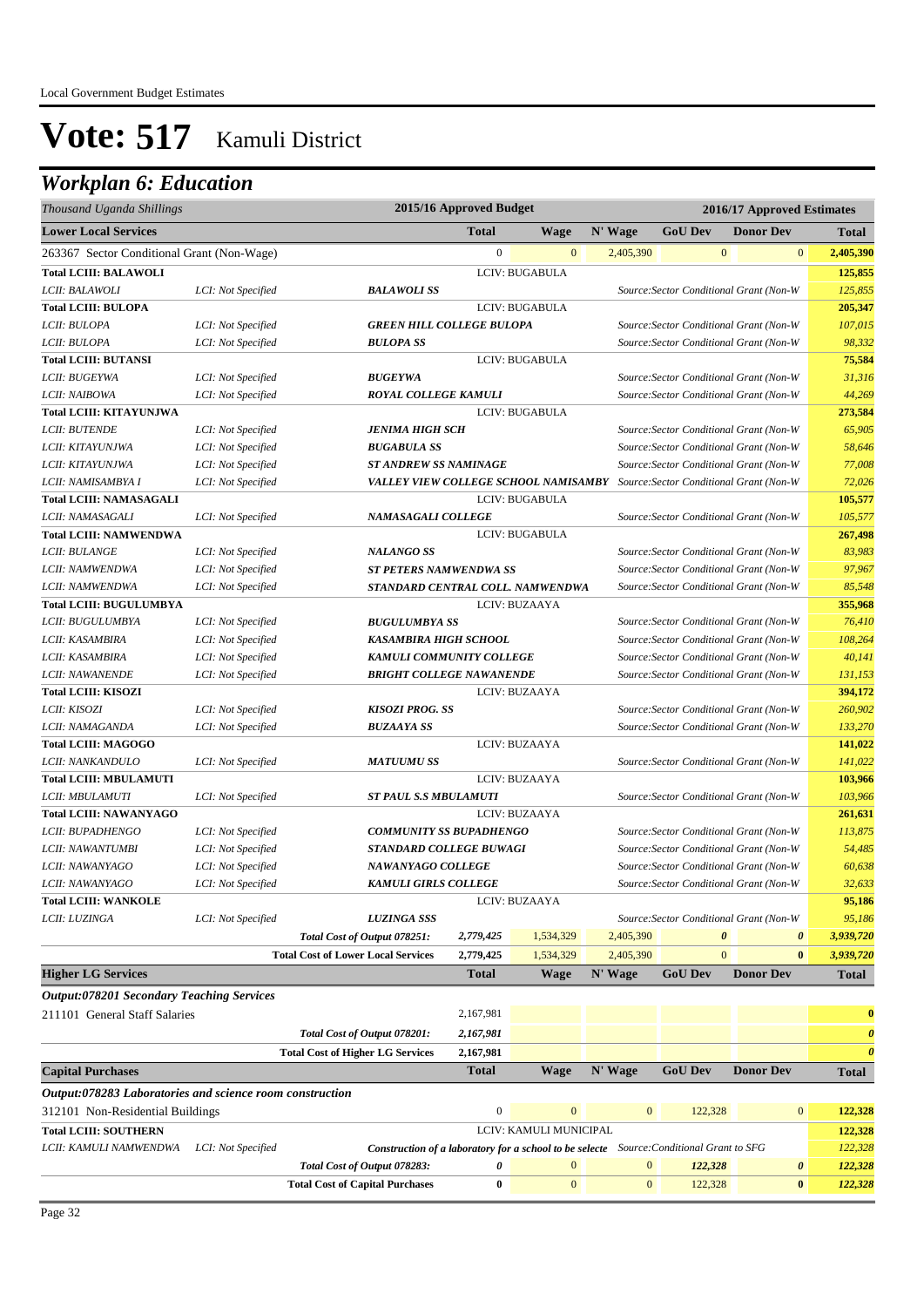| Thousand Uganda Shillings                                |                    |                                                                                          | 2015/16 Approved Budget                                             |                        | 2016/17 Approved Estimates |                                         |                       |                       |                       |
|----------------------------------------------------------|--------------------|------------------------------------------------------------------------------------------|---------------------------------------------------------------------|------------------------|----------------------------|-----------------------------------------|-----------------------|-----------------------|-----------------------|
| <b>Lower Local Services</b>                              |                    |                                                                                          | <b>Total</b>                                                        | <b>Wage</b>            | N' Wage                    | <b>GoU Dev</b>                          |                       | <b>Donor Dev</b>      | <b>Total</b>          |
| 263367 Sector Conditional Grant (Non-Wage)               |                    |                                                                                          | $\boldsymbol{0}$                                                    | $\mathbf{0}$           | 2,405,390                  |                                         | $\mathbf{0}$          | $\mathbf{0}$          | 2,405,390             |
| <b>Total LCIII: BALAWOLI</b>                             |                    |                                                                                          |                                                                     | LCIV: BUGABULA         |                            |                                         |                       |                       | 125,855               |
| LCII: BALAWOLI                                           | LCI: Not Specified | <b>BALAWOLISS</b>                                                                        |                                                                     |                        |                            | Source: Sector Conditional Grant (Non-W |                       |                       | 125,855               |
| <b>Total LCIII: BULOPA</b>                               |                    |                                                                                          |                                                                     | LCIV: BUGABULA         |                            |                                         |                       |                       | 205,347               |
| LCII: BULOPA                                             | LCI: Not Specified | <b>GREEN HILL COLLEGE BULOPA</b>                                                         |                                                                     |                        |                            | Source: Sector Conditional Grant (Non-W |                       |                       | 107,015               |
| LCII: BULOPA                                             | LCI: Not Specified | <b>BULOPA SS</b>                                                                         |                                                                     |                        |                            | Source: Sector Conditional Grant (Non-W |                       |                       | 98,332                |
| <b>Total LCIII: BUTANSI</b>                              |                    |                                                                                          |                                                                     | LCIV: BUGABULA         |                            |                                         |                       |                       | 75,584                |
| LCII: BUGEYWA                                            | LCI: Not Specified | <b>BUGEYWA</b>                                                                           |                                                                     |                        |                            | Source: Sector Conditional Grant (Non-W |                       |                       | 31,316                |
| LCII: NAIBOWA                                            | LCI: Not Specified | <b>ROYAL COLLEGE KAMULI</b>                                                              |                                                                     |                        |                            | Source: Sector Conditional Grant (Non-W |                       |                       | 44,269                |
| <b>Total LCIII: KITAYUNJWA</b>                           |                    |                                                                                          |                                                                     | <b>LCIV: BUGABULA</b>  |                            |                                         |                       |                       | 273,584               |
| <b>LCII: BUTENDE</b>                                     | LCI: Not Specified | <b>JENIMA HIGH SCH</b>                                                                   |                                                                     |                        |                            | Source: Sector Conditional Grant (Non-W |                       |                       | 65,905                |
| LCII: KITAYUNJWA                                         | LCI: Not Specified | <b>BUGABULA SS</b>                                                                       |                                                                     |                        |                            | Source: Sector Conditional Grant (Non-W |                       |                       | 58,646                |
| LCII: KITAYUNJWA                                         | LCI: Not Specified | <b>ST ANDREW SS NAMINAGE</b>                                                             |                                                                     |                        |                            | Source: Sector Conditional Grant (Non-W |                       |                       | 77,008                |
| LCII: NAMISAMBYA I                                       | LCI: Not Specified | VALLEY VIEW COLLEGE SCHOOL NAMISAMBY                                                     |                                                                     |                        |                            | Source: Sector Conditional Grant (Non-W |                       |                       | 72,026                |
| <b>Total LCIII: NAMASAGALI</b>                           |                    |                                                                                          |                                                                     | LCIV: BUGABULA         |                            |                                         |                       |                       | 105,577               |
| LCII: NAMASAGALI                                         | LCI: Not Specified | NAMASAGALI COLLEGE                                                                       |                                                                     |                        |                            | Source: Sector Conditional Grant (Non-W |                       |                       | 105,577               |
| <b>Total LCIII: NAMWENDWA</b>                            |                    |                                                                                          |                                                                     | LCIV: BUGABULA         |                            |                                         |                       |                       | 267,498               |
| LCII: BULANGE                                            | LCI: Not Specified | <b>NALANGO SS</b>                                                                        |                                                                     |                        |                            | Source: Sector Conditional Grant (Non-W |                       |                       | 83,983                |
| LCII: NAMWENDWA                                          | LCI: Not Specified | ST PETERS NAMWENDWA SS                                                                   |                                                                     |                        |                            | Source: Sector Conditional Grant (Non-W |                       |                       | 97,967                |
| LCII: NAMWENDWA                                          | LCI: Not Specified | STANDARD CENTRAL COLL. NAMWENDWA                                                         |                                                                     |                        |                            | Source: Sector Conditional Grant (Non-W |                       |                       | 85,548                |
| <b>Total LCIII: BUGULUMBYA</b>                           |                    |                                                                                          |                                                                     | LCIV: BUZAAYA          |                            |                                         |                       |                       | 355,968               |
| LCII: BUGULUMBYA                                         | LCI: Not Specified | <b>BUGULUMBYA SS</b>                                                                     |                                                                     |                        |                            | Source: Sector Conditional Grant (Non-W |                       |                       | 76,410                |
| LCII: KASAMBIRA                                          | LCI: Not Specified | KASAMBIRA HIGH SCHOOL                                                                    |                                                                     |                        |                            | Source: Sector Conditional Grant (Non-W |                       |                       | 108,264               |
| LCII: KASAMBIRA                                          | LCI: Not Specified |                                                                                          | KAMULI COMMUNITY COLLEGE<br>Source: Sector Conditional Grant (Non-W |                        |                            | 40,141                                  |                       |                       |                       |
| LCII: NAWANENDE                                          | LCI: Not Specified | <b>BRIGHT COLLEGE NAWANENDE</b>                                                          |                                                                     |                        |                            | Source: Sector Conditional Grant (Non-W |                       |                       | 131,153               |
| <b>Total LCIII: KISOZI</b>                               |                    |                                                                                          |                                                                     | LCIV: BUZAAYA          |                            |                                         |                       |                       | 394,172               |
| LCII: KISOZI                                             | LCI: Not Specified | <b>KISOZI PROG. SS</b>                                                                   |                                                                     |                        |                            | Source: Sector Conditional Grant (Non-W |                       |                       | 260,902               |
| LCII: NAMAGANDA                                          | LCI: Not Specified | <b>BUZAAYA SS</b>                                                                        |                                                                     |                        |                            | Source: Sector Conditional Grant (Non-W |                       |                       | 133,270               |
| <b>Total LCIII: MAGOGO</b>                               |                    |                                                                                          |                                                                     | LCIV: BUZAAYA          |                            |                                         |                       |                       | 141,022               |
| LCII: NANKANDULO                                         | LCI: Not Specified | <b>MATUUMU SS</b>                                                                        |                                                                     |                        |                            | Source: Sector Conditional Grant (Non-W |                       |                       | 141,022               |
| <b>Total LCIII: MBULAMUTI</b>                            |                    |                                                                                          |                                                                     | LCIV: BUZAAYA          |                            |                                         |                       |                       | 103,966               |
| LCII: MBULAMUTI                                          | LCI: Not Specified | <b>ST PAUL S.S MBULAMUTI</b>                                                             |                                                                     |                        |                            | Source: Sector Conditional Grant (Non-W |                       |                       | 103,966               |
| <b>Total LCIII: NAWANYAGO</b>                            |                    |                                                                                          |                                                                     | LCIV: BUZAAYA          |                            |                                         |                       |                       | 261,631               |
| LCII: BUPADHENGO                                         | LCI: Not Specified | <b>COMMUNITY SS BUPADHENGO</b>                                                           |                                                                     |                        |                            | Source: Sector Conditional Grant (Non-W |                       |                       | 113,875               |
| LCII: NAWANTUMBI                                         | LCI: Not Specified | STANDARD COLLEGE BUWAGI                                                                  |                                                                     |                        |                            | Source: Sector Conditional Grant (Non-W |                       |                       | 54,485                |
| LCII: NAWANYAGO                                          | LCI: Not Specified | NAWANYAGO COLLEGE                                                                        |                                                                     |                        |                            | Source: Sector Conditional Grant (Non-W |                       |                       | 60,638                |
| LCII: NAWANYAGO                                          | LCI: Not Specified | <b>KAMULI GIRLS COLLEGE</b>                                                              |                                                                     |                        |                            | Source: Sector Conditional Grant (Non-W |                       |                       | 32,633                |
| <b>Total LCIII: WANKOLE</b>                              |                    |                                                                                          |                                                                     | LCIV: BUZAAYA          |                            |                                         |                       |                       | 95,186                |
| LCII: LUZINGA                                            | LCI: Not Specified | <b>LUZINGA SSS</b>                                                                       |                                                                     |                        |                            | Source: Sector Conditional Grant (Non-W |                       |                       | 95,186                |
|                                                          |                    | Total Cost of Output 078251:                                                             | 2,779,425                                                           | 1,534,329              | 2,405,390                  |                                         | $\boldsymbol{\theta}$ | $\boldsymbol{\theta}$ | 3,939,720             |
|                                                          |                    | <b>Total Cost of Lower Local Services</b>                                                | 2,779,425                                                           | 1,534,329              | 2,405,390                  |                                         | $\mathbf{0}$          | $\bf{0}$              | 3,939,720             |
| <b>Higher LG Services</b>                                |                    |                                                                                          | <b>Total</b>                                                        | <b>Wage</b>            | N' Wage                    | <b>GoU Dev</b>                          |                       | <b>Donor Dev</b>      | <b>Total</b>          |
| <b>Output:078201 Secondary Teaching Services</b>         |                    |                                                                                          |                                                                     |                        |                            |                                         |                       |                       |                       |
| 211101 General Staff Salaries                            |                    |                                                                                          | 2,167,981                                                           |                        |                            |                                         |                       |                       | $\bf{0}$              |
|                                                          |                    | Total Cost of Output 078201:                                                             | 2,167,981                                                           |                        |                            |                                         |                       |                       | $\boldsymbol{\theta}$ |
|                                                          |                    | <b>Total Cost of Higher LG Services</b>                                                  | 2,167,981                                                           |                        |                            |                                         |                       |                       | $\boldsymbol{\theta}$ |
| <b>Capital Purchases</b>                                 |                    |                                                                                          | <b>Total</b>                                                        | <b>Wage</b>            | N' Wage                    | <b>GoU Dev</b>                          |                       | <b>Donor Dev</b>      | <b>Total</b>          |
|                                                          |                    |                                                                                          |                                                                     |                        |                            |                                         |                       |                       |                       |
| Output:078283 Laboratories and science room construction |                    |                                                                                          | $\boldsymbol{0}$                                                    | $\mathbf{0}$           | $\boldsymbol{0}$           | 122,328                                 |                       | $\bf{0}$              |                       |
| 312101 Non-Residential Buildings                         |                    |                                                                                          |                                                                     |                        |                            |                                         |                       |                       | 122,328               |
| <b>Total LCIII: SOUTHERN</b>                             |                    |                                                                                          |                                                                     | LCIV: KAMULI MUNICIPAL |                            |                                         |                       |                       | 122,328               |
| LCII: KAMULI NAMWENDWA                                   | LCI: Not Specified | Construction of a laboratory for a school to be selecte Source: Conditional Grant to SFG |                                                                     |                        |                            |                                         |                       |                       | 122,328               |
|                                                          |                    | Total Cost of Output 078283:                                                             | 0                                                                   | $\overline{0}$         | $\mathbf{0}$               | 122,328                                 |                       | $\boldsymbol{\theta}$ | 122,328               |
|                                                          |                    | <b>Total Cost of Capital Purchases</b>                                                   | $\bf{0}$                                                            | $\mathbf{0}$           | $\mathbf{0}$               | 122,328                                 |                       | $\bf{0}$              | 122,328               |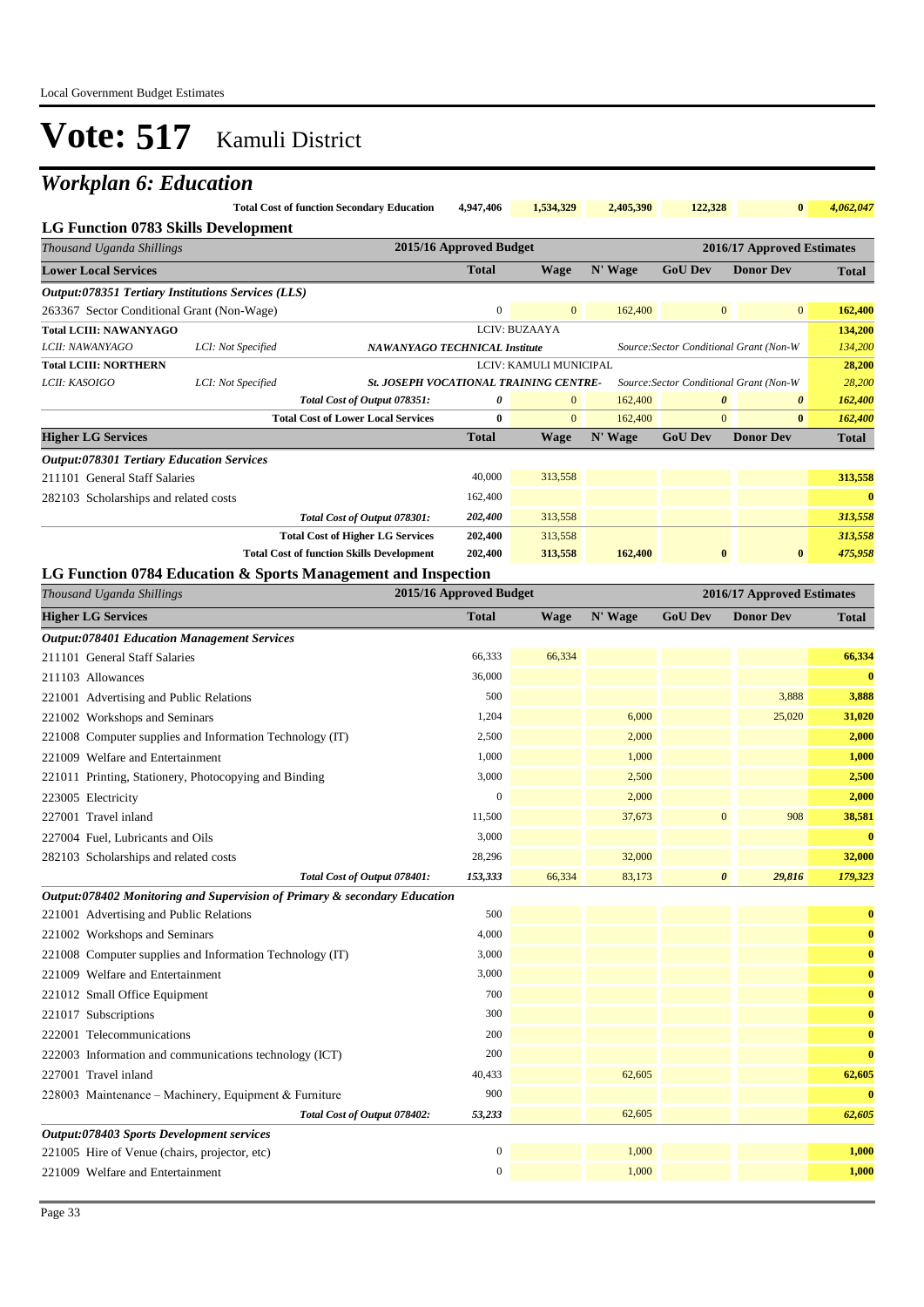## *Workplan 6: Education*

|                                            | Total Cost of function Secondary Education 4,947,406 1,534,329 |  | 2.405.390 | 122.328 | $\mathbf{0}$ | 4.062.047 |
|--------------------------------------------|----------------------------------------------------------------|--|-----------|---------|--------------|-----------|
| <b>LG Function 0783 Skills Development</b> |                                                                |  |           |         |              |           |

| LG F unchon 0703 SKMS Development                      |                                                           |                                                                                          |                         |                |         |                       |                                         |              |
|--------------------------------------------------------|-----------------------------------------------------------|------------------------------------------------------------------------------------------|-------------------------|----------------|---------|-----------------------|-----------------------------------------|--------------|
| Thousand Uganda Shillings                              |                                                           |                                                                                          | 2015/16 Approved Budget |                |         |                       | 2016/17 Approved Estimates              |              |
| <b>Lower Local Services</b>                            |                                                           |                                                                                          | <b>Total</b>            | <b>Wage</b>    | N' Wage | <b>GoU Dev</b>        | <b>Donor Dev</b>                        | <b>Total</b> |
|                                                        | <b>Output:078351 Tertiary Institutions Services (LLS)</b> |                                                                                          |                         |                |         |                       |                                         |              |
| 263367 Sector Conditional Grant (Non-Wage)             |                                                           |                                                                                          | $\mathbf{0}$            | $\overline{0}$ | 162,400 | $\overline{0}$        | $\overline{0}$                          | 162,400      |
| <b>Total LCIII: NAWANYAGO</b>                          |                                                           |                                                                                          | LCIV: BUZAAYA           |                |         |                       |                                         | 134,200      |
| LCII: NAWANYAGO                                        | LCI: Not Specified                                        | <b>NAWANYAGO TECHNICAL Institute</b>                                                     |                         |                |         |                       | Source: Sector Conditional Grant (Non-W | 134,200      |
| <b>Total LCIII: NORTHERN</b><br>LCIV: KAMULI MUNICIPAL |                                                           |                                                                                          |                         | 28,200         |         |                       |                                         |              |
| LCII: KASOIGO                                          | LCI: Not Specified                                        | <b>St. JOSEPH VOCATIONAL TRAINING CENTRE-</b><br>Source: Sector Conditional Grant (Non-W |                         |                |         |                       | 28,200                                  |              |
|                                                        |                                                           | Total Cost of Output 078351:                                                             | 0                       | $\overline{0}$ | 162,400 | $\boldsymbol{\theta}$ | $\boldsymbol{\theta}$                   | 162,400      |
|                                                        |                                                           | <b>Total Cost of Lower Local Services</b>                                                | $\mathbf{0}$            | $\overline{0}$ | 162,400 | $\overline{0}$        | $\bf{0}$                                | 162,400      |
| <b>Higher LG Services</b>                              |                                                           |                                                                                          | <b>Total</b>            | Wage           | N' Wage | <b>GoU Dev</b>        | <b>Donor Dev</b>                        | <b>Total</b> |
| <b>Output:078301 Tertiary Education Services</b>       |                                                           |                                                                                          |                         |                |         |                       |                                         |              |
| 211101 General Staff Salaries                          |                                                           |                                                                                          | 40,000                  | 313,558        |         |                       |                                         | 313,558      |
| 282103 Scholarships and related costs                  |                                                           |                                                                                          | 162,400                 |                |         |                       |                                         | $\mathbf{0}$ |
|                                                        |                                                           | Total Cost of Output 078301:                                                             | 202,400                 | 313,558        |         |                       |                                         | 313,558      |
|                                                        |                                                           | <b>Total Cost of Higher LG Services</b>                                                  | 202,400                 | 313,558        |         |                       |                                         | 313,558      |
|                                                        |                                                           | <b>Total Cost of function Skills Development</b>                                         | 202,400                 | 313,558        | 162,400 | $\mathbf{0}$          | $\bf{0}$                                | 475,958      |

#### **LG Function 0784 Education & Sports Management and Inspection**

| Thousand Uganda Shillings                                                 | 2015/16 Approved Budget |             | 2016/17 Approved Estimates |                       |                  |              |
|---------------------------------------------------------------------------|-------------------------|-------------|----------------------------|-----------------------|------------------|--------------|
| <b>Higher LG Services</b>                                                 | <b>Total</b>            | <b>Wage</b> | N' Wage                    | <b>GoU Dev</b>        | <b>Donor Dev</b> | <b>Total</b> |
| <b>Output:078401 Education Management Services</b>                        |                         |             |                            |                       |                  |              |
| 211101 General Staff Salaries                                             | 66,333                  | 66,334      |                            |                       |                  | 66,334       |
| 211103 Allowances                                                         | 36,000                  |             |                            |                       |                  | $\mathbf{0}$ |
| 221001 Advertising and Public Relations                                   | 500                     |             |                            |                       | 3,888            | 3,888        |
| 221002 Workshops and Seminars                                             | 1,204                   |             | 6,000                      |                       | 25,020           | 31,020       |
| 221008 Computer supplies and Information Technology (IT)                  | 2,500                   |             | 2,000                      |                       |                  | 2,000        |
| 221009 Welfare and Entertainment                                          | 1,000                   |             | 1,000                      |                       |                  | 1,000        |
| 221011 Printing, Stationery, Photocopying and Binding                     | 3,000                   |             | 2,500                      |                       |                  | 2,500        |
| 223005 Electricity                                                        | $\mathbf{0}$            |             | 2,000                      |                       |                  | 2,000        |
| 227001 Travel inland                                                      | 11,500                  |             | 37,673                     | $\overline{0}$        | 908              | 38,581       |
| 227004 Fuel, Lubricants and Oils                                          | 3,000                   |             |                            |                       |                  | $\bf{0}$     |
| 282103 Scholarships and related costs                                     | 28,296                  |             | 32,000                     |                       |                  | 32,000       |
| Total Cost of Output 078401:                                              | 153,333                 | 66,334      | 83,173                     | $\boldsymbol{\theta}$ | 29,816           | 179,323      |
| Output:078402 Monitoring and Supervision of Primary & secondary Education |                         |             |                            |                       |                  |              |
| 221001 Advertising and Public Relations                                   | 500                     |             |                            |                       |                  | $\bf{0}$     |
| 221002 Workshops and Seminars                                             | 4,000                   |             |                            |                       |                  | $\bf{0}$     |
| 221008 Computer supplies and Information Technology (IT)                  | 3,000                   |             |                            |                       |                  | $\bf{0}$     |
| 221009 Welfare and Entertainment                                          | 3,000                   |             |                            |                       |                  | $\bf{0}$     |
| 221012 Small Office Equipment                                             | 700                     |             |                            |                       |                  | $\bf{0}$     |
| 221017 Subscriptions                                                      | 300                     |             |                            |                       |                  | $\bf{0}$     |
| 222001 Telecommunications                                                 | 200                     |             |                            |                       |                  | $\bf{0}$     |
| 222003 Information and communications technology (ICT)                    | 200                     |             |                            |                       |                  | $\bf{0}$     |
| 227001 Travel inland                                                      | 40,433                  |             | 62,605                     |                       |                  | 62,605       |
| 228003 Maintenance – Machinery, Equipment & Furniture                     | 900                     |             |                            |                       |                  | $\bf{0}$     |
| Total Cost of Output 078402:                                              | 53,233                  |             | 62,605                     |                       |                  | 62,605       |
| Output:078403 Sports Development services                                 |                         |             |                            |                       |                  |              |
| 221005 Hire of Venue (chairs, projector, etc)                             | $\boldsymbol{0}$        |             | 1,000                      |                       |                  | 1,000        |
| 221009 Welfare and Entertainment                                          | $\boldsymbol{0}$        |             | 1,000                      |                       |                  | 1,000        |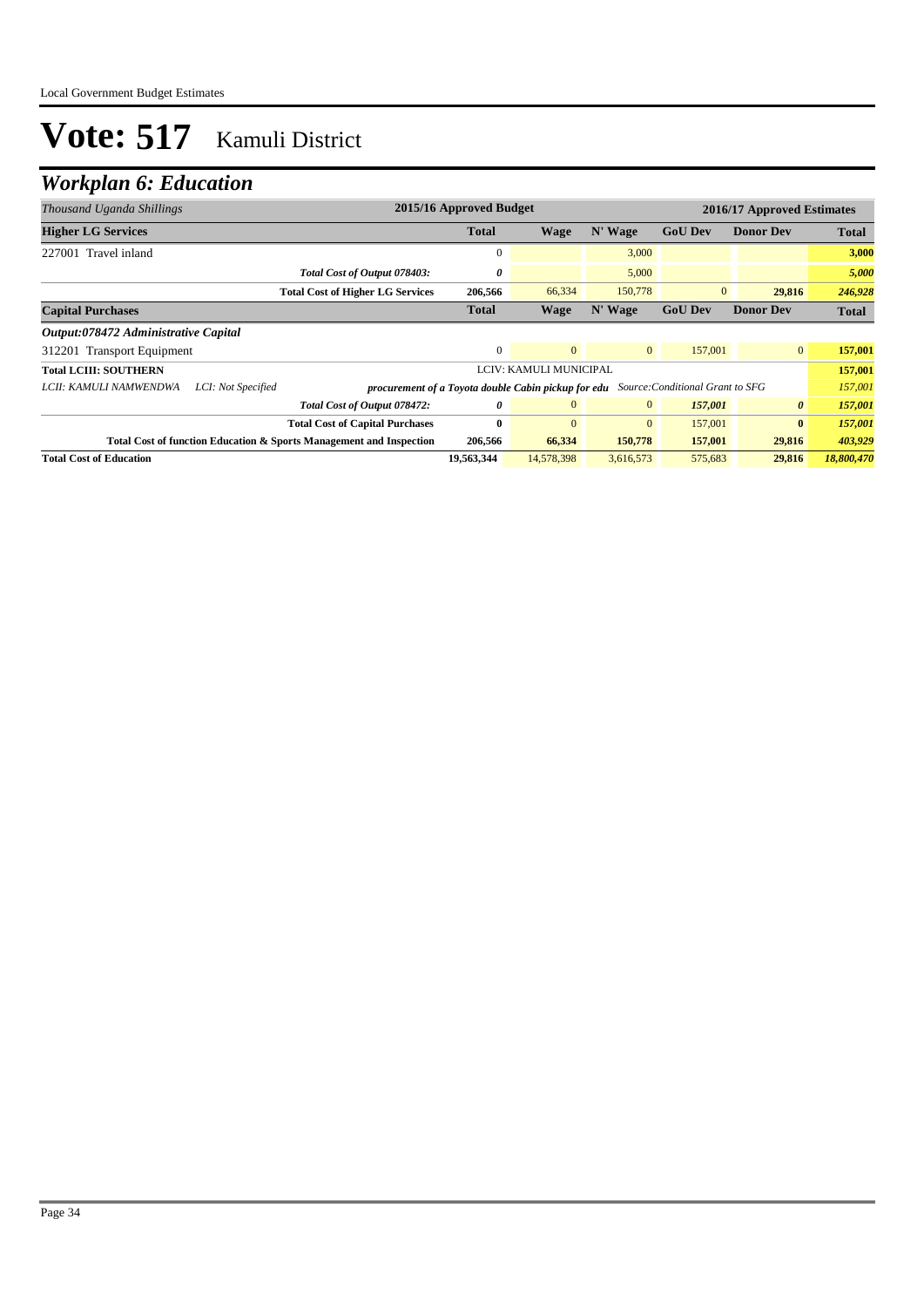| Thousand Uganda Shillings            |                    |                                                                                             | 2015/16 Approved Budget |                        |                |                | 2016/17 Approved Estimates |              |
|--------------------------------------|--------------------|---------------------------------------------------------------------------------------------|-------------------------|------------------------|----------------|----------------|----------------------------|--------------|
| <b>Higher LG Services</b>            |                    |                                                                                             | <b>Total</b>            | <b>Wage</b>            | N' Wage        | <b>GoU Dev</b> | <b>Donor Dev</b>           | <b>Total</b> |
| 227001 Travel inland                 |                    |                                                                                             | 0                       |                        | 3,000          |                |                            | 3,000        |
|                                      |                    | Total Cost of Output 078403:                                                                | 0                       |                        | 5,000          |                |                            | 5,000        |
|                                      |                    | <b>Total Cost of Higher LG Services</b>                                                     | 206,566                 | 66,334                 | 150,778        | $\overline{0}$ | 29,816                     | 246,928      |
| <b>Capital Purchases</b>             |                    |                                                                                             | <b>Total</b>            | <b>Wage</b>            | N' Wage        | <b>GoU Dev</b> | <b>Donor Dev</b>           | <b>Total</b> |
| Output:078472 Administrative Capital |                    |                                                                                             |                         |                        |                |                |                            |              |
| 312201 Transport Equipment           |                    |                                                                                             | $\mathbf{0}$            | $\overline{0}$         | $\overline{0}$ | 157,001        | $\mathbf{0}$               | 157,001      |
| <b>Total LCIII: SOUTHERN</b>         |                    |                                                                                             |                         | LCIV: KAMULI MUNICIPAL |                |                |                            | 157,001      |
| LCII: KAMULI NAMWENDWA               | LCI: Not Specified | <b>procurement of a Toyota double Cabin pickup for edu</b> Source: Conditional Grant to SFG |                         |                        |                |                |                            | 157,001      |
|                                      |                    | Total Cost of Output 078472:                                                                | 0                       | $\overline{0}$         | $\overline{0}$ | 157,001        | $\boldsymbol{\theta}$      | 157,001      |
|                                      |                    | <b>Total Cost of Capital Purchases</b>                                                      | $\mathbf{0}$            | $\overline{0}$         | $\overline{0}$ | 157,001        | $\bf{0}$                   | 157,001      |
|                                      |                    | <b>Total Cost of function Education &amp; Sports Management and Inspection</b>              | 206,566                 | 66,334                 | 150,778        | 157,001        | 29,816                     | 403,929      |
| <b>Total Cost of Education</b>       |                    |                                                                                             | 19,563,344              | 14,578,398             | 3,616,573      | 575,683        | 29,816                     | 18,800,470   |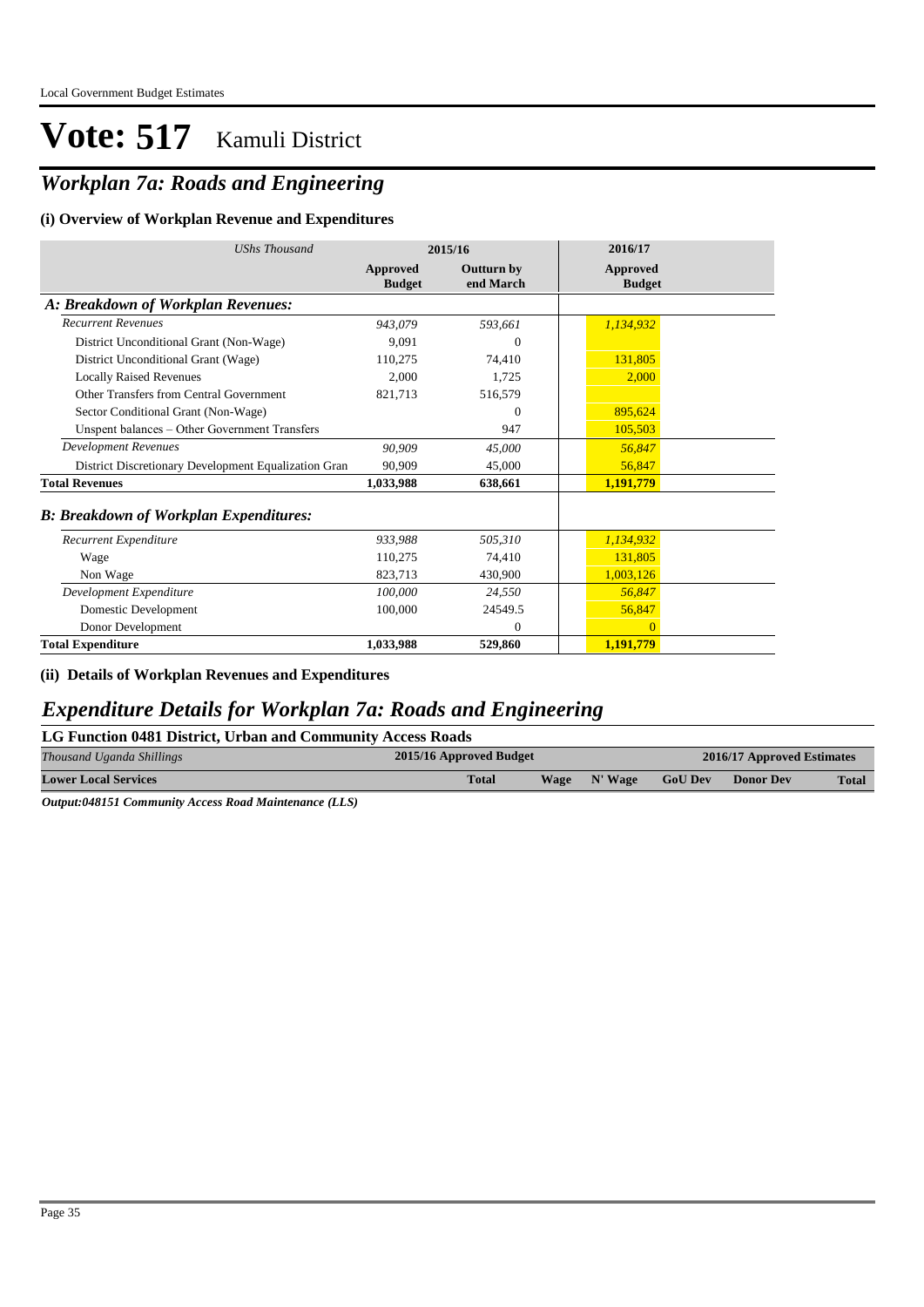### *Workplan 7a: Roads and Engineering*

#### **(i) Overview of Workplan Revenue and Expenditures**

| <b>UShs Thousand</b>                                 |                           | 2015/16                        | 2016/17                          |
|------------------------------------------------------|---------------------------|--------------------------------|----------------------------------|
|                                                      | Approved<br><b>Budget</b> | <b>Outturn by</b><br>end March | <b>Approved</b><br><b>Budget</b> |
| A: Breakdown of Workplan Revenues:                   |                           |                                |                                  |
| <b>Recurrent Revenues</b>                            | 943,079                   | 593,661                        | 1,134,932                        |
| District Unconditional Grant (Non-Wage)              | 9.091                     | $\Omega$                       |                                  |
| District Unconditional Grant (Wage)                  | 110,275                   | 74,410                         | 131,805                          |
| <b>Locally Raised Revenues</b>                       | 2.000                     | 1,725                          | 2,000                            |
| Other Transfers from Central Government              | 821,713                   | 516,579                        |                                  |
| Sector Conditional Grant (Non-Wage)                  |                           | $\Omega$                       | 895,624                          |
| Unspent balances - Other Government Transfers        |                           | 947                            | 105,503                          |
| <b>Development Revenues</b>                          | 90.909                    | 45,000                         | 56,847                           |
| District Discretionary Development Equalization Gran | 90.909                    | 45,000                         | 56,847                           |
| <b>Total Revenues</b>                                | 1,033,988                 | 638,661                        | 1,191,779                        |
| <b>B: Breakdown of Workplan Expenditures:</b>        |                           |                                |                                  |
| Recurrent Expenditure                                | 933,988                   | 505,310                        | 1,134,932                        |
| Wage                                                 | 110,275                   | 74,410                         | 131,805                          |
| Non Wage                                             | 823,713                   | 430,900                        | 1,003,126                        |
| Development Expenditure                              | 100,000                   | 24,550                         | 56,847                           |
| Domestic Development                                 | 100,000                   | 24549.5                        | 56,847                           |
| Donor Development                                    |                           | $\Omega$                       | $\Omega$                         |
| <b>Total Expenditure</b>                             | 1,033,988                 | 529,860                        | 1,191,779                        |

**(ii) Details of Workplan Revenues and Expenditures**

### *Expenditure Details for Workplan 7a: Roads and Engineering*

| LG Function 0481 District, Urban and Community Access Roads |
|-------------------------------------------------------------|
|-------------------------------------------------------------|

| Thousand Uganda Shillings   | 2015/16 Approved Budget | 2016/17 Approved Estimates |         |                |                  |              |
|-----------------------------|-------------------------|----------------------------|---------|----------------|------------------|--------------|
| <b>Lower Local Services</b> | <b>Total</b>            | <b>Wage</b>                | N' Wage | <b>GoU Dev</b> | <b>Donor Dev</b> | <b>Total</b> |

*Output:048151 Community Access Road Maintenance (LLS)*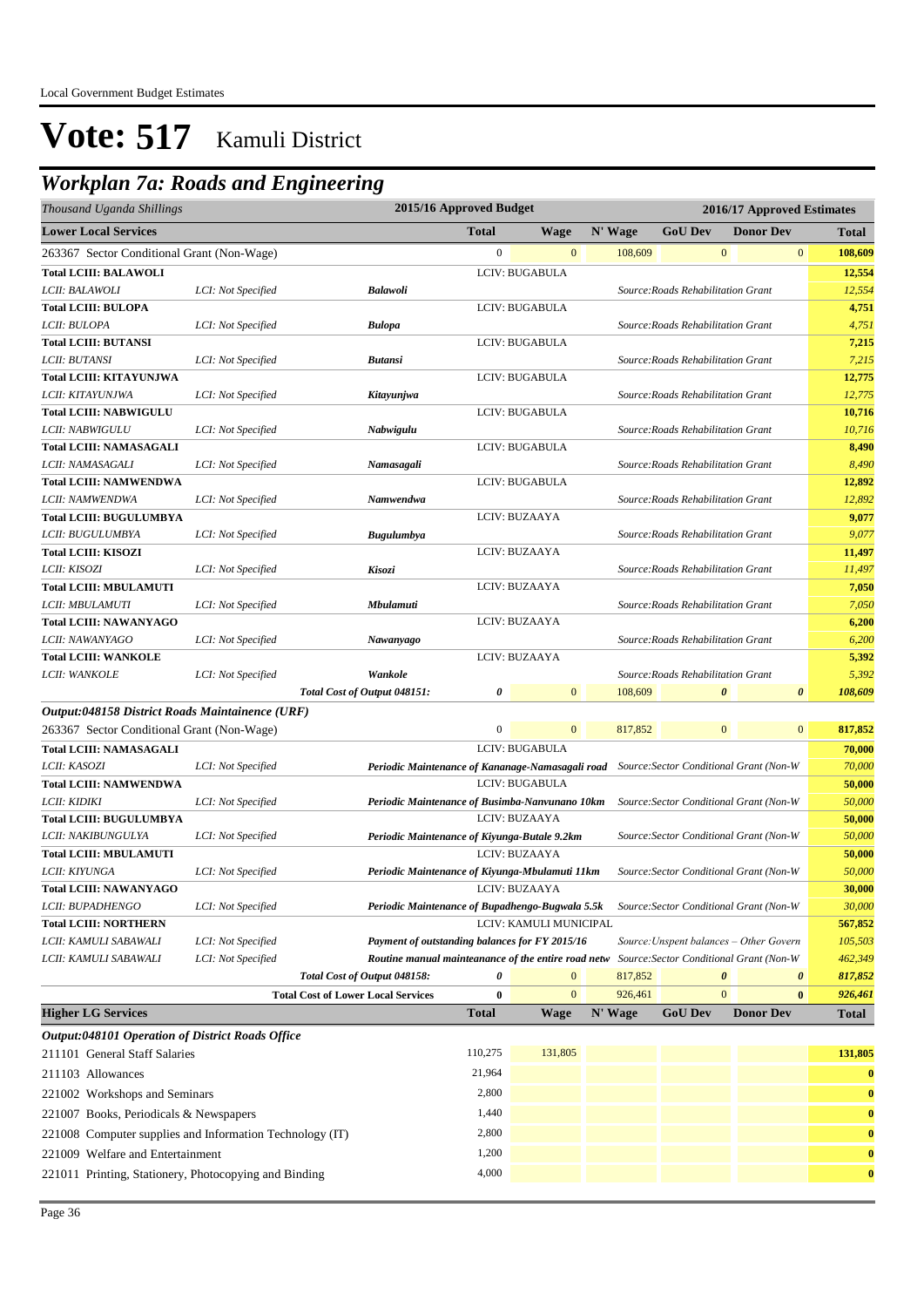### *Workplan 7a: Roads and Engineering*

| Thousand Uganda Shillings                             |                                                          | 2015/16 Approved Budget<br>2016/17 Approved Estimates                                    |                  |                        |         |                                         |                |                  |                |              |
|-------------------------------------------------------|----------------------------------------------------------|------------------------------------------------------------------------------------------|------------------|------------------------|---------|-----------------------------------------|----------------|------------------|----------------|--------------|
| <b>Lower Local Services</b>                           |                                                          |                                                                                          | <b>Total</b>     | Wage                   | N' Wage | <b>GoU Dev</b>                          |                | <b>Donor Dev</b> |                | <b>Total</b> |
| 263367 Sector Conditional Grant (Non-Wage)            |                                                          |                                                                                          | $\boldsymbol{0}$ | $\mathbf{0}$           | 108,609 |                                         | $\mathbf{0}$   |                  | $\mathbf{0}$   | 108,609      |
| <b>Total LCIII: BALAWOLI</b>                          |                                                          |                                                                                          |                  | LCIV: BUGABULA         |         |                                         |                |                  |                | 12,554       |
| LCII: BALAWOLI                                        | LCI: Not Specified                                       | <b>Balawoli</b>                                                                          |                  |                        |         | Source: Roads Rehabilitation Grant      |                |                  |                | 12,554       |
| <b>Total LCIII: BULOPA</b>                            |                                                          |                                                                                          |                  | LCIV: BUGABULA         |         |                                         |                |                  |                | 4,751        |
| LCII: BULOPA                                          | LCI: Not Specified                                       | <b>Bulopa</b>                                                                            |                  |                        |         | Source: Roads Rehabilitation Grant      |                |                  |                | 4,751        |
| <b>Total LCIII: BUTANSI</b>                           |                                                          |                                                                                          |                  | LCIV: BUGABULA         |         |                                         |                |                  |                | 7,215        |
| LCII: BUTANSI                                         | LCI: Not Specified                                       | <b>Butansi</b>                                                                           |                  |                        |         | Source: Roads Rehabilitation Grant      |                |                  |                | 7,215        |
| <b>Total LCIII: KITAYUNJWA</b>                        |                                                          |                                                                                          |                  | LCIV: BUGABULA         |         |                                         |                |                  |                | 12,775       |
| LCII: KITAYUNJWA                                      | LCI: Not Specified                                       | Kitayunjwa                                                                               |                  |                        |         | Source: Roads Rehabilitation Grant      |                |                  |                | 12,775       |
| Total LCIII: NABWIGULU                                |                                                          |                                                                                          |                  | LCIV: BUGABULA         |         |                                         |                |                  |                | 10,716       |
| LCII: NABWIGULU                                       | LCI: Not Specified                                       | Nabwigulu                                                                                |                  |                        |         | Source: Roads Rehabilitation Grant      |                |                  |                | 10,716       |
| <b>Total LCIII: NAMASAGALI</b>                        |                                                          |                                                                                          |                  | LCIV: BUGABULA         |         |                                         |                |                  |                | 8,490        |
| LCII: NAMASAGALI                                      | LCI: Not Specified                                       | Namasagali                                                                               |                  |                        |         | Source: Roads Rehabilitation Grant      |                |                  |                | 8,490        |
| <b>Total LCIII: NAMWENDWA</b>                         |                                                          |                                                                                          |                  | LCIV: BUGABULA         |         |                                         |                |                  |                | 12,892       |
| LCII: NAMWENDWA                                       | LCI: Not Specified                                       | Namwendwa                                                                                |                  |                        |         | Source: Roads Rehabilitation Grant      |                |                  |                | 12,892       |
| <b>Total LCIII: BUGULUMBYA</b>                        |                                                          |                                                                                          |                  | LCIV: BUZAAYA          |         |                                         |                |                  |                | 9,077        |
| LCII: BUGULUMBYA                                      | LCI: Not Specified                                       | <b>Bugulumbya</b>                                                                        |                  |                        |         | Source: Roads Rehabilitation Grant      |                |                  |                | 9,077        |
| <b>Total LCIII: KISOZI</b>                            |                                                          |                                                                                          |                  | LCIV: BUZAAYA          |         |                                         |                |                  |                | 11,497       |
| LCII: KISOZI                                          | LCI: Not Specified                                       | Kisozi                                                                                   |                  |                        |         | Source: Roads Rehabilitation Grant      |                |                  |                | 11,497       |
| <b>Total LCIII: MBULAMUTI</b>                         |                                                          |                                                                                          |                  | LCIV: BUZAAYA          |         |                                         |                |                  |                | 7,050        |
| LCII: MBULAMUTI                                       | LCI: Not Specified                                       | Mbulamuti                                                                                |                  |                        |         | Source: Roads Rehabilitation Grant      |                |                  |                | 7,050        |
| <b>Total LCIII: NAWANYAGO</b>                         |                                                          |                                                                                          |                  | LCIV: BUZAAYA          |         |                                         |                |                  |                | 6,200        |
| LCII: NAWANYAGO                                       | LCI: Not Specified                                       | Nawanyago                                                                                |                  |                        |         | Source: Roads Rehabilitation Grant      |                |                  |                | 6,200        |
| <b>Total LCIII: WANKOLE</b>                           |                                                          |                                                                                          |                  | LCIV: BUZAAYA          |         |                                         |                |                  |                | 5,392        |
| LCII: WANKOLE                                         | LCI: Not Specified                                       | Wankole                                                                                  |                  |                        |         | Source: Roads Rehabilitation Grant      |                |                  |                | 5,392        |
|                                                       |                                                          | Total Cost of Output 048151:                                                             | 0                | $\overline{0}$         | 108,609 |                                         | 0              |                  | $\pmb{\theta}$ | 108,609      |
| Output:048158 District Roads Maintainence (URF)       |                                                          |                                                                                          |                  |                        |         |                                         |                |                  |                |              |
| 263367 Sector Conditional Grant (Non-Wage)            |                                                          |                                                                                          | $\boldsymbol{0}$ | $\overline{0}$         | 817,852 |                                         | $\overline{0}$ |                  | $\mathbf{0}$   | 817,852      |
| <b>Total LCIII: NAMASAGALI</b>                        |                                                          |                                                                                          |                  | LCIV: BUGABULA         |         |                                         |                |                  |                | 70,000       |
| <i>LCII: KASOZI</i>                                   | LCI: Not Specified                                       | Periodic Maintenance of Kananage-Namasagali road Source: Sector Conditional Grant (Non-W |                  |                        |         |                                         |                |                  |                | 70,000       |
| <b>Total LCIII: NAMWENDWA</b>                         |                                                          |                                                                                          |                  | LCIV: BUGABULA         |         |                                         |                |                  |                | 50,000       |
| LCII: KIDIKI                                          | LCI: Not Specified                                       | Periodic Maintenance of Busimba-Nanvunano 10km                                           |                  |                        |         | Source: Sector Conditional Grant (Non-W |                |                  |                | 50,000       |
| <b>Total LCIII: BUGULUMBYA</b>                        |                                                          |                                                                                          |                  | LCIV: BUZAAYA          |         |                                         |                |                  |                | 50,000       |
| LCII: NAKIBUNGULYA                                    | LCI: Not Specified                                       | Periodic Maintenance of Kiyunga-Butale 9.2km                                             |                  |                        |         | Source: Sector Conditional Grant (Non-W |                |                  |                | 50,000       |
| Total LCIII: MBULAMUTI                                |                                                          |                                                                                          |                  | LCIV: BUZAAYA          |         |                                         |                |                  |                | 50,000       |
| LCII: KIYUNGA                                         | LCI: Not Specified                                       | Periodic Maintenance of Kiyunga-Mbulamuti 11km                                           |                  |                        |         | Source: Sector Conditional Grant (Non-W |                |                  |                | 50,000       |
| Total LCIII: NAWANYAGO                                |                                                          |                                                                                          |                  | LCIV: BUZAAYA          |         |                                         |                |                  |                | 30,000       |
| <i>LCII: BUPADHENGO</i>                               | LCI: Not Specified                                       | Periodic Maintenance of Bupadhengo-Bugwala 5.5k                                          |                  |                        |         | Source: Sector Conditional Grant (Non-W |                |                  |                | 30,000       |
| <b>Total LCIII: NORTHERN</b>                          |                                                          |                                                                                          |                  | LCIV: KAMULI MUNICIPAL |         |                                         |                |                  |                | 567,852      |
| LCII: KAMULI SABAWALI                                 | LCI: Not Specified                                       | Payment of outstanding balances for FY 2015/16                                           |                  |                        |         | Source: Unspent balances - Other Govern |                |                  |                | 105,503      |
| LCII: KAMULI SABAWALI                                 | LCI: Not Specified                                       | Routine manual mainteanance of the entire road netw                                      |                  |                        |         | Source: Sector Conditional Grant (Non-W |                |                  |                | 462,349      |
|                                                       |                                                          | Total Cost of Output 048158:                                                             | 0                |                        | 817,852 |                                         |                |                  | 0              | 817,852      |
|                                                       | <b>Total Cost of Lower Local Services</b>                |                                                                                          | $\bf{0}$         | $\mathbf{0}$           | 926,461 |                                         | $\mathbf{0}$   |                  | $\bf{0}$       | 926,461      |
| <b>Higher LG Services</b>                             |                                                          |                                                                                          | <b>Total</b>     | Wage                   | N' Wage | <b>GoU Dev</b>                          |                | <b>Donor Dev</b> |                | <b>Total</b> |
| Output:048101 Operation of District Roads Office      |                                                          |                                                                                          |                  |                        |         |                                         |                |                  |                |              |
| 211101 General Staff Salaries                         |                                                          |                                                                                          | 110,275          | 131,805                |         |                                         |                |                  |                | 131,805      |
| 211103 Allowances                                     |                                                          |                                                                                          | 21,964           |                        |         |                                         |                |                  |                | $\bf{0}$     |
| 221002 Workshops and Seminars                         |                                                          |                                                                                          | 2,800            |                        |         |                                         |                |                  |                | $\bf{0}$     |
|                                                       |                                                          |                                                                                          | 1,440            |                        |         |                                         |                |                  |                | $\bf{0}$     |
| 221007 Books, Periodicals & Newspapers                |                                                          |                                                                                          |                  |                        |         |                                         |                |                  |                |              |
|                                                       | 221008 Computer supplies and Information Technology (IT) |                                                                                          | 2,800            |                        |         |                                         |                |                  |                | $\bf{0}$     |
| 221009 Welfare and Entertainment                      |                                                          |                                                                                          | 1,200            |                        |         |                                         |                |                  |                | $\bf{0}$     |
| 221011 Printing, Stationery, Photocopying and Binding |                                                          |                                                                                          | 4,000            |                        |         |                                         |                |                  |                | $\bf{0}$     |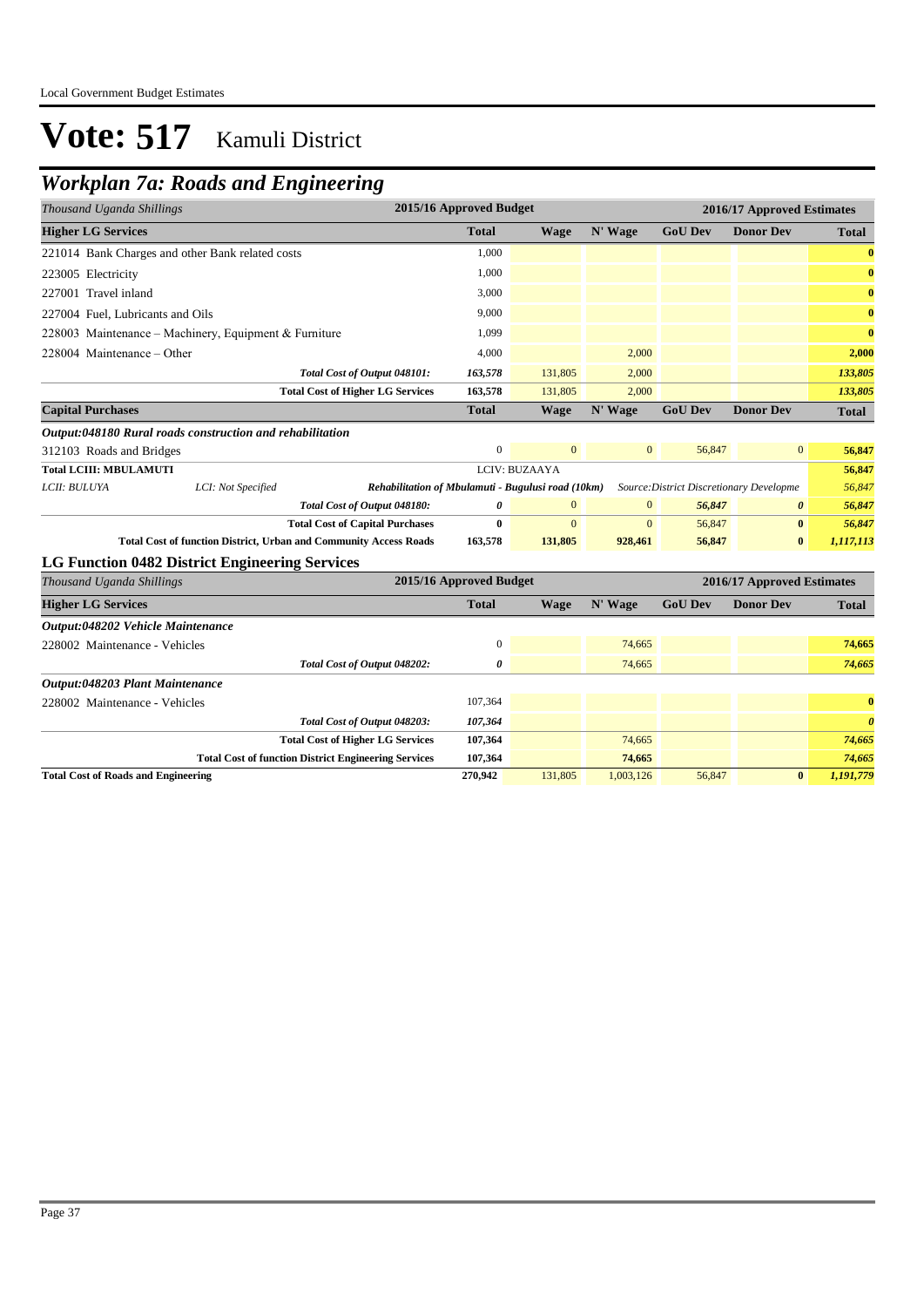### *Workplan 7a: Roads and Engineering*

| Thousand Uganda Shillings                                                                                                            |                                                             | 2015/16 Approved Budget |               |              |                | 2016/17 Approved Estimates |                       |
|--------------------------------------------------------------------------------------------------------------------------------------|-------------------------------------------------------------|-------------------------|---------------|--------------|----------------|----------------------------|-----------------------|
| <b>Higher LG Services</b>                                                                                                            |                                                             | <b>Total</b>            | <b>Wage</b>   | N' Wage      | <b>GoU Dev</b> | <b>Donor Dev</b>           | <b>Total</b>          |
| 221014 Bank Charges and other Bank related costs                                                                                     |                                                             | 1,000                   |               |              |                |                            | $\bf{0}$              |
| 223005 Electricity                                                                                                                   |                                                             | 1.000                   |               |              |                |                            | $\bf{0}$              |
| 227001 Travel inland                                                                                                                 |                                                             | 3,000                   |               |              |                |                            | $\bf{0}$              |
| 227004 Fuel, Lubricants and Oils                                                                                                     |                                                             | 9,000                   |               |              |                |                            | $\bf{0}$              |
| 228003 Maintenance - Machinery, Equipment & Furniture                                                                                |                                                             | 1,099                   |               |              |                |                            | $\bf{0}$              |
| 228004 Maintenance – Other                                                                                                           |                                                             | 4,000                   |               | 2,000        |                |                            | 2,000                 |
|                                                                                                                                      | Total Cost of Output 048101:                                | 163,578                 | 131,805       | 2,000        |                |                            | 133,805               |
|                                                                                                                                      | <b>Total Cost of Higher LG Services</b>                     | 163,578                 | 131,805       | 2,000        |                |                            | 133,805               |
| <b>Capital Purchases</b>                                                                                                             |                                                             | <b>Total</b>            | <b>Wage</b>   | N' Wage      | <b>GoU Dev</b> | <b>Donor Dev</b>           | <b>Total</b>          |
| Output:048180 Rural roads construction and rehabilitation                                                                            |                                                             |                         |               |              |                |                            |                       |
| 312103 Roads and Bridges                                                                                                             |                                                             | $\boldsymbol{0}$        | $\mathbf{0}$  | $\mathbf{0}$ | 56,847         | $\mathbf{0}$               | 56,847                |
| <b>Total LCIII: MBULAMUTI</b>                                                                                                        |                                                             |                         | LCIV: BUZAAYA |              |                |                            | 56,847                |
| LCII: BULUYA<br>LCI: Not Specified<br>Rehabilitation of Mbulamuti - Bugulusi road (10km)<br>Source: District Discretionary Developme |                                                             |                         |               |              |                |                            | 56,847                |
|                                                                                                                                      | Total Cost of Output 048180:                                | 0                       | $\mathbf{0}$  | $\mathbf{0}$ | 56,847         | 0                          | 56,847                |
|                                                                                                                                      | <b>Total Cost of Capital Purchases</b>                      | $\bf{0}$                | $\Omega$      | $\mathbf{0}$ | 56,847         | $\bf{0}$                   | 56,847                |
| <b>Total Cost of function District, Urban and Community Access Roads</b>                                                             |                                                             | 163,578                 | 131,805       | 928,461      | 56,847         | $\bf{0}$                   | 1,117,113             |
| LG Function 0482 District Engineering Services                                                                                       |                                                             |                         |               |              |                |                            |                       |
| Thousand Uganda Shillings                                                                                                            |                                                             | 2015/16 Approved Budget |               |              |                | 2016/17 Approved Estimates |                       |
| <b>Higher LG Services</b>                                                                                                            |                                                             | <b>Total</b>            | Wage          | N' Wage      | <b>GoU Dev</b> | <b>Donor Dev</b>           | <b>Total</b>          |
| Output:048202 Vehicle Maintenance                                                                                                    |                                                             |                         |               |              |                |                            |                       |
| 228002 Maintenance - Vehicles                                                                                                        |                                                             | $\mathbf{0}$            |               | 74,665       |                |                            | 74,665                |
|                                                                                                                                      | Total Cost of Output 048202:                                | 0                       |               | 74,665       |                |                            | 74,665                |
| Output:048203 Plant Maintenance                                                                                                      |                                                             |                         |               |              |                |                            |                       |
| 228002 Maintenance - Vehicles                                                                                                        |                                                             | 107,364                 |               |              |                |                            | $\bf{0}$              |
|                                                                                                                                      | Total Cost of Output 048203:                                | 107,364                 |               |              |                |                            | $\boldsymbol{\theta}$ |
|                                                                                                                                      | <b>Total Cost of Higher LG Services</b>                     | 107,364                 |               | 74,665       |                |                            | 74,665                |
|                                                                                                                                      | <b>Total Cost of function District Engineering Services</b> | 107,364                 |               | 74,665       |                |                            | 74,665                |
| <b>Total Cost of Roads and Engineering</b>                                                                                           |                                                             | 270,942                 | 131,805       | 1,003,126    | 56,847         | $\bf{0}$                   | 1,191,779             |
|                                                                                                                                      |                                                             |                         |               |              |                |                            |                       |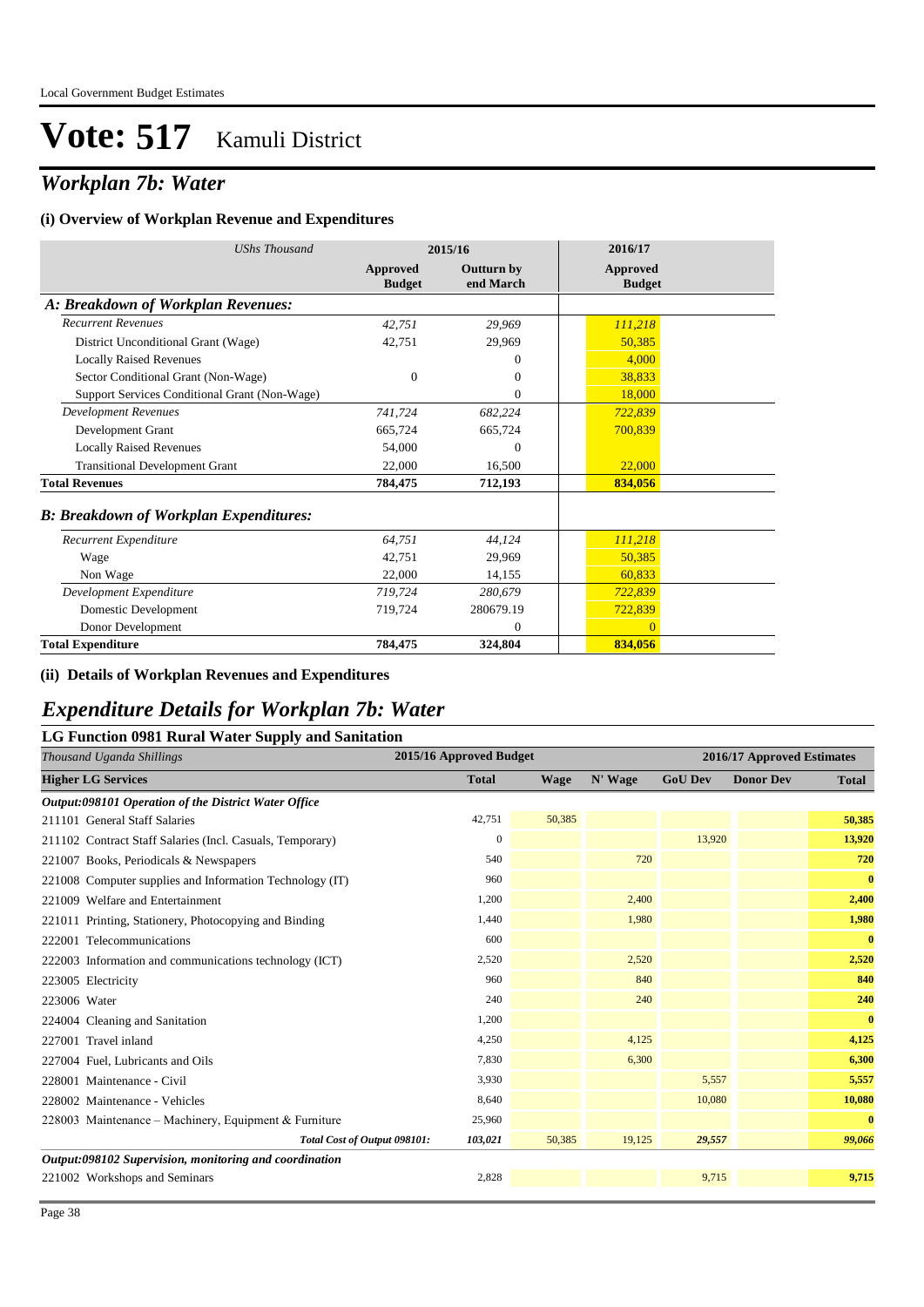### *Workplan 7b: Water*

#### **(i) Overview of Workplan Revenue and Expenditures**

| <b>UShs Thousand</b>                          |                           | 2015/16                        | 2016/17                   |
|-----------------------------------------------|---------------------------|--------------------------------|---------------------------|
|                                               | Approved<br><b>Budget</b> | <b>Outturn by</b><br>end March | Approved<br><b>Budget</b> |
| A: Breakdown of Workplan Revenues:            |                           |                                |                           |
| <b>Recurrent Revenues</b>                     | 42,751                    | 29,969                         | 111,218                   |
| District Unconditional Grant (Wage)           | 42,751                    | 29,969                         | 50,385                    |
| <b>Locally Raised Revenues</b>                |                           | $\Omega$                       | 4,000                     |
| Sector Conditional Grant (Non-Wage)           | $\mathbf{0}$              | $\theta$                       | 38,833                    |
| Support Services Conditional Grant (Non-Wage) |                           | $\theta$                       | 18,000                    |
| <b>Development Revenues</b>                   | 741,724                   | 682,224                        | 722,839                   |
| Development Grant                             | 665,724                   | 665,724                        | 700,839                   |
| <b>Locally Raised Revenues</b>                | 54,000                    | $\theta$                       |                           |
| <b>Transitional Development Grant</b>         | 22,000                    | 16,500                         | 22,000                    |
| <b>Total Revenues</b>                         | 784,475                   | 712,193                        | 834,056                   |
| <b>B: Breakdown of Workplan Expenditures:</b> |                           |                                |                           |
| Recurrent Expenditure                         | 64,751                    | 44,124                         | 111,218                   |
| Wage                                          | 42,751                    | 29,969                         | 50,385                    |
| Non Wage                                      | 22,000                    | 14,155                         | 60.833                    |
| Development Expenditure                       | 719,724                   | 280,679                        | 722,839                   |
| Domestic Development                          | 719,724                   | 280679.19                      | 722,839                   |
| Donor Development                             |                           | $\overline{0}$                 | $\Omega$                  |
| <b>Total Expenditure</b>                      | 784,475                   | 324,804                        | 834,056                   |

#### **(ii) Details of Workplan Revenues and Expenditures**

### *Expenditure Details for Workplan 7b: Water*

| <b>LG Function 0981 Rural Water Supply and Sanitation</b> |                         |             |         |                            |                  |              |  |
|-----------------------------------------------------------|-------------------------|-------------|---------|----------------------------|------------------|--------------|--|
| Thousand Uganda Shillings                                 | 2015/16 Approved Budget |             |         | 2016/17 Approved Estimates |                  |              |  |
| <b>Higher LG Services</b>                                 | <b>Total</b>            | <b>Wage</b> | N' Wage | <b>GoU Dev</b>             | <b>Donor Dev</b> | <b>Total</b> |  |
| Output:098101 Operation of the District Water Office      |                         |             |         |                            |                  |              |  |
| 211101 General Staff Salaries                             | 42,751                  | 50,385      |         |                            |                  | 50,385       |  |
| 211102 Contract Staff Salaries (Incl. Casuals, Temporary) | $\mathbf{0}$            |             |         | 13,920                     |                  | 13,920       |  |
| 221007 Books, Periodicals & Newspapers                    | 540                     |             | 720     |                            |                  | 720          |  |
| 221008 Computer supplies and Information Technology (IT)  | 960                     |             |         |                            |                  | $\bf{0}$     |  |
| 221009 Welfare and Entertainment                          | 1,200                   |             | 2,400   |                            |                  | 2,400        |  |
| 221011 Printing, Stationery, Photocopying and Binding     | 1,440                   |             | 1,980   |                            |                  | 1,980        |  |
| 222001 Telecommunications                                 | 600                     |             |         |                            |                  | $\bf{0}$     |  |
| 222003 Information and communications technology (ICT)    | 2,520                   |             | 2,520   |                            |                  | 2,520        |  |
| 223005 Electricity                                        | 960                     |             | 840     |                            |                  | 840          |  |
| 223006 Water                                              | 240                     |             | 240     |                            |                  | 240          |  |
| 224004 Cleaning and Sanitation                            | 1,200                   |             |         |                            |                  | $\bf{0}$     |  |
| 227001 Travel inland                                      | 4,250                   |             | 4,125   |                            |                  | 4,125        |  |
| 227004 Fuel, Lubricants and Oils                          | 7,830                   |             | 6,300   |                            |                  | 6,300        |  |
| 228001 Maintenance - Civil                                | 3,930                   |             |         | 5,557                      |                  | 5,557        |  |
| 228002 Maintenance - Vehicles                             | 8,640                   |             |         | 10,080                     |                  | 10,080       |  |
| 228003 Maintenance – Machinery, Equipment & Furniture     | 25,960                  |             |         |                            |                  | $\bf{0}$     |  |
| Total Cost of Output 098101:                              | 103,021                 | 50,385      | 19,125  | 29,557                     |                  | 99,066       |  |
| Output:098102 Supervision, monitoring and coordination    |                         |             |         |                            |                  |              |  |
| 221002 Workshops and Seminars                             | 2,828                   |             |         | 9,715                      |                  | 9,715        |  |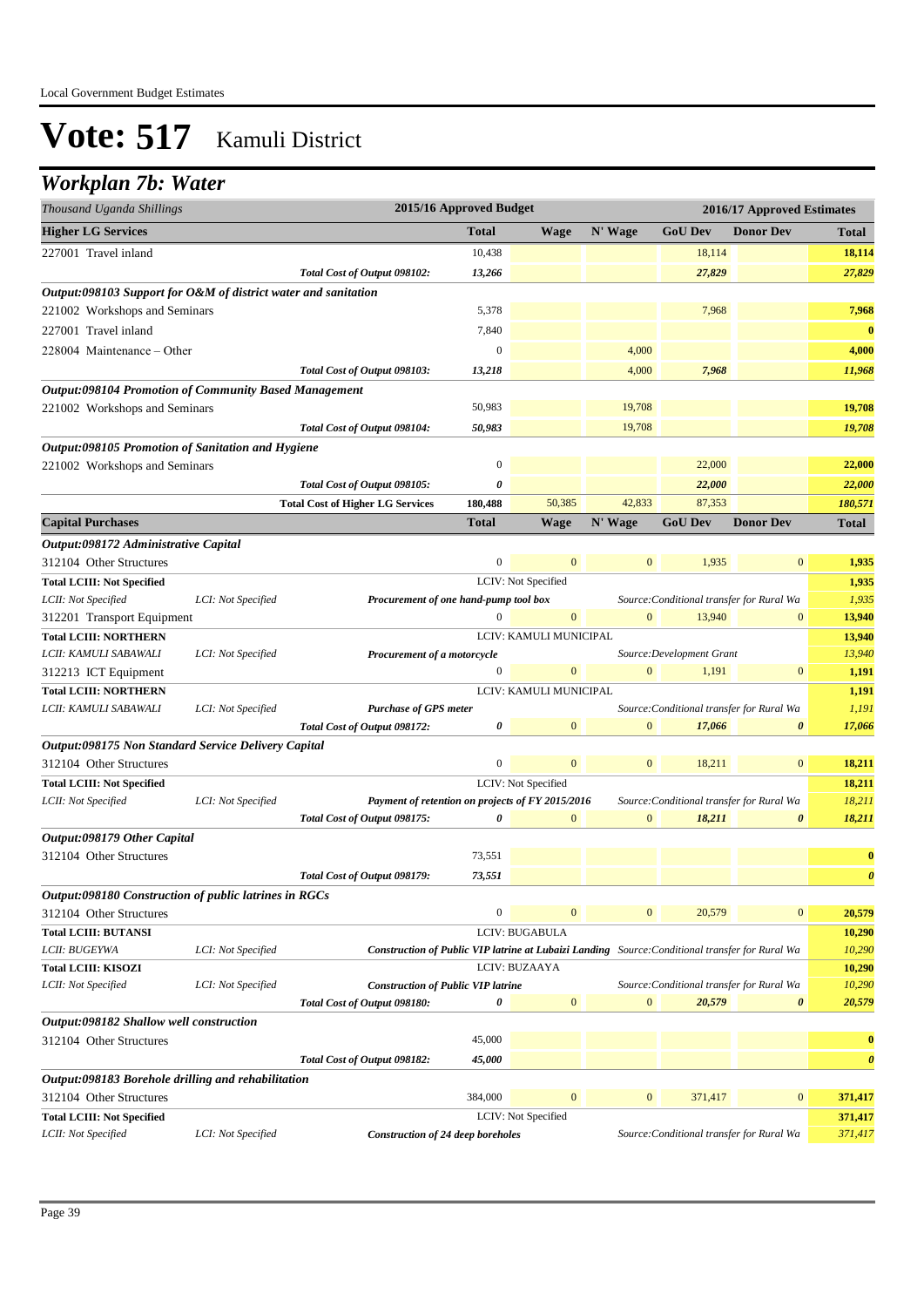### *Workplan 7b: Water*

| 2015/16 Approved Budget<br>2016/17 Approved Estimates<br>Thousand Uganda Shillings |                    |                                                                                                 |                  |                        |                |                                           |                       |                       |
|------------------------------------------------------------------------------------|--------------------|-------------------------------------------------------------------------------------------------|------------------|------------------------|----------------|-------------------------------------------|-----------------------|-----------------------|
| <b>Higher LG Services</b>                                                          |                    |                                                                                                 | <b>Total</b>     | <b>Wage</b>            | N' Wage        | <b>GoU Dev</b>                            | <b>Donor Dev</b>      | Total                 |
| 227001 Travel inland                                                               |                    |                                                                                                 | 10,438           |                        |                | 18,114                                    |                       | 18,114                |
|                                                                                    |                    | Total Cost of Output 098102:                                                                    | 13,266           |                        |                | 27,829                                    |                       | 27,829                |
| Output:098103 Support for O&M of district water and sanitation                     |                    |                                                                                                 |                  |                        |                |                                           |                       |                       |
| 221002 Workshops and Seminars                                                      |                    |                                                                                                 | 5,378            |                        |                | 7,968                                     |                       | 7,968                 |
| 227001 Travel inland                                                               |                    |                                                                                                 | 7,840            |                        |                |                                           |                       | $\bf{0}$              |
|                                                                                    |                    |                                                                                                 | $\overline{0}$   |                        |                |                                           |                       |                       |
| 228004 Maintenance – Other                                                         |                    |                                                                                                 |                  |                        | 4,000          |                                           |                       | 4,000                 |
|                                                                                    |                    | Total Cost of Output 098103:                                                                    | 13,218           |                        | 4,000          | 7,968                                     |                       | 11,968                |
| <b>Output:098104 Promotion of Community Based Management</b>                       |                    |                                                                                                 |                  |                        |                |                                           |                       |                       |
| 221002 Workshops and Seminars                                                      |                    |                                                                                                 | 50,983           |                        | 19,708         |                                           |                       | 19,708                |
|                                                                                    |                    | Total Cost of Output 098104:                                                                    | 50,983           |                        | 19,708         |                                           |                       | 19,708                |
| Output:098105 Promotion of Sanitation and Hygiene                                  |                    |                                                                                                 |                  |                        |                |                                           |                       |                       |
| 221002 Workshops and Seminars                                                      |                    |                                                                                                 | $\boldsymbol{0}$ |                        |                | 22,000                                    |                       | 22,000                |
|                                                                                    |                    | Total Cost of Output 098105:                                                                    | 0                |                        |                | 22,000                                    |                       | 22,000                |
|                                                                                    |                    | <b>Total Cost of Higher LG Services</b>                                                         | 180,488          | 50,385                 | 42,833         | 87,353                                    |                       | 180,571               |
| <b>Capital Purchases</b>                                                           |                    |                                                                                                 | <b>Total</b>     | Wage                   | N' Wage        | <b>GoU Dev</b>                            | <b>Donor Dev</b>      | Total                 |
| Output:098172 Administrative Capital                                               |                    |                                                                                                 |                  |                        |                |                                           |                       |                       |
| 312104 Other Structures                                                            |                    |                                                                                                 | $\overline{0}$   | $\mathbf{0}$           | $\mathbf{0}$   | 1,935                                     | $\bf{0}$              | 1,935                 |
| <b>Total LCIII: Not Specified</b>                                                  |                    |                                                                                                 |                  | LCIV: Not Specified    |                |                                           |                       | 1,935                 |
| LCII: Not Specified                                                                | LCI: Not Specified | Procurement of one hand-pump tool box                                                           |                  |                        |                | Source: Conditional transfer for Rural Wa |                       | 1,935                 |
| 312201 Transport Equipment                                                         |                    |                                                                                                 | 0                | $\mathbf{0}$           | $\mathbf{0}$   | 13,940                                    | $\mathbf{0}$          | 13,940                |
| <b>Total LCIII: NORTHERN</b>                                                       |                    |                                                                                                 |                  | LCIV: KAMULI MUNICIPAL |                |                                           |                       | 13,940                |
| LCII: KAMULI SABAWALI                                                              | LCI: Not Specified | Procurement of a motorcycle                                                                     |                  |                        |                | Source: Development Grant                 |                       | 13,940                |
| 312213 ICT Equipment                                                               |                    |                                                                                                 | $\boldsymbol{0}$ | $\mathbf{0}$           | $\mathbf{0}$   | 1,191                                     | $\boldsymbol{0}$      | 1,191                 |
| <b>Total LCIII: NORTHERN</b>                                                       |                    |                                                                                                 |                  | LCIV: KAMULI MUNICIPAL |                |                                           |                       | 1,191                 |
| LCII: KAMULI SABAWALI                                                              | LCI: Not Specified | <b>Purchase of GPS meter</b>                                                                    |                  | $\mathbf{0}$           | $\overline{0}$ | Source: Conditional transfer for Rural Wa |                       | 1,191                 |
|                                                                                    |                    | Total Cost of Output 098172:                                                                    | 0                |                        |                | 17,066                                    | $\boldsymbol{\theta}$ | 17,066                |
| Output:098175 Non Standard Service Delivery Capital                                |                    |                                                                                                 |                  | $\mathbf{0}$           |                |                                           |                       |                       |
| 312104 Other Structures                                                            |                    |                                                                                                 | $\boldsymbol{0}$ |                        | $\mathbf{0}$   | 18,211                                    | $\mathbf{0}$          | 18,211                |
| <b>Total LCIII: Not Specified</b>                                                  |                    |                                                                                                 |                  | LCIV: Not Specified    |                |                                           |                       | 18,211                |
| LCII: Not Specified                                                                | LCI: Not Specified | Payment of retention on projects of FY 2015/2016                                                | 0                | $\mathbf{0}$           | $\mathbf{0}$   | Source: Conditional transfer for Rural Wa | $\boldsymbol{\theta}$ | 18,211                |
|                                                                                    |                    | Total Cost of Output 098175:                                                                    |                  |                        |                | 18,211                                    |                       | 18,211                |
| Output:098179 Other Capital<br>312104 Other Structures                             |                    |                                                                                                 | 73,551           |                        |                |                                           |                       | $\bf{0}$              |
|                                                                                    |                    |                                                                                                 | 73,551           |                        |                |                                           |                       | $\boldsymbol{\theta}$ |
|                                                                                    |                    | Total Cost of Output 098179:                                                                    |                  |                        |                |                                           |                       |                       |
| Output:098180 Construction of public latrines in RGCs                              |                    |                                                                                                 | $\boldsymbol{0}$ | $\mathbf{0}$           | $\mathbf{0}$   | 20,579                                    | $\mathbf{0}$          | 20,579                |
| 312104 Other Structures                                                            |                    |                                                                                                 |                  | LCIV: BUGABULA         |                |                                           |                       |                       |
| <b>Total LCIII: BUTANSI</b><br>LCII: BUGEYWA                                       | LCI: Not Specified | Construction of Public VIP latrine at Lubaizi Landing Source: Conditional transfer for Rural Wa |                  |                        |                |                                           |                       | 10,290<br>10,290      |
| <b>Total LCIII: KISOZI</b>                                                         |                    |                                                                                                 |                  | LCIV: BUZAAYA          |                |                                           |                       | 10,290                |
| LCII: Not Specified                                                                | LCI: Not Specified | <b>Construction of Public VIP latrine</b>                                                       |                  |                        |                | Source: Conditional transfer for Rural Wa |                       | 10,290                |
|                                                                                    |                    | Total Cost of Output 098180:                                                                    | 0                | $\mathbf{0}$           | $\mathbf{0}$   | 20,579                                    | $\boldsymbol{\theta}$ | 20,579                |
| Output:098182 Shallow well construction                                            |                    |                                                                                                 |                  |                        |                |                                           |                       |                       |
| 312104 Other Structures                                                            |                    |                                                                                                 | 45,000           |                        |                |                                           |                       | $\bf{0}$              |
|                                                                                    |                    | Total Cost of Output 098182:                                                                    | 45,000           |                        |                |                                           |                       | $\boldsymbol{\theta}$ |
| Output:098183 Borehole drilling and rehabilitation                                 |                    |                                                                                                 |                  |                        |                |                                           |                       |                       |
| 312104 Other Structures                                                            |                    |                                                                                                 | 384,000          | $\mathbf{0}$           | $\mathbf{0}$   | 371,417                                   | $\boldsymbol{0}$      | 371,417               |
| <b>Total LCIII: Not Specified</b>                                                  |                    |                                                                                                 |                  | LCIV: Not Specified    |                |                                           |                       | 371,417               |
| LCII: Not Specified                                                                | LCI: Not Specified | <b>Construction of 24 deep boreholes</b>                                                        |                  |                        |                | Source: Conditional transfer for Rural Wa |                       | 371,417               |
|                                                                                    |                    |                                                                                                 |                  |                        |                |                                           |                       |                       |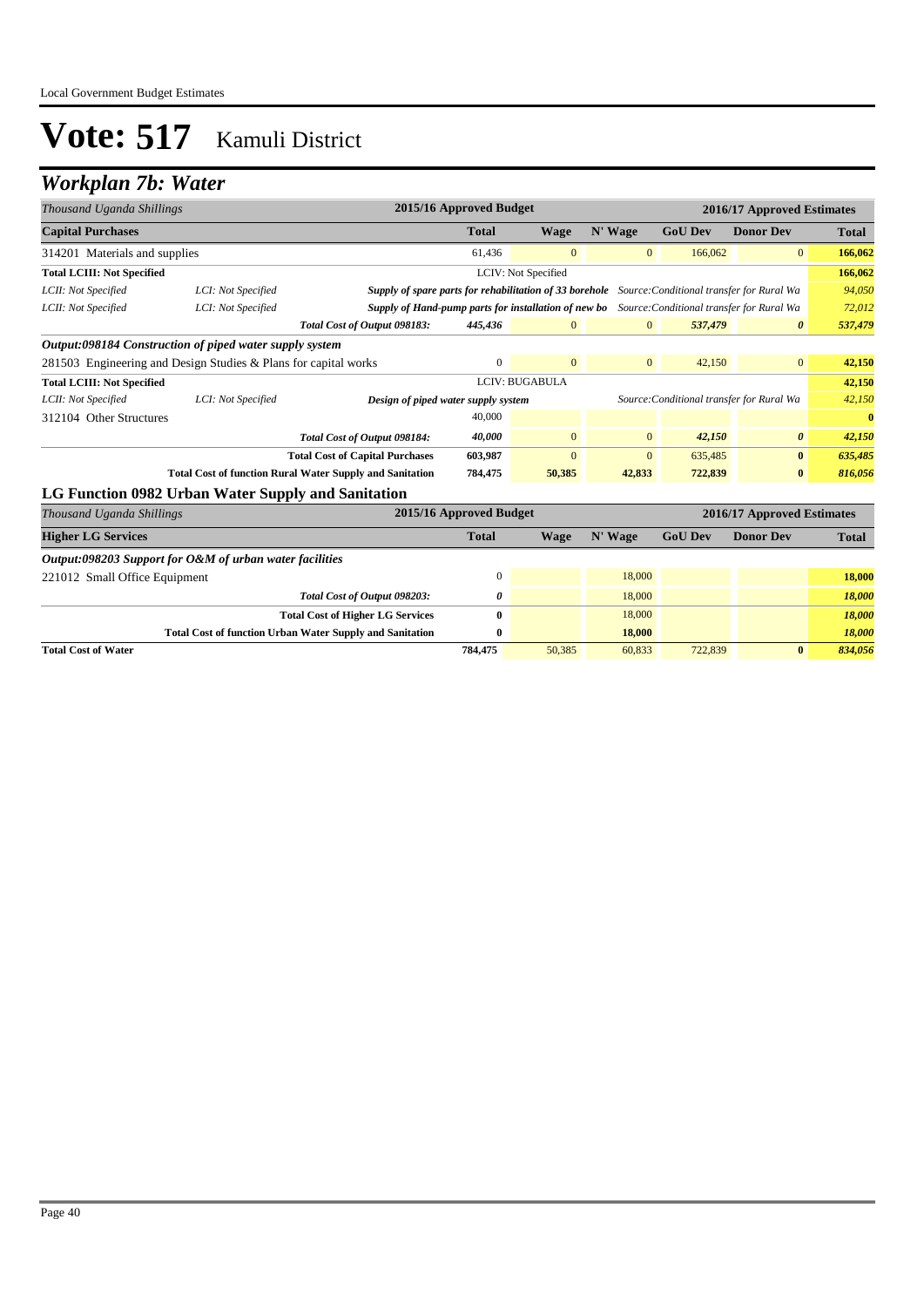## *Workplan 7b: Water*

| Thousand Uganda Shillings         |                                                                 |                                                                                                   | 2015/16 Approved Budget |                       |                |                | 2016/17 Approved Estimates |              |
|-----------------------------------|-----------------------------------------------------------------|---------------------------------------------------------------------------------------------------|-------------------------|-----------------------|----------------|----------------|----------------------------|--------------|
| <b>Capital Purchases</b>          |                                                                 |                                                                                                   | <b>Total</b>            | <b>Wage</b>           | N' Wage        | <b>GoU Dev</b> | <b>Donor Dev</b>           | <b>Total</b> |
| 314201 Materials and supplies     |                                                                 |                                                                                                   | 61,436                  | $\mathbf{0}$          | $\mathbf{0}$   | 166,062        | $\overline{0}$             | 166,062      |
| <b>Total LCIII: Not Specified</b> |                                                                 |                                                                                                   |                         | LCIV: Not Specified   |                |                |                            | 166,062      |
| LCII: Not Specified               | LCI: Not Specified                                              | Supply of spare parts for rehabilitation of 33 borehole Source: Conditional transfer for Rural Wa |                         |                       |                |                |                            | 94,050       |
| LCII: Not Specified               | LCI: Not Specified                                              | Supply of Hand-pump parts for installation of new bo Source: Conditional transfer for Rural Wa    |                         |                       |                |                |                            | 72,012       |
|                                   |                                                                 | Total Cost of Output 098183:                                                                      | 445,436                 | $\mathbf{0}$          | $\mathbf{0}$   | 537,479        | $\boldsymbol{\theta}$      | 537,479      |
|                                   | Output:098184 Construction of piped water supply system         |                                                                                                   |                         |                       |                |                |                            |              |
|                                   | 281503 Engineering and Design Studies & Plans for capital works |                                                                                                   | $\mathbf{0}$            | $\mathbf{0}$          | $\overline{0}$ | 42,150         | $\overline{0}$             | 42,150       |
| <b>Total LCIII: Not Specified</b> |                                                                 |                                                                                                   |                         | <b>LCIV: BUGABULA</b> |                |                |                            | 42,150       |
| LCII: Not Specified               | LCI: Not Specified                                              | Design of piped water supply system<br>Source: Conditional transfer for Rural Wa                  |                         |                       |                |                | 42,150                     |              |
| 312104 Other Structures           |                                                                 |                                                                                                   | 40,000                  |                       |                |                |                            | $\mathbf{0}$ |
|                                   |                                                                 | Total Cost of Output 098184:                                                                      | 40,000                  | $\mathbf{0}$          | $\mathbf{0}$   | 42,150         | $\boldsymbol{\theta}$      | 42,150       |
|                                   |                                                                 | <b>Total Cost of Capital Purchases</b>                                                            | 603,987                 | $\mathbf{0}$          | $\mathbf{0}$   | 635,485        | $\bf{0}$                   | 635,485      |
|                                   | <b>Total Cost of function Rural Water Supply and Sanitation</b> |                                                                                                   | 784,475                 | 50,385                | 42,833         | 722,839        | $\bf{0}$                   | 816,056      |
|                                   | LG Function 0982 Urban Water Supply and Sanitation              |                                                                                                   |                         |                       |                |                |                            |              |
| Thousand Uganda Shillings         |                                                                 |                                                                                                   | 2015/16 Approved Budget |                       |                |                | 2016/17 Approved Estimates |              |
| <b>Higher LG Services</b>         |                                                                 |                                                                                                   | <b>Total</b>            | <b>Wage</b>           | N' Wage        | <b>GoU Dev</b> | <b>Donor Dev</b>           | <b>Total</b> |
|                                   | Output:098203 Support for O&M of urban water facilities         |                                                                                                   |                         |                       |                |                |                            |              |
| 221012 Small Office Equipment     |                                                                 |                                                                                                   | $\Omega$                |                       | 18,000         |                |                            | 18,000       |
|                                   |                                                                 | Total Cost of Output 098203:                                                                      | 0                       |                       | 18,000         |                |                            | 18,000       |
|                                   |                                                                 | <b>Total Cost of Higher LG Services</b>                                                           | $\bf{0}$                |                       | 18,000         |                |                            | 18,000       |

**Total Cost of Water 784,475** 50,385 60,833 722,839 **0** *834,056*

**Total Cost of function Urban Water Supply and Sanitation 18,000 18,000 18,000 18,000 18,000**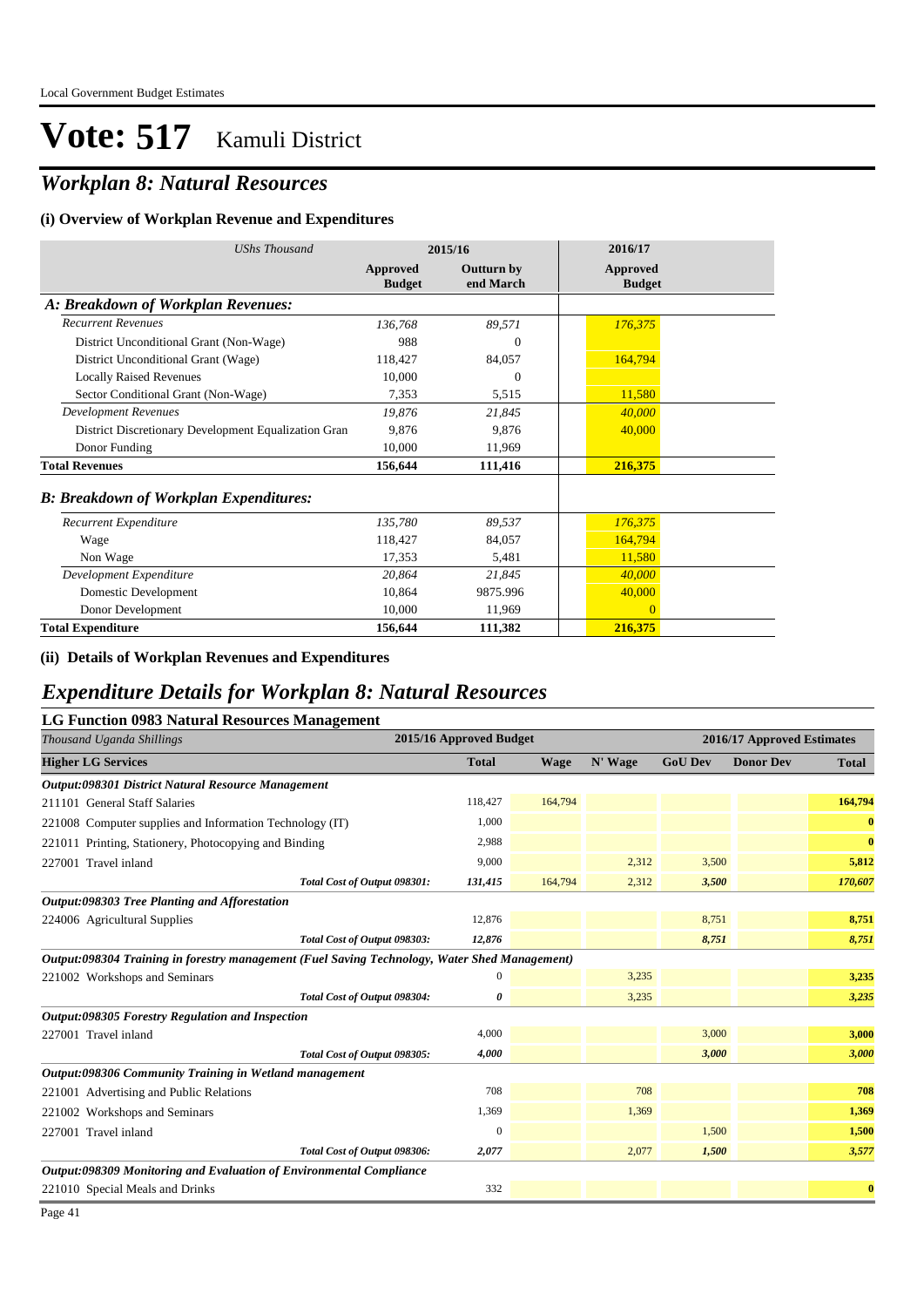## *Workplan 8: Natural Resources*

#### **(i) Overview of Workplan Revenue and Expenditures**

| <b>UShs Thousand</b>                                 |                           | 2015/16                        | 2016/17                          |  |
|------------------------------------------------------|---------------------------|--------------------------------|----------------------------------|--|
|                                                      | Approved<br><b>Budget</b> | <b>Outturn by</b><br>end March | <b>Approved</b><br><b>Budget</b> |  |
| A: Breakdown of Workplan Revenues:                   |                           |                                |                                  |  |
| <b>Recurrent Revenues</b>                            | 136,768                   | 89,571                         | 176,375                          |  |
| District Unconditional Grant (Non-Wage)              | 988                       | $\boldsymbol{0}$               |                                  |  |
| District Unconditional Grant (Wage)                  | 118,427                   | 84,057                         | 164,794                          |  |
| <b>Locally Raised Revenues</b>                       | 10,000                    | $\overline{0}$                 |                                  |  |
| Sector Conditional Grant (Non-Wage)                  | 7,353                     | 5,515                          | 11,580                           |  |
| <b>Development Revenues</b>                          | 19,876                    | 21,845                         | 40,000                           |  |
| District Discretionary Development Equalization Gran | 9,876                     | 9.876                          | 40,000                           |  |
| Donor Funding                                        | 10,000                    | 11,969                         |                                  |  |
| <b>Total Revenues</b>                                | 156,644                   | 111,416                        | 216,375                          |  |
| <b>B: Breakdown of Workplan Expenditures:</b>        |                           |                                |                                  |  |
| Recurrent Expenditure                                | 135,780                   | 89,537                         | 176,375                          |  |
| Wage                                                 | 118,427                   | 84,057                         | 164,794                          |  |
| Non Wage                                             | 17,353                    | 5,481                          | 11,580                           |  |
| Development Expenditure                              | 20,864                    | 21,845                         | 40,000                           |  |
| Domestic Development                                 | 10,864                    | 9875.996                       | 40,000                           |  |
| Donor Development                                    | 10,000                    | 11,969                         | $\Omega$                         |  |
| <b>Total Expenditure</b>                             | 156,644                   | 111,382                        | 216,375                          |  |

#### **(ii) Details of Workplan Revenues and Expenditures**

### *Expenditure Details for Workplan 8: Natural Resources*

#### **LG Function 0983 Natural Resources Management**

| Thousand Uganda Shillings                                                                     | 2015/16 Approved Budget |             |         | 2016/17 Approved Estimates |                  |              |  |
|-----------------------------------------------------------------------------------------------|-------------------------|-------------|---------|----------------------------|------------------|--------------|--|
| <b>Higher LG Services</b>                                                                     | <b>Total</b>            | <b>Wage</b> | N' Wage | <b>GoU Dev</b>             | <b>Donor Dev</b> | <b>Total</b> |  |
| Output:098301 District Natural Resource Management                                            |                         |             |         |                            |                  |              |  |
| 211101 General Staff Salaries                                                                 | 118,427                 | 164,794     |         |                            |                  | 164,794      |  |
| 221008 Computer supplies and Information Technology (IT)                                      | 1,000                   |             |         |                            |                  | $\bf{0}$     |  |
| 221011 Printing, Stationery, Photocopying and Binding                                         | 2,988                   |             |         |                            |                  | $\bf{0}$     |  |
| 227001 Travel inland                                                                          | 9,000                   |             | 2,312   | 3,500                      |                  | 5,812        |  |
| Total Cost of Output 098301:                                                                  | 131,415                 | 164,794     | 2,312   | 3,500                      |                  | 170,607      |  |
| Output:098303 Tree Planting and Afforestation                                                 |                         |             |         |                            |                  |              |  |
| 224006 Agricultural Supplies                                                                  | 12,876                  |             |         | 8,751                      |                  | 8,751        |  |
| Total Cost of Output 098303:                                                                  | 12,876                  |             |         | 8,751                      |                  | 8,751        |  |
| Output:098304 Training in forestry management (Fuel Saving Technology, Water Shed Management) |                         |             |         |                            |                  |              |  |
| 221002 Workshops and Seminars                                                                 | 0                       |             | 3,235   |                            |                  | 3,235        |  |
| Total Cost of Output 098304:                                                                  | 0                       |             | 3,235   |                            |                  | 3,235        |  |
| Output:098305 Forestry Regulation and Inspection                                              |                         |             |         |                            |                  |              |  |
| 227001 Travel inland                                                                          | 4,000                   |             |         | 3,000                      |                  | 3,000        |  |
| Total Cost of Output 098305:                                                                  | 4,000                   |             |         | 3,000                      |                  | 3,000        |  |
| Output:098306 Community Training in Wetland management                                        |                         |             |         |                            |                  |              |  |
| 221001 Advertising and Public Relations                                                       | 708                     |             | 708     |                            |                  | 708          |  |
| 221002 Workshops and Seminars                                                                 | 1,369                   |             | 1,369   |                            |                  | 1,369        |  |
| 227001 Travel inland                                                                          | $\mathbf{0}$            |             |         | 1,500                      |                  | 1,500        |  |
| Total Cost of Output 098306:                                                                  | 2,077                   |             | 2,077   | 1,500                      |                  | 3,577        |  |
| Output:098309 Monitoring and Evaluation of Environmental Compliance                           |                         |             |         |                            |                  |              |  |
| 221010 Special Meals and Drinks                                                               | 332                     |             |         |                            |                  | $\bf{0}$     |  |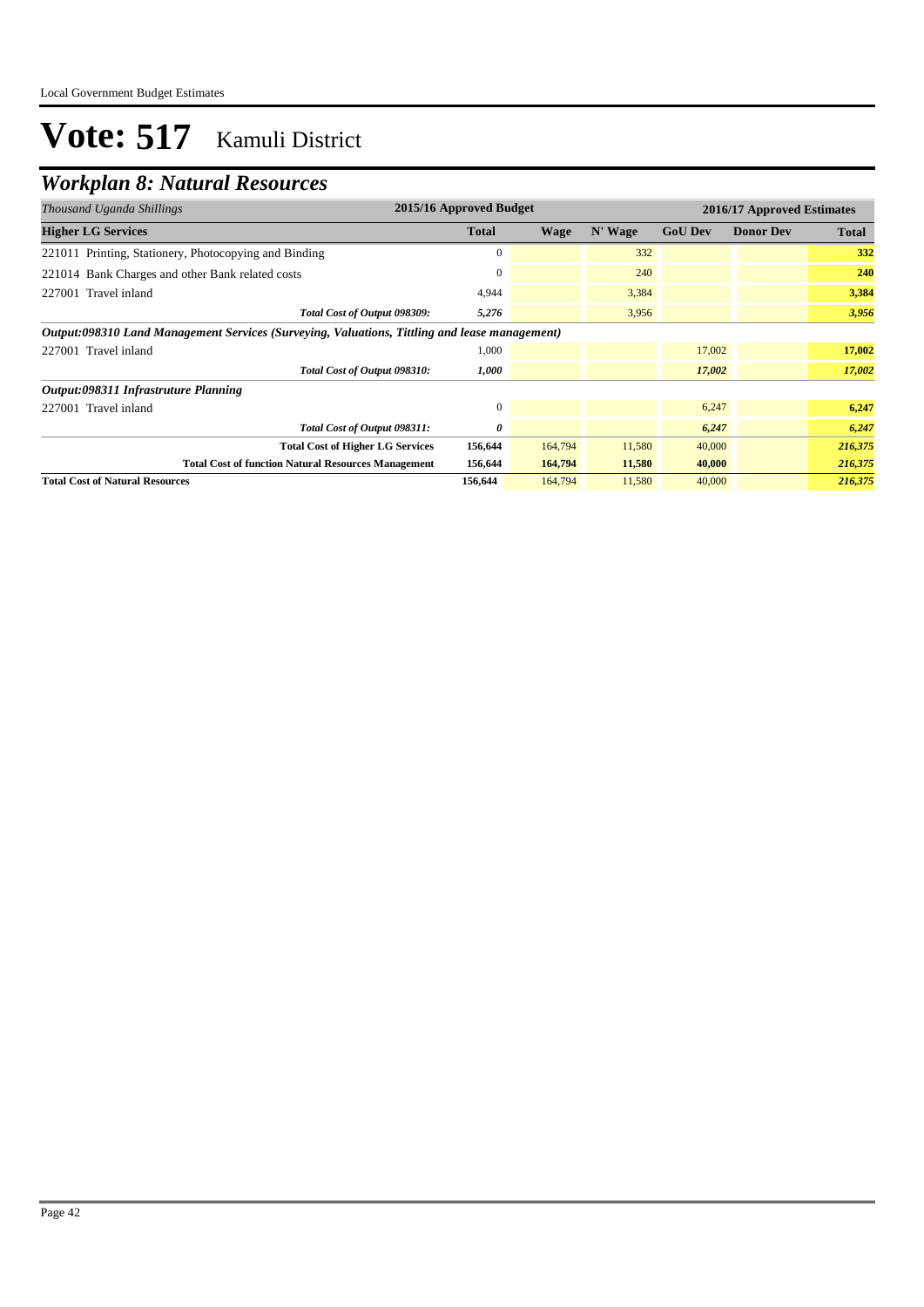## *Workplan 8: Natural Resources*

| Thousand Uganda Shillings                                                                     | 2015/16 Approved Budget |             |         |                |                  |              |
|-----------------------------------------------------------------------------------------------|-------------------------|-------------|---------|----------------|------------------|--------------|
| <b>Higher LG Services</b>                                                                     | <b>Total</b>            | <b>Wage</b> | N' Wage | <b>GoU Dev</b> | <b>Donor Dev</b> | <b>Total</b> |
| 221011 Printing, Stationery, Photocopying and Binding                                         | $\mathbf{0}$            |             | 332     |                |                  | 332          |
| 221014 Bank Charges and other Bank related costs                                              | $\mathbf{0}$            |             | 240     |                |                  | 240          |
| 227001 Travel inland                                                                          | 4.944                   |             | 3,384   |                |                  | 3,384        |
| Total Cost of Output 098309:                                                                  | 5,276                   |             | 3,956   |                |                  | 3,956        |
| Output:098310 Land Management Services (Surveying, Valuations, Tittling and lease management) |                         |             |         |                |                  |              |
| 227001 Travel inland                                                                          | 1,000                   |             |         | 17,002         |                  | 17,002       |
| Total Cost of Output 098310:                                                                  | 1,000                   |             |         | 17,002         |                  | 17,002       |
| Output:098311 Infrastruture Planning                                                          |                         |             |         |                |                  |              |
| 227001 Travel inland                                                                          | $\mathbf{0}$            |             |         | 6,247          |                  | 6,247        |
| Total Cost of Output 098311:                                                                  | 0                       |             |         | 6,247          |                  | 6,247        |
| <b>Total Cost of Higher LG Services</b>                                                       | 156,644                 | 164,794     | 11,580  | 40,000         |                  | 216,375      |
| <b>Total Cost of function Natural Resources Management</b>                                    | 156,644                 | 164,794     | 11,580  | 40,000         |                  | 216,375      |
| <b>Total Cost of Natural Resources</b>                                                        | 156,644                 | 164,794     | 11,580  | 40,000         |                  | 216,375      |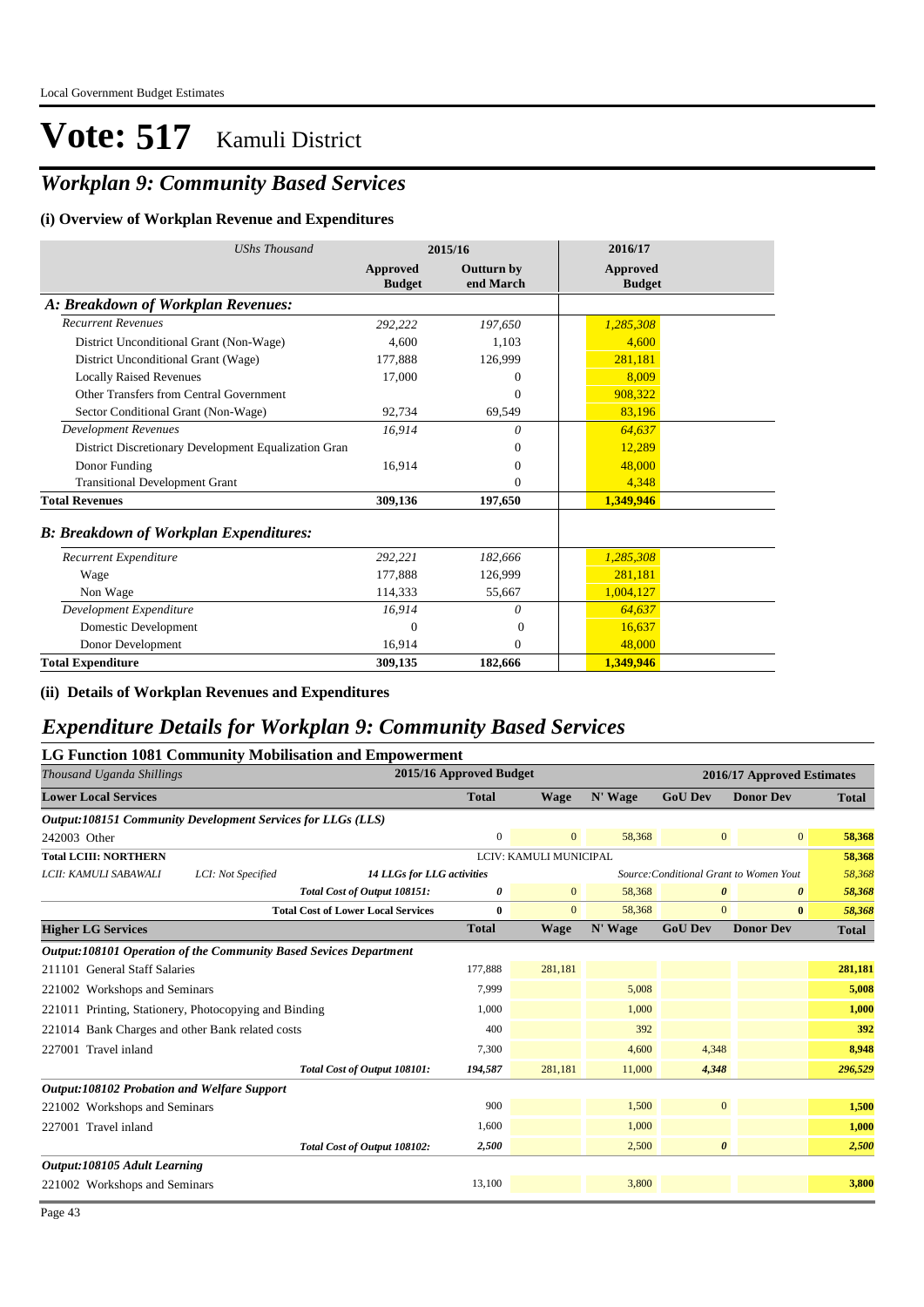### *Workplan 9: Community Based Services*

#### **(i) Overview of Workplan Revenue and Expenditures**

| <b>UShs Thousand</b>                                 |                           | 2015/16                        | 2016/17                          |
|------------------------------------------------------|---------------------------|--------------------------------|----------------------------------|
|                                                      | Approved<br><b>Budget</b> | <b>Outturn by</b><br>end March | <b>Approved</b><br><b>Budget</b> |
| A: Breakdown of Workplan Revenues:                   |                           |                                |                                  |
| <b>Recurrent Revenues</b>                            | 292,222                   | 197,650                        | 1,285,308                        |
| District Unconditional Grant (Non-Wage)              | 4.600                     | 1.103                          | 4,600                            |
| District Unconditional Grant (Wage)                  | 177,888                   | 126,999                        | 281,181                          |
| <b>Locally Raised Revenues</b>                       | 17.000                    | 0                              | 8.009                            |
| Other Transfers from Central Government              |                           | $\Omega$                       | 908.322                          |
| Sector Conditional Grant (Non-Wage)                  | 92,734                    | 69,549                         | 83,196                           |
| <b>Development Revenues</b>                          | 16,914                    | $\theta$                       | 64,637                           |
| District Discretionary Development Equalization Gran |                           | $\Omega$                       | 12,289                           |
| Donor Funding                                        | 16,914                    | $\mathbf{0}$                   | 48,000                           |
| <b>Transitional Development Grant</b>                |                           | $\mathbf{0}$                   | 4,348                            |
| <b>Total Revenues</b>                                | 309,136                   | 197,650                        | 1,349,946                        |
| <b>B: Breakdown of Workplan Expenditures:</b>        |                           |                                |                                  |
| Recurrent Expenditure                                | 292,221                   | 182,666                        | 1,285,308                        |
| Wage                                                 | 177.888                   | 126,999                        | 281,181                          |
| Non Wage                                             | 114,333                   | 55,667                         | 1,004,127                        |
| Development Expenditure                              | 16,914                    | 0                              | 64,637                           |
| Domestic Development                                 | $\Omega$                  | $\Omega$                       | 16,637                           |
| Donor Development                                    | 16,914                    | $\mathbf{0}$                   | 48,000                           |
| <b>Total Expenditure</b>                             | 309,135                   | 182,666                        | 1,349,946                        |

**(ii) Details of Workplan Revenues and Expenditures**

### *Expenditure Details for Workplan 9: Community Based Services*

|                                                                   |                    | <b>LG Function 1081 Community Mobilisation and Empowerment</b> |                         |                        |         |                                         |                  |              |
|-------------------------------------------------------------------|--------------------|----------------------------------------------------------------|-------------------------|------------------------|---------|-----------------------------------------|------------------|--------------|
| Thousand Uganda Shillings                                         |                    |                                                                | 2015/16 Approved Budget |                        |         | 2016/17 Approved Estimates              |                  |              |
| <b>Lower Local Services</b>                                       |                    |                                                                | <b>Total</b>            | <b>Wage</b>            | N' Wage | <b>GoU Dev</b>                          | <b>Donor Dev</b> | <b>Total</b> |
| Output:108151 Community Development Services for LLGs (LLS)       |                    |                                                                |                         |                        |         |                                         |                  |              |
| 242003 Other                                                      |                    |                                                                | $\mathbf{0}$            | $\overline{0}$         | 58,368  | $\mathbf{0}$                            | $\mathbf{0}$     | 58,368       |
| <b>Total LCIII: NORTHERN</b>                                      |                    |                                                                |                         | LCIV: KAMULI MUNICIPAL |         |                                         |                  | 58,368       |
| LCII: KAMULI SABAWALI                                             | LCI: Not Specified | <b>14 LLGs for LLG activities</b>                              |                         |                        |         | Source: Conditional Grant to Women Yout |                  | 58,368       |
|                                                                   |                    | Total Cost of Output 108151:                                   | 0                       | $\mathbf{0}$           | 58,368  | $\boldsymbol{\theta}$                   | 0                | 58,368       |
|                                                                   |                    | <b>Total Cost of Lower Local Services</b>                      | $\bf{0}$                | $\mathbf{0}$           | 58,368  | $\mathbf{0}$                            | $\bf{0}$         | 58,368       |
| <b>Higher LG Services</b>                                         |                    |                                                                | <b>Total</b>            | <b>Wage</b>            | N' Wage | <b>GoU Dev</b>                          | <b>Donor Dev</b> | <b>Total</b> |
| Output:108101 Operation of the Community Based Sevices Department |                    |                                                                |                         |                        |         |                                         |                  |              |
| 211101 General Staff Salaries                                     |                    |                                                                | 177,888                 | 281,181                |         |                                         |                  | 281,181      |
| 221002 Workshops and Seminars                                     |                    |                                                                | 7,999                   |                        | 5,008   |                                         |                  | 5,008        |
| 221011 Printing, Stationery, Photocopying and Binding             |                    |                                                                | 1,000                   |                        | 1,000   |                                         |                  | 1,000        |
| 221014 Bank Charges and other Bank related costs                  |                    |                                                                | 400                     |                        | 392     |                                         |                  | 392          |
| 227001 Travel inland                                              |                    |                                                                | 7,300                   |                        | 4,600   | 4,348                                   |                  | 8,948        |
|                                                                   |                    | Total Cost of Output 108101:                                   | 194,587                 | 281.181                | 11,000  | 4,348                                   |                  | 296,529      |
| <b>Output:108102 Probation and Welfare Support</b>                |                    |                                                                |                         |                        |         |                                         |                  |              |
| 221002 Workshops and Seminars                                     |                    |                                                                | 900                     |                        | 1,500   | $\mathbf{0}$                            |                  | 1,500        |
| 227001 Travel inland                                              |                    |                                                                | 1,600                   |                        | 1,000   |                                         |                  | 1,000        |
|                                                                   |                    | Total Cost of Output 108102:                                   | 2,500                   |                        | 2,500   | $\boldsymbol{\theta}$                   |                  | 2,500        |
| Output:108105 Adult Learning                                      |                    |                                                                |                         |                        |         |                                         |                  |              |
| 221002 Workshops and Seminars                                     |                    |                                                                | 13,100                  |                        | 3,800   |                                         |                  | 3,800        |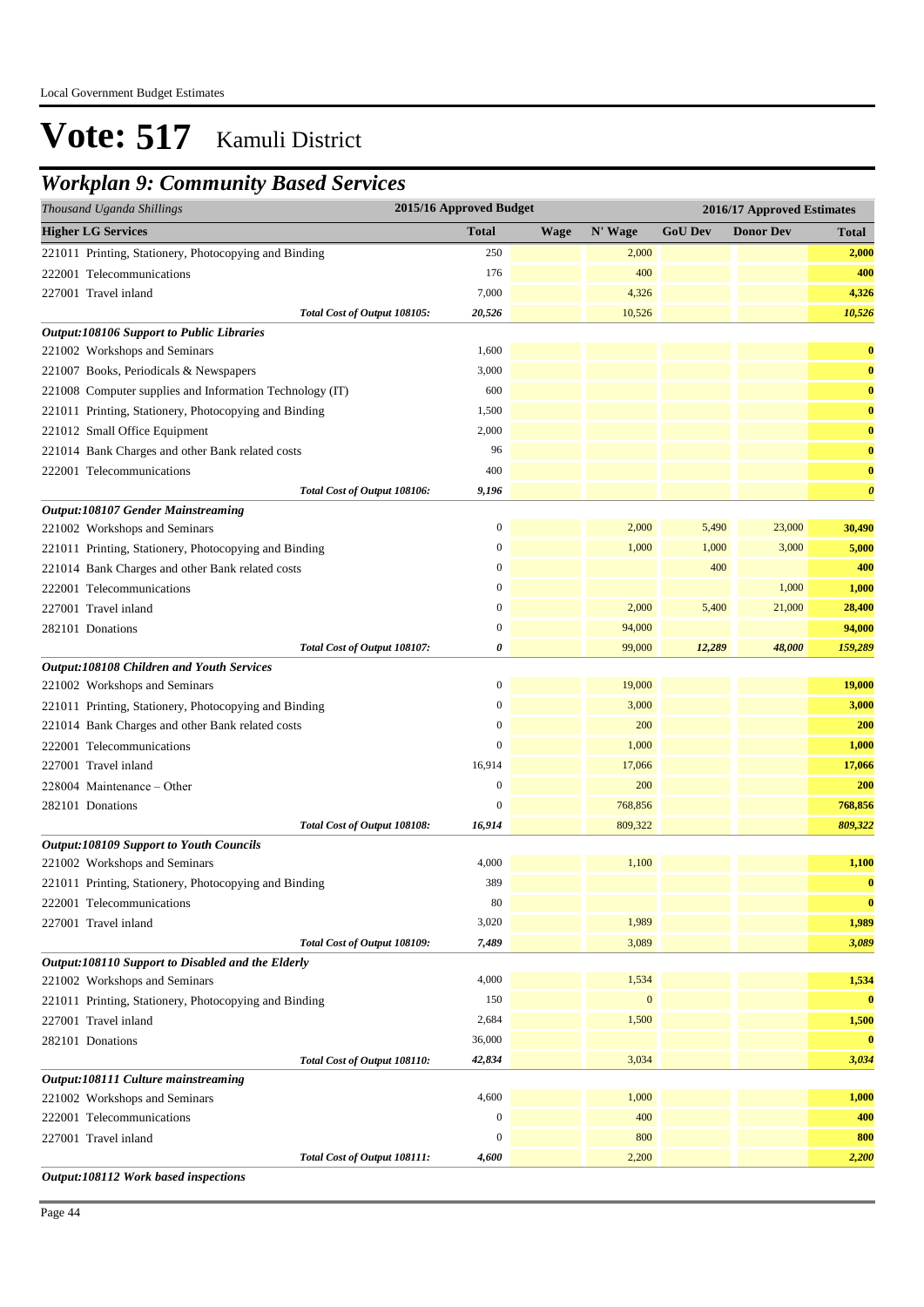### *Workplan 9: Community Based Services*

| Thousand Uganda Shillings                                | 2015/16 Approved Budget |             | 2016/17 Approved Estimates |                |                  |                       |
|----------------------------------------------------------|-------------------------|-------------|----------------------------|----------------|------------------|-----------------------|
| <b>Higher LG Services</b>                                | <b>Total</b>            | <b>Wage</b> | N' Wage                    | <b>GoU Dev</b> | <b>Donor Dev</b> | <b>Total</b>          |
| 221011 Printing, Stationery, Photocopying and Binding    | 250                     |             | 2,000                      |                |                  | 2,000                 |
| 222001 Telecommunications                                | 176                     |             | 400                        |                |                  | 400                   |
| 227001 Travel inland                                     | 7,000                   |             | 4,326                      |                |                  | 4,326                 |
| Total Cost of Output 108105:                             | 20,526                  |             | 10,526                     |                |                  | 10,526                |
| <b>Output:108106 Support to Public Libraries</b>         |                         |             |                            |                |                  |                       |
| 221002 Workshops and Seminars                            | 1,600                   |             |                            |                |                  | $\bf{0}$              |
| 221007 Books, Periodicals & Newspapers                   | 3,000                   |             |                            |                |                  | $\bf{0}$              |
| 221008 Computer supplies and Information Technology (IT) | 600                     |             |                            |                |                  | $\bf{0}$              |
| 221011 Printing, Stationery, Photocopying and Binding    | 1,500                   |             |                            |                |                  | $\bf{0}$              |
| 221012 Small Office Equipment                            | 2,000                   |             |                            |                |                  | $\bf{0}$              |
| 221014 Bank Charges and other Bank related costs         | 96                      |             |                            |                |                  | $\bf{0}$              |
| 222001 Telecommunications                                | 400                     |             |                            |                |                  | $\bf{0}$              |
| Total Cost of Output 108106:                             | 9,196                   |             |                            |                |                  | $\boldsymbol{\theta}$ |
| Output:108107 Gender Mainstreaming                       |                         |             |                            |                |                  |                       |
| 221002 Workshops and Seminars                            | $\boldsymbol{0}$        |             | 2,000                      | 5,490          | 23,000           | 30,490                |
| 221011 Printing, Stationery, Photocopying and Binding    | $\boldsymbol{0}$        |             | 1,000                      | 1,000          | 3,000            | 5,000                 |
| 221014 Bank Charges and other Bank related costs         | $\boldsymbol{0}$        |             |                            | 400            |                  | 400                   |
| 222001 Telecommunications                                | $\boldsymbol{0}$        |             |                            |                | 1,000            | 1,000                 |
| 227001 Travel inland                                     | $\boldsymbol{0}$        |             | 2,000                      | 5,400          | 21,000           | 28,400                |
| 282101 Donations                                         | $\mathbf{0}$            |             | 94,000                     |                |                  | 94,000                |
| Total Cost of Output 108107:                             | 0                       |             | 99,000                     | 12,289         | 48,000           | 159,289               |
| Output:108108 Children and Youth Services                |                         |             |                            |                |                  |                       |
| 221002 Workshops and Seminars                            | $\boldsymbol{0}$        |             | 19,000                     |                |                  | 19,000                |
| 221011 Printing, Stationery, Photocopying and Binding    | $\boldsymbol{0}$        |             | 3,000                      |                |                  | 3,000                 |
| 221014 Bank Charges and other Bank related costs         | $\bf{0}$                |             | 200                        |                |                  | 200                   |
| 222001 Telecommunications                                | $\mathbf{0}$            |             | 1,000                      |                |                  | 1,000                 |
| 227001 Travel inland                                     | 16,914                  |             | 17,066                     |                |                  | 17,066                |
| 228004 Maintenance – Other                               | $\boldsymbol{0}$        |             | 200                        |                |                  | 200                   |
| 282101 Donations                                         | $\mathbf{0}$            |             | 768,856                    |                |                  | 768,856               |
| Total Cost of Output 108108:                             | 16,914                  |             | 809,322                    |                |                  | 809,322               |
| <b>Output:108109 Support to Youth Councils</b>           |                         |             |                            |                |                  |                       |
| 221002 Workshops and Seminars                            | 4,000                   |             | 1,100                      |                |                  | 1,100                 |
| 221011 Printing, Stationery, Photocopying and Binding    | 389                     |             |                            |                |                  | $\bf{0}$              |
| 222001 Telecommunications                                | 80                      |             |                            |                |                  | $\bf{0}$              |
| 227001 Travel inland                                     | 3,020                   |             | 1,989                      |                |                  | 1,989                 |
| Total Cost of Output 108109:                             | 7,489                   |             | 3,089                      |                |                  | 3,089                 |
| Output:108110 Support to Disabled and the Elderly        |                         |             |                            |                |                  |                       |
| 221002 Workshops and Seminars                            | 4,000                   |             | 1,534                      |                |                  | 1,534                 |
| 221011 Printing, Stationery, Photocopying and Binding    | 150                     |             | $\mathbf{0}$               |                |                  | $\bf{0}$              |
| 227001 Travel inland                                     | 2,684                   |             | 1,500                      |                |                  | 1,500                 |
| 282101 Donations                                         | 36,000                  |             |                            |                |                  | $\bf{0}$              |
| Total Cost of Output 108110:                             | 42,834                  |             | 3,034                      |                |                  | 3,034                 |
| Output:108111 Culture mainstreaming                      |                         |             |                            |                |                  |                       |
| 221002 Workshops and Seminars                            | 4,600                   |             | 1,000                      |                |                  | 1,000                 |
| 222001 Telecommunications                                | $\boldsymbol{0}$        |             | 400                        |                |                  | 400                   |
| 227001 Travel inland                                     | $\boldsymbol{0}$        |             | 800                        |                |                  | 800                   |
| Total Cost of Output 108111:                             | 4,600                   |             | 2,200                      |                |                  | 2,200                 |

Page 44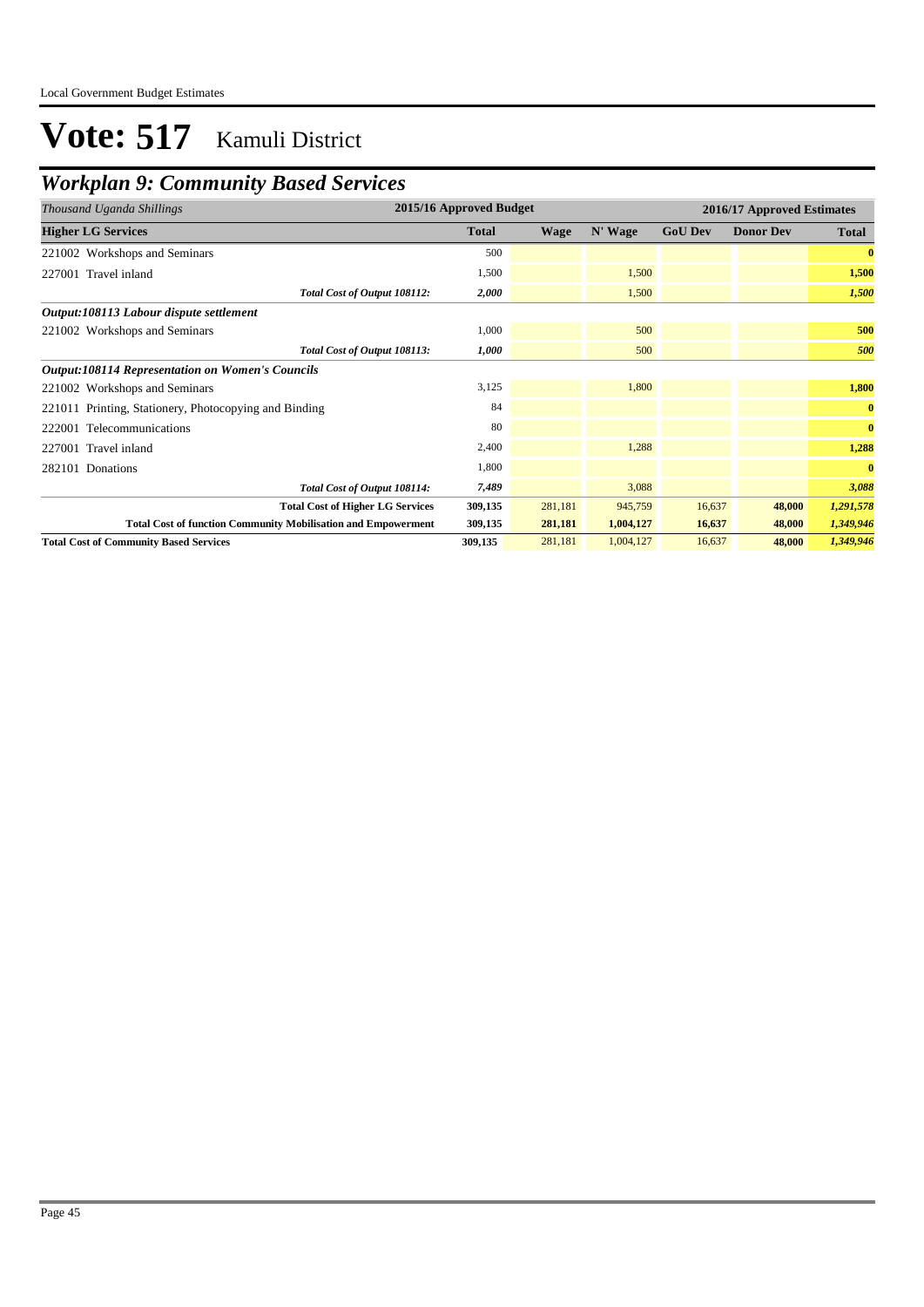## *Workplan 9: Community Based Services*

| Thousand Uganda Shillings                                            | 2015/16 Approved Budget<br>2016/17 Approved Estimates |             |           |                |                  |              |
|----------------------------------------------------------------------|-------------------------------------------------------|-------------|-----------|----------------|------------------|--------------|
| <b>Higher LG Services</b>                                            | <b>Total</b>                                          | <b>Wage</b> | N' Wage   | <b>GoU Dev</b> | <b>Donor Dev</b> | <b>Total</b> |
| 221002 Workshops and Seminars                                        | 500                                                   |             |           |                |                  | $\bf{0}$     |
| 227001 Travel inland                                                 | 1,500                                                 |             | 1,500     |                |                  | 1,500        |
| Total Cost of Output 108112:                                         | 2,000                                                 |             | 1,500     |                |                  | 1,500        |
| Output:108113 Labour dispute settlement                              |                                                       |             |           |                |                  |              |
| 221002 Workshops and Seminars                                        | 1,000                                                 |             | 500       |                |                  | 500          |
| Total Cost of Output 108113:                                         | 1,000                                                 |             | 500       |                |                  | 500          |
| <b>Output:108114 Representation on Women's Councils</b>              |                                                       |             |           |                |                  |              |
| 221002 Workshops and Seminars                                        | 3,125                                                 |             | 1,800     |                |                  | 1,800        |
| 221011 Printing, Stationery, Photocopying and Binding                | 84                                                    |             |           |                |                  | $\bf{0}$     |
| 222001 Telecommunications                                            | 80                                                    |             |           |                |                  | $\bf{0}$     |
| 227001 Travel inland                                                 | 2,400                                                 |             | 1,288     |                |                  | 1,288        |
| 282101 Donations                                                     | 1,800                                                 |             |           |                |                  | $\bf{0}$     |
| Total Cost of Output 108114:                                         | 7,489                                                 |             | 3,088     |                |                  | 3,088        |
| <b>Total Cost of Higher LG Services</b>                              | 309,135                                               | 281,181     | 945,759   | 16,637         | 48,000           | 1,291,578    |
| <b>Total Cost of function Community Mobilisation and Empowerment</b> | 309,135                                               | 281,181     | 1,004,127 | 16,637         | 48,000           | 1,349,946    |
| <b>Total Cost of Community Based Services</b>                        | 309,135                                               | 281,181     | 1,004,127 | 16,637         | 48,000           | 1,349,946    |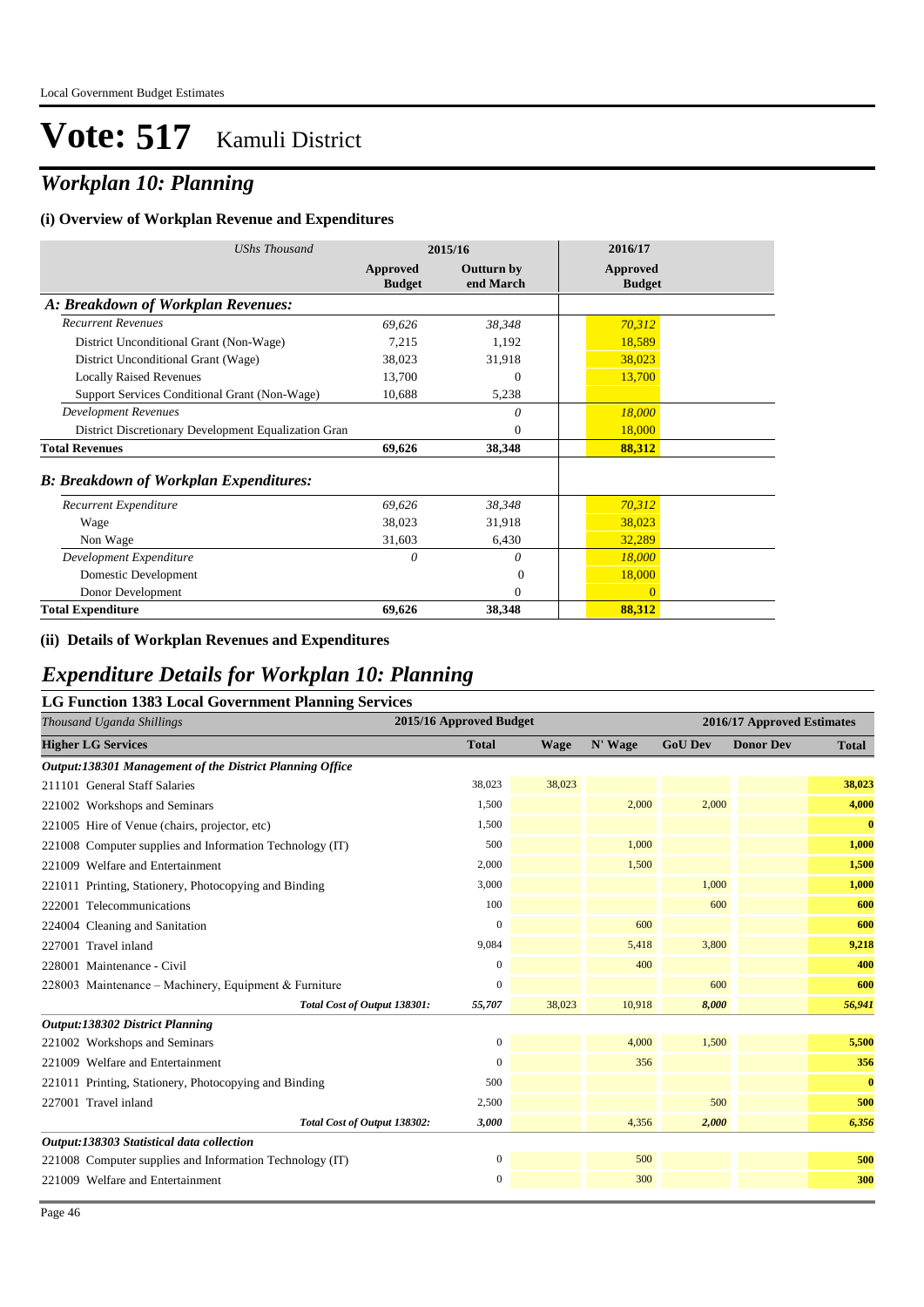### *Workplan 10: Planning*

#### **(i) Overview of Workplan Revenue and Expenditures**

| <b>UShs Thousand</b>                                 |                           | 2015/16                        | 2016/17                          |
|------------------------------------------------------|---------------------------|--------------------------------|----------------------------------|
|                                                      | Approved<br><b>Budget</b> | <b>Outturn by</b><br>end March | <b>Approved</b><br><b>Budget</b> |
| A: Breakdown of Workplan Revenues:                   |                           |                                |                                  |
| <b>Recurrent Revenues</b>                            | 69,626                    | 38,348                         | 70,312                           |
| District Unconditional Grant (Non-Wage)              | 7,215                     | 1,192                          | 18,589                           |
| District Unconditional Grant (Wage)                  | 38,023                    | 31,918                         | 38,023                           |
| <b>Locally Raised Revenues</b>                       | 13,700                    | $\Omega$                       | 13,700                           |
| Support Services Conditional Grant (Non-Wage)        | 10,688                    | 5,238                          |                                  |
| <b>Development Revenues</b>                          |                           | 0                              | 18,000                           |
| District Discretionary Development Equalization Gran |                           | $\theta$                       | 18,000                           |
| <b>Total Revenues</b>                                | 69,626                    | 38,348                         | 88,312                           |
| <b>B: Breakdown of Workplan Expenditures:</b>        |                           |                                |                                  |
| Recurrent Expenditure                                | 69,626                    | 38,348                         | 70,312                           |
| Wage                                                 | 38,023                    | 31,918                         | 38,023                           |
| Non Wage                                             | 31,603                    | 6,430                          | 32,289                           |
| Development Expenditure                              | 0                         | 0                              | 18,000                           |
| Domestic Development                                 |                           | $\Omega$                       | 18,000                           |
| Donor Development                                    |                           | $\Omega$                       | $\mathbf{0}$                     |
| <b>Total Expenditure</b>                             | 69,626                    | 38,348                         | 88,312                           |

#### **(ii) Details of Workplan Revenues and Expenditures**

#### *Expenditure Details for Workplan 10: Planning*

| <b>LG Function 1383 Local Government Planning Services</b> |                  |                         |         |                |                            |              |  |  |  |
|------------------------------------------------------------|------------------|-------------------------|---------|----------------|----------------------------|--------------|--|--|--|
| Thousand Uganda Shillings                                  |                  | 2015/16 Approved Budget |         |                | 2016/17 Approved Estimates |              |  |  |  |
| <b>Higher LG Services</b>                                  | <b>Total</b>     | Wage                    | N' Wage | <b>GoU Dev</b> | <b>Donor Dev</b>           | <b>Total</b> |  |  |  |
| Output:138301 Management of the District Planning Office   |                  |                         |         |                |                            |              |  |  |  |
| 211101 General Staff Salaries                              | 38,023           | 38,023                  |         |                |                            | 38,023       |  |  |  |
| 221002 Workshops and Seminars                              | 1,500            |                         | 2,000   | 2,000          |                            | 4,000        |  |  |  |
| 221005 Hire of Venue (chairs, projector, etc)              | 1.500            |                         |         |                |                            | $\bf{0}$     |  |  |  |
| 221008 Computer supplies and Information Technology (IT)   | 500              |                         | 1,000   |                |                            | 1,000        |  |  |  |
| 221009 Welfare and Entertainment                           | 2,000            |                         | 1,500   |                |                            | 1,500        |  |  |  |
| 221011 Printing, Stationery, Photocopying and Binding      | 3,000            |                         |         | 1,000          |                            | 1,000        |  |  |  |
| 222001 Telecommunications                                  | 100              |                         |         | 600            |                            | 600          |  |  |  |
| 224004 Cleaning and Sanitation                             | $\Omega$         |                         | 600     |                |                            | 600          |  |  |  |
| 227001 Travel inland                                       | 9,084            |                         | 5,418   | 3,800          |                            | 9,218        |  |  |  |
| 228001 Maintenance - Civil                                 | $\Omega$         |                         | 400     |                |                            | 400          |  |  |  |
| 228003 Maintenance – Machinery, Equipment & Furniture      | $\overline{0}$   |                         |         | 600            |                            | 600          |  |  |  |
| Total Cost of Output 138301:                               | 55,707           | 38,023                  | 10,918  | 8,000          |                            | 56,941       |  |  |  |
| Output:138302 District Planning                            |                  |                         |         |                |                            |              |  |  |  |
| 221002 Workshops and Seminars                              | $\boldsymbol{0}$ |                         | 4,000   | 1,500          |                            | 5,500        |  |  |  |
| 221009 Welfare and Entertainment                           | $\overline{0}$   |                         | 356     |                |                            | 356          |  |  |  |
| 221011 Printing, Stationery, Photocopying and Binding      | 500              |                         |         |                |                            | $\bf{0}$     |  |  |  |
| 227001 Travel inland                                       | 2,500            |                         |         | 500            |                            | 500          |  |  |  |
| Total Cost of Output 138302:                               | 3,000            |                         | 4,356   | 2,000          |                            | 6,356        |  |  |  |
| Output:138303 Statistical data collection                  |                  |                         |         |                |                            |              |  |  |  |
| 221008 Computer supplies and Information Technology (IT)   | $\mathbf{0}$     |                         | 500     |                |                            | 500          |  |  |  |
| 221009 Welfare and Entertainment                           | $\mathbf{0}$     |                         | 300     |                |                            | 300          |  |  |  |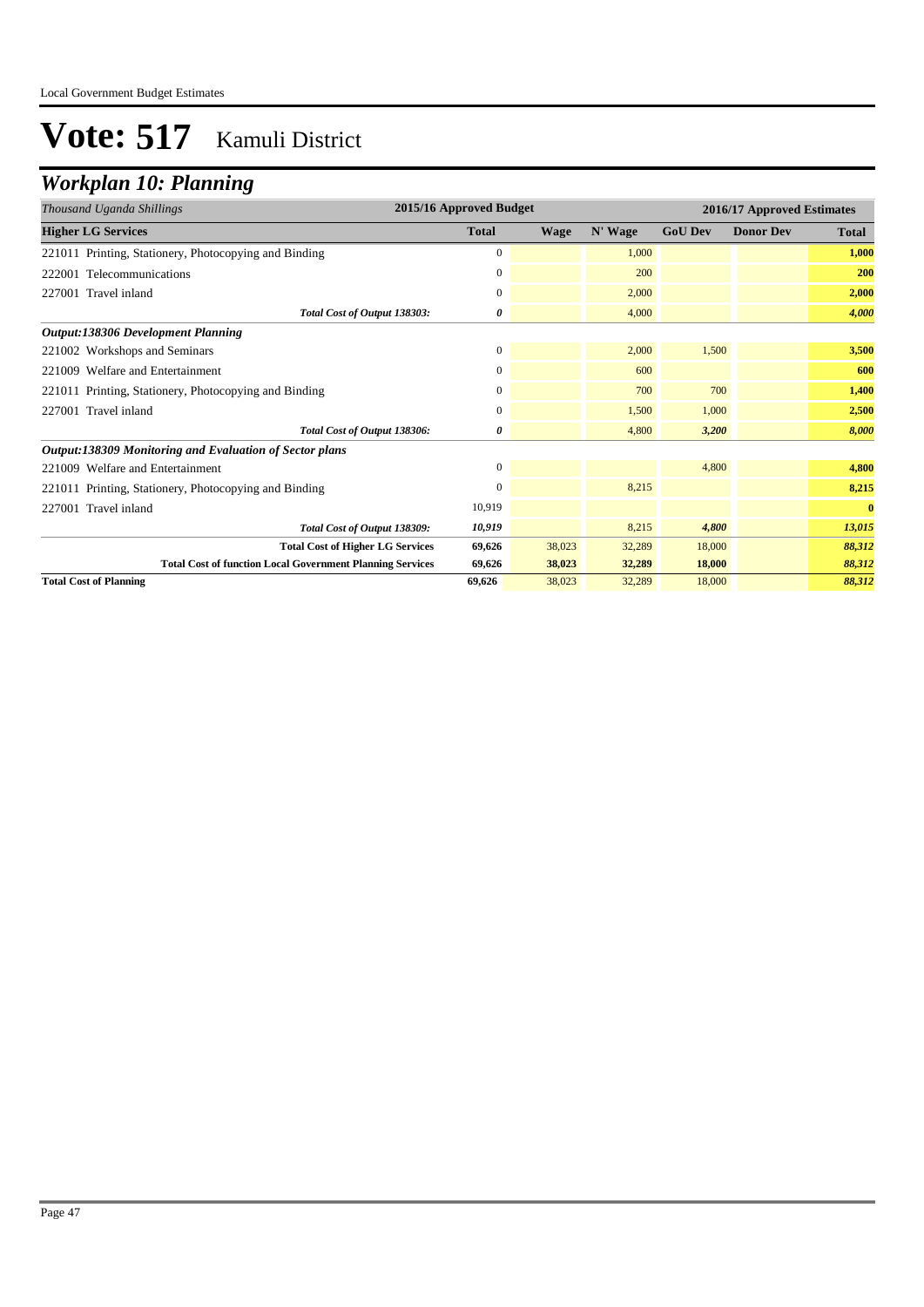## *Workplan 10: Planning*

| Thousand Uganda Shillings                                        | 2015/16 Approved Budget |             |         | 2016/17 Approved Estimates |                  |              |  |
|------------------------------------------------------------------|-------------------------|-------------|---------|----------------------------|------------------|--------------|--|
| <b>Higher LG Services</b>                                        | <b>Total</b>            | <b>Wage</b> | N' Wage | <b>GoU Dev</b>             | <b>Donor Dev</b> | <b>Total</b> |  |
| 221011 Printing, Stationery, Photocopying and Binding            | $\mathbf{0}$            |             | 1,000   |                            |                  | 1,000        |  |
| 222001 Telecommunications                                        | 0                       |             | 200     |                            |                  | 200          |  |
| 227001 Travel inland                                             | $\mathbf{0}$            |             | 2,000   |                            |                  | 2,000        |  |
| Total Cost of Output 138303:                                     | 0                       |             | 4,000   |                            |                  | 4,000        |  |
| <b>Output:138306 Development Planning</b>                        |                         |             |         |                            |                  |              |  |
| 221002 Workshops and Seminars                                    | $\mathbf{0}$            |             | 2,000   | 1,500                      |                  | 3,500        |  |
| 221009 Welfare and Entertainment                                 | $\mathbf{0}$            |             | 600     |                            |                  | 600          |  |
| 221011 Printing, Stationery, Photocopying and Binding            | 0                       |             | 700     | 700                        |                  | 1,400        |  |
| 227001 Travel inland                                             | $\mathbf{0}$            |             | 1,500   | 1,000                      |                  | 2,500        |  |
| Total Cost of Output 138306:                                     | 0                       |             | 4.800   | 3,200                      |                  | 8,000        |  |
| Output:138309 Monitoring and Evaluation of Sector plans          |                         |             |         |                            |                  |              |  |
| 221009 Welfare and Entertainment                                 | $\mathbf{0}$            |             |         | 4,800                      |                  | 4,800        |  |
| 221011 Printing, Stationery, Photocopying and Binding            | $\Omega$                |             | 8,215   |                            |                  | 8,215        |  |
| 227001 Travel inland                                             | 10,919                  |             |         |                            |                  | $\bf{0}$     |  |
| Total Cost of Output 138309:                                     | 10,919                  |             | 8,215   | 4,800                      |                  | 13,015       |  |
| <b>Total Cost of Higher LG Services</b>                          | 69,626                  | 38,023      | 32,289  | 18,000                     |                  | 88,312       |  |
| <b>Total Cost of function Local Government Planning Services</b> | 69,626                  | 38,023      | 32,289  | 18,000                     |                  | 88,312       |  |
| <b>Total Cost of Planning</b>                                    | 69,626                  | 38,023      | 32,289  | 18,000                     |                  | 88,312       |  |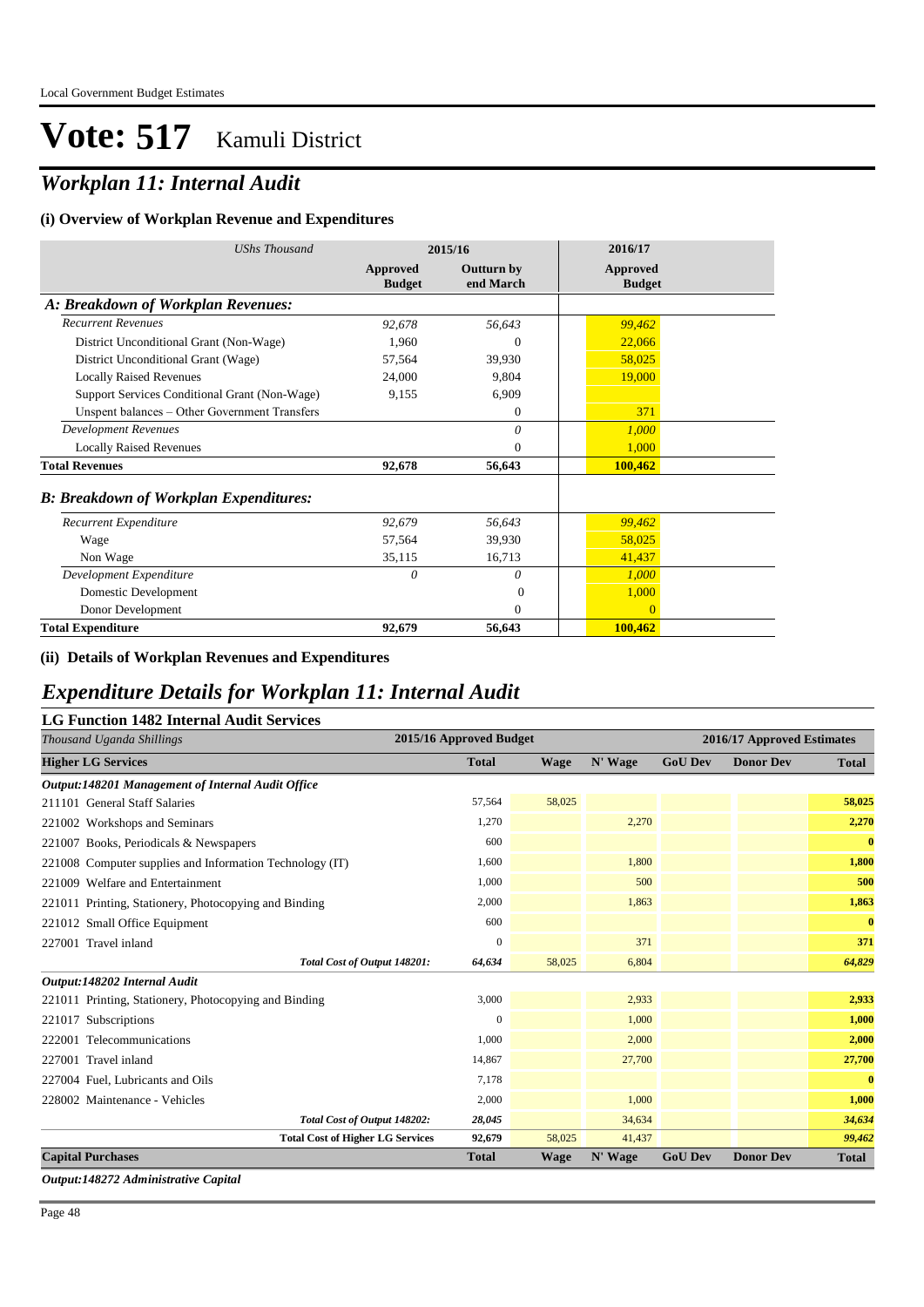## *Workplan 11: Internal Audit*

#### **(i) Overview of Workplan Revenue and Expenditures**

| <b>UShs Thousand</b>                          | 2015/16                   |                                | 2016/17                   |  |
|-----------------------------------------------|---------------------------|--------------------------------|---------------------------|--|
|                                               | Approved<br><b>Budget</b> | <b>Outturn by</b><br>end March | Approved<br><b>Budget</b> |  |
| A: Breakdown of Workplan Revenues:            |                           |                                |                           |  |
| <b>Recurrent Revenues</b>                     | 92,678                    | 56,643                         | 99,462                    |  |
| District Unconditional Grant (Non-Wage)       | 1,960                     | $\theta$                       | 22,066                    |  |
| District Unconditional Grant (Wage)           | 57,564                    | 39,930                         | 58,025                    |  |
| <b>Locally Raised Revenues</b>                | 24,000                    | 9,804                          | 19,000                    |  |
| Support Services Conditional Grant (Non-Wage) | 9,155                     | 6,909                          |                           |  |
| Unspent balances - Other Government Transfers |                           | $\Omega$                       | 371                       |  |
| <b>Development Revenues</b>                   |                           | 0                              | 1,000                     |  |
| <b>Locally Raised Revenues</b>                |                           | $\theta$                       | 1,000                     |  |
| <b>Total Revenues</b>                         | 92,678                    | 56,643                         | 100,462                   |  |
| <b>B: Breakdown of Workplan Expenditures:</b> |                           |                                |                           |  |
| Recurrent Expenditure                         | 92,679                    | 56,643                         | 99,462                    |  |
| Wage                                          | 57,564                    | 39,930                         | 58,025                    |  |
| Non Wage                                      | 35,115                    | 16,713                         | 41,437                    |  |
| Development Expenditure                       | $\theta$                  | $\theta$                       | 1,000                     |  |
| Domestic Development                          |                           | $\Omega$                       | 1,000                     |  |
| Donor Development                             |                           | $\theta$                       | $\Omega$                  |  |
| <b>Total Expenditure</b>                      | 92,679                    | 56,643                         | 100,462                   |  |

#### **(ii) Details of Workplan Revenues and Expenditures**

### *Expenditure Details for Workplan 11: Internal Audit*

#### **LG Function 1482 Internal Audit Services**

| Thousand Uganda Shillings                                | 2015/16 Approved Budget |             |         | 2016/17 Approved Estimates |                  |              |
|----------------------------------------------------------|-------------------------|-------------|---------|----------------------------|------------------|--------------|
| <b>Higher LG Services</b>                                | <b>Total</b>            | <b>Wage</b> | N' Wage | <b>GoU Dev</b>             | <b>Donor Dev</b> | <b>Total</b> |
| Output:148201 Management of Internal Audit Office        |                         |             |         |                            |                  |              |
| 211101 General Staff Salaries                            | 57,564                  | 58,025      |         |                            |                  | 58,025       |
| 221002 Workshops and Seminars                            | 1,270                   |             | 2,270   |                            |                  | 2,270        |
| 221007 Books, Periodicals & Newspapers                   | 600                     |             |         |                            |                  | $\bf{0}$     |
| 221008 Computer supplies and Information Technology (IT) | 1,600                   |             | 1,800   |                            |                  | 1,800        |
| 221009 Welfare and Entertainment                         | 1,000                   |             | 500     |                            |                  | 500          |
| 221011 Printing, Stationery, Photocopying and Binding    | 2,000                   |             | 1,863   |                            |                  | 1,863        |
| 221012 Small Office Equipment                            | 600                     |             |         |                            |                  | $\bf{0}$     |
| 227001 Travel inland                                     | $\mathbf{0}$            |             | 371     |                            |                  | 371          |
| Total Cost of Output 148201:                             | 64,634                  | 58,025      | 6,804   |                            |                  | 64,829       |
| Output:148202 Internal Audit                             |                         |             |         |                            |                  |              |
| 221011 Printing, Stationery, Photocopying and Binding    | 3,000                   |             | 2,933   |                            |                  | 2,933        |
| 221017 Subscriptions                                     | $\Omega$                |             | 1,000   |                            |                  | 1,000        |
| 222001 Telecommunications                                | 1,000                   |             | 2,000   |                            |                  | 2,000        |
| 227001 Travel inland                                     | 14,867                  |             | 27,700  |                            |                  | 27,700       |
| 227004 Fuel, Lubricants and Oils                         | 7,178                   |             |         |                            |                  | $\bf{0}$     |
| 228002 Maintenance - Vehicles                            | 2,000                   |             | 1,000   |                            |                  | 1,000        |
| Total Cost of Output 148202:                             | 28,045                  |             | 34,634  |                            |                  | 34,634       |
| <b>Total Cost of Higher LG Services</b>                  | 92,679                  | 58,025      | 41,437  |                            |                  | 99,462       |
| <b>Capital Purchases</b>                                 | <b>Total</b>            | <b>Wage</b> | N' Wage | <b>GoU Dev</b>             | <b>Donor Dev</b> | <b>Total</b> |

*Output:148272 Administrative Capital*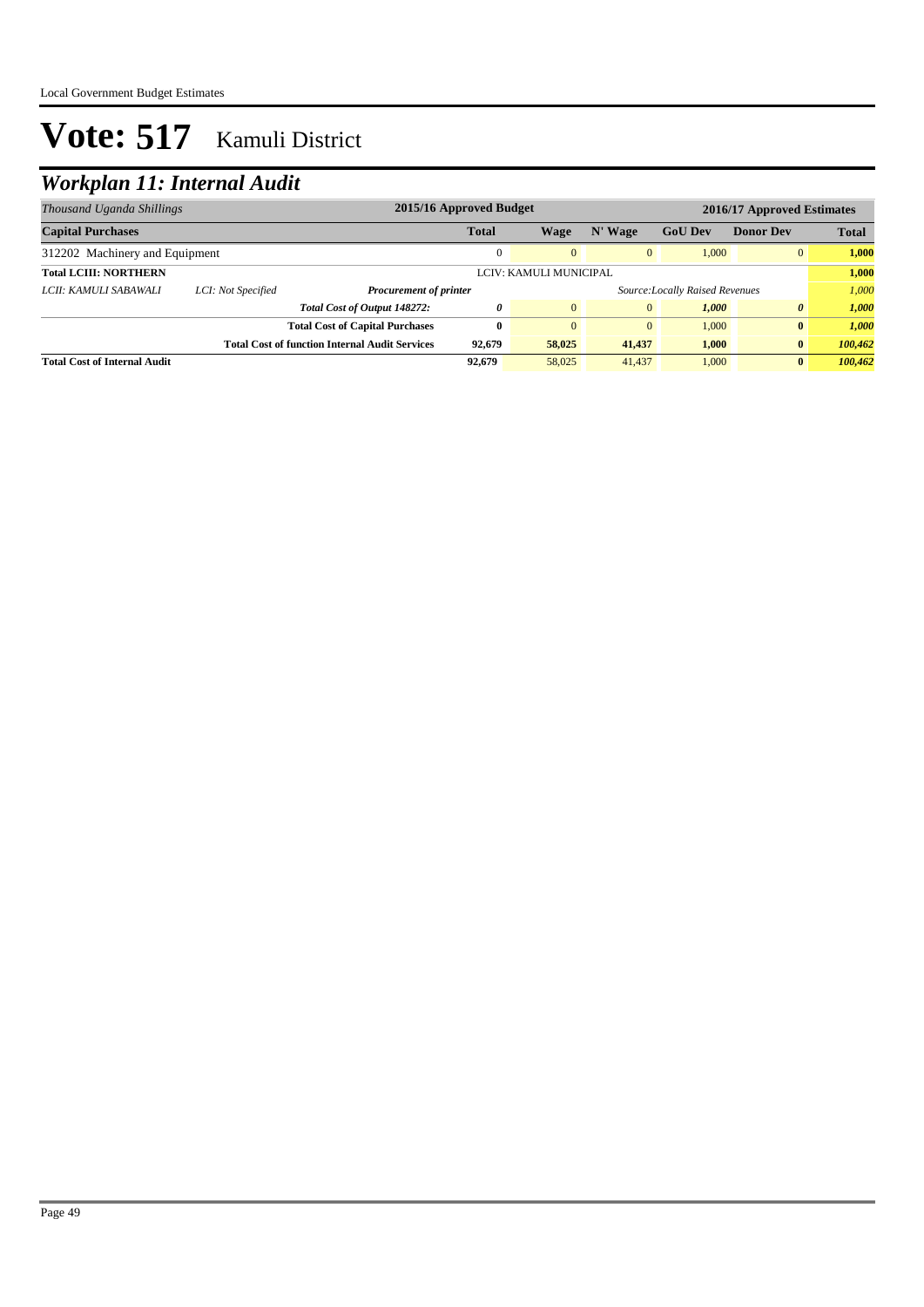## *Workplan 11: Internal Audit*

| Thousand Uganda Shillings           |                    | 2015/16 Approved Budget<br>2016/17 Approved Estimates |                                                                  |              |              |                |                  |              |
|-------------------------------------|--------------------|-------------------------------------------------------|------------------------------------------------------------------|--------------|--------------|----------------|------------------|--------------|
| <b>Capital Purchases</b>            |                    |                                                       | <b>Total</b>                                                     | <b>Wage</b>  | N' Wage      | <b>GoU Dev</b> | <b>Donor Dev</b> | <b>Total</b> |
| 312202 Machinery and Equipment      |                    |                                                       |                                                                  | $\Omega$     | $\mathbf{0}$ | 1.000          | $\overline{0}$   | 1.000        |
| <b>Total LCIII: NORTHERN</b>        |                    |                                                       | LCIV: KAMULI MUNICIPAL                                           |              |              |                | 1,000            |              |
| LCII: KAMULI SABAWALI               | LCI: Not Specified |                                                       | Source: Locally Raised Revenues<br><b>Procurement of printer</b> |              |              |                |                  | 1.000        |
|                                     |                    | Total Cost of Output 148272:                          | 0                                                                | $\mathbf{0}$ | $\mathbf{0}$ | 1,000          | 0                | 1,000        |
|                                     |                    | <b>Total Cost of Capital Purchases</b>                | 0                                                                | $\Omega$     | $\mathbf{0}$ | 1.000          | $\bf{0}$         | 1.000        |
|                                     |                    | <b>Total Cost of function Internal Audit Services</b> | 92.679                                                           | 58,025       | 41,437       | 1,000          | $\bf{0}$         | 100,462      |
| <b>Total Cost of Internal Audit</b> |                    |                                                       | 92,679                                                           | 58,025       | 41,437       | 1,000          | $\mathbf{0}$     | 100,462      |